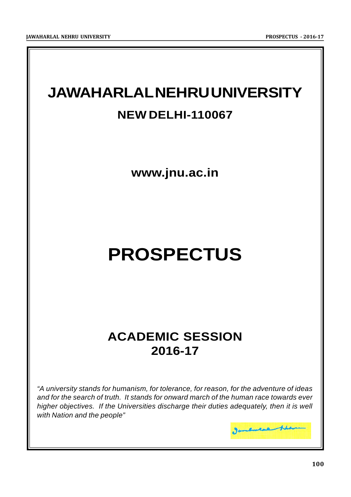## **JAWAHARLAL NEHRU UNIVERSITY NEW DELHI-110067**

**www.jnu.ac.in**

# **PROSPECTUS**

## **ACADEMIC SESSION 2016-17**

*"A university stands for humanism, for tolerance, for reason, for the adventure of ideas and for the search of truth. It stands for onward march of the human race towards ever higher objectives. If the Universities discharge their duties adequately, then it is well with Nation and the people"*

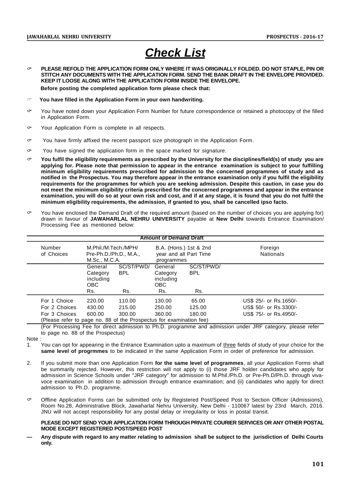## *Check List*

- **PLEASE REFOLD THE APPLICATION FORM ONLY WHERE IT WAS ORIGINALLY FOLDED. DO NOT STAPLE, PIN OR STITCH ANY DOCUMENTS WITH THE APPLICATION FORM. SEND THE BANK DRAFT IN THE ENVELOPE PROVIDED. KEEP IT LOOSE ALONG WITH THE APPLICATION FORM INSIDE THE ENVELOPE. Before posting the completed application form please check that:**
- **You have filled in the Application Form in your own handwriting.**
- $\sim$  You have noted down vour Application Form Number for future correspondence or retained a photocopy of the filled in Application Form.
- Your Application Form is complete in all respects.
- $\sim$  You have firmly affixed the recent passport size photograph in the Application Form.
- $\sim$  You have signed the application form in the space marked for signature.
- **You fulfil the eligibility requirements as prescribed by the University for the disciplines/field(s) of study you are applying for. Please note that permission to appear in the entrance examination is subject to your fulfilling minimum eligibility requirements prescribed for admission to the concerned programmes of study and as notified in the Prospectus. You may therefore appear in the entrance examination only if you fulfil the eligibility requirements for the programmes for which you are seeking admission. Despite this caution, in case you do not meet the minimum eligibility criteria prescribed for the concerned programmes and appear in the entrance examination, you will do so at your own risk and cost, and if at any stage, it is found that you do not fulfil the minimum eligibility requirements, the admission, if granted to you, shall be cancelled ipso facto.**
- $\sim$  You have enclosed the Demand Draft of the required amount (based on the number of choices you are applying for) drawn in favour of **JAWAHARLAL NEHRU UNIVERSITY** payable at **New Delhi** towards Entrance Examination/ Processing Fee as mentioned below:

| <b>Amount of Demand Draft</b>                                       |                      |                                                                 |                          |                                                                |                          |                             |  |  |  |
|---------------------------------------------------------------------|----------------------|-----------------------------------------------------------------|--------------------------|----------------------------------------------------------------|--------------------------|-----------------------------|--|--|--|
|                                                                     | Number<br>of Choices | M.Phil./M.Tech./MPH/<br>Pre-Ph.D./Ph.D., M.A.,<br>M.Sc., M.C.A. |                          | B.A. (Hons.) 1st & 2nd<br>year and all Part Time<br>programmes |                          | Foreign<br><b>Nationals</b> |  |  |  |
|                                                                     |                      | General<br>Category<br>including<br>OBC                         | SC/ST/PWD/<br><b>BPL</b> | General<br>Category<br>including<br>OBC.                       | SC/ST/PWD/<br><b>BPL</b> |                             |  |  |  |
|                                                                     |                      | Rs.                                                             | Rs.                      | Rs.                                                            | Rs.                      |                             |  |  |  |
|                                                                     | For 1 Choice         | 220.00                                                          | 110.00                   | 130.00                                                         | 65.00                    | US\$ 25/- or Rs.1650/-      |  |  |  |
|                                                                     | For 2 Choices        | 430.00                                                          | 215.00                   | 250.00                                                         | 125.00                   | US\$ 50/- or Rs.3300/-      |  |  |  |
|                                                                     | For 3 Choices        | 600.00                                                          | 300.00                   | 360.00                                                         | 180.00                   | US\$ 75/- or Rs.4950/-      |  |  |  |
| (Please refer to page no. 88 of the Prospectus for examination fee) |                      |                                                                 |                          |                                                                |                          |                             |  |  |  |

(For Processing Fee for direct admission to Ph.D. programme and admission under JRF category, please refer to page no. 88 of the Prospectus)

Note :

- 1. You can opt for appearing in the Entrance Examination upto a maximum of three fields of study of your choice for the **same level of progrmmes** to be indicated in the same Application Form in order of preference for admission.
- 2. If you submit more than one Application Form **for the same level of programmes**, all your Application Forms shall be summarily rejected. However, this restriction will not apply to (i) those JRF holder candidates who apply for admission in Science Schools under "JRF category" for admission to M.Phil./Ph.D. or Pre-Ph.D/Ph.D. through vivavoce examination in addition to admission through entrance examination; and (ii) candidates who apply for direct admission to Ph.D. programme.
- Offline Application Forms can be submitted only by Registered Post/Speed Post to Section Officer (Admissions), Room No.28, Administrative Block, Jawaharlal Nehru University, New Delhi - 110067 latest by 23rd March, 2016. JNU will not accept responsibility for any postal delay or irregularity or loss in postal transit.

#### **PLEASE DO NOT SEND YOUR APPLICATION FORM THROUGH PRIVATE COURIER SERVICES OR ANY OTHER POSTAL MODE EXCEPT REGISTERED POST/SPEED POST**

**— Any dispute with regard to any matter relating to admission shall be subject to the jurisdiction of Delhi Courts only.**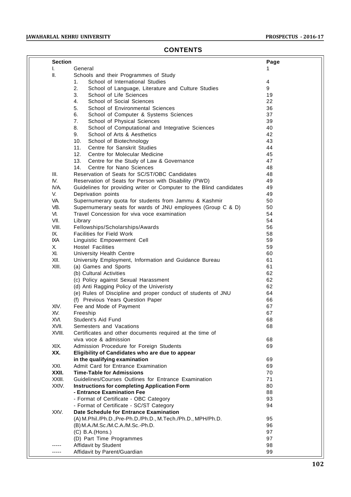### **CONTENTS**

|      | <b>Section</b> |                                                                     | Page |
|------|----------------|---------------------------------------------------------------------|------|
| ı.   |                | General                                                             |      |
| Ш.   |                | Schools and their Programmes of Study                               |      |
|      |                | School of International Studies<br>1.                               | 4    |
|      |                | 2.<br>School of Language, Literature and Culture Studies            | 9    |
|      |                | 3.<br>School of Life Sciences                                       | 19   |
|      |                | School of Social Sciences<br>4.                                     | 22   |
|      |                | 5.<br>School of Environmental Sciences                              | 36   |
|      |                | 6.<br>School of Computer & Systems Sciences                         | 37   |
|      |                | 7.<br>School of Physical Sciences                                   | 39   |
|      |                | School of Computational and Integrative Sciences<br>8.              | 40   |
|      |                | School of Arts & Aesthetics<br>9.                                   | 42   |
|      |                | 10.<br>School of Biotechnology                                      | 43   |
|      |                | Centre for Sanskrit Studies<br>11.                                  | 44   |
|      |                | 12.<br>Centre for Molecular Medicine                                | 45   |
|      |                | 13.<br>Centre for the Study of Law & Governance                     | 47   |
|      |                | Centre for Nano Sciences<br>14.                                     | 48   |
| III. |                | Reservation of Seats for SC/ST/OBC Candidates                       | 48   |
| IV.  |                | Reservation of Seats for Person with Disability (PWD)               | 49   |
|      | IVA.           | Guidelines for providing writer or Computer to the Blind candidates | 49   |
| V.   |                | Deprivation points                                                  | 49   |
| VA.  |                | Supernumerary quota for students from Jammu & Kashmir               | 50   |
|      | VB.            | Supernumerary seats for wards of JNU employees (Group C & D)        | 50   |
| VI.  |                | Travel Concession for viva voce examination                         | 54   |
|      |                |                                                                     |      |
| VII. |                | Library                                                             | 54   |
|      | VIII.          | Fellowships/Scholarships/Awards                                     | 56   |
| IX.  |                | <b>Facilities for Field Work</b>                                    | 58   |
|      | IXA            | Linguistic Empowerment Cell                                         | 59   |
| Χ.   |                | <b>Hostel Facilities</b>                                            | 59   |
| XI.  |                | University Health Centre                                            | 60   |
|      | XII.           | University Employment, Information and Guidance Bureau              | 61   |
|      | XIII.          | (a) Games and Sports                                                | 61   |
|      |                | (b) Cultural Activities                                             | 62   |
|      |                | (c) Policy against Sexual Harassment                                | 62   |
|      |                | (d) Anti Ragging Policy of the Univeristy                           | 62   |
|      |                | (e) Rules of Discipline and proper conduct of students of JNU       | 64   |
|      |                | (f) Previous Years Question Paper                                   | 66   |
|      | XIV.           | Fee and Mode of Payment                                             | 67   |
|      | XV.            | Freeship                                                            | 67   |
|      | XVI.           | Student's Aid Fund                                                  | 68   |
|      | XVII.          | Semesters and Vacations                                             | 68   |
|      | XVIII.         | Certificates and other documents required at the time of            |      |
|      |                | viva voce & admission                                               | 68   |
|      | XIX.           | Admission Procedure for Foreign Students                            | 69   |
|      | XX.            | Eligibility of Candidates who are due to appear                     |      |
|      |                | in the qualifying examination                                       | 69   |
|      | XXI.           | Admit Card for Entrance Examination                                 | 69   |
|      | XXII.          | <b>Time-Table for Admissions</b>                                    | 70   |
|      | XXIII.         | Guidelines/Courses Outlines for Entrance Examination                | 71   |
|      | XXIV.          | <b>Instructions for completing Application Form</b>                 | 80   |
|      |                | - Entrance Examination Fee                                          | 88   |
|      |                | - Format of Certificate - OBC Category                              | 93   |
|      |                | - Format of Certificate - SC/ST Category                            | 94   |
|      | XXV.           | Date Schedule for Entrance Examination                              |      |
|      |                | (A) M.Phil./Ph.D., Pre-Ph.D./Ph.D., M.Tech./Ph.D., MPH/Ph.D.        | 95   |
|      |                | (B) M.A./M.Sc./M.C.A./M.Sc.-Ph.D.                                   | 96   |
|      |                | $(C)$ B.A. $(Hons.)$                                                | 97   |
|      |                | (D) Part Time Programmes                                            | 97   |
|      |                | Affidavit by Student                                                | 98   |
|      | -----          | Affidavit by Parent/Guardian                                        | 99   |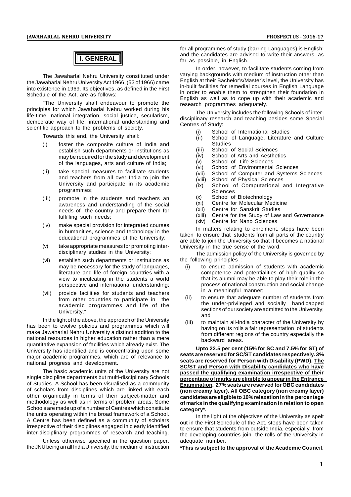## **I. GENERAL**

The Jawaharlal Nehru University constituted under the Jawaharlal Nehru University Act 1966, (53 of 1966) came into existence in 1969. Its objectives, as defined in the First Schedule of the Act, are as follows:

"The University shall endeavour to promote the principles for which Jawaharlal Nehru worked during his life-time, national integration, social justice, secularism, democratic way of life, international understanding and scientific approach to the problems of society.

Towards this end, the University shall:

- (i) foster the composite culture of India and establish such departments or institutions as may be required for the study and development of the languages, arts and culture of India;
- (ii) take special measures to facilitate students and teachers from all over India to join the University and participate in its academic programmes;
- (iii) promote in the students and teachers an awareness and understanding of the social needs of the country and prepare them for fulfilling such needs;
- (iv) make special provision for integrated courses in humanities, science and technology in the educational programmes of the University;
- (v) take appropriate measures for promoting interdisciplinary studies in the University;
- (vi) establish such departments or institutions as may be necessary for the study of languages, literature and life of foreign countries with a view to inculcating in the students a world perspective and international understanding;
- (vii) provide facilities for students and teachers from other countries to participate in the academic programmes and life of the University."

In the light of the above, the approach of the University has been to evolve policies and programmes which will make Jawaharlal Nehru University a distinct addition to the national resources in higher education rather than a mere quantitative expansion of facilities which already exist. The University has identified and is concentrating upon some major academic programmes, which are of relevance to national progress and development.

The basic academic units of the University are not single discipline departments but multi-disciplinary Schools of Studies. A School has been visualised as a community of scholars from disciplines which are linked with each other organically in terms of their subject-matter and methodology as well as in terms of problem areas. Some Schools are made up of a number of Centres which constitute the units operating within the broad framework of a School. A Centre has been defined as a community of scholars irrespective of their disciplines engaged in clearly identified inter-disciplinary programmes of research and teaching.

Unless otherwise specified in the question paper, the JNU being an all India University, the medium of instruction for all programmes of study (barring Languages) is English; and the candidates are advised to write their answers, as far as possible, in English.

In order, however, to facilitate students coming from varying backgrounds with medium of instruction other than English at their Bachelor's/Master's level, the University has in-built facilities for remedial courses in English Language in order to enable them to strengthen their foundation in English as well as to cope up with their academic and research programmes adequately.

The University includes the following Schools of interdisciplinary research and teaching besides some Special Centres of Study:

- (i) School of International Studies
- (ii) School of Language, Literature and Culture Studies
- (iii) School of Social Sciences
- (iv) School of Arts and Aesthetics
- $\overrightarrow{(v)}$  School of Life Sciences<br>(vi) School of Environmental
- School of Environmental Sciences
- (vii) School of Computer and Systems Sciences
- School of Physical Sciences
- (ix) School of Computational and Integrative Sciences
- (x) School of Biotechnology
- (xi) Centre for Molecular Medicine<br>(xii) Centre for Sanskrit Studies
- (xii) Centre for Sanskrit Studies<br>(xiii) Centre for the Study of Law
- Centre for the Study of Law and Governance
- (xiv) Centre for Nano Sciences

In matters relating to enrolment, steps have been taken to ensure that students from all parts of the country are able to join the University so that it becomes a national University in the true sense of the word.

The admission policy of the University is governed by the following principles :

- (i) to ensure admission of students with academic competence and potentialities of high quality so that its alumni may be able to play their role in the process of national construction and social change in a meaningful manner;
- to ensure that adequate number of students from the under-privileged and socially handicapped sections of our society are admitted to the University; and
- to maintain all-India character of the University by having on its rolls a fair representation of students from different regions of the country especially the backward areas.

**Upto 22.5 per cent (15% for SC and 7.5% for ST) of seats are reserved for SC/ST candidates respectively. 3% seats are reserved for Person with Disability (PWD). The SC/ST and Person with Disability candidates who have passed the qualifying examination irrespective of their percentage of marks are eligible to appear in the Entrance Examination***.* **27% seats are reserved for OBC candidates (non creamy layer). All OBC category (non creamy layer) candidates are eligible to 10% relaxation in the percentage of marks in the qualifying examination in relation to open category\*.**

In the light of the objectives of the University as spelt out in the First Schedule of the Act, steps have been taken to ensure that students from outside India, especially from the developing countries join the rolls of the University in adequate number.

**\*This is subject to the approval of the Academic Council.**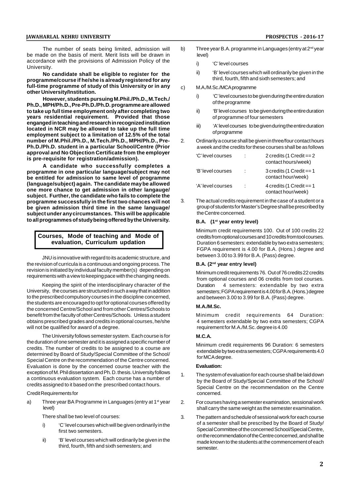The number of seats being limited, admission will be made on the basis of merit. Merit lists will be drawn in accordance with the provisions of Admission Policy of the University.

**No candidate shall be eligible to register for the programme/course if he/she is already registered for any full-time programme of study of this University or in any other University/Institution.**

**However, students pursuing M.Phil./Ph.D., M.Tech./ Ph.D., MPH/Ph.D., Pre-Ph.D./Ph.D. programme are allowed to take up full time employment only after completing two years residential requirement. Provided that those enganged in teaching and research in recognized institution located in NCR may be allowed to take up the full time employment subject to a limitation of 12.5% of the total number of M.Phil./Ph.D., M.Tech./Ph.D., MPH/Ph.D., Pre-Ph.D./Ph.D. student in a particular School/Centre (Prior approval and No Objection Certificate from the employer is pre-requisite for registration/admission).**

**A candidate who successfully completes a programme in one particular language/subject may not be entitled for admission to same level of programme (language/subject) again. The candidate may be allowed one more chance to get admission in other langauge/ subject. Further, the candidate who fails to complete the programme successfully in the first two chances will not be given admission third time in the same language/ subject under any circumstances. This will be applicable to all programmes of study being offered by the University.**

#### **Courses, Mode of teaching and Mode of evaluation, Curriculum updation**

JNU is innovative with regard to its academic structure, and the revision of curricula is a continuous and ongoing process. The revision is initiated by individual faculty member(s) depending on requirements with a view to keeping pace with the changing needs.

Keeping the spirit of the interdisciplinary character of the University, the courses are structured in such a way that in addition to the prescribed compulsory courses in the discipline concerned, the students are encouraged to opt for optional courses offered by the concerned Centre/School and from other Centres/Schools to benefit from the faculty of other Centres/Schools. Unless a student obtains prescribed grades and credits in optional courses, he/she will not be qualified for award of a degree.

The University follows semester system. Each course is for the duration of one semester and it is assigned a specific number of credits. The number of credits to be assigned to a course are determined by Board of Study/Special Committee of the School/ Special Centre on the recommendation of the Centre concerned. Evaluation is done by the concerned course teacher with the exception of M. Phil dissertation and Ph. D. thesis. University follows a continuous evaluation system. Each course has a number of credits assigned to it based on the prescribed contact hours.

Credit Requirements for

a) Three year BA Programme in Languages (entry at 1 $st$  year 2. level)

There shall be two level of courses:

- i) 'C' level courses which will be given ordinarily in the first two semesters.
- ii) 'B' level courses which will ordinarily be given in the third, fourth, fifth and sixth semesters; and
- b) Three year B.A. programme in Languages (entry at  $2^{nd}$  year level)
	- i) 'C' level courses
	- ii) 'B' level courses which will ordinarily be given in the third, fourth, fifth and sixth semesters; and
- M.A./M.Sc./MCA programme
	- i) 'C' level courses to be given during the entire duration of the programme
	- ii) 'B' level courses to be given during the entire duration of programme of four semesters
	- iii) 'A' level courses to be given during the entire duration of programme
- 2. Ordinarily a course shall be given in three/four contact hours a week and the credits for these courses shall be as follows

| 'C' level courses |   | 2 credits (1 Credit $== 2$<br>contact hours/week) |
|-------------------|---|---------------------------------------------------|
| 'B' level courses | ÷ | 3 credits (1 Credit $== 1$<br>contact hour/week)  |
| 'A' level courses | ÷ | 4 credits (1 Credit $== 1$<br>contact hour/week)  |

The actual credits requirement in the case of a student or a group of students for Master's Degree shall be prescribed by the Centre concerned.

#### **B.A. (1st year entry level)**

Minimum credit requirements 100. Out of 100 credits 22 credits from optional courses and 10 credits from tool courses. Duration 6 semesters: extendable by two extra semesters; FGPA requirement is 4.00 for B.A. (Hons.) degree and between 3.00 to 3.99 for B.A. (Pass) degree.

#### **B.A. (2nd year entry level)**

Minimum credit requirements 76. Out of 76 credits 22 credits from optional courses and 06 credits from tool courses. Duration 4 semesters: extendable by two extra semesters; FGPA requirement is 4.00 for B.A. (Hons.) degree and between 3.00 to 3.99 for B.A. (Pass) degree.

#### **M.A./M.Sc.**

Minimum credit requirements 64 Duration: 4 semesters extendable by two extra semesters; CGPA requirement for M.A./M.Sc. degree is 4.00

#### **M.C.A.**

Minimum credit requirements 96 Duration: 6 semesters extendable by two extra semesters; CGPA requirements 4.0 for MCA degree.

#### **Evaluation:**

- The system of evaluation for each course shall be laid down by the Board of Study/Special Committee of the School/ Special Centre on the recommendation on the Centre concerned.
- 2. For courses having a semester examination, sessional work shall carry the same weight as the semester examination.
- 3. The pattern and schedule of sessional work for each course of a semester shall be prescribed by the Board of Study/ Special Committee of the concerned School/Special Centre, on the recommendation of the Centre concerned, and shall be made known to the students at the commencement of each semester.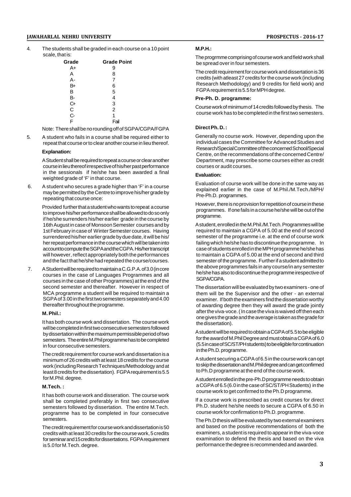#### **JAWAHARLAL NEHRU UNIVERSITY PROSPECTUS - 2016-17**

4. The students shall be graded in each course on a 10 point scale, that is:

| Grade          | <b>Grade Point</b> |
|----------------|--------------------|
| A+             | 9                  |
| А              | 8                  |
| А-             | 7                  |
| B+             | 6                  |
| в              | 5                  |
| в-             | 4                  |
| C+             | 3                  |
| C              | $\overline{2}$     |
| $\overline{C}$ | 1                  |
| F              | Fail               |

Note: There shall be no rounding off of SGPA/CGPA/FGPA

5. A student who fails in a course shall be required either to repeat that course or to clear another course in lieu thereof.

#### **Explanation:**

A Student shall be required to repeat a course or clear another course in lieu thereof irrespective of his/her past performance in the sessionals if he/she has been awarded a final weighted grade of 'F' in that course.

 6. A student who secures a grade higher than 'F' in a course may be permitted by the Centre to improve his/her grade by repeating that course once:

Provided further that a student who wants to repeat a course to improve his/her performance shall be allowed to do so only if he/she surrenders his/her earlier grade in the course by 16th August in case of Monsoon Semester courses and by 1st February in case of Winter Semester courses. Having surrendered his/her earlier grade by due date, it will be his/ her repeat performance in the course which will be taken into account to compute the SGPA and the CGPA. His/her transcript will however, reflect appropriately both the performances and the fact that he/she had repeated the course/courses.

 7. A Student will be required to maintain a C.G.P.A. of 3.0 (in core courses in the case of Languages Programmes and all courses in the case of other Programmes) at the end of the second semester and thereafter. However in respect of MCA programme a student will be required to maintain a SGPA of 3.00 in the first two semesters separately and 4.00 thereafter throughout the programme.

#### **M. Phil.:**

It has both course work and dissertation. The course work will be completed in first two consecutive semesters followed by dissertation within the maximum permissible period of two semesters. The entire M.Phil programme has to be completed in four consecutive semesters.

The credit requirement for course work and dissertation is a minimum of 26 credits with at least 18 credits for the course work (including Research Techniques/Methodology and at least 8 credits for the dissertation). FGPA requirement is 5.5 for M.Phil. degree.

#### **M.Tech. :**

It has both course work and disseration. The course work shall be completed preferably in first two consecutive semesters followed by dissertation. The entire M.Tech. programme has to be completed in four consecutive semesters.

The credit requirement for course work and dissertation is 50 credits with at least 30 credits for the course work, 5 credits for seminar and 15 credits for dissertations. FGPA requirement is 5.0 for M.Tech. degree.

#### **M.P.H.:**

The progrmme comprising of course work and field work shall be spread over in four semesters.

The credit requirement for course work and dissertation is 36 credits (with atleast 27 credits for the course work (including Research Methodology) and 9 credits for field work) and FGPA requirement is 5.5 for MPH degree.

#### **Pre-Ph. D. programme:**

Course work of minimum of 14 credits followed by thesis. The course work has to be completed in the first two semesters.

#### **Direct Ph. D. :**

Generally no course work. However, depending upon the individual cases the Committee for Advanced Studies and Research/Special Committee of the concerned School/Special Centre, on the recommendations of the concerned Centre/ Department, may prescribe some courses either as credit courses or audit courses.

#### **Evaluation:**

Evaluation of course work will be done in the same way as explained earlier in the case of M.Phil./M.Tech./MPH/ Pre-Ph.D. programmes.

However, there is no provision for repetition of course in these programmes. If one fails in a course he/she will be out of the programme.

A student, enrolled in the M.Phil./M.Tech. Programmes will be required to maintain a CGPA of 5.00 at the end of second semester of the programme i.e. at the end of course work failing which he/she has to discontinue the programme. In case of students enrolled in the MPH programme he/she has to maintain a CGPA of 5.00 at the end of second and third semester of the programme. Further if a student admitted to the above programmes fails in any course/in any semester he/she has also to discontinue the programme irespective of SGPA/CGPA.

The dissertation will be evaluated by two examiners - one of them will be the Supervisor and the other - an external examiner. If both the examiners find the dissertation worthy of awarding degree then they will award the grade jointly after the viva-voce. ( In case the viva is waived off then each one gives the grade and the average is taken as the grade for the dissertation).

A student will be required to obtain a CGPA of 5.5 to be eligible for the award of M.Phil Degree and must obtain a CGPA of 6.0 (5.5 in case of SC/ST/PH students) to be eligible for continuation in the Ph.D. programme.

A student securing a CGPA of 6.5 in the course work can opt to skip the dissertation and M.Phil degree and can get confirmed to Ph.D programme at the end of the course work.

A student enrolled in the pre-Ph.D programme needs to obtain a CGPA of 6.5 (6.0 in the case of SC/ST/PH Students) in the course work to get confirmed to the Ph.D programme.

If a course work is prescribed as credit courses for direct Ph.D. student he/she needs to secure a CGPA of 6.50 in course work for confirmation to Ph.D. programme.

The Ph.D thesis will be evaluated by two external examiners and based on the positive recommendations of both the examiners, a student is required to appear in the viva-voce examination to defend the thesis and based on the viva performance the degree is recommended and awarded.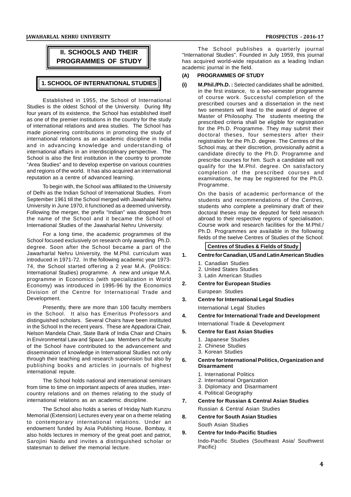

Established in 1955, the School of International Studies is the oldest School of the University. During fifty four years of its existence, the School has established itself as one of the premier institutions in the country for the study of international relations and area studies. The School has made pioneering contributions in promoting the study of international relations as an academic discipline in India and in advancing knowledge and understanding of international affairs in an interdisciplinary perspective. The School is also the first institution in the country to promote "Area Studies" and to develop expertise on various countries and regions of the world. It has also acquired an international reputation as a centre of advanced learning.

To begin with, the School was affiliated to the University of Delhi as the Indian School of International Studies. From September 1961 till the School merged with Jawahalal Nehru University in June 1970, it functioned as a deemed university. Following the merger, the prefix "Indian" was dropped from the name of the School and it became the School of International Studies of the Jawaharlal Nehru University.

For a long time, the academic programmes of the School focused exclusively on research only awarding Ph.D. degree. Soon after the School became a part of the Jawarharlal Nehru University, the M.Phil. curriculum was 1. introduced in 1971-72. In the following academic year 1973- 74, the School started offering a 2 year M.A. (Politics: International Studies) programme. A new and unique M.A. programme in Economics (with specialization in World<br>Economy) was introduced in 1995.96 by the Economics 2. Economy) was introduced in 1995-96 by the Economics Division of the Centre for International Trade and Development.

Presently, there are more than 100 faculty members in the School. It also has Emeritus Professors and  $\boldsymbol{A}$ distinguished scholars. Several Chairs have been instituted in the School In the recent years. These are Appadorai Chair,<br>Nelson Mandela Chair, State Bank of India Chair and Chaire Nelson Mandela Chair, State Bank of India Chair and Chairs in Environmental Law and Space Law. Members of the faculty of the School have contributed to the advancement and dissemination of knowledge in International Studies not only through their teaching and research supervision but also by 6. publishing books and articles in journals of highest international repute.

The School holds national and international seminars from time to time on important aspects of area studies, intercountry relations and on themes relating to the study of international relations as an academic discipline.

The School also holds a series of Hriday Nath Kunzru Memorial (Extension) Lectures every year on a theme relating  $\begin{bmatrix} 8 \end{bmatrix}$ to contemporary international relations. Under an endowment funded by Asia Publishing House, Bombay, it<br>also halds last use in mamaging of the area in part and natriet 9. also holds lectures in memory of the great poet and patriot, Sarojini Naidu and invites a distinguished scholar or statesman to deliver the memorial lecture.

The School publishes a quarterly journal "International Studies". Founded in July 1959, this journal has acquired world-wide reputation as a leading Indian academic journal in the field.

#### **(A) PROGRAMMES OF STUDY**

**(i) M.Phil./Ph.D. :** Selected candidates shall be admitted, in the first instance, to a two-semester programme of course work. Successful completion of the prescribed courses and a dissertation in the next two semesters will lead to the award of degree of Master of Philosophy. The students meeting the prescribed criteria shall be eligible for registration for the Ph.D. Programme. They may submit their doctoral theses, four semesters after their registration for the Ph.D. degree. The Centres of the School may, at their discretion, provisionally admit a candidate directly to the Ph.D. Programme and prescribe courses for him. Such a candidate will not qualify for the M.Phil. degree. On satisfactory completion of the prescribed courses and examinations, he may be registered for the Ph.D. Programme.

On the basis of academic performance of the students and recommendations of the Centres, students who complete a preliminary draft of their doctoral theses may be deputed for field research abroad to their respective regions of specialisation. Course work and research facilities for the M.Phil./ Ph.D. Programmes are available in the following fields of the twelve Centres of Studies of the School:

### **Centres of Studies & Fields of Study**

- **1. Centre for Canadian, US and Latin American Studies**
	- 1. Canadian Studies
	- 2. United States Studies
	- 3. Latin American Studies
- **2. Centre for European Studies** European Studies
- **3. Centre for International Legal Studies** International Legal Studies
- **4. Centre for International Trade and Development** International Trade & Development
- **5. Centre for East Asian Studies**
	- 1. Japanese Studies
	- 2. Chinese Studies
	- 3. Korean Studies

#### **6. Centre for International Politics, Organization and Disarmament**

- 1. International Politics
- 2. International Organization
- 3. Diplomacy and Disarmament
- 4. Political Geography
- **7. Centre for Russian & Central Asian Studies**
	- Russian & Central Asian Studies
- **8. Centre for South Asian Studies** South Asian Studies
- **9. Centre for Indo-Pacific Studies** Indo-Pacific Studies (Southeast Asia/ Southwest Pacific)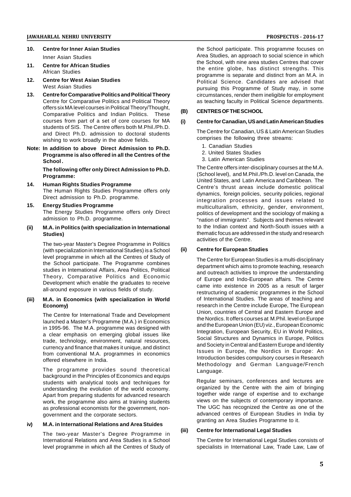- **10. Centre for Inner Asian Studies** Inner Asian Studies
- **11. Centre for African Studies** African Studies
- **12. Centre for West Asian Studies** West Asian Studies
- **13. Centre for Comparative Politics and Political Theory** Centre for Comparative Politics and Political Theory offers six MA level courses in Political Theory/Thought, Comparative Politics and Indian Politics. These courses from part of a set of core courses for MA students of SIS. The Centre offers both M.Phil./Ph.D. and Direct Ph.D. admission to doctoral students wishing to work broadly in the above fields.
- **Note: In addition to above Direct Admission to Ph.D. Programme is also offered in all the Centres of the School .**

**The following offer only Direct Admission to Ph.D. Programme:**

- **14. Human Rights Studies Programme** The Human Rights Studies Programme offers only Direct admission to Ph.D. programme.
- **15. Energy Studies Programme** The Energy Studies Programme offers only Direct admission to Ph.D. programme.
- **(ii) M.A. in Politics (with specialization in International Studies)**

The two-year Master's Degree Programme in Politics<br>(with specialization in International Studies) is a School (ii) (with specialization in International Studies) is a School level programme in which all the Centres of Study of the School participate. The Programme combines studies in Intemational Affairs, Area Politics, Political Theory, Comparative Politics and Economic Development which enable the graduates to receive all-around exposure in various fields of study.

#### **(iii) M.A. in Economics (with specialization in World Economy)**

The Centre for International Trade and Development launched a Master's Programme (M.A.) in Economics in 1995-96. The M.A. programme was designed with a clear emphasis on emerging global issues like trade, technology, environment, natural resources, currency and finance that makes it unique, and distinct from conventional M.A. programmes in economics offered elsewhere in India.

The programme provides sound theoretical background in the Principles of Economics and equips students with analytical tools and techniques for understanding the evolution of the world economy. Apart from preparing students for advanced research work, the programme also aims at training students as professional economists for the government, nongovernment and the corporate sectors.

## **iv) M.A. in International Relations and Area Stuides**

The two-year Master's Degree Programme in International Relations and Area Studies is a School level programme in which all the Centres of Study of the School participate. This programme focuses on Area Studies, an approach to social science in which the School, with nine area studies Centres that cover the entire globe, has distinct strengths. This programme is separate and distinct from an M.A. in Political Science. Candidates are advised that pursuing this Programme of Study may, in some circumstances, render them ineligible for employment as teaching faculty in Political Science departments.

#### **(B) CENTRES OF THE SCHOOL**

#### **(i) Centre for Canadian, US and Latin American Studies**

The Centre for Canadian, US & Latin American Studies comprises the following three streams:

- 1. Canadian Studies
- 2. United States Studies
- 3. Latin American Studies

The Centre offers inter-disciplinary courses at the M.A. (School level), and M.PhiI./Ph.D. level on Canada, the United States, and Latin America and Caribbean. The Centre's thrust areas include domestic political dynamics, foreign policies, security policies, regional integration processes and issues related to multiculturalism, ethnicity, gender, environment, politics of development and the sociology of making a "nation of immigrants". Subjects and themes relevant to the Indian context and North-South issues with a thematic focus are addressed in the study and research activities of the Centre.

#### **(ii) Centre for European Studies**

The Centre for European Studies is a multi-disciplinary department which aims to promote teaching, research and outreach activities to improve the understanding of Europe and Indo-European affairs. The Centre came into existence in 2005 as a result of larger restructuring of academic programmes in the School of International Studies. The areas of teaching and research in the Centre include Europe, The European Union, countries of Central and Eastern Europe and the Nordics. It offers courses at M.Phil. level on Europe and the European Union (EU) viz., European Economic Integration, European Security, EU in World Politics, Social Structures and Dynamics in Europe, Politics and Society in Central and Eastern Europe and Identity Issues in Europe, the Nordics in Europe: An Introduction besides compulsory courses in Research Methodology and German Language/French Language.

Regular seminars, conferences and lectures are organized by the Centre with the aim of bringing together wide range of expertise and to exchange views on the subjects of contemporary importance. The UGC has recognized the Centre as one of the advanced centres of European Studies in India by granting an Area Studies Programme to it.

#### **(iii) Centre for International Legal Studies**

The Centre for International Legal Studies consists of specialists in International Law, Trade Law, Law of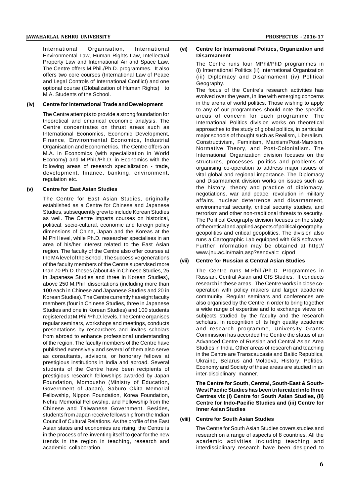International Organisation, International Environmental Law, Human Rights Law, Intellectual Property Law and International Air and Space Law. The Centre offers M.Phil./Ph.D. programmes. It also offers two core courses (International Law of Peace and Legal Controls of International Conflict) and one optional course (Globalization of Human Rights) to M.A. Students of the School.

#### **(iv) Centre for International Trade and Development**

The Centre attempts to provide a strong foundation for theoretical and empirical economic analysis. The Centre concentrates on thrust areas such as International Economics, Economic Development, Finance, Environmental Economics, Industrial Organisation and Econometrics. The Centre offers an M.A. in Economics (with specialization in World Economy) and M.PhiI./Ph.D. in Economics with the following areas of research specialization - trade, development, finance, banking, environment, regulation etc.

#### **(v) Centre for East Asian Studies**

The Centre for East Asian Studies, originally established as a Centre for Chinese and Japanese Studies, subsequently grew to include Korean Studies as well. The Centre imparts courses on historical, political, socio-cultural, economic and foreign policy dimensions of China, Japan and the Koreas at the M.Phil level, while Ph.D. researcher specialises in an area of his/her interest related to the East Asian region. The faculty of the Centre also offer courses at the MA level of the School. The successive generations of the faculty members of the Centre supervised more than 70 Ph.D. theses (about 45 in Chinese Studies, 25 in Japanese Studies and three in Korean Studies), above 250 M.Phil .dissertations (including more than 100 each in Chinese and Japanese Studies and 20 in Korean Studies). The Centre currently has eight faculty members (four in Chinese Studies, three in Japanese Studies and one in Korean Studies) and 100 students registered at M.Phil/Ph.D. levels. The Centre organises regular seminars, workshops and meetings, conducts presentations by researchers and invites scholars from abroad to enhance professional understanding of the region. The faculty members of the Centre have published extensively and several of them also serve as consultants, advisors, or honorary fellows at prestigious institutions in India and abroad. Several students of the Centre have been recipients of prestigious research fellowships awarded by Japan Foundation, Mombusho (Ministry of Education, Government of Japan), Saburo Okita Memorial Fellowship, Nippon Foundation, Korea Foundation, Nehru Memorial Fellowship, and Fellowship from the Chinese and Taiwanese Government. Besides, students from Japan receive fellowship from the Indian<br>Council of Cultural Palatians, As the profile of the East (VIII) Council of Cultural Relations. As the profile of the East Asian states and economies are rising, the Centre is in the process of re-inventing itself to gear for the new trends in the region in teaching, research and academic collaboration.

#### **(vi) Centre for International Politics, Organization and Disarmament**

The Centre runs four MPhil/PhD programmes in (i) International Politics (ii) International Organization (iii) Diplomacy and Disarmament (iv) Political Geography.

The focus of the Centre's research activities has evolved over the years, in line with emerging concerns in the arena of world politics. Those wishing to apply to any of our programmes should note the specific areas of concern for each programme. The International Politics division works on theoretical approaches to the study of global politics, in particular major schools of thought such as Realism, Liberalism, Constructivism, Feminism, Marxism/Post-Marxism, Normative Theory, and Post-Colonialism. The International Organization division focuses on the structures, processes, politics and problems of organising co-operation to address major issues of vital global and regional importance. The Diplomacy and Disarmament division works on issues such as the history, theory and practice of diplomacy, negotiations, war and peace, revolution in military affairs, nuclear deterrence and disarmament, environmental security, critical security studies, and terrorism and other non-traditional threats to security. The Political Geography division focuses on the study of theoretical and applied aspects of political geography, geopolitics and critical geopolitics. The division also runs a Cartographic Lab equipped with GIS software. Further information may be obtained at http:// www.jnu.ac.in/main,asp?sendval= cipod

#### **(vii) Centre for Russian & Central Asian Studies**

The Centre runs M.Phil./Ph.D. Programmes in Russian, Central Asian and CIS Studies. It conducts research in these areas. The Centre works in close cooperation with policy makers and larger academic community. Regular seminars and conferences are also organised by the Centre in order to bring together a wide range of expertise and to exchange views on subjects studied by the faculty and the research scholars. In recognition of its high quality academic and research programme, University Grants Commission has accorded the Centre the status of an Advanced Centre of Russian and Central Asian Area Studies in India. Other areas of research and teaching in the Centre are Transcaucasia and Baltic Republics, Ukraine, Belarus and Moldova, History, Politics, Economy and Society of these areas are studied in an inter-disciplinary manner.

**The Centre for South, Central, South-East & South-West Pacific Studies has been trifurcated into three Centres viz (i) Centre for South Asian Studies, (ii) Centre for Indo-Pacific Studies and (iii) Centre for Inner Asian Studies**

#### **(viii) Centre for South Asian Studies**

The Centre for South Asian Studies covers studies and research on a range of aspects of 8 countries. All the academic activities including teaching and interdisciplinary research have been designed to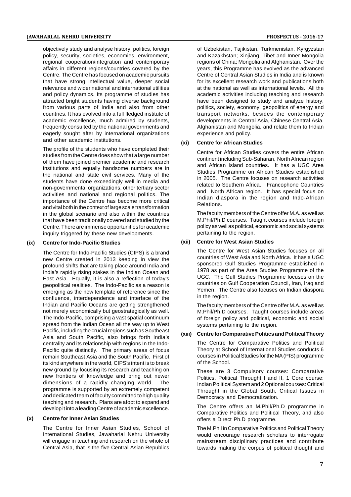objectively study and analyse history, politics, foreign policy, security, societies, economies, environment, regional cooperation/integration and contemporary affairs in different regions/countries covered by the Centre. The Centre has focused on academic pursuits that have strong intellectual value, deeper social relevance and wider national and international utilities and policy dynamics. Its programme of studies has attracted bright students having diverse background from various parts of India and also from other countries. It has evolved into a full fledged institute of academic excellence, much admired by students, frequently consulted by the national governments and eagerly sought after by international organizations and other academic institutions.

The profile of the students who have completed their studies from the Centre does show that a large number of them have joined premier academic and research institutions and equally handsome numbers are in the national and state civil services. Many of the students have done exceedingly well in media and non-governmental organizations, other tertiary sector activities and national and regional politics. The importance of the Centre has become more critical and vital both in the context of large scale transformation in the global scenario and also within the countries that have been traditionally covered and studied by the Centre. There are immense opportunities for academic inquiry triggered by these new developments.

#### **(ix) Centre for Indo-Pacific Studies**

The Centre for Indo-Pacific Studies (CIPS) is a brand new Centre created in 2013 keeping in view the profound shifts that are taking place around India and India's rapidly rising stakes in the Indian Ocean and East Asia. Equally, it is also a reflection of today's geopolitical realities. The Indo-Pacific as a reason is emerging as the new template of reference since the confluence, interdependence and interface of the Indian and Pacific Oceans are getting strengthened not merely economically but geostrategically as well. The Indo-Pacific, comprising a vast spatial continuum spread from the Indian Ocean all the way up to West Pacific, including the crucial regions such as Southeast Asia and South Pacific, also brings forth India's centrality and its relationship with regions In the Indo-Pacific quite distinctly. The primary areas of focus remain Southeast Asia and the South Pacific. First of its kind anywhere in the world, CIPS's intent is to break new ground by focusing its research and teaching on new frontiers of knowledge and bring out newer dimensions of a rapidly changing world. The programme is supported by an extremely competent and dedicated team of faculty committed to high quality teaching and research. Plans are afoot to expand and develop it into a leading Centre of academic excellence.

#### **(x) Centre for Inner Asian Studies**

The Centre for Inner Asian Studies, School of International Studies, Jawaharlal Nehru University will engage in teaching and research on the whole of Central Asia, that is the five Central Asian Republics

of Uzbekistan, Tajikistan, Turkmenistan, Kyrgyzstan and Kazakhstan; Xinjiang, Tibet and Inner Mongolia regions of China; Mongolia and Afghanistan. Over the years, this Programme has evolved as the advanced Centre of Central Asian Studies in India and is known for its excellent research work and publications both at the national as well as international levels. All the academic activities including teaching and research have been designed to study and analyze history,

politics, society, economy, geopolitics of energy and transport networks, besides the contemporary developments in Central Asia, Chinese Central Asia, Afghanistan and Mongolia, and relate them to Indian experience and policy.

#### **(xi) Centre for African Studies**

Centre for African Studies covers the entire African continent including Sub-Saharan, North African region and African Island countries. It has a UGC Area Studies Programme on African Studies established in 2005. The Centre focuses on research activities related to Southern Africa. Francophone Countries and North African region. It has special focus on Indian diaspora in the region and Indo-African Relations.

The faculty members of the Centre offer M.A. as well as M.Phil/Ph.D courses. Taught courses include foreign policy as well as political, economic and social systems pertaining to the region.

#### **(xii) Centre for West Asian Studies**

The Centre for West Asian Studies focuses on all countries of West Asia and North Africa. It has a UGC sponsored Gulf Studies Programme established in 1978 as part of the Area Studies Programme of the UGC. The Gulf Studies Programme focuses on the countries on Gulf Cooperation Council, Iran, Iraq and Yemen. The Centre also focuses on Indian diaspora in the region.

The faculty members of the Centre offer M.A. as well as M.Phil/Ph.D courses. Taught courses include areas of foreign policy and political, economic and social systems pertaining to the region.

#### **(xiii) Centre for Comparative Politics and Political Theory**

The Centre for Comparative Politics and Political Theory at School of International Studies conducts 6 courses in Political Studies for the MA (PIS) programme of the School.

These are 3 Compulsory courses: Comparative Politics, Political Throught I and II, 1 Core course: Indian Political System and 2 Optional courses: Critical Throught in the Global South, Critical Issues in Democracy and Democratization.

The Centre offers an M.Phil/Ph.D programme in Comparative Politics and Political Theory, and also offers a Direct Ph.D programme.

The M.Phil in Comparative Politics and Political Theory would encourage research scholars to interrogate mainstream disciplinary practices and contribute towards making the corpus of political thought and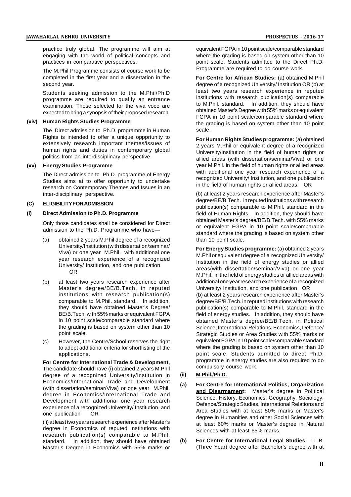practice truly global. The programme will aim at engaging with the world of political concepts and practices in comparative perspectives.

The M.Phil Programme consists of course work to be completed in the first year and a dissertation in the second year.

Students seeking admission to the M.Phil/Ph.D programme are required to qualify an entrance examination. Those selected for the viva voce are expected to bring a synopsis of their proposed research.

#### **(xiv) Human Rights Studies Programme**

The Direct admission to Ph.D. programme in Human Rights is intended to offer a unique oppprtunity to extensively research important themes/issues of human rights and duties in contemporary global politics from an interdisciplinary perspective.

#### **(xv) Energy Studies Programme**

The Direct admission to Ph.D. programme of Energy Studies aims at to offer opportunity to undertake research on Contemporary Themes and Issues in an inter-disciplinary perspective.

#### **(C) ELIGIBILITY FOR ADMISSION**

#### **(i) Direct Admission to Ph.D. Programme**

Only those candidates shall be considered for Direct admission to the Ph.D. Programme who have—

- (a) obtained 2 years M.Phil degree of a recognized University/Institution (with dissertation/seminar/ Viva) or one year M.Phil. with additional one year research experience of a recognized University/ Institution, and one publication OR
- (b) at least two years research experience after Master's degree/BE/B.Tech. in reputed institutions with research publication(s) comparable to M.Phil. standard. In addition, they should have obtained Master's Degree/ BE/B.Tech. with 55% marks or equivalent FGPA in 10 point scale/comparable standard where the grading is based on system other than 10 point scale.
- (c) However, the Centre/School reserves the right to adopt additional criteria for shortlisting of the applications.

**For Centre for International Trade & Development,** The candidate should have (i) obtained 2 years M.Phil degree of a recognized University/Institution in (ii) Economics/International Trade and Development (with dissertation/seminar/Viva) or one year M.Phil. degree in Economics/International Trade and Development with additional one year research experience of a recognized University/ Institution, and one publication OR

(ii) at least two years research experience after Master's degree in Economics of reputed institutions with research publication(s) comparable to M.Phil. standard. In addition, they should have obtained (b) Master's Degree in Economics with 55% marks or

equivalent FGPA in 10 point scale/comparable standard where the grading is based on system other than 10 point scale. Students admitted to the Direct Ph.D. Programme are required to do course work.

**For Centre for African Studies:** (a) obtained M.Phil degree of a recognized University/ Institution OR (b) at least two years research experience in reputed institutions with research publication(s) comparable to M.Phil. standard. In addition, they should have obtained Master's Degree with 55% marks or equivalent FGPA in 10 point scale/comparable standard where the grading is based on system other than 10 point scale.

**For Human Rights Studies programme:** (a) obtained 2 years M.Phil or equivalent degree of a recognized University/Institution in the field of human rights or allied areas (with dissertation/seminar/Viva) or one year M.Phil. in the field of human rights or allied areas with additional one year research experience of a recognized University/ Institution, and one publication in the field of human rights or allied areas. OR

(b) at least 2 years research experience after Master's degree/BE/B.Tech. in reputed institutions with research publication(s) comparable to M.Phil. standard in the field of Human Rights. In addition, they should have obtained Master's degree/BE/B.Tech. with 55% marks or equivalent FGPA in 10 point scale/comparable standard where the grading is based on system other than 10 point scale.

**For Energy Studies programme:** (a) obtained 2 years M.Phil or equivalent degree of a recognized University/ Institution in the field of energy studies or allied areas(with dissertation/seminar/Viva) or one year M.Phil. in the field of energy studies or allied areas with additional one year research experience of a recognized University/ Institution, and one publication OR

(b) at least 2 years research experience after Master's degree/BE/B.Tech. in reputed institutions with research publication(s) comparable to M.Phil. standard in the field of energy studies. In addition, they should have obtained Master's degree/BE/B.Tech. in Political Science, International Relations, Economics, Defence/ Strategic Studies or Area Studies with 55% marks or equivalent FGPA in 10 point scale/comparable standard where the grading is based on system other than 10 point scale. Students admitted to direct Ph.D. programme in energy studies are also required to do compulsory course work.

#### **(ii) M.Phil./Ph.D.**

- **For Centre for International Politics, Organization and Disarmament:** Master's degree in Political Science, History, Economics, Geography, Sociology, Defence/Strategic Studies, International Relations and Area Studies with at least 50% marks or Master's degree in Humanities and other Social Sciences with at least 60% marks or Master's degree in Natural Sciences with at least 65% marks.
- **(b) For Centre for International Legal Studies:** LL.B. (Three Year) degree after Bachelor's degree with at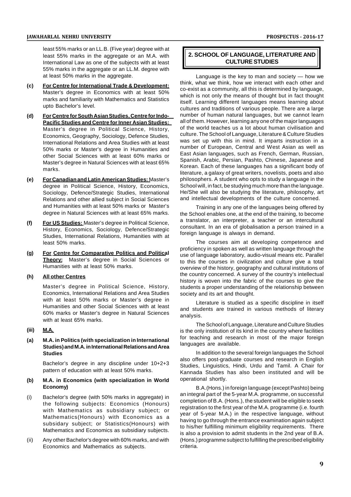#### **JAWAHARLAL NEHRU UNIVERSITY PROSPECTUS - 2016-17**

least 55% marks or an LL.B. (Five year) degree with at least 55% marks in the aggregate or an M.A. with International Law as one of the subjects with at least 55% marks in the aggregate or an LL.M. degree with at least 50% marks in the aggregate.

- **(c) For Centre for International Trade & Development:** Master's degree in Economics with at least 50% marks and familiarity with Mathematics and Statistics upto Bachelor's level.
- **(d) For Centre for South Asian Studies, Centre for Indo-Pacific Studies and Centre for Inner Asian Studies:** Master's degree in Political Science, History, Economics, Geography, Sociology, Defence Studies, International Relations and Area Studies with at least 50% marks or Master's degree in Humanities and other Social Sciences with at least 60% marks or Master's degree in Natural Sciences with at least 65% marks.
- **(e) For Canadian and Latin American Studies:** Master's degree in Political Science, History, Economics, Sociology, Defence/Strategic Studies, International Relations and other allied subject in Social Sciences and Humanities with at least 50% marks or Master's degree in Natural Sciences with at least 65% marks.
- **(f) For US Studies:** Master's degree in Political Science, History, Economics, Sociology, Defence/Strategic Studies, International Relations, Humanities with at least 50% marks.
- **(g) For Centre for Comparative Politics and Political Theory:** Master's degree in Social Sciences or Humanities with at least 50% marks.

#### **(h) All other Centres**

Master's degree in Political Science, History, Economics, International Relations and Area Studies with at least 50% marks or Master's degree in Humanities and other Social Sciences with at least 60% marks or Master's degree in Natural Sciences with at least 65% marks.

#### **(iii) M.A.**

#### **(a) M.A. in Politics (with specialization in International Studies) and M.A. in International Relations and Area Studies**

Bachelor's degree in any discipline under 10+2+3 pattern of education with at least 50% marks.

#### **(b) M.A. in Economics (with specialization in World Economy)**

- (i) Bachelor's degree (with 50% marks in aggregate) in the following subjects: Economics (Honours) with Mathematics as subsidiary subject; or Mathematics(Honours) with Economics as a subsidary subject; or Statistics(Honours) with Mathematics and Economics as subsidiary subjects.
- (ii) Any other Bachelor's degree with 60% marks, and with Economics and Mathematics as subjects.

#### **2. SCHOOL OF LANGUAGE, LITERATURE AND CULTURE STUDIES**

Language is the key to man and society — how we think, what we think, how we interact with each other and co-exist as a community, all this is determined by language, which is not only the means of thought but in fact thought itself. Learning different languages means learning about cultures and traditions of various people. There are a large number of human natural languages, but we cannot learn all of them. However, learning any one of the major languages of the world teaches us a lot about human civilisation and culture. The School of Language, Literature & Culture Studies was set up with this in mind. It imparts instruction in a number of European, Central and West Asian as well as East Asian languages, such as French, German, Russian, Spanish, Arabic, Persian, Pashto, Chinese, Japanese and Korean. Each of these languages has a significant body of literature, a galaxy of great writers, novelists, poets and also philosophers. A student who opts to study a language in the School will, in fact, be studying much more than the language. He/She will also be studying the literature, philosophy, art and intellectual developments of the culture concerned.

Training in any one of the languages being offered by the School enables one, at the end of the training, to become a translator, an interpreter, a teacher or an intercultural consultant. In an era of globalisation a person trained in a foreign language is always in demand.

The courses aim at developing competence and proficiency in spoken as well as written language through the use of language laboratory, audio-visual means etc. Parallel to this the courses in civilization and culture give a total overview of the history, geography and cultural institutions of the country concerned. A survey of the country's intellectual history is woven into the fabric of the courses to give the students a proper understanding of the relationship between society and its art and thought.

Literature is studied as a specific discipline in itself and students are trained in various methods of literary analysis.

The School of Language, Literature and Culture Studies is the only institution of its kind in the country where facilities for teaching and research in most of the major foreign languages are available.

In addition to the several foreign languages the School also offers post-graduate courses and research in English Studies, Linguistics, Hindi, Urdu and Tamil. A Chair for Kannada Studies has also been instituted and will be operational shortly.

B.A.(Hons.) in foreign language (except Pashto) being an integral part of the 5-year M.A. programme, on successful completion of B.A. (Hons.), the student will be eligible to seek registration to the first year of the M.A. programme (i.e. fourth year of 5-year M.A.) in the respective language, without having to go through the entrance examination again subject to his/her fulfilling minimum eligibility requirements. There is also a provision to admit students in the 2nd year of B.A. (Hons.) programme subject to fulfilling the prescribed eligibility criteria.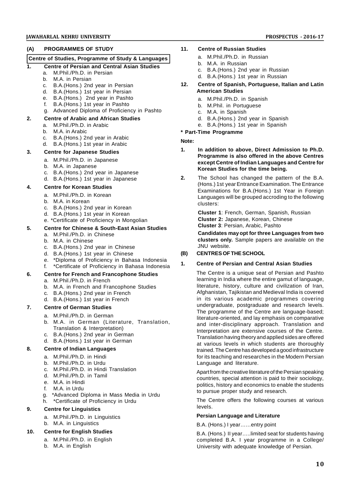#### **(A) PROGRAMMES OF STUDY**

#### **Centre of Studies, Programme of Study & Languages**

#### **1. Centre of Persian and Central Asian Studies**

- a. M.Phil./Ph.D. in Persian
- b. M.A. in Persian<br>c. B.A.(Hons.) 2nd
- B.A.(Hons.) 2nd year in Persian
- d. B.A.(Hons.) 1st year in Persian
- e. B.A.(Hons.) 2nd year in Pashto
- f. B.A.(Hons.) 1st year in Pashto
- g. Advanced Diploma of Proficiency in Pashto

#### **2. Centre of Arabic and African Studies**

- a. M.Phil./Ph.D. in Arabic
- b. M.A. in Arabic
- c. B.A.(Hons.) 2nd year in Arabic
- d. B.A.(Hons.) 1st year in Arabic

#### **3. Centre for Japanese Studies**

- a. M.Phil./Ph.D. in Japanese
- b. M.A. in Japanese
- c. B.A.(Hons.) 2nd year in Japanese
- d. B.A.(Hons.) 1st year in Japanese

#### **4. Centre for Korean Studies**

- a. M.Phil./Ph.D. in Korean
- b. M.A. in Korean
- c. B.A.(Hons.) 2nd year in Korean
- d. B.A.(Hons.) 1st year in Korean
- e. \*Certificate of Proficiency in Mongolian

#### **5. Centre for Chinese & South-East Asian Studies** a. M.Phil./Ph.D. in Chinese

- b. M.A. in Chinese
- c. B.A.(Hons.) 2nd year in Chinese
- d. B.A.(Hons.) 1st year in Chinese
- 
- e. \*Diploma of Proficiency in Bahasa Indonesia f. \*Certificate of Proficiency in Bahasa Indonesia

### **6. Centre for French and Francophone Studies**

- a. M.Phil./Ph.D. in French
- b. M.A. in French and Francophone Studies
- c. B.A.(Hons.) 2nd year in French
- d. B.A.(Hons.) 1st year in French

#### **7. Centre of German Studies**

- a. M.Phil./Ph.D. in German
- b. M.A. in German (Literature, Translation, Translation & Interpretation)
- c. B.A.(Hons.) 2nd year in German
- d. B.A.(Hons.) 1st year in German

#### **8. Centre of Indian Languages**

- a. M.Phil./Ph.D. in Hindi
- b. M.Phil./Ph.D. in Urdu
- c. M.Phil./Ph.D. in Hindi Translation
- d. M.Phil./Ph.D. in Tamil
- e. M.A. in Hindi
- f. M.A. in Urdu
- g. \*Advanced Diploma in Mass Media in Urdu
- h. \*Certificate of Proficiency in Urdu

#### **9. Centre for Linguistics**

- a. M.Phil./Ph.D. in Linguistics
- b. M.A. in Linguistics

#### **10. Centre for English Studies**

- a. M.Phil./Ph.D. in English
- b. M.A. in English

#### **11. Centre of Russian Studies**

- a. M.Phil./Ph.D. in Russian
- b. M.A. in Russian
- c. B.A.(Hons.) 2nd year in Russian
- d. B.A.(Hons.) 1st year in Russian
- **12. Centre of Spanish, Portuguese, Italian and Latin American Studies**
	- a. M.Phil./Ph.D. in Spanish
	- b. M.Phil. in Portuguese
	- c. M.A. in Spanish
	- d. B.A.(Hons.) 2nd year in Spanish
	- e. B.A.(Hons.) 1st year in Spanish
- **\* Part-Time Programme**

#### **Note:**

- **1. In addition to above, Direct Admission to Ph.D. Programme is also offered in the above Centres except Centre of Indian Languages and Centre for Korean Studies for the time being.**
- **2.** The School has changed the pattern of the B.A. (Hons.) 1st year Entrance Examination. The Entrance Examinations for B.A.(Hons.) 1st Year in Foreign Languages will be grouped accroding to the following clusters:

**Cluster 1**: French, German, Spanish, Russian **Cluster 2:** Japanese, Korean, Chinese **Cluster 3**: Persian, Arabic, Pashto

**Candidates may opt for three Languages from two clusters only.** Sample papers are available on the JNU website.

#### **(B) CENTRES OF THE SCHOOL**

#### **1. Centre of Persian and Central Asian Studies**

The Centre is a unique seat of Persian and Pashto learning in India where the entire gamut of language, literature, history, culture and civilization of Iran, Afghanistan, Tajikistan and Medieval India is covered in its various academic programmes covering undergraduate, postgraduate and research levels. The programme of the Centre are language-based; literature-oriented, and lay emphasis on comparative and inter-disciplinary approach. Translation and Interpretation are extensive courses of the Centre. Translation having theory and applied sides are offered at various levels in which students are thoroughly trained. The Centre has developed a good infrastructure for its teaching and researches in the Modern Persian Language and literature.

Apart from the creative literature of the Persian speaking countries, special attention is paid to their sociology, politics, history and economics to enable the students to pursue proper study and research.

The Centre offers the following courses at various levels.

#### **Persian Language and Literature**

#### B.A. (Hons.) I year……entry point

B.A. (Hons.) II year…..limited seat for students having completed B.A. I year programme in a College/ University with adequate knowledge of Persian.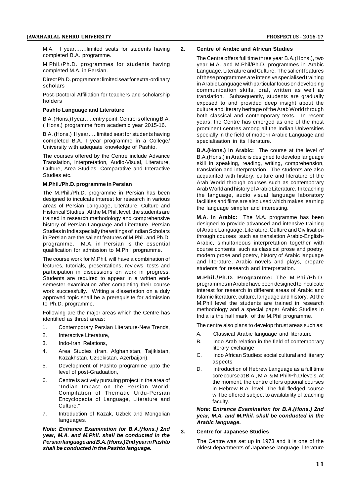M.A. I year.......limited seats for students having 2. completed B.A. programme.

M.Phil./Ph.D. programmes for students having completed M.A. in Persian.

Direct Ph.D. programme: limited seat for extra-ordinary scholars

Post-Doctoral Affiliation for teachers and scholarship holders

#### **Pashto Language and Literature**

B.A. (Hons.) I year…..entry point. Centre is offering B.A. ( Hons.) programme from academic year 2015-16.

B.A. (Hons.) II year…..limited seat for students having completed B.A. I year programme in a College/ University with adequate knowledge of Pashto.

The courses offered by the Centre include Advance Translation, Interpretation, Audio-Visual, Literature, Culture, Area Studies, Comparative and Interactive Studies etc.

#### **M.Phil./Ph.D. programme in Persian**

The M.Phil./Ph.D. programme in Persian has been designed to inculcate interest for research in various areas of Persian Language, Literature, Culture and Historical Studies. At the M.Phil. level, the students are trained in research methodology and comprehensive history of Persian Language and Literature. Persian Studies in India specially the writings of Indian Scholars in Persian are the sailent features of M.Phil. and Ph.D. programme. M.A. in Persian is the essential qualification for admission to M.Phil programme.

The course work for M.Phil. will have a combination of lectures, tutorials, presentations, reviews, tests and participation in discussions on work in progress. Students are required to appear in a written endsemester examination after completing their course work successfully. Writing a dissertation on a duly approved topic shall be a prerequisite for admission to Ph.D. programme.

Following are the major areas which the Centre has identified as thrust areas:

- 1. Contemporary Persian Literature-New Trends,
- 2. Interactive Literature,
- 3. Indo-Iran Relations,
- 4. Area Studies (Iran, Afghanistan, Tajikistan, Kazakhstan, Uzbekistan, Azerbaijan),
- 5. Development of Pashto programme upto the level of post-Graduation,
- 6. Centre is actively pursuing project in the area of "Indian Impact on the Persian World: Compilation of Thematic Urdu-Persian Encyclopedia of Language, Literature and Culture."
- 7. Introduction of Kazak, Uzbek and Mongolian languages.

*Note: Entrance Examination for B.A.(Hons.) 2nd year, M.A. and M.Phil. shall be conducted in the Persian language and B.A. (Hons.) 2nd year in Pashto shall be conducted in the Pashto language.*

#### **2. Centre of Arabic and African Studies**

The Centre offers full time three year B.A.(Hons.), two year M.A. and M.Phil/Ph.D. programmes in Arabic Language, Literature and Culture. The salient features of these programmes are intensive specialised training in Arabic Language with particular focus on developing communication skills, oral, written as well as translation. Subsequently, students are gradually exposed to and provided deep insight about the culture and literary heritage of the Arab World through both classical and contemporary texts. In recent years, the Centre has emerged as one of the most prominent centres among all the Indian Universities specially in the field of modern Arabic Language and specialisation in its literature.

**B.A.(Hons.) in Arabic:** The course at the level of B.A.(Hons.) in Arabic is designed to develop language skill in speaking, reading, writing, comprehension, translation and interpretation. The students are also acquainted with history, culture and literature of the Arab World through courses such as contemporary Arab World and history of Arabic Literature. In teaching the language, audio visual language laboratory facilities and films are also used which makes learning the language simpler and interesting.

**M.A. in Arabic:** The M.A. programme has been designed to provide advanced and intensive training of Arabic Language, Literature, Culture and Civilisation through courses such as translation Arabic-English-Arabic, simultaneous interpretation together with course contents such as classical prose and poetry, modern prose and poetry, history of Arabic language and literature, Arabic novels and plays, prepare students for research and interpretation.

**M.Phil./Ph.D. Programme:** The M.Phil/Ph.D. programmes in Arabic have been designed to inculcate interest for research in different areas of Arabic and Islamic literature, culture, language and history. At the M.Phil level the students are trained in research methodology and a special paper Arabic Studies in India is the hall mark of the M.Phil programme.

The centre also plans to develop thrust areas such as:

- A. Classical Arabic language and literature
- B. Indo Arab relation in the field of contemporary literary exchange
- C. Indo African Studies: social cultural and literary aspects
- D. Introduction of Hebrew Language as a full time core course at B.A., M.A. & M.Phil/Ph.D levels. At the moment, the centre offers optional courses in Hebrew B.A. level. The full-fledged course will be offered subject to availability of teaching faculty.

*Note: Entrance Examination for B.A.(Hons.) 2nd year, M.A. and M.Phil. shall be conducted in the Arabic language.*

#### **3. Centre for Japanese Studies**

The Centre was set up in 1973 and it is one of the oldest departments of Japanese language, literature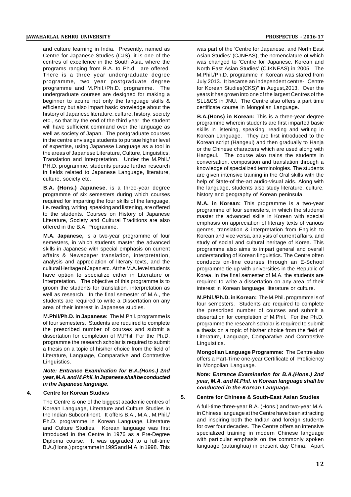and culture learning in India. Presently, named as Centre for Japanese Studies (CJS), it is one of the centres of excellence in the South Asia, where the programs ranging from B.A. to Ph.d. are offered. There is a three year undergraduate degree programme, two year postgraduate degree programme and M.Phil./Ph.D. programme. The undergraduate courses are designed for making a beginner to acuire not only the language skills & efficiency but also impart basic knowledge about the history of Japanese literature, culture, history, society etc., so that by the end of the third year, the student will have sufficient command over the language as well as society of Japan. The postgraduate courses in the centre envisage students to pursue higher level of expertise, using Japanese Language as a tool in the areas of Japanese Literature, Culture, Linguistics, Translation and Interpretation. Under the M.Phil./ PH.D. programme, students pursue further research in fields related to Japanese Language, literature, culture, society etc.

**B.A. (Hons.) Japanese**, is a three-year degree programme of six semesters during which courses required for imparting the four skills of the language, i.e. reading, writing, speaking and listening, are offered to the students. Courses on History of Japanese Literature, Society and Cultural Traditions are also offered in the B.A. Programme.

**M.A. Japanese,** is a two-year programme of four semesters, in which students master the advanced skills in Japanese with special emphasis on current affairs & Newspaper translation, interpretation, analysis and appreciation of literary texts, and the cultural Heritage of Japan etc. At the M.A. level students have option to specialize either in Literature or Interpretation. The objective of this programme is to groom the students for translation, interpretation as well as research. In the final semester of M.A., the students are required to write a Dissertation on any area of their interest in Japanese studies.

**M.Phil/Ph.D. in Japanese:** The M.Phil. programme is of four semesters. Students are required to complete the prescribed number of courses and submit a dissertation for completion of M.Phil. For the Ph.D. programme the research scholar is required to submit a thesis on a topic of his/her choice from the field of Literature, Language, Comparative and Contrastive Linguistics.

*Note: Entrance Examination for B.A.(Hons.) 2nd year, M.A. and M.Phil. in Japanese shall be conducted in the Japanese language.*

#### **4. Centre for Korean Studies**

The Centre is one of the biggest academic centres of Korean Language, Literature and Culture Studies in the Indian Subcontinent. It offers B.A., M.A., M.Phil./ Ph.D. programme in Korean Language, Literature and Culture Studies. Korean language was first introduced in the Centre in 1976 as a Pre-Degree Diploma course. It was upgraded to a full-time B.A.(Hons.) programme in 1995 and M.A. in 1998. This

was part of the 'Centre for Japanese, and North East Asian Studies' (CJNEAS), the nomenclature of which was changed to 'Centre for Japanese, Korean and North East Asian Studies' (CJKNEAS) in 2005. The M.Phil./Ph.D. programme in Korean was stared from July 2013. It became an independent centre- "Centre for Korean Studies(CKS)" in August,2013. Over the years it has grown into one of the largest Centres of the SLL&CS in JNU. The Centre also offers a part time certificate course in Mongolian Language.

**B.A.(Hons) in Korean:** This is a three-year degree programme wherein students are first imparted basic skills in listening, speaking, reading and writing in Korean Language. They are first introduced to the Korean script (Hangeul) and then gradually to Hanja or the Chinese characters which are used along with Hangeul. The course also trains the students in conversation, composition and translation through a knowledge of specialized terminologies. The students are given intensive training in the Oral skills with the help of State-of the-art audio-visual aids. Along with the language, students also study literature, culture, history and geography of Korean peninsula.

**M.A. in Korean:** This programme is a two-year programme of four semesters, in which the students master the advanced skills in Korean with special emphasis on appreciation of literary texts of various genres, translation & interpretation from English to Korean and vice versa, analysis of current affairs, and study of social and cultural heritage of Korea. This programme also aims to impart general and overall understanding of Korean linguistics. The Centre often conducts on-line courses through an E-School programme tie-up with universities in the Republic of Korea. In the final semester of M.A. the students are required to write a dissertation on any area of their interest in Korean language, literature or culture.

**M.Phil./Ph.D. in Korean:** The M.Phil. programme is of four semesters. Students are required to complete the prescribed number of courses and submit a dissertation for completion of M.Phil. For the Ph.D. programme the research scholar is required to submit a thesis on a topic of his/her choice from the field of Literature, Language, Comparative and Contrastive Linguistics.

**Mongolian Language Programme:** The Centre also offers a Part-Time one-year Certificate of Proficiency in Mongolian Language.

*Note: Entrance Examination for B.A.(Hons.) 2nd year, M.A. and M.Phil. in Korean language shall be conducted in the Korean Language.*

#### **5. Centre for Chinese & South-East Asian Studies**

A full-time three-year B.A. (Hons.) and two-year M.A. in Chinese language at the Centre have been attracting and inspiring both the Indian and foreign students for over four decades. The Centre offers an intensive specialized training in modern Chinese language with particular emphasis on the commonly spoken language (putunghua) in present day China. Apart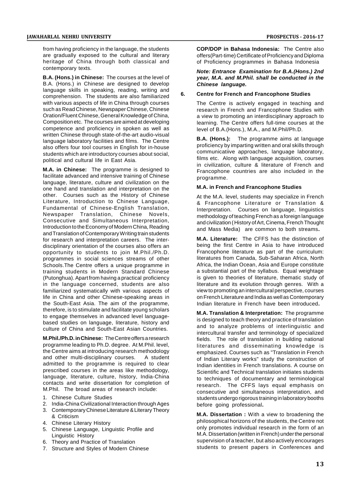from having proficiency in the language, the students are gradually exposed to the cultural and literary heritage of China through both classical and contemporary texts.

**B.A. (Hons.) in Chinese:** The courses at the level of B.A. (Hons.) in Chinese are designed to develop language skills in speaking, reading, writing and comprehension. The students are also familiarized with various aspects of life in China through courses such as Read Chinese, Newspaper Chinese, Chinese Oration/Fluent Chinese, General Knowledge of China, Composition etc. The courses are aimed at developing competence and proficiency in spoken as well as written Chinese through state-of-the-art audio-visual language laboratory facilities and films. The Centre also offers four tool courses in English for in-house students which are introductory courses about social, political and cultural life in East Asia.

**M.A. in Chinese:** The programme is designed to facilitate advanced and intensive training of Chinese language, literature, culture and civilization on the one hand and translation and interpretation on the other. Courses such as the History of Chinese Literature, Introduction to Chinese Language, Fundamental of Chinese-English Translation, Newspaper Translation, Chinese Novels, Consecutive and Simultaneous Interpretation, Introduction to the Economy of Modern China, Reading and Translation of Contemporary Writing train students for research and interpretation careers. The interdisciplinary orientation of the courses also offers an opportunity to students to join M.Phil./Ph.D. programmes in social sciences streams of other Schools.The Centre offers a unique programme in training students in Modern Standard Chinese (Putonghua). Apart from having a practical proficiency in the language concerned, students are also familiarized systematically with various aspects of life in China and other Chinese-speaking areas in the South-East Asia. The aim of the programme, therefore, is to stimulate and facilitate young scholars to engage themselves in advanced level languagebased studies on language, literature, history and culture of China and South-East Asian Countries.

**M.Phil./Ph.D. in Chinese:** The Centre offers a research programme leading to Ph.D. degree. At M.Phil. level, the Centre aims at introducing research methodology and other multi-disciplinary courses. A student admitted to the programme is required to clear prescribed courses in the areas like methodology, language, literature, culture, history, India-China contacts and write dissertation for completion of M.Phil. The broad areas of research include:

- 1. Chinese Culture Studies
- 2. India-China Civilizational Interaction through Ages
- 3. Contemporary Chinese Literature & Literary Theory & Criticism
- 4. Chinese Literary History
- 5. Chinese Language, Linguistic Profile and Linguistic History
- 6. Theory and Practice of Translation
- 7. Structure and Styles of Modern Chinese

**COP/DOP in Bahasa Indonesia:** The Centre also offers(Part-time) Certificate of Proficiency and Diploma of Proficiency programmes in Bahasa Indonesia

#### *Note: Entrance Examination for B.A.(Hons.) 2nd year, M.A. and M.Phil. shall be conducted in the Chinese language.*

#### **6. Centre for French and Francophone Studies**

The Centre is actively engaged in teaching and research in French and Francophone Studies with a view to promoting an interdisciplinary approach to learning. The Centre offers full-time courses at the level of B.A.(Hons.), M.A., and M.Phil/Ph.D.

**B.A. (Hons.):** The programme aims at language proficiency by imparting written and oral skills through communicatiive approaches, language laboratory, films etc. Along with language acquisition, courses in civilization, culture & literature of French and Francophone countries are also included in the programme.

#### **M.A. in French and Francophone Studies**

At the M.A. level, students may specialize in French & Francophone Literature or Translation & Interpretation. Courses on language, linguistics methodology of teaching French as a foreign language and civilization ( History of Art, Cinema, French Thought and Mass Media) are common to both streams**.**

**M.A. Literature:** The CFFS has the distinction of being the first Centre in Asia to have introduced Francophone literature as part of the curriculum: literatures from Canada, Sub-Saharan Africa, North Africa, the Indian Ocean, Asia and Europe constitute a substantial part of the syllabus. Equal weightage is given to theories of literature, thematic study of literature and its evolution through genres. With a view to promoting an intercultural perspective, courses on French Literature and India as well as Contemporary Indian literature in French have been introduced**.**

**M.A. Translation & Interpretation:** The programme is designed to teach theory and practice of translation and to analyze problems of interlinguistic and intercultural transfer and terminology of specialized fields. The role of translation in building national literatures and disseminating knowledge is emphasized. Courses such as "Translation in French of Indian Literary works" study the construction of Indian identities in French translations. A course on Scientific and Technical translation initiates students to techniques of documentary and terminological research. The CFFS lays equal emphasis on consecutive and simultaneous interpretation, and students undergo rigorous training in laboratory booths before going professional**.**

**M.A. Dissertation :** With a view to broadening the philosophical horizons of the students, the Centre not only promotes individual research in the form of an M.A. Dissertation (written in French) under the personal supervision of a teacher, but also actively encourages students to present papers in Conferences and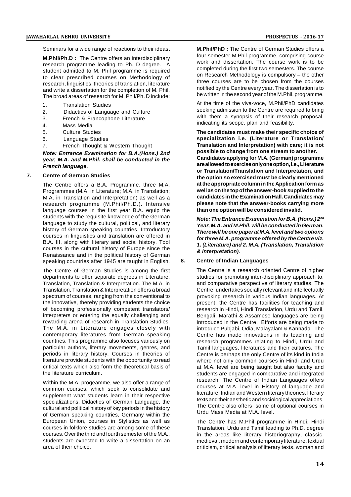Seminars for a wide range of reactions to their ideas**.**

**M.Phil/Ph.D :** The Centre offers an interdisciplinary research programme leading to Ph. D degree. A student admitted to M. Phil programme is required to clear prescribed courses on Methodology of research, linguistics, theories of translation, literature and write a dissertation for the completion of M. Phil. The broad areas of research for M. Phil/Ph. D include:

- 1. Translation Studies
- 2. Didactics of Language and Culture
- 3. French & Francophone Literature
- 4. Mass Media
- 5. Culture Studies
- 6. Language Studies
- 7. French Thought & Western Thought

#### *Note: Entrance Examination for B.A.(Hons.) 2nd year, M.A. and M.Phil. shall be conducted in the French language.*

#### **7. Centre of German Studies**

The Centre offers a B.A. Programme, three M.A. Programmes (M.A. in Literature; M.A. in Translation; M.A. in Translation and Interpretation) as well as a research programme (M.Phil/Ph.D.). Intensive language courses in the first year B.A. equip the students with the requisite knowledge of the German language to study the cultural, political, and literary history of German speaking countries. Introductory courses in linguistics and translation are offered in B.A. III, along with literary and social history. Tool courses in the cultural history of Europe since the Renaissance and in the political history of German<br>speaking countries after 1945 are taught in English. 8. speaking countries after 1945 are taught in English.

The Centre of German Studies is among the first departments to offer separate degrees in Literature, Translation, Translation & Interpretation. The M.A. in Translation, Translation & Interpretation offers a broad spectrum of courses, ranging from the conventional to the innovative, thereby providing students the choice of becoming professionally competent translators/ interpreters or entering the equally challenging and rewarding arena of research in Translation Studies. The M.A. in Literature engages closely with contemporary literatures from German speaking countries. This programme also focuses variously on particular authors, literary movements, genres, and periods in literary history. Courses in theories of literature provide students with the opportunity to read critical texts which also form the theoretical basis of the literature curriculum.

Within the M.A. progeamme, we also offer a range of common courses, which seek to consolidate and supplement what students learn in their respective specializations. Didactics of German Language, the cultural and political history of key periods in the history of German speaking countries, Germany within the European Union, courses in Stylistics as well as courses in folklore studies are among some of these courses. Over the third and fourth semester of the M.A., students are expected to write a dissertation on an area of their choice.

**M.Phil/PhD :** The Centre of German Studies offers a four semester M.Phil programme, comprising course work and dissertation. The course work is to be completed during the first two semesters. The course on Research Methodology is compulsory – the other three courses are to be chosen from the courses notified by the Centre every year. The dissertation is to be written in the second year of the M.Phil. programme.

At the time of the viva-voce, M.Phil/PhD candidates seeking admission to the Centre are required to bring with them a synopsis of their research proposal. indicating its scope, plan and feasibility.

**The candidates must make their specific choice of specialization i.e. (Literature or Translation/ Translation and Interpretation) with care; it is not possible to change from one stream to another. Candidates applying for M.A. (German) programme are allowed to exercise only one option, i.e., Literature or Translation/Translation and Interpretation, and the option so exercised must be clearly mentioned at the appropriate column in the Application form as well as on the top of the answer-book supplied to the candidates in the Examination Hall. Candidates may please note that the answer-books carrying more than one option will be considered invalid.**

*Note: The Entrance Examination for B.A. (Hons.) 2nd Year, M.A. and M.Phil. will be conducted in German. There will be one paper at M.A. level and two options for three M.A. programme offered by the Centre viz. 1. (Literature) and 2. M.A. (Translation, Translation & interpretation).*

#### **8. Centre of Indian Languages**

The Centre is a research oriented Centre of higher studies for promoting inter-disciplinary approach to, and comparative perspective of literary studies. The Centre undertakes socially relevant and intellectually provoking research in various Indian languages. At present, the Centre has facilities for teaching and research in Hindi, Hindi Translation, Urdu and Tamil. Bengali, Marathi & Assamese languages are being introduced in the Centre. Efforts are being made to introduce Pubjabi, Odia, Malayalam & Kannada. The Centre has made innovations in its teaching and research programmes relating to Hindi, Urdu and Tamil languages, literatures and their cultures. The Centre is perhaps the only Centre of its kind in India where not only common courses in Hindi and Urdu at M.A. level are being taught but also faculty and students are engaged in comparative and integrated research. The Centre of Indian Languages offers courses at M.A. level in History of language and literature, Indian and Western literary theories, literary texts and their aesthetic and sociological appreciations. The Centre also offers some of optional courses in Urdu Mass Media at M.A. level.

The Centre has M.Phil programme in Hindi, Hindi Translation, Urdu and Tamil leading to Ph.D. degree in the areas like literary historiography, classic, medieval, modern and contemporary literature, textual criticism, critical analysis of literary texts, woman and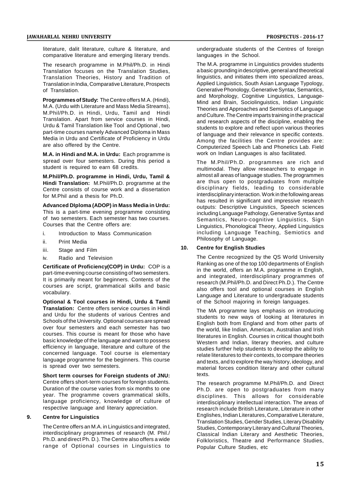literature, dalit literature, culture & literature, and comparative literature and emerging literary trends.

The research programme in M.Phil/Ph.D. in Hindi Translation focuses on the Translation Studies, Translation Theories, History and Tradition of Translation in India, Comparative Literature, Prospects of Translation.

**Programmes of Study:** The Centre offers M.A. (Hindi), M.A. (Urdu with Literature and Mass Media Streams), M.Phil/Ph.D. in Hindi, Urdu, Tamil and Hindi Translation. Apart from service courses in Hindi, Urdu & Tamil Translation like Tool and Optional , two part-time courses namely Advanced Diploma in Mass Media in Urdu and Certificate of Proficiency in Urdu are also offered by the Centre.

**M.A. in Hindi and M.A. in Urdu:** Each programme is spread over four semesters. During this period a student is required to earn 68 credits.

**M.Phil/Ph.D. programme in Hindi, Urdu, Tamil & Hindi Translation:** M.Phil/Ph.D. programme at the Centre consists of course work and a dissertation for M.Phil and a thesis for Ph.D.

**Advanced DIploma (ADOP) in Mass Media in Urdu:** This is a part-time evening programme consisting of two semesters. Each semester has two courses. Courses that the Centre offers are:

- i. Introduction to Mass Communication
- ii. Print Media
- iii. Stage and Film
- iv. Radio and Television

**Certificate of Proficiency(COP) in Urdu:** COP is a part-time evening course consisting of two semesters. It is primarily meant for beginners. Contents of the courses are script, grammatical skills and basic vocabulary.

**Optional & Tool courses in Hindi, Urdu & Tamil Translation:** Centre offers service courses in Hindi and Urdu for the students of various Centres and Schools of the University. Optional courses are spread over four semesters and each semester has two courses. This course is meant for those who have basic knowledge of the language and want to possess efficiency in language, literature and culture of the concerned language. Tool course is elementary language programme for the beginners. This course is spread over two semesters.

**Short term courses for Foreign students of JNU:** Centre offers short-term courses for foreign students. Duration of the course varies from six months to one year. The programme covers grammatical skills, language proficiency, knowledge of culture of respective language and literary appreciation.

#### **9. Centre for Linguistics**

The Centre offers an M.A. in Linguistics and integrated, interdisciplinary programmes of research (M. Phil./ Ph.D. and direct Ph. D.). The Centre also offers a wide range of Optional courses in Linguistics to undergraduate students of the Centres of foreign languages in the School.

The M.A. programme in Linguistics provides students a basic grounding in descriptive, general and theoretical linguistics, and initiates them into specialized areas, Applied Linguistics, South Asian Language Typology, Generative Phonology, Generative Syntax, Semantics, and Morphology, Cognitive Linguistics, Language-Mind and Brain, Sociolinguistics, Indian Linguistic Theories and Approaches and Semiotics of Language and Culture. The Centre imparts training in the practical and research aspects of the discipline, enabling the students to explore and reflect upon various theories of language and their relevance in specific contexts. Among the facilities the Centre provides are: Computerized Speech Lab and Phonetics Lab. Field work on Indian Languages is also facilitated.

The M.Phil/Ph.D. programmes are rich and multimodal. They allow researchers to engage in almost all areas of language studies. The programmes are thus open to postgraduates from multiple disciplinary fields, leading to considerable interdisciplinary interaction. Work in the following areas has resulted in significant and impressive research outputs: Descriptive Linguistics, Speech sciences including Language Pathology, Generative Syntax and Semantics, Neuro-cognitive Linguistics, Sign Linguistics, Phonological Theory, Applied Linguistics including Language Teaching, Semiotics and Philosophy of Language.

#### **10. Centre for English Studies**

The Centre recognized by the QS World University Ranking as one of the top 100 departments of English in the world, offers an M.A. programme in English, and integrated, interdisciplinary programmes of research (M.Phil/Ph.D. and Direct Ph.D.). The Centre also offers tool and optional courses in English Language and Literature to undergraduate students of the School majoring in foreign languages.

The MA programme lays emphasis on introducing students to new ways of looking at literatures in English both from England and from other parts of the world, like Indian, American, Australian and Irish literatures in English. Courses in critical thought both Western and Indian, literary theories, and culture studies further help students to develop the ability to relate literatures to their contexts, to compare theories and texts, and to explore the way history, ideology, and material forces condition literary and other cultural texts.

The research programme M.Phil/Ph.D. and Direct Ph.D. are open to postgraduates from many disciplines. This allows for considerable interdisciplinary intellectual interaction. The areas of research include British Literature, Literature in other Englishes, Indian Literatures, Comparative Literature, Translation Studies, Gender Studies, Literary Disability Studies, Contemporary Literary and Cultural Theories, Classical Indian Literary and Aesthetic Theories, Folkloristics, Theatre and Performance Studies, Popular Culture Studies, etc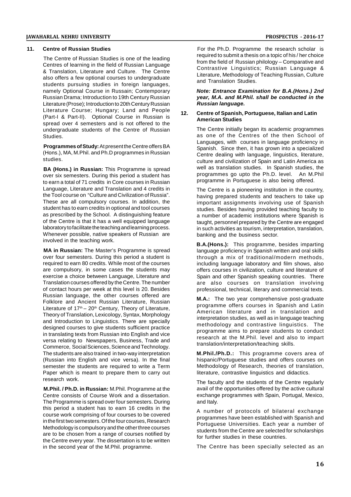#### **11. Centre of Russian Studies**

The Centre of Russian Studies is one of the leading Centres of learning in the field of Russian Language & Translation, Literature and Culture. The Centre also offers a few optional courses to undergraduate students pursuing studies in foreign languages, namely Optional Course in Russain; Contemporary Russian Drama; Introduction to 19th Century Russian Literature (Prose); Introduction to 20th Century Russian Literature Course; Hungary; Land and People 12. (Part-I & Part-II). Optional Course in Russian is spread over 4 semesters and is not offered to the undergraduate students of the Centre of Russian Studies.

**Programmes of Study:**At present the Centre offers BA (Hons.), MA, M.Phil. and Ph.D programmes in Russian studies.

**BA (Hons.) in Russian:** This Programme is spread over six semesters. During this period a student has to earn a total of 71 credits in Core courses in Russian Language, Literature and Translation and 4 credits in the Tool course on "Culture and Civilization of Russia". These are all compulsory courses. In addition, the student has to earn credits in optional and tool courses as prescribed by the School. A distinguishing feature of the Centre is that it has a well equipped language laboratory to facilitate the teaching and learning process. Whenever possible, native speakers of Russian are involved in the teaching work.

**MA in Russian:** The Master's Programme is spread over four semesters. During this period a student is required to earn 80 credits. While most of the courses are compulsory, in some cases the students may exercise a choice between Language, Literature and Translation courses offered by the Centre. The number of contact hours per week at this level is 20. Besides Russian language, the other courses offered are Folklore and Ancient Russian Literature, Russian Literature of  $17<sup>th</sup> - 20<sup>th</sup>$  Century, Theory of Literature, Theory of Translation, Lexicology, Syntax, Morphology and Introduction to Linguistics. There are specially designed courses to give students sufficient practice in translating texts from Russian into English and vice versa relating to Newspapers, Business, Trade and Commerce, Social Sciences, Science and Technology. The students are also trained in two-way interpretation (Russian into English and vice versa). In the final semester the students are required to write a Term Paper which is meant to prepare them to carry out research work.

**M.Phil. / Ph.D. in Russian:** M.Phil. Programme at the Centre consists of Course Work and a dissertation. The Programme is spread over four semesters. During this period a student has to earn 16 credits in the course work comprising of four courses to be covered in the first two semesters. Of the four courses, Research Methodology is compulsory and the other three courses are to be chosen from a range of courses notified by the Centre every year. The dissertation is to be written in the second year of the M.Phil. programme.

For the Ph.D. Programme the research scholar is required to submit a thesis on a topic of his / her choice from the field of Russian philology – Comparative and Contrastive Linguistics; Russian Language & Literature, Methodology of Teaching Russian, Culture and Translation Studies.

*Note: Entrance Examination for B.A.(Hons.) 2nd year, M.A. and M.Phil. shall be conducted in the Russian language.*

#### **12. Centre of Spanish, Portuguese, Italian and Latin American Studies**

The Centre initially began its academic programmes as one of the Centres of the then School of Languages, with courses in language proficiency in Spanish. Since then, it has grown into a specialized Centre dealing with language, linguistics, literature, culture and civilization of Spain and Latin America as well as translation studies. In Spanish studies, the programmes go upto the Ph.D. level. An M.Phil programme in Portuguese is also being offered.

The Centre is a pioneering institution in the country, having prepared students and teachers to take up important assignments involving use of Spanish studies. Besides having provided teaching faculty to a number of academic institutions where Spanish is taught, personnel prepared by the Centre are engaged in such activities as tourism, interpretation, translation, banking and the business sector.

**B.A.(Hons.):** This programme, besides imparting language proficiency in Spanish written and oral skills through a mix of traditional/modern methods, including language laboratory and film shows, also offers courses in civilization, culture and literature of Spain and other Spanish speaking countries. There are also courses on translation involving professional, technical, literary and commercial texts.

**M.A.:** The two year comprehensive post-graduate programme offers courses in Spanish and Latin American literature and in translation and interpretation studies, as well as in language teaching methodology and contrastive linguistics. The programme aims to prepare students to conduct research at the M.Phil. level and also to impart translation/interpretation/teaching skills.

**M.Phil./Ph.D.:** This programme covers area of hispanic/Portuguese studies and offers courses on Methodology of Research, theories of translation, literature, contrastive linguistics and didactics.

The faculty and the students of the Centre regularly avail of the opportunities offered by the active cultural exchange programmes with Spain, Portugal, Mexico, and Italy.

A number of protocols of bilateral exchange programmes have been established with Spanish and Portuguese Universities. Each year a number of students from the Centre are selected for scholarships for further studies in these countries.

The Centre has been specially selected as an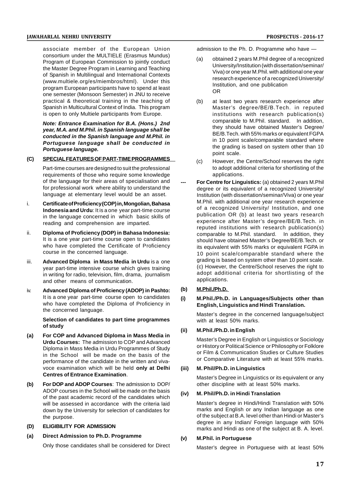associate member of the European Union consortium under the MULTIELE (Erasmus Mundus) Program of European Commission to jointly conduct the Master Degree Program in Learning and Teaching of Spanish in Multilingual and International Contexts (www.multiele.org/es/miembros/html). Under this program European participants have to spend at least one semester (Monsoon Semester) in JNU to receive practical & theoretical training in the teaching of Spanish in Multicultural Context of India. This program is open to only Multiele participants from Europe.

*Note: Entrance Examination for B.A. (Hons.) 2nd year, M.A. and M.Phil. in Spanish language shall be conducted in the Spanish language and M.Phil. in Portuguese language shall be conducted in Portuguese language.*

#### **(C) SPECIAL FEATURES OF PART-TIME PROGRAMMES**

Part-time courses are designed to suit the professional requirements of those who require some knowledge of the language for their areas of specialisation and for professional work where ability to understand the language at elementary level would be an asset.

- i. **Certificate of Proficiency (COP) in, Mongolian, Bahasa Indonesia and Urdu**: It is a one year part-time course in the language concerned in which basic skills of reading and comprehension are imparted.
- ii. **Diploma of Proficiency (DOP) in Bahasa Indonesia:** It is a one year part-time course open to candidates who have completed the Certificate of Proficiency course in the concerned language.
- iii. **Advanced Diploma in Mass Media in Urdu** is a one year part-time intensive course which gives training in writing for radio, television, film, drama, journalism and other means of communication.
- iv. **Advanced Diploma of Proficiency (ADOP) in Pashto:** It is a one year part-time course open to candidates (i) who have completed the Diploma of Proficiency in the concerned language.

**Selection of candidates to part time programmes of study**

- **(a) For COP and Advanced Diploma in Mass Media in Urdu Courses:** The admission to COP and Advanced Diploma in Mass Media in Urdu Programmes of Study in the School will be made on the basis of the performance of the candidate in the written and vivavoce examination which will be held **only at Delhi Centres of Entrance Examination**.
- **(b) For DOP and ADOP Courses**: The admission to DOP/ ADOP courses in the School will be made on the basis of the past academic record of the candidates which will be assessed in accordance with the criteria laid down by the University for selection of candidates for the purpose.
- **(D) ELIGIBILITY FOR ADMISSION**
- **(a) Direct Admission to Ph.D. Programme**

Only those candidates shall be considered for Direct

admission to the Ph. D. Programme who have —

- (a) obtained 2 years M.Phil degree of a recognized University/Institution (with dissertation/seminar/ Viva) or one year M.Phil. with additional one year research experience of a recognized University/ Institution, and one publication OR
- (b) at least two years research experience after Master's degree/BE/B.Tech. in reputed institutions with research publication(s) comparable to M.Phil. standard. In addition, they should have obtained Master's Degree/ BE/B.Tech. with 55% marks or equivalent FGPA in 10 point scale/comparable standard where the grading is based on system other than 10 point scale.
- (c) However, the Centre/School reserves the right to adopt additional criteria for shortlisting of the applications.
- **For Centre for Linguistics:** (a) obtained 2 years M.Phil degree or its equivalent of a recognized University/ Institution (with dissertation/seminar/Viva) or one year M.Phil. with additional one year research experience of a recognized University/ Institution, and one publication OR (b) at least two years research experience after Master's degree/BE/B.Tech. in reputed institutions with research publication(s) comparable to M.Phil. standard. In addition, they should have obtained Master's Degree/BE/B.Tech. or its equivalent with 55% marks or equivalent FGPA in 10 point scale/comparable standard where the grading is based on system other than 10 point scale. (c) However, the Centre/School reserves the right to adopt additional criteria for shortlisting of the applications.

#### **(b) M.Phil./Ph.D.**

**(i) M.Phil./Ph.D. in Languages/Subjects other than English, Linguistics and Hindi Translation.**

Master's degree in the concerned language/subject with at least 50% marks.

#### **(ii) M.Phil./Ph.D. in English**

Master's Degree in English or Linguistics or Sociology or History or Political Science or Philosophy or Folklore or Film & Communication Studies or Culture Studies or Comparative Literature with at least 55% marks.

#### **(iii) M. Phil/Ph.D. in Linguistics**

Master's Degree in Linguistics or its equivalent or any other discipline with at least 50% marks.

#### **(iv) M. Phil/Ph.D. in Hindi Translation**

Master's degree in Hindi/Hindi Translation with 50% marks and English or any Indian language as one of the subject at B.A. level other than Hindi or Master's degree in any Indian/ Foreign language with 50% marks and Hindi as one of the subject at B. A. level.

#### **(v) M.Phil. in Portuguese**

Master's degree in Portuguese with at least 50%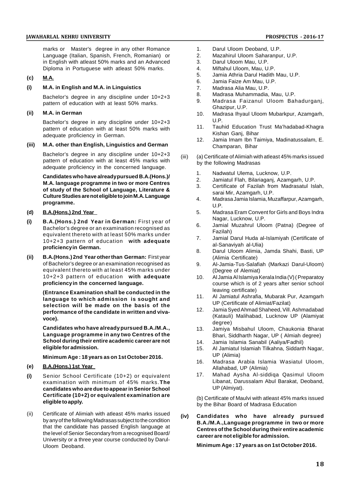marks or Master's degree in any other Romance Language (Italian, Spanish, French, Romanian) or in English with atleast 50% marks and an Advanced Diploma in Portuguese with atleast 50% marks.

#### **(c) M.A.**

#### **(i) M.A. in English and M.A. in Linguistics**

Bachelor's degree in any discipline under 10+2+3 pattern of education with at least 50% marks.

**(ii) M.A. in German**

Bachelor's degree in any discipline under 10+2+3 pattern of education with at least 50% marks with adequate proficiency in German.

#### **(iii) M.A. other than English, Linguistics and German**

Bachelor's degree in any discipline under 10+2+3 pattern of education with at least 45% marks with adequate proficiency in the concerned language.

**Candidates who have already pursued B.A.(Hons.)/ M.A. language programme in two or more Centres of study of the School of Language, Literature & Culture Studies are not eligible to join M.A. Language programme.**

- **(d) B.A.(Hons.) 2nd Year**
- **(i) B.A.(Hons.) 2nd Year in German:** First year of Bachelor's degree or an examination recognised as equivalent thereto with at least 50% marks under 10+2+3 pattern of education **with adequate proficiency in German.**
- **(ii) B.A.(Hons.) 2nd Year other than German:** First year of Bachelor's degree or an examination recognised as equivalent thereto with at least 45% marks under 10+2+3 pattern of education **with adequate proficiency in the concerned language.**

**(Entrance Examination shall be conducted in the language to which admission is sought and selection will be made on the basis of the performance of the candidate in written and vivavoce).**

**Candidates who have already pursued B.A./M.A., Language programme in any two Centres of the School during their entire academic career are not eligible for admission.**

**Minimum Age : 18 years as on 1st October 2016.**

#### **(e) B.A.(Hons.) 1st Year**

- **(i)** Senior School Certificate (10+2) or equivalent examination with minimum of 45% marks.**The candidates who are due to appear in Senior School Certificate (10+2) or equivalent examination are eligible to apply.**
- (ii) Certificate of Alimiah with atleast 45% marks issued (iv) by any of the following Madrasas subject to the condition that the candidate has passed English language at the level of Senior Secondary from a recognised Board/ University or a three year course conducted by Darul-Uloom Deoband.
- 1. Darul Uloom Deoband, U.P.
- 2. Mazahirul Uloom Saharanpur, U.P.<br>3. Darul Uloom Mau. U.P.
- 3. Darul Uloom Mau, U.P.<br>4. Miftahul Uloom, Mau, U.
- 4. Miftahul Uloom, Mau, U.P.
- 5. Jamia Athria Darul Hadith Mau, U.P.
- 6. Jamia Faize Am Mau, U.P.<br>7. Madrasa Alia Mau, U.P.
- 7. Madrasa Alia Mau, U.P.
- 8. Madrasa Muhammadia, Mau, U.P.
- 9. Madrasa Faizanul Uloom Bahadurganj, Ghazipur, U.P.
- 10. Madrasa Ihyaul Uloom Mubarkpur, Azamgarh, U.P.
- 11. Tauhid Education Trust Ma'hadabad-Khagra Kishan Ganj, Bihar
- 12. Jamia Imam Ibn Taimiya, Madinatussalam, E. Champaran, Bihar
- (a) Certificate of Alimiah with atleast 45% marks issued by the following Madrasas
	- 1. Nadwatul Ulema, Lucknow, U.P.
	- 2. Jamiatul Flah, Bilariaganj, Azamgarh, U.P.
	- 3. Certificate of Fazilah from Madrasatul Islah, sarai Mir, Azamgarh, U.P.
	- 4. Madrasa Jamia Islamia, Muzaffarpur, Azamgarh, U.P.
	- 5. Madrasa Eram Convent for Girls and Boys Indra Nagar, Lucknow, U.P.
	- 6. Jamial Muzahrul Uloom (Patna) (Degree of Fazilah)
	- 7. Jamial Darul Huda al-Islamiyah (Certificate of al-Sanaviyah al-Ulia)
	- 8. Darul Uloom Alimia, Jamda Shahi, Basti, UP (Alimia Certificate)
	- 9. Al-Jamia-Tus-Salafiah (Markazi Darul-Uloom) (Degree of Alemiat)
	- 10. Al Jamia Al Islamiya Kerala India (V) ( Preparatoy course which is of 2 years after senior school leaving certificate)
	- 11. Al Jamiatul Ashrafia, Mubarak Pur, Azamgarh UP (Certificate of Alimiat/Fazilat)
	- 12. Jamia Syed Ahmad Shaheed, Vill. Ashmadabad (Katauli) Malihabad, Lucknow UP (Alamiyat degree)
	- 13. Jamiya Misbahul Uloom, Chaukonia Bharat Bhari, Siddharth Nagar, UP ( Almiah degree)
	- 14. Jamia Islamia Sanabil (Aaliya/Fadhil)
	- 15. Al Jamiatul Islamiah Tilkahna, Siddarth Nagar, UP (Alimia)
	- 16. Madrasa Arabia Islamia Wasiatul Uloom, Allahabad, UP (Alimia)
	- 17. Mahad Aysha Al-siddiqa Qasimul Uloom Libanat, Darussalam Abul Barakat, Deoband, UP (Almiyat).

(b) Certificate of Maulvi with atleast 45% marks issued by the Bihar Board of Madrasa Education

**(iv) Candidates who have already pursued B.A./M.A.,Language programme in two or more Centres of the School during their entire academic career are not eligible for admission.**

**Minimum Age : 17 years as on 1st October 2016.**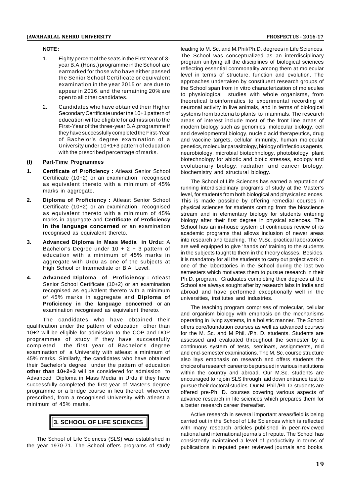#### **NOTE :**

- 1. Eighty percent of the seats in the First Year of 3 year B.A.(Hons.) programme in the School are earmarked for those who have either passed the Senior School Certificate or equivalent examination in the year 2015 or are due to appear in 2016, and the remaining 20% are open to all other candidates.
- 2. Candidates who have obtained their Higher Secondary Certificate under the 10+1 pattern of education will be eligible for admission to the First-Year of the three-year B.A.programme if they have successfully completed the First-Year of Bachelor's degree examination of a University under 10+1+3 pattern of education with the prescribed percentage of marks.

#### **(f) Part-Time Programmes**

- **1. Certificate of Proficiency :** Atleast Senior School Certificate (10+2) or an examination recognised as equivalent thereto with a minimum of 45% marks in aggregate.
- **2. Diploma of Proficiency :** Atleast Senior School Certificate (10+2) or an examination recognised as equivalent thereto with a minimum of 45% marks in aggregate and **Certificate of Proficiency in the language concerned** or an examination recognised as equivalent thereto.
- **3. Advanced Diploma in Mass Media in Urdu:** A Bachelor's Degree under 10 + 2 + 3 pattern of education with a minimum of 45% marks in aggregate with Urdu as one of the subjects at High School or Intermediate or B.A. Level.
- **4. Advanced Diploma of Proficiency :** Atleast Senior School Certificate (10+2) or an examination recognised as equivalent thereto with a minimum of 45% marks in aggregate and **Diploma of Proficiency in the language concerned** or an examination recognised as equivalent thereto.

The candidates who have obtained their qualification under the pattern of education other than 10+2 will be eligible for admission to the COP and DOP programmes of study if they have successfully completed the first year of Bachelor's degree examination of a University with atleast a minimum of 45% marks. Similarly, the candidates who have obtained their Bachelor's degree under the pattern of education **other than 10+2+3** will be considered for admission to Advanced Diploma in Mass Media in Urdu if they have successfully completed the first year of Master's degree programme or a bridge course in lieu thereof, wherever prescribed, from a recognised University with atleast a minimum of 45% marks.

## **3. SCHOOL OF LIFE SCIENCES**

The School of Life Sciences (SLS) was established in the year 1970-71. The School offers programs of study

leading to M. Sc. and M.Phil/Ph.D. degrees in Life Sciences. The School was conceptualized as an interdisciplinary program unifying all the disciplines of biological sciences reflecting essential commonality among them at molecular level in terms of structure, function and evolution. The approaches undertaken by constituent research groups of the School span from in vitro characterization of molecules to physiological studies with whole organisms, from theoretical bioinformatics to experimental recording of neuronal activity in live animals, and in terms of biological systems from bacteria to plants to mammals. The research areas of interest include most of the front line areas of modern biology such as genomics, molecular biology, cell and developmental biology, nucleic acid therapeutics, drug and vaccine targets, cellular immunity, human molecular genetics, molecular parasitology, biology of infectious agents, neurobiology, microbial biotechnology, photobiology, plant biotechnology for abiotic and biotic stresses, ecology and evolutionary biology, radiation and cancer biology, biochemistry and structural biology.

The School of Life Sciences has earned a reputation of running interdisciplinary programs of study at the Master's level, for students from both biological and physical sciences. This is made possible by offering remedial courses in physical sciences for students coming from the bioscience stream and in elementary biology for students entering biology after their first degree in physical sciences. The School has an in-house system of continuous review of its academic programs that allows inclusion of newer areas into research and teaching. The M.Sc. practical laboratories are well equipped to give 'hands on' training to the students in the subjects taught to them in the theory classes. Besides, it is mandatory for all the students to carry out project work in one of the laboratories in the School during the last two semesters which motivates them to pursue research in their Ph.D. program. Graduates completing their degrees at the School are always sought after by research labs in India and abroad and have performed exceptionally well in the universities, institutes and industries.

The teaching program comprises of molecular, cellular and organism biology with emphasis on the mechanisms operating in living systems, in a holistic manner. The School offers core/foundation courses as well as advanced courses for the M. Sc. and M Phil. /Ph. D. students. Students are assessed and evaluated throughout the semester by a continuous system of tests, seminars, assignments, mid and end-semester examinations. The M. Sc. course structure also lays emphasis on research and offers students the choice of a research career to be pursued in various institutions within the country and abroad. Our M.Sc. students are encouraged to rejoin SLS through laid down entrance test to pursue their doctoral studies. Our M. Phil./Ph. D. students are offered pre-Ph. D. courses covering various aspects of advance research in life sciences which prepares them for a better research career thereafter.

Active research in several important areas/field is being carried out in the School of Life Sciences which is reflected with many research articles published in peer-reviewed national and international journals of repute. The School has consistently maintained a level of productivity in terms of publications in reputed peer reviewed journals and books.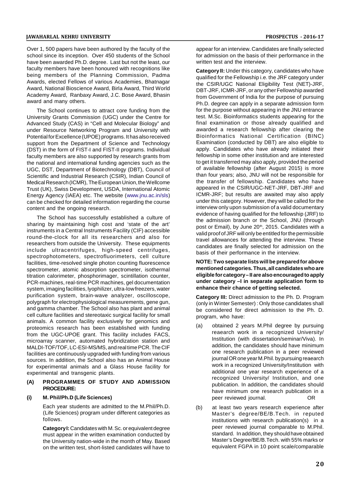Over 1, 500 papers have been authored by the faculty of the school since its inception. Over 450 students of the School have been awarded Ph.D. degree. Last but not the least, our faculty members have been honoured with recognitions like being members of the Planning Commission, Padma Awards, elected Fellows of various Academies, Bhatnagar Award, National Bioscience Award, Birla Award, Third World Academy Award, Ranbaxy Award, J.C. Bose Award, Bhasin award and many others.

The School continues to attract core funding from the University Grants Commission (UGC) under the Centre for Advanced Study (CAS) in "Cell and Molecular Biology" and under Resource Networking Program and University with Potential for Excellence (UPOE) programs. It has also received support from the Department of Science and Technology (DST) in the form of FIST-I and FIST-II programs. Individual faculty members are also supported by research grants from the national and international funding agencies such as the UGC, DST, Department of Biotechnology (DBT), Council of Scientific and Industrial Research (CSIR), Indian Council of Medical Research (ICMR), The European Union, the Wellcome Trust (UK), Swiss Development, USDA, International Atomic Energy Agency (IAEA) etc. The website (www.jnu.ac.in/sls) can be checked for detailed information regarding the course content and the ongoing research.

The School has successfully established a culture of sharing by maintaining high cost and 'state of the art' instruments in a Central Instruments Facility (CIF) accessible round-the-clock for all its researchers and also for researchers from outside the University. These equipments include ultracentrifuges, high-speed centrifuges, spectrophotometers, spectrofluorimeters, cell culture facilities, time-resolved single photon counting fluorescence spectrometer, atomic absorption spectrometer, isothermal titration calorimeter, phosphorimager, scintillation counter, PCR-machines, real-time PCR machines, gel documentation system, imaging facilities, lyophilizer, ultra-low freezers, water purification system, brain-wave analyzer, oscilloscope, polygraph for electrophysiological measurements, gene gun, and gamma chamber. The School also has plant and animal cell culture facilities and stereotaxic surgical facility for small animals. A common facility exclusively for genomics and proteomics research has been established with funding from the UGC-UPOE grant. This facility includes FACS, microarray scanner, automated hybridization station and MALDI-TOF/TOF, LC-ESI-MS/MS, and real time PCR. The CIF facilities are continuously upgraded with funding from various sources. In addition, the School also has an Animal House for experimental animals and a Glass House facility for experimental and transgenic plants.

#### **(A) PROGRAMMES OF STUDY AND ADMISSION PROCEDURE:**

#### **(i) M. Phil/Ph.D (Life Sciences)**

Each year students are admitted to the M.Phil/Ph.D. (Life Sciences) program under different categories as follows.

**Category I:**Candidates with M. Sc. or equivalent degree must appear in the written examination conducted by the University nation-wide in the month of May. Based on the written test, short-listed candidates will have to

appear for an interview. Candidates are finally selected for admission on the basis of their performance in the written test and the interview.

**Category II:** Under this category, candidates who have qualified for the Fellowship i.e. the JRF category under the CSIR/UGC National Eligibility Test (NET)-JRF, DBT-JRF, ICMR-JRF, or any other Fellowship awarded from Government of India for the purpose of pursuing Ph.D. degree can apply in a separate admission form for the purpose without appearing in the JNU entrance test. M.Sc. Bioinformatics students appearing for the final examination or those already qualified and awarded a research fellowship after clearing the Bioinformatics National Certification (BINC) Examination (conducted by DBT) are also eligible to apply. Candidates who have already initiated their fellowship in some other institution and are interested to get it transferred may also apply, provided the period of available fellowship (after August 2015) is more than four years; also, JNU will not be responsible for the transfer of fellowship. Candidates who have appeared in the CSIR/UGC-NET-JRF, DBT-JRF and ICMR-JRF; but results are awaited may also apply under this category. However, they will be called for the interview only upon submission of a valid documentary evidence of having qualified for the fellowship (JRF) to the admission branch or the School, JNU (through post or Email), by June 20<sup>th</sup>, 2015. Candidates with a valid proof of JRF will only be entitled for the permissible travel allowances for attending the interview. These candidates are finally selected for admission on the basis of their performance in the interview.

#### **NOTE: Two separate lists will be prepared for above mentioned categories. Thus, all candidates who are eligible for category – II are also encouraged to apply under category –I in separate application form to enhance their chance of getting selected.**

**Category III:** Direct admission to the Ph. D. Program (only in Winter Semester) : Only those candidates shall be considered for direct admission to the Ph. D. program, who have:

- (a) obtained 2 years M.Phil degree by pursuing reaearch work in a recognized University/ Institution (with dissertation/seminar/Viva). In addition, the candidates should have minimum one research publication in a peer reviewed journal OR one year M.Phil. by pursuing reaearch work in a recognized University/Institution with additional one year research experience of a recognized University/ Institution, and one publication. In addition, the candidates should have minimum one research publication in a peer reviewed journal. OR
- (b) at least two years research experience after Master's degree/BE/B.Tech. in reputed institutions with research publication(s) in a peer reviewed journal comparable to M.Phil. standard. In addition, they should have obtained Master's Degree/BE/B.Tech. with 55% marks or equivalent FGPA in 10 point scale/comparable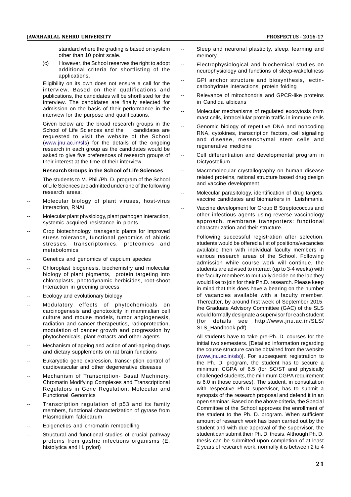standard where the grading is based on system other than 10 point scale.

(c) However, the School reserves the right to adopt additional criteria for shortlisting of the applications.

Eligibility on its own does not ensure a call for the interview. Based on their qualifications and publications, the candidates will be shortlisted for the interview. The candidates are finally selected for admission on the basis of their performance in the interview for the purpose and qualifications.

Given below are the broad research groups in the<br>School of Life Sciences and the candidates are School of Life Sciences and the requested to visit the website of the School (www.jnu.ac.in/sls) for the details of the ongoing research in each group as the candidates would be asked to give five preferences of research groups of their interest at the time of their interview.

#### **Research Groups in the School of Life Sciences**

The students to M. Phil./Ph. D. program of the School of Life Sciences are admitted under one of the following research areas:

- Molecular biology of plant viruses, host-virus interaction, RNAi
- Molecular plant physiology, plant pathogen interaction, systemic acquired resistance in plants
- Crop biotechnology, transgenic plants for improved stress tolerance, functional genomics of abiotic stresses, transcriptomics, proteomics and metabolomics
- Genetics and genomics of capcium species
- Chloroplast biogenesis, biochemistry and molecular biology of plant pigments, protein targeting into chloroplasts, photodynamic herbicides, root-shoot Interaction in greening process
- -- Ecology and evolutionary biology
- Modulatory effects of phytochemicals on carcinogenesis and genotoxicity in mammalian cell culture and mouse models, tumor angiogenesis, radiation and cancer therapeutics, radioprotection, modulation of cancer growth and progression by phytochemicals, plant extracts and other agents
- -- Mechanism of ageing and action of anti-ageing drugs and dietary supplements on rat brain functions
- Eukaryotic gene expression, transcription control of cardiovascular and other degenerative diseases
- Mechanism of Transcription- Basal Machinery, Chromatin Modifying Complexes and Transcriptional Regulators in Gene Regulation; Molecular and Functional Genomics
- Transcription regulation of p53 and its family members, functional characterization of gyrase from Plasmodium falciparum
- Epigenetics and chromatin remodelling
- Structural and functional studies of crucial pathway proteins from gastric infections organisms (E. histolytica and H. pylori)
- Sleep and neuronal plasticity, sleep, learning and memory
- Electrophysiological and biochemical studies on neurophysiology and functions of sleep-wakefulness
- -- GPI anchor structure and biosynthesis, lectincarbohydrate interactions, protein folding
- Relevance of mitochondria and GPCR-like proteins in Candida albicans
- Molecular mechanisms of regulated exocytosis from mast cells, intracellular protein traffic in immune cells
- Genomic biology of repetitive DNA and noncoding RNA, cytokines, transcription factors, cell signaling and disease, mesenchymal stem cells and regenerative medicine
- Cell differentiation and developmental program in Dictyostelium
- Macromolecular crystallography on human disease related proteins, rational structure based drug design and vaccine development
- Molecular parasitology, identification of drug targets, vaccine candidates and biomarkers in Leishmania
- Vaccine development for Group B Streptococcus and other infectious agents using reverse vaccinology approach, membrane transporters: functional characterization and their structure.
	- Following successful registration after selection, students would be offered a list of positions/vacancies available then with individual faculty members in various research areas of the School. Following admission while course work will continue, the students are advised to interact (up to 3-4 weeks) with the faculty members to mutually decide on the lab they would like to join for their Ph.D. research. Please keep in mind that this does have a bearing on the number of vacancies available with a faculty member. Thereafter, by around first week of September 2015, the Graduate Advisory Committee (GAC) of the SLS would formally designate a supervisor for each student (for details see http://www.jnu.ac.in/SLS/ SLS\_Handbook.pdf).

All students have to take pre-Ph. D. courses for the initial two semesters. [Detailed information regarding the course structure can be obtained from the website (www.jnu.ac.in/sls)]. For subsequent registration to the Ph. D. program, the student has to secure a minimum CGPA of 6.5 (for SC/ST and physically challenged students, the minimum CGPA requirement is 6.0 in those courses). The student, in consultation with respective Ph.D supervisor, has to submit a synopsis of the research proposal and defend it in an open seminar. Based on the above criteria, the Special Committee of the School approves the enrollment of the student to the Ph. D. program. When sufficient amount of research work has been carried out by the student and with due approval of the supervisor, the student can submit their Ph. D. thesis. Although Ph. D. thesis can be submitted upon completion of at least 2 years of research work, normally it is between 2 to 4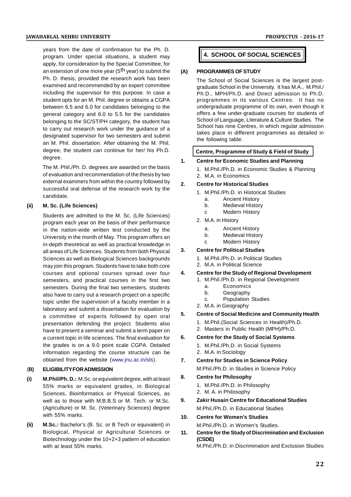years from the date of confirmation for the Ph. D. program. Under special situations, a student may apply, for consideration by the Special Committee, for an extension of one more year ( $5<sup>th</sup>$  year) to submit the  $(A)$ Ph. D. thesis, provided the research work has been examined and recommended by an expert committee including the supervisor for this purpose. In case a student opts for an M. Phil. degree or obtains a CGPA between 6.5 and 6.0 for candidates belonging to the general category and 6.0 to 5.5 for the candidates belonging to the SC/ST/PH category, the student has to carry out research work under the guidance of a designated supervisor for two semesters and submit an M. Phil. dissertation. After obtaining the M. Phil. degree, the student can continue for her/ his Ph.D. degree.

The M. Phil./Ph. D. degrees are awarded on the basis of evaluation and recommendation of the thesis by two external examiners from within the country followed by  $\overline{2}$ . successful oral defense of the research work by the candidate.

#### **(ii) M. Sc. (Life Sciences)**

Students are admitted to the M. Sc. (Life Sciences) program each year on the basis of their performance in the nation-wide written test conducted by the University in the month of May. This program offers an in-depth theoretical as well as practical knowledge in<br>all areas of Life Sciences, Students from both Physical 3. all areas of Life Sciences. Students from both Physical Sciences as well as Biological Sciences backgrounds may join this program. Students have to take both core courses and optional courses spread over four 4. semesters, and practical courses in the first two semesters. During the final two semesters, students also have to carry out a research project on a specific topic under the supervision of a faculty member in a laboratory and submit a dissertation for evaluation by<br>a sommittee of experts followed by energies a committee of experts followed by open oral presentation defending the project. Students also have to present a seminar and submit a term paper on a current topic in life sciences. The final evaluation for 6. the grades is on a 9.0 point scale CGPA. Detailed information regarding the course structure can be obtained from the website (www.jnu.ac.in/sls).

#### (**B) ELIGIBILITY FOR ADMISSION**

- **(i) M.Phil/Ph. D.:** M.Sc. or equivalent degree, with at least 55% marks or equivalent grades, in Biological Sciences, Bioinformatics or Physical Sciences, as well as to those with M.B.B.S or M. Tech. or M.Sc. 9. (Agriculture) or M. Sc. (Veterinary Sciences) degree with 55% marks.
- **(ii) M.Sc.:** Bachelor's (B. Sc. or B Tech or equivalent) in Biological, Physical or Agricultural Sciences or 11. Biotechnology under the 10+2+3 pattern of education with at least 55% marks.

#### **4. SCHOOL OF SOCIAL SCIENCES**

#### **(A) PROGRAMMES OF STUDY**

The School of Social Sciences is the largest postgraduate School in the University. It has M.A., M.Phil./ Ph.D., MPH/Ph.D. and Direct admission to Ph.D. programmes in its various Centres. It has no undergraduate programme of its own, even though it offers a few under-graduate courses for students of School of Language, Literature & Culture Studies. The School has nine Centres, in which regular admission takes place in different programmes as detailed in the following table:

#### **Centre, Programme of Study & Field of Study**

- **1. Centre for Economic Studies and Planning**
	- 1. M.Phil./Ph.D. in Economic Studies & Planning
	- 2. M.A. in Economics

#### **2. Centre for Historical Studies**

- 1. M.Phil./Ph.D. in Historical Studies
	- a. Ancient History
	- b. Medieval History
	- c Modern History
- 2. M.A. in History
	- a. Ancient History
	- b. Medieval History
	- c Modern History

#### **3. Centre for Political Studies**

- 1. M.Phil./Ph.D. in Political Studies
- 2. M.A. in Political Science

#### **4. Centre for the Study of Regional Development**

- 1. M.Phil./Ph.D. in Regional Development
	- a. Economics
	- b. Geography
	- c. Population Studies
- 2. M.A. in Geography

#### **5. Centre of Social Medicine and Community Health**

- 1. M.Phil.(Social Sciences in Health)/Ph.D.
- 2. Masters in Public Health (MPH)/Ph.D.

#### **6. Centre for the Study of Social Systems**

- 1. M.Phil./Ph.D. in Social Systems
- 2. M.A. in Sociology
- **7. Centre for Studies in Science Policy**

M.Phil./Ph.D. in Studies in Science Policy

#### **8. Centre for Philosophy**

- 1. M.Phil./Ph.D. in Philosophy
- 2. M. A. in Philosophy

#### **9. Zakir Husain Centre for Educational Studies** M.Phil./Ph.D. in Educational Studies

### **10. Centre for Women's Studies**

M.Phil./Ph.D. in Women's Studies.

**11. Centre for the Study of Discrimination and Exclusion (CSDE)** M.Phil./Ph.D. in Discrimination and Exclusion Studies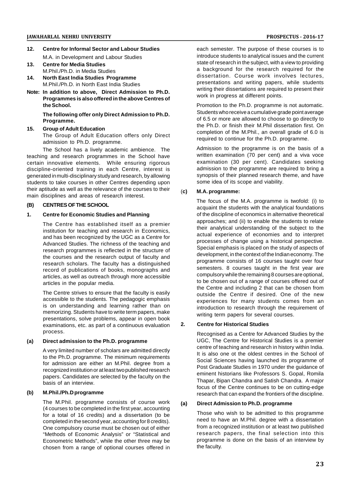- **12. Centre for Informal Sector and Labour Studies** M.A. in Development and Labour Studies
- **13. Centre for Media Studies** M.Phil./Ph.D. in Media Studies
- **14. North East India Studies Programme** M.Phil./Ph.D. in North East India Studies
- **Note: In addition to above, Direct Admission to Ph.D. Programmes is also offered in the above Centres of the School.**

#### **The following offer only Direct Admission to Ph.D. Programme.**

#### **15. Group of Adult Education**

The Group of Adult Education offers only Direct admission to Ph.D. programme.

The School has a lively academic ambience. The teaching and research programmes in the School have certain innovative elements. While ensuring rigorous discipline-oriented training in each Centre, interest is generated in multi-disciplinary study and research, by allowing students to take courses in other Centres depending upon their aptitude as well as the relevance of the courses to their main disciplines and areas of research interest.

#### **(B) CENTRES OF THE SCHOOL**

#### **1. Centre for Economic Studies and Planning**

The Centre has established itself as a premier institution for teaching and research in Economics, and has been recognized by the UGC as a Centre for Advanced Studies. The richness of the teaching and research programmes is reflected in the structure of the courses and the research output of faculty and research scholars. The faculty has a distinguished record of publications of books, monographs and articles, as well as outreach through more accessible articles in the popular media.

The Centre strives to ensure that the faculty is easily accessible to the students. The pedagogic emphasis is on understanding and learning rather than on memorizing. Students have to write term papers, make presentations, solve problems, appear in open book<br>examinations, etc. as part of a continuous evaluation 2. examinations, etc. as part of a continuous evaluation process.

#### **(a) Direct admission to the Ph.D. programme**

A very limited number of scholars are admitted directly to the Ph.D. programme. The minimum requirements for admission are either an M.Phil. degree from a recognized institution or at least two published research papers. Candidates are selected by the faculty on the basis of an interview.

#### **(b) M.Phil./Ph.D programme**

The M.Phil. programme consists of course work (a) (4 courses to be completed in the first year, accounting for a total of 16 credits) and a dissertation (to be completed in the second year, accounting for 8 credits). One compulsory course must be chosen out of either "Methods of Economic Analysis" or "Statistical and Econometric Methods", while the other three may be chosen from a range of optional courses offered in

each semester. The purpose of these courses is to introduce students to analytical issues and the current state of research in the subject, with a view to providing a background for the research required for the dissertation. Course work involves lectures, presentations and writing papers, while students writing their dissertations are required to present their work in progress at different points.

Promotion to the Ph.D. programme is not automatic. Students who receive a cumulative grade point average of 6.5 or more are allowed to choose to go directly to the Ph.D. or finish their M.Phil dissertation first. On completion of the M.Phil., an overall grade of 6.0 is required to continue for the Ph.D. programme.

Admission to the programme is on the basis of a written examination (70 per cent) and a viva voce examination (30 per cent). Candidates seeking admission to the programme are required to bring a synopsis of their planned research theme, and have some idea of its scope and viability.

#### (**c) M.A. programme:**

The focus of the M.A. programme is twofold: (i) to acquaint the students with the analytical foundations of the discipline of economics in alternative theoretical approaches; and (ii) to enable the students to relate their analytical understanding of the subject to the actual experience of economies and to interpret processes of change using a historical perspective. Special emphasis is placed on the study of aspects of development, in the context of the Indian economy. The programme consists of 16 courses taught over four semesters. 8 courses taught in the first year are compulsory while the remaining 8 courses are optional, to be chosen out of a range of courses offered out of the Centre and including 2 that can be chosen from outside the Centre if desired. One of the new experiences for many students comes from an introduction to research through the requirement of writing term papers for several courses.

#### **2. Centre for Historical Studies**

Recognised as a Centre for Advanced Studies by the UGC, The Centre for Historical Studies is a premier centre of teaching and research in history within India. It is also one ot the oldest centres in the School of Social Sciences having launched its programme of Post Graduate Studies in 1970 under the guidance of eminent historians like Professors S. Gopal, Romila Thapar, Bipan Chandra and Satish Chandra. A major focus of the Centre continues to be on cutting-edge research that can expand the frontiers of the discipline.

#### **(a) Direct Admission to Ph.D. programme**

Those who wish to be admitted to this programme need to have an M.Phil. degree with a dissertation from a recognized institution or at least two published research papers, the final selection into this programme is done on the basis of an interview by the faculty.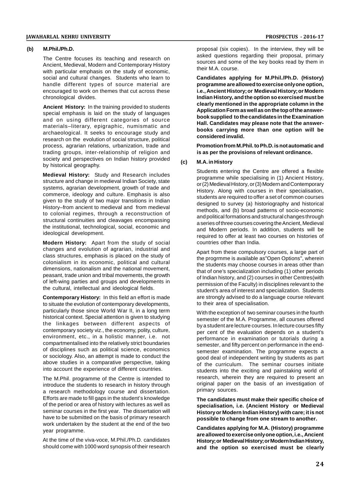#### **(b) M.Phil./Ph.D.**

The Centre focuses its teaching and research on Ancient, Medieval, Modern and Contemporary History with particular emphasis on the study of economic. social and cultural changes. Students who learn to handle different types of source material are encouraged to work on themes that cut across these chronological divides.

**Ancient History:** In the training provided to students special emphasis is laid on the study of languages and on using different categories of source materials–literary, epigraphic, numismatic and archaeological. It seeks to encourage study and research on the evolution of social structure, political process, agrarian relations, urbanization, trade and trading groups, inter-relationship of religion and society and perspectives on Indian history provided (c) by historical geography.

**Medieval History:** Study and Research includes structure and change in medieval Indian Society, state systems, agrarian development, growth of trade and commerce, ideology and culture. Emphasis is also given to the study of two major transitions in Indian History–from ancient to medieval and from medieval to colonial regimes, through a reconstruction of structural continuities and cleavages encompassing the institutional, technological, social, economic and ideological development.

**Modern History:** Apart from the study of social changes and evolution of agrarian, industrial and class structures, emphasis is placed on the study of colonialism in its economic, political and cultural dimensions, nationalism and the national movement, peasant, trade union and tribal movements, the growth of left-wing parties and groups and developments in the cultural, intellectual and ideological fields.

**Contemporary History:** In this field an effort is made to situate the evolution of contemporary developments, particularly those since World War II, in a long term historical context. Special attention is given to studying the linkages between different aspects of contemporary society viz., the economy, polity, culture, environment, etc., in a holistic manner, i.e. not compartmentalised into the relatively strict boundaries of disciplines such as political science, economics or sociology. Also, an attempt is made to conduct the above studies in a comparative perspective, taking into account the experience of different countries.

The M.Phil. programme of the Centre is intended to introduce the students to research in history through a research methodology course and dissertation. Efforts are made to fill gaps in the student's knowledge of the period or area of history with lectures as well as seminar courses in the first year. The dissertation will have to be submitted on the basis of primary research work undertaken by the student at the end of the two year programme.

At the time of the viva-voce, M.Phil./Ph.D. candidates should come with 1000 word synopsis of their research proposal (six copies). In the interview, they will be asked questions regarding their proposal, primary sources and some of the key books read by them in their M.A. course.

**Candidates applying for M.Phil./Ph.D. (History) programme are allowed to exercise only one option, i.e., Ancient History; or Medieval History; or Modern Indian History, and the option so exercised must be clearly mentioned in the appropriate column in the Application Form as well as on the top of the answerbook supplied to the candidates in the Examination Hall. Candidates may please note that the answerbooks carrying more than one option will be considered invalid.**

**Promotion from M.Phil. to Ph.D. is not automatic and is as per the provisions of relevant ordinance.**

#### **(c) M.A. in History**

Students entering the Centre are offered a flexible programme while specialising in (1) Ancient History, or (2) Medieval History, or (3) Modern and Contemporary History. Along with courses in their specialisation, students are required to offer a set of common courses designed to survey (a) historiography and historical methods, and (b) broad patterns of socio-economic and political formations and structural changes through a series of three courses covering the Ancient, Medieval and Modern periods. In addition, students will be required to offer at least two courses on histories of countries other than India.

Apart from these compulsory courses, a large part of the progrmme is available as"Open Options", wherein the students may choose courses in areas other than that of one's specialization including (1) other periods of Indian history, and (2) courses in other Centres(with permission of the Faculty) in disciplines relevant to the student's area of interest and specialization. Students are strongly advised to do a language course relevant to their area of specialisation.

With the exception of two seminar courses in the fourth semester of the M.A. Programme, all courses offered by a student are lecture courses. In lecture courses fifty per cent of the evaluation depends on a student's performance in examination or tutorials during a semester, and fifty percent on performance in the endsemester examination. The programme expects a good deal of independent writing by students as part of the curriculum. The seminar courses initiate students into the exciting and painstaking world of research, wherein they are required to present an original paper on the basis of an investigation of primary sources.

**The candidates must make their specific choice of specialisation, i.e. (Ancient History or Medieval History or Modern Indian History) with care; it is not possible to change from one stream to another.**

**Candidates applying for M.A. (History) programme are allowed to exercise only one option, i.e., Ancient History; or Medieval History; or Modern Indian History, and the option so exercised must be clearly**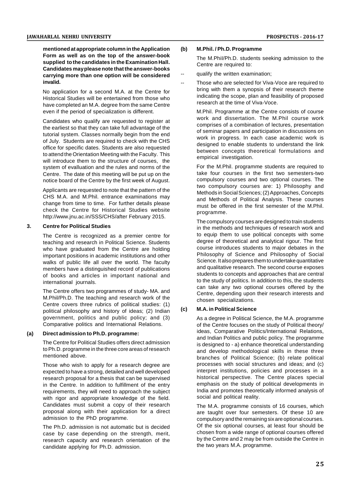**mentioned at appropriate column in the Application Form as well as on the top of the answer-book supplied to the candidates in the Examination Hall. Candidates may please note that the answer-books carrying more than one option will be considered invalid.**

No application for a second M.A. at the Centre for Historical Studies will be entertained from those who have completed an M.A. degree from the same Centre even if the period of specialization is different.

Candidates who qualify are requested to register at the earliest so that they can take full advantage of the tutorial system. Classes normally begin from the end of July. Students are required to check with the CHS office for specific dates. Students are also requested to attend the Orientation Meeting with the Faculty. This will introduce them to the structure of courses, the system of evalluation and the rules and norms of the Centre. The date of this meeting will be put up on the notice board of the Centre by the first week of August.

Applicants are requested to note that the pattern of the CHS M.A. and M.Phil. entrance examinations may change from time to time. For further details please check the Centre for Historical Studies website http://www.jnu.ac.in/SSS/CHS/after February 2015.

#### **3. Centre for Political Studies**

The Centre is recognized as a premier centre for teaching and research in Political Science. Students who have graduated from the Centre are holding important positions in academic institutions and other walks of public life all over the world. The faculty members have a distinguished record of publications of books and articles in important national and international journals.

The Centre offers two programmes of study- MA. and M.Phil/Ph.D. The teaching and research work of the Centre covers three rubrics of political studies:  $(1)$ <br>political philosophy and bictory of ideas:  $(2)$  lodian. political philosophy and history of ideas; (2) Indian government, politics and public policy; and (3) Comparative politics and International Relations.

#### **(a) Direct admission to Ph.D. programme:**

The Centre for Political Studies offers direct admission to Ph.D. programme in the three core areas of research mentioned above.

Those who wish to apply for a research degree are expected to have a strong, detailed and well developed research proposal for a thesis that can be supervised in the Centre. In addition to fulfillment of the entry requirements, they will need to approach the subject with rigor and appropriate knowledge of the field. Candidates must submit a copy of their research proposal along with their application for a direct admission to the PhD programme.

The Ph.D. admission is not automatic but is decided case by case depending on the strength, merit, research capacity and research orientation of the candidate applying for Ph.D. admission.

#### **(b) M.Phil. / Ph.D. Programme**

The M.PhiI/Ph.D. students seeking admission to the Centre are required to:

- qualify the written examination;
- Those who are selected for Viva-Voce are required to bring with them a synopsis of their research theme indicating the scope, plan and feasibility of proposed research at the time of Viva-Voce.

M.Phil. Programme at the Centre consists of course work and dissertation. The M.Phil course work comprises of a combination of lectures, presentation of seminar papers and participation in discussions on work in progress. In each case academic work is designed to enable students to understand the link between concepts theoretical formulations and empirical investigation.

For the M.Phil. programme students are required to take four courses in the first two semesters-two compulsory courses and two optional courses. The two compulsory courses are: 1) Philosophy and Methods in Social Sciences; (2) Approaches, Concepts and Methods of Political Analysis. These courses must be offered in the first semester of the M.Phil. programme.

The compulsory courses are designed to train students in the methods and techniques of research work and to equip them to use political concepts with some degree of theoretical and analytical rigour. The first course introduces students to major debates in the Philosophy of Science and Philosophy of Social Science. It also prepares them to undertake quantitative and qualitative research. The second course exposes students to concepts and approaches that are central to the study of politics. In addition to this, the students can take any two optional courses offered by the Centre, depending upon their research interests and chosen specializations.

#### **(c) M.A. in Political Science**

As a degree in Political Science, the M.A. programme of the Centre focuses on the study of Political theory/ ideas, Comparative Politics/International Relations, and Indian Politics and public policy. The programme is designed to - a) enhance theoretical understanding and develop methodological skills in these three branches of Political Science; (b) relate political processes with social structures and ideas; and (c) interpret institutions, policies and processes in a historical perspective. The Centre places special emphasis on the study of political developments in India and promotes theoretically informed analysis of social and political reality.

The M.A. programme consists of 16 courses, which are taught over four semesters. Of these 10 are compulsory and the remaining six are optional courses. Of the six optional courses, at least four should be chosen from a wide range of optional courses offered by the Centre and 2 may be from outside the Centre in the two years M.A. programme.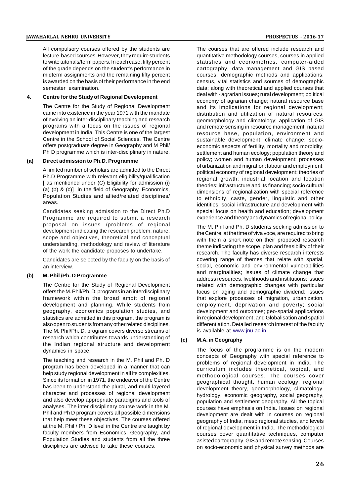#### **JAWAHARLAL NEHRU UNIVERSITY PROSPECTUS - 2016-17**

All compulsory courses offered by the students are lecture-based courses. However, they require students to write tutorials/term papers. In each case, fifty percent of the grade depends on the student's performance in midterm assignments and the remaining fifty percent is awarded on the basis of their performance in the end semester examination.

#### **4. Centre for the Study of Regional Development**

The Centre for the Study of Regional Development came into existence in the year 1971 with the mandate of evolving an inter-disciplinary teaching and research programs with a focus on the issues of regional development in India. This Centre is one of the largest Centre in the School of Social Sciences. The Centre offers postgraduate degree in Geography and M Phil/ Ph D programme which is inter-disciplinary in nature.

#### **(a) Direct admission to Ph.D. Programme**

A limited number of scholars are admitted to the Direct Ph.D Programme with relevant eligibility/qualification [ as mentioned under (C) Eligibility for admission (i) (a) (b) & (c)] in the field of Geography, Economics, Population Studies and allied/related disciplines/ areas.

Candidates seeking admission to the Direct Ph.D Programme are required to submit a research proposal on issues /problems of regional development indicating the research problem, nature, scope and objectives, theoretical and conceptual understanding, methodology and review of literature of the work the candidate proposes to undertake.

Candidates are selected by the faculty on the basis of an interview.

#### **(b) M. Phil /Ph. D Programme**

The Centre for the Study of Regional Development offers the M. Phil/Ph. D. programs in an interdisciplinary framework within the broad ambit of regional development and planning. While students from geography, economics population studies, and statistics are admitted in this program, the program is also open to students from any other related disciplines. The M. Phil/Ph. D. program covers diverse streams of research which contributes towards understanding of (c) the Indian regional structure and development dynamics in space.

The teaching and research in the M. Phil and Ph. D program has been developed in a manner that can help study regional development in all its complexities. Since its formation in 1971, the endeavor of the Centre has been to understand the plural, and multi-layered character and processes of regional development and also develop appropriate paradigms and tools of analyses. The inter disciplinary course work in the M. Phil and Ph D program covers all possible dimensions that help meet these objectives. The courses offered at the M. Phil / Ph. D level in the Centre are taught by faculty members from Economics, Geography, and Population Studies and students from all the three disciplines are advised to take these courses.

The courses that are offered include research and quantitative methodology courses, courses in applied statistics and econometrics, computer-aided cartography, data management and GIS based courses; demographic methods and applications; census, vital statistics and sources of demographic data; along with theoretical and applied courses that deal with - agrarian issues; rural development; political economy of agrarian change; natural resource base and its implications for regional development; distribution and utilization of natural resources; geomorphology and climatology; application of GIS and remote sensing in resource management; natural resource base, population, environment and sustainable development; climate change; socioeconomic aspects of fertility, mortality and morbidity; settlement and human ecology; population theory and policy; women and human development; processes of urbanization and migration; labour and employment; political economy of regional development; theories of regional growth; industrial location and location theories; infrastructure and its financing; socio cultural dimensions of regionalization with special reference to ethnicity, caste, gender, linguistic and other identities; social infrastructure and development with special focus on health and education; development experience and theory and dynamics of regional policy.

The M. Phil and Ph. D students seeking admission to the Centre, at the time of viva voce, are required to bring with them a short note on their proposed research theme indicating the scope, plan and feasibility of their research. The faculty has diverse research interests covering range of themes that relate with spatial, social, economic and environmental vulnerabilities and marginalities; issues of climate change that address resources, livelihoods and institutions; issues related with demographic changes with particular focus on aging and demographic dividend; issues that explore processes of migration, urbanization, employment, deprivation and poverty; social development and outcomes; geo-spatial applications in regional development; and Globalisation and spatial differentiation. Detailed research interest of the faculty is available at www.jnu.ac.in

#### **(c) M.A. in Geography**

The focus of the programme is on the modern concepts of Geography with special reference to problems of regional development in India. The curriculum includes theoretical, topical, and methodological courses. The courses cover geographical thought, human ecology, regional development theory, geomorphology, climatology, hydrology, economic geography, social geography, population and settlement geography. All the topical courses have emphasis on India. Issues on regional development are dealt with in courses on regional geography of India, meso regional studies, and levels of regional development in India. The methodological courses cover quantitative techniques, computer asisted cartography, GIS and remote sensing. Courses on socio-economic and physical survey methods are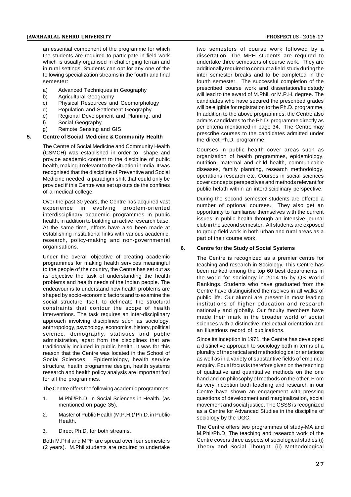an essential component of the programme for which the students are required to participate in field work which is usually organised in challenging terrain and in rural settings. Students can opt for any one of the following specialization streams in the fourth and final semester:

- a) Advanced Techniques in Geography
- b) Agricultural Geography
- c) Physical Resources and Geomorphology
- d) Population and Settlement Geography
- e) Regional Development and Planning, and
- f) Social Geography
- g) Remote Sensing and GIS

#### **5. Centre of Social Medicine & Community Health**

The Centre of Social Medicine and Community Health (CSMCH) was established in order to shape and provide academic content to the discipline of public health, making it relevant to the situation in India. It was recognised that the discipline of Preventive and Social Medicine needed a paradigm shift that could only be provided if this Centre was set up outside the confines of a medical college.

Over the past 30 years, the Centre has acquired vast experience in evolving problem-oriented interdisciplinary academic programmes in public health, in addition to building an active research base. At the same time, efforts have also been made at establishing institutional links with various academic, research, policy-making and non-governmental organisations.

Under the overall objective of creating academic programmes for making health services meaningful to the people of the country, the Centre has set out as its objective the task of understanding the health problems and health needs of the Indian people. The endeavour is to understand how health problems are shaped by socio-economic factors and to examine the social structure itself, to delineate the structural constraints that contour the scope of health interventions. The task requires an inter-disciplinary approach involving disciplines such as sociology, anthropology, psychology, economics, history, political science, demography, statistics and public administration, apart from the disciplines that are traditionally included in public health. It was for this reason that the Centre was located in the School of Social Sciences. Epidemiology, health service structure, health programme design, health systems research and health policy analysis are important foci for all the programmes.

The Centre offers the following academic programmes:

- 1. M.Phil/Ph.D. in Social Sciences in Health. (as mentioned on page 35).
- 2. Master of Public Health (M.P.H.)/ Ph.D. in Public Health.
- 3. Direct Ph.D. for both streams.

Both M.Phil and MPH are spread over four semesters (2 years). M.Phil students are required to undertake two semesters of course work followed by a dissertation. The MPH students are required to undertake three semesters of course work. They are additionally required to conduct a field study during the inter semester breaks and to be completed in the fourth semester. The successful completion of the prescribed course work and dissertation/fieldstudy will lead to the award of M.Phil. or M.P.H. degree. The candidates who have secured the prescribed grades will be eligible for registration to the Ph.D. programme. In addition to the above programmes, the Centre also admits candidates to the Ph.D. programme directly as per criteria mentioned in page 34. The Centre may prescribe courses to the candidates admitted under the direct Ph.D. programme.

Courses in public health cover areas such as organization of health programmes, epidemiology, nutrition, maternal and child health, communicable diseases, family planning, research methodology, operations research etc. Courses in social sciences cover concepts perspectives and methods relevant for public helath within an interdisciplinary perspective.

During the second semester students are offered a number of optional courses. They also get an opportunity to familiarise themselves with the current issues in public health through an intensive journal club in the second semester. All students are exposed to group field work in both urban and rural areas as a part of their course work.

#### **6. Centre for the Study of Social Systems**

The Centre is recognized as a premier centre for teaching and research in Sociology. This Centre has been ranked among the top 60 best departments in the world for sociology in 2014-15 by QS World Rankings. Students who have graduated from the Centre have distinguished themselves in all walks of public life. Our alumni are present in most leading institutions of higher education and research nationally and globally. Our faculty members have made their mark in the broader world of social sciences with a distinctive intellectual orientation and an illustrious record of publications.

Since its inception in 1971, the Centre has developed a distinctive approach to sociology both in terms of a plurality of theoretical and methodological orientations as well as in a variety of substantive fields of empirical enquiry. Equal focus is therefore given on the teaching of qualitative and quantitative methods on the one hand and on philosophy of methods on the other. From its very inception both teaching and research in our Centre have shown an engagement with pressing questions of development and marginalization, social movement and social justice. The CSSS is recognized as a Centre for Advanced Studies in the discipline of sociology by the UGC.

The Centre offers two programmes of study-MA and M.Phil/Ph.D. The teaching and research work of the Centre covers three aspects of sociological studies:(i) Theory and Social Thought; (ii) Methodological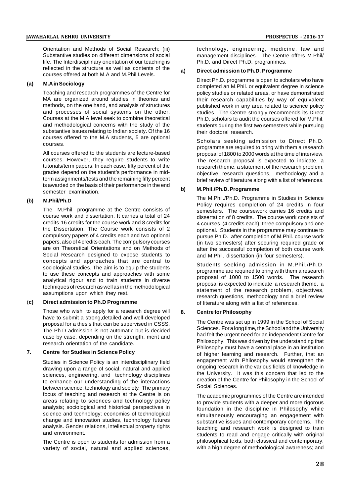Orientation and Methods of Social Research; (iii) Substantive studies on different dimensions of social life. The Interdisciplinary orientation of our teaching is reflected in the structure as well as contents of the a) courses offered at both M.A and M.Phil Levels.

#### **(a) M.A in Sociology**

Teaching and research programmes of the Centre for MA are organized around studies in theories and methods, on the one hand, and analysis of structures and processes of social systems on the other. Courses at the M.A level seek to combine theoretical and methodological concerns with the study of the substantive issues relating to Indian society. Of the 16 courses offered to the M.A students, 5 are optional courses.

All courses offered to the students are lecture-based courses. However, they require students to write tutorials/term papers. In each case, fifty percent of the grades depend on the student's performance in midterm assignments/tests and the remaining fifty percent is awarded on the basis of their performance in the end<br>b semester examination.

#### **(b) M.Phil/Ph.D**

The M.Phil programme at the Centre consists of course work and dissertation. It carries a total of 24 credits-16 credits for the course work and 8 credits for the Dissertation. The Course work consists of 2 compulsory papers of 4 credits each and two optional papers, also of 4 credits each. The compulsory courses are on Theoretical Orientations and on Methods of Social Research designed to expose students to concepts and approaches that are central to sociological studies. The aim is to equip the students to use these concepts and approaches with some analytical rigour and to train students in diverse techniques of research as well as in the methodological assumptions upon which they rest.

#### (**c) Direct admission to Ph.D Programme**

Those who wish to apply for a research degree will have to submit a strong,detailed and well-developed proposal for a thesis that can be supervised in CSSS. The Ph.D admission is not automatic but is decided case by case, depending on the strength, merit and research orientation of the candidate.

#### **7. Centre for Studies in Science Policy**

Studies in Science Policy is an interdisciplinary field drawing upon a range of social, natural and applied sciences, engineering, and technology disciplines to enhance our understanding of the interactions between science, technology and society. The primary focus of teaching and research at the Centre is on areas relating to sciences and technology policy analysis; sociological and historical perspectives in science and technology; economics of technological change and innovation studies, technology futures analysis. Gender relations, intellectual property rights and environment.

The Centre is open to students for admission from a variety of social, natural and applied sciences,

technology, engineering, medicine, law and management disciplines. The Centre offers M.Phil/ Ph.D. and Direct Ph.D. programmes.

#### **a) Direct admission to Ph.D. Programme**

Direct Ph.D. programme is open to scholars who have completed an M.Phil. or equivalent degree in science policy studies or related areas, or have demonstrated their research capabilities by way of equivalent published work in any area related to science policy studies. The Centre strongly recommends its Direct Ph.D. scholars to audit the courses offered for M.Phil. students during the first two semesters while pursuing their doctoral research.

Scholars seeking admission to Direct Ph.D. programme are required to bring with them a research proposal of 1800 to 2000 words at the time of interview. The research proposal is expected to indicate, a research theme, a statement of the research problem, objective, research questions, methodology and a brief review of literature along with a list of references.

#### **b) M.Phil./Ph.D. Programme**

The M.Phil./Ph.D. Programme in Studies in Science Policy requires completion of 24 credits in four semesters. The coursework carries 16 credits and dissertation of 8 credits. The course work consists of 4 courses (4 credits each): three compulsory and one optional. Students in the programme may continue to pursue Ph.D. after completion of M.Phil. course work (in two semesters) after securing required grade or after the successful completion of both course work and M.Phil. dissertation (in four semesters).

Students seeking admission in M.Phil./Ph.D. programme are required to bring with them a research proposal of 1000 to 1500 words. The research proposal is expected to indicate a research theme, a statement of the research problem, objectives, research questions, methodology and a brief review of literature along with a list of references.

#### **8. Centre for Philosophy**

The Centre was set up in 1999 in the School of Social Sciences. For a long time, the School and the University had felt the urgent need for an independent Centre for Philosophy. This was driven by the understanding that Philosophy must have a central place in an institution of higher learning and research. Further, that an engagement with Philosophy would strengthen the ongoing research in the various fields of knowledge in the University. It was this concern that led to the creation of the Centre for Philosophy in the School of Social Sciences.

The academic programmes of the Centre are intended to provide students with a deeper and more rigorous foundation in the discipline in Philosophy while simultaneously encouraging an engagement with substantive issues and contemporary concerns. The teaching and research work is designed to train students to read and engage critically with original philosophical texts, both classical and contemporary, with a high degree of methodological awareness; and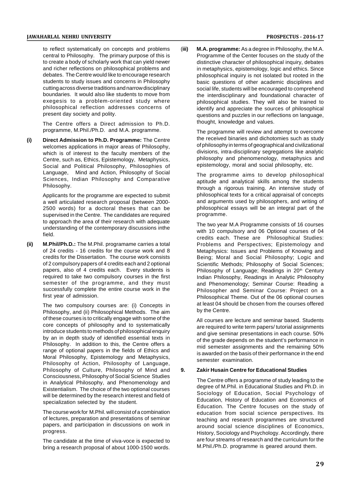to reflect systematically on concepts and problems central to Philosophy. The primary purpose of this is to create a body of scholarly work that can yield newer and richer reflections on philosophical problems and debates. The Centre would like to encourage research students to study issues and concerns in Philosophy cutting across diverse traditions and narrow disciplinary boundaries. It would also like students to move from exegesis to a problem-oriented study where philosophical reflection addresses concerns of present day society and polity.

The Centre offers a Direct admission to Ph.D. programme, M.Phil./Ph.D. and M.A. programme.

**(i) Direct Admission to Ph.D. Programme:** The Centre welcomes applications in major areas of Philosophy, which is of interest to the faculty members of the Centre, such as, Ethics, Epistemology, Metaphysics, Social and Political Philosophy, Philosophies of Language, Mind and Action, Philosophy of Social Sciences, Indian Philosophy and Comparative Philosophy.

> Applicants for the programme are expected to submit a well articulated research proposal (between 2000- 2500 words) for a doctoral theses that can be supervised in the Centre. The candidates are required to approach the area of their research with adequate understanding of the contemporary discussions inthe field.

**(ii) M.Phil/Ph.D.:** The M.Phil. programame carries a total of 24 credits - 16 credits for the course work and 8 credits for the Dissertation. The course work consists of 2 compulsory papers of 4 credits each and 2 optional papers, also of 4 credits each. Every students is required to take two compulsory courses in the first semester of the programme, and they must successfully complete the entire course work in the first year of admission.

> The two compulsory courses are: (i) Concepts in Philosophy, and (ii) Philosophical Methods. The aim of these courses is to critically engage with some of the core concepts of philosophy and to systematically introduce students to methods of philosophical enquiry by an in depth study of identified essential texts in Philosophy. In addition to this, the Centre offers a range of optional papers in the fields of Ethics and Moral Philosophy, Epistemology and Metaphysics, Philosophy of Action, Philosophy of Language, Philosophy of Culture, Philosophy of Mind and 9. Consciousness, Philosophy of Social Science Studies in Analytical Philosophy, and Phenomenology and Existentialism. The choice of the two optional courses will be determined by the research interest and field of specialization selected by the student.

The course work for M.Phil. will consist of a combination of lectures, preparation and presentations of seminar papers, and participation in discussions on work in progress.

The candidate at the time of viva-voce is expected to bring a research proposal of about 1000-1500 words. (**iii) M.A. programme:** As a degree in Philosophy, the M.A. Programme of the Center focuses on the study of the distinctive character of philosophical inquiry, debates in metaphysics, epistemology, logic and ethics. Since philosophical inquiry is not isolated but rooted in the basic questions of other academic disciplines and social life, students will be encouraged to comprehend the interdisciplinary and foundational character of philosophical studies. They will also be trained to identify and appreciate the sources of philosophical questions and puzzles in our reflections on language, thought, knowledge and values.

> The programme will review and attempt to overcome the received binaries and dichotomies such as study of philosophy in terms of geographical and civilizational divisions, intra-disciplinary segregations like analytic philosophy and phenomenology, metaphysics and epistemology, moral and social philosophy, etc.

> The programme aims to develop philosophical aptitude and analytical skills among the students through a rigorous training. An intensive study of philosophical texts for a critical appraisal of concepts and arguments used by philosophers, and writing of philosophical essays will be an integral part of the programme.

> The two year M.A Programme consists of 16 courses with 10 compulsory and 06 Optional courses of 04 credits each. These are Philosophical Studies: Problems and Perspectives; Epistemology and Metaphysics: Issues and Problems of Knowing and Being; Moral and Social Philosophy; Logic and Scientific Methods; Philosophy of Social Sciences; Philosophy of Language; Readings in 20<sup>th</sup> Century Indian Philosophy, Readings in Analytic Philosophy and Phenomenology; Seminar Course: Reading a Philosopher and Seminar Course: Project on a Philosophical Theme. Out of the 06 optional courses at least 04 should be chosen from the courses offered by the Centre.

> All courses are lecture and seminar based. Students are required to write term papers/ tutorial assignments and give seminar presentations in each course. 50% of the grade depends on the student's performance in mid semester assignments and the remaining 50% is awarded on the basis of their performance in the end semester examination.

#### **9. Zakir Husain Centre for Educational Studies**

The Centre offers a programme of study leading to the degree of M.Phil. in Educational Studies and Ph.D. in Sociology of Education, Social Psychology of Education, History of Education and Economics of Education. The Centre focuses on the study of education from social science perspectives. Its teaching and research programmes are structured around social science disciplines of Economics, History, Sociology and Psychology. Accordingly, there are four streams of research and the curriculum for the M.Phil./Ph.D. programme is geared around them.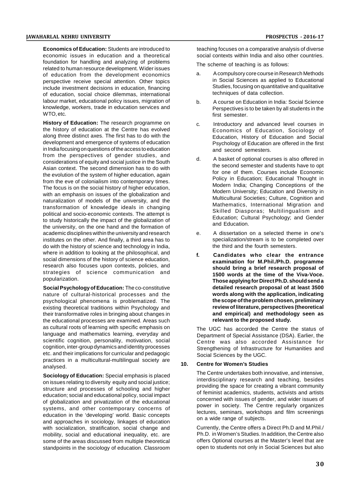**Economics of Education:** Students are introduced to economic issues in education and a theoretical foundation for handling and analyzing of problems related to human resource development. Wider issues of education from the development economics perspective receive special attention. Other topics include investment decisions in education, financing of education, social choice dilemmas, international labour market, educational policy issues, migration of knowledge, workers, trade in education services and WTO, etc.

**History of Education:** The research programme on the history of education at the Centre has evolved along three distinct axes. The first has to do with the development and emergence of systems of education in India focusing on questions of the access to education from the perspectives of gender studies, and considerations of equity and social justice in the South Asian context. The second dimension has to do with the evolution of the system of higher education, again from the eve of colonialism into contemporary times. The focus is on the social history of higher education, with an emphasis on issues of the globalization and naturalization of models of the university, and the transformation of knowledge ideals in changing political and socio-economic contexts. The attempt is to study historically the impact of the globalization of the university, on the one hand and the formation of academic disciplines within the university and research institutes on the other. And finally, a third area has to do with the history of science and technology in India, where in addition to looking at the philosophical, and social dimensions of the history of science education, research also focuses upon contexts, policies, and strategies of science communication and popularization.

**Social Psychology of Education:** The co-constitutive nature of cultural-historical processes and the psychological phenomena is problematized. The existing theoretical traditions within Psychology and their transformative roles in bringing about changes in the educational processes are examined. Areas such as cultural roots of learning with specific emphasis on language and mathematics learning, everyday and scientific cognition, personality, motivation, social cognition, inter-group dynamics and identity processes etc. and their implications for curricular and pedagogic practices in a multicultural-multilingual society are <br> **10.** analysed.

**Sociology of Education:** Special emphasis is placed on issues relating to diversity equity and social justice; structure and processes of schooling and higher education; social and educational policy, social impact of globalization and privatization of the educational systems, and other contemporary concerns of education in the 'developing' world. Basic concepts and approaches in sociology, linkages of education with socialization, stratification, social change and mobility, social and educational inequality, etc. are some of the areas discussed from multiple theoretical standpoints in the sociology of education. Classroom teaching focuses on a comparative analysis of diverse social contexts within India and also other countries.

The scheme of teaching is as follows:

- a. A compulsory core course in Research Methods in Social Sciences as applied to Educational Studies, focusing on quantitative and qualitative techniques of data collection.
- b. A course on Education in India: Social Science Perspectives is to be taken by all students in the first semester
- c. Introductory and advanced level courses in Economics of Education, Sociology of Education, History of Education and Social Psychology of Education are offered in the first and second semesters.
- d. A basket of optional courses is also offered in the second semester and students have to opt for one of them. Courses include Economic Policy in Education; Educational Thought in Modern India; Changing Conceptions of the Modern University; Education and Diversity in Multicultural Societies; Culture, Cognition and Mathematics, International Migration and Skilled Diasporas; Multilingualism and Education; Cultural Psychology; and Gender and Education.
- e. A dissertation on a selected theme in one's specialization/stream is to be completed over the third and the fourth semesters.
- **f. Candidates who clear the entrance examination for M.Phil./Ph.D. programme should bring a brief research proposal of 1500 words at the time of the Viva-Voce. Those applying for Direct Ph.D. should send a detailed research proposal of at least 3500 words along with the application, indicating the scope of the problem chosen, preliminary review of literature, perspectives (theoretical and empirical) and methodology seen as relevant to the proposed study.**

The UGC has accorded the Centre the status of Department of Special Assistance (DSA). Earlier, the Centre was also accorded Assistance for Strengthening of Infrastructure for Humanities and Social Sciences by the UGC.

#### **10. Centre for Women's Studies**

The Centre undertakes both innovative, and intensive, interdisciplinary research and teaching, besides providing the space for creating a vibrant community of feminist academics, students, activists and artists concerned with issues of gender, and wider issues of power in society. The Centre regularly organizes lectures, seminars, workshops and film screenings on a wide range of subjects.

Currently, the Centre offers a Direct Ph.D and M.Phil./ Ph.D. in Women's Studies. In addition, the Centre also offers Optional courses at the Master's level that are open to students not only in Social Sciences but also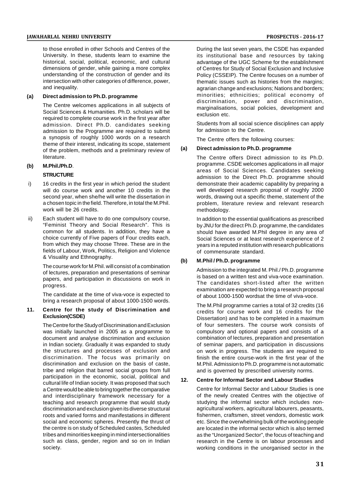#### **JAWAHARLAL NEHRU UNIVERSITY PROSPECTUS - 2016-17**

to those enrolled in other Schools and Centres of the University. In these, students learn to examine the historical, social, political, economic, and cultural dimensions of gender, while gaining a more complex understanding of the construction of gender and its intersection with other categories of difference, power, and inequality.

#### **(a) Direct admission to Ph.D. programme**

The Centre welcomes applications in all subjects of Social Sciences & Humanities. Ph.D. scholars will be required to complete course work in the first year after admission. Direct Ph.D. candidates seeking admission to the Programme are required to submit a synopsis of roughly 1000 words on a research theme of their interest, indicating its scope, statement<br>of the problem, methods and a proliminary review of (a) of the problem, methods and a preliminary review of literature.

## **(b) M.Phil./Ph.D**.

#### **STRUCTURE**

- i) 16 credits in the first year in which period the student will do course work and another 10 credits in the second year, when she/he will write the dissertation in a chosen topic in the field. Therefore, in total the M.Phil. work will be 26 credits.
- ii) Each student will have to do one compulsory course, "Feminist Theory and Social Research". This is common for all students. In addition, they have a choice currently of Five papers of Four credits each, from which they may choose Three. These are in the fields of Labour, Work, Politics, Religion and Violence & Visuality and Ethnography.

The course work for M.Phil. will consist of a combination of lectures, preparation and presentations of seminar papers, and participation in discussions on work in progress.

The candidate at the time of viva-voce is expected to bring a research proposal of about 1000-1500 words.

#### **11. Centre for the study of Discrimination and Exclusion(CSDE)**

The Centre for the Study of Discrimination and Exclusion was initially launched in 2005 as a programme to document and analyse discrimination and exclusion in Indian society. Gradually it was expanded to study the structures and processes of exclusion and discrimination. The focus was primarily on discrimination and exclusion on the basis of caste, tribe and religion that barred social groups from full participation in the economic, social, political and cultural life of Indian society. It was proposed that such a Centre would be able to bring together the comparative and interdisciplinary framework necessary for a teaching and research programme that would study discrimination and exclusion given its diverse structural roots and varied forms and manifestations in different social and economic spheres. Presently the thrust of the centre is on study of Scheduled castes, Scheduled tribes and minorities keeping in mind intersectionalities such as class, gender, region and so on in Indian society.

During the last seven years, the CSDE has expanded its institutional base and resources by taking advantage of the UGC Scheme for the establishment of Centres for Study of Social Exclusion and Inclusive Policy (CSSEIP). The Centre focuses on a number of thematic issues such as histories from the margins; agrarian change and exclusions; Nations and borders; minorities; ethnicities; political economy of discrimination, power and discrimination, marginalisations, social policies, development and exclusion etc.

Students from all social science disciplines can apply for admission to the Centre.

The Centre offers the following courses:

#### **(a) Direct admission to Ph.D. programme**

The Centre offers Direct admission to its Ph.D. programme. CSDE welcomes applications in all major areas of Social Sciences. Candidates seeking admission to the Direct Ph.D. programme should demonstrate their academic capability by preparing a well developed research proposal of roughly 2000 words, drawing out a specific theme, statement of the problem, literature review and relevant research methodology.

In addition to the essential qualifications as prescribed by JNU for the direct Ph.D. programme, the candidates should have awarded M.Phil degree in any area of Social Sciences or at least research experience of 2 years in a reputed institution with research publications of commensurate standard.

#### **(b) M.Phil / Ph.D. programme**

Admission to the integrated M. Phil./ Ph.D. programme is based on a written test and viva-voce examination. The candidates short-listed after the written examination are expected to bring a research proposal of about 1000-1500 wordsat the time of viva-voce.

The M.Phil programme carries a total of 32 credits (16 credits for course work and 16 credits for the Dissertation) and has to be completed in a maximum of four semesters. The course work consists of compulsory and optional papers and consists of a combination of lectures, preparation and presentation of seminar papers, and participation in discussions on work in progress. The students are required to finish the entire course-work in the first year of the M.Phil. Admission to Ph.D. programme is not automatic and is governed by prescribed university norms.

#### **12. Centre for Informal Sector and Labour Studies**

Centre for Informal Sector and Labour Studies is one of the newly created Centres with the objective of studying the informal sector which includes nonagricultural workers, agricultural labourers, peasants, fishermen, craftsmen, street vendors, domestic work etc. Since the overwhelming bulk of the working people are located in the informal sector which is also termed as the "Unorganized Sector", the focus of teaching and research in the Centre is on labour processes and working conditions in the unorganised sector in the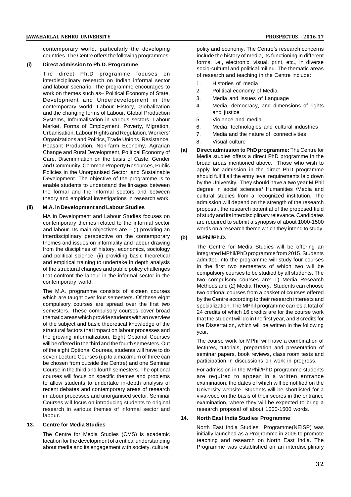contemporary world, particularly the developing countries. The Centre offers the following programmes:

#### **(i) Direct admission to Ph.D. Programme**

The direct Ph.D programme focuses on interdisciplinary research on Indian informal sector and labour scenario. The programme encourages to work on themes such as– Political Economy of State, Development and Underdevelopment in the contemporary world, Labour History, Globalization and the changing forms of Labour, Global Production Systems, Informalisation in various sectors, Labour Market, Forms of Employment, Poverty, Migration, Urbanisation, Labour Rights and Regulation, Workers' Organizations and Politics, Trade Unions, Resistance, Peasant Production, Non-farm Economy, Agrarian<br>Change and Bural Dovelopment Political Economy of (a) Change and Rural Development, Political Economy of Care, Discrimination on the basis of Caste, Gender and Community, Common Property Resources, Public Policies in the Unorganised Sector, and Sustainable Development. The objective of the programme is to enable students to understand the linkages between the formal and the informal sectors and between theory and empirical investigations in research work.

#### **(ii) M.A. in Development and Labour Studies**

MA in Development and Labour Studies focuses on contemporary themes related to the informal sector and labour. Its main objectives are  $-$  (i) providing an interdisciplinary perspective on the contemporary (b) themes and issues on informality and labour drawing from the disciplines of history, economics, sociology and political science, (ii) providing basic theoretical and empirical training to undertake in depth analysis of the structural changes and public policy challenges that confront the labour in the informal sector in the contemporary world.

The M.A. programme consists of sixteen courses which are taught over four semesters. Of these eight compulsory courses are spread over the first two semesters. These compulsory courses cover broad thematic areas which provide students with an overview of the subject and basic theoretical knowledge of the structural factors that impact on labour processes and the growing informalization. Eight Optional Courses will be offered in the third and the fourth semesters. Out of the eight Optional Courses, students will have to do seven Lecture Courses (up to a maximum of three can be chosen from outside the Centre) and one Seminar Course in the third and fourth semesters. The optional courses will focus on specific themes and problems to allow students to undertake in-depth analysis of recent debates and contemporary areas of research in labour processes and unorganised sector. Seminar Courses will focus on introducing students to original research in various themes of informal sector and labour.

#### **13. Centre for Media Studies**

The Centre for Media Studies (CMS) is academic location for the development of a critical understanding about media and its engagement with society, culture,

polity and economy. The Centre's research concerns include the history of media, its functioning in different forms, i.e., electronic, visual, print, etc., in diverse socio-cultural and political milieu. The thematic areas of research and teaching in the Centre include:

- 1. Histories of media
- 2. Political economy of Media
- 3. Media and issues of Language
- 4. Media, democracy, and dimensions of rights and justice
- 5. Violence and media
- 6. Media, technologies and cultural industries
- 7. Media and the nature of connectivities
- 8. Visual culture
- **(a) Direct admission to PhD programme:** The Centre for Media studies offers a direct PhD programme in the broad areas mentioned above. Those who wish to apply for admission in the direct PhD programme should fulfill all the entry level requirements laid down by the University. They should have a two year M.Phil degree in social sciences/ Humanities /Media and cultural studies from a recognized institution. The admission will depend on the strength of the research proposal, the research potential of the proposed field of study and its interdisciplinary relevance. Candidates are required to submit a synopsis of about 1000-1500 words on a research theme which they intend to study.

#### **(b) M.Phil/Ph.D.**

The Centre for Media Studies will be offering an integrated MPhil/PhD programme from 2015. Students admitted into the programme will study four courses in the first two semesters of which two will be compulsory courses to be studied by all students. The two compulsory courses are: 1) Media Research Methods and (2) Media Theory. Students can choose two optional courses from a basket of courses offered by the Centre according to their research interests and specialization. The MPhil programme carries a total of 24 credits of which 16 credits are for the course work that the student will do in the first year, and 8 credits for the Dissertation, which will be written in the following year.

The course work for MPhil will have a combination of lectures, tutorials, preparation and presentation of seminar papers, book reviews, class room tests and participation in discussions on work in progress.

For admission in the MPhil/PhD programme students are required to appear in a written entrance examination, the dates of which will be notified on the University website. Students will be shortlisted for a viva-voce on the basis of their scores in the entrance examination, where they will be expected to bring a research proposal of about 1000-1500 words.

#### **14. North East India Studies Programme**

North East India Studies Programme(NEISP) was initially launched as a Programme in 2006 to promote teaching and research on North East India. The Programme was established on an interdisciplinary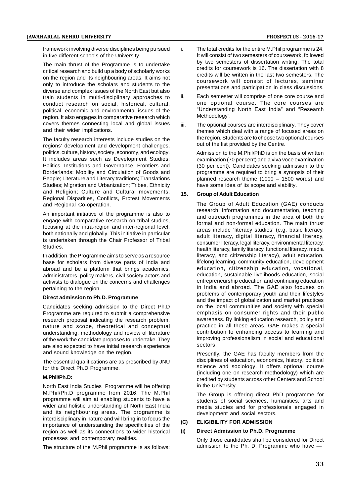framework involving diverse disciplines being pursued in five different schools of the University.

The main thrust of the Programme is to undertake critical research and build up a body of scholarly works on the region and its neighbouring areas. It aims not only to introduce the scholars and students to the diverse and complex issues of the North East but also<br>train students in multi-disciplinary approaches to ii. train students in multi-disciplinary approaches to conduct research on social, historical, cultural, political, economic and environmental issues of the region. It also engages in comparative research which covers themes connecting local and global issues iii. and their wider implications.

The faculty research interests include studies on the regions' development and development challenges, politics, culture, history, society, economy, and ecology. It includes areas such as Development Studies; Politics, Institutions and Governance; Frontiers and Borderlands; Mobility and Circulation of Goods and People; Literature and Literary traditions; Translations Studies; Migration and Urbanization; Tribes, Ethnicity and Religion; Culture and Cultural movements; 15. Regional Disparities, Conflicts, Protest Movements and Regional Co-operation.

An important initiative of the programme is also to engage with comparative research on tribal studies, focusing at the intra-region and inter-regional level, both nationally and globally. This initiative in particular is undertaken through the Chair Professor of Tribal Studies.

In addition, the Programme aims to serve as a resource base for scholars from diverse parts of India and abroad and be a platform that brings academics, administrators, policy makers, civil society actors and activists to dialogue on the concerns and challenges pertaining to the region.

#### **Direct admission to Ph.D. Programme**

Candidates seeking admission to the Direct Ph.D Programme are required to submit a comprehensive research proposal indicating the research problem, nature and scope, theoretical and conceptual understanding, methodology and review of literature of the work the candidate proposes to undertake. They are also expected to have initial research experience and sound knowledge on the region.

The essential qualifications are as prescribed by JNU for the Direct Ph.D Programme.

#### **M.Phil/Ph.D:**

North East India Studies Programme will be offering M.Phil/Ph.D programme from 2016. The M.Phil programme will aim at enabling students to have a wider and holistic understanding of North East India and its neighbouring areas. The programme is interdisciplinary in nature and will bring in to focus the importance of understanding the specificities of the region as well as its connections to wider bistorical  $\overrightarrow{0}$ region as well as its connections to wider historical processes and contemporary realities.

The structure of the M.Phil programme is as follows:

- The total credits for the entire M.Phil programme is 24. It will consist of two semesters of coursework, followed by two semesters of dissertation writing. The total credits for coursework is 16. The dissertation with 8 credits will be written in the last two semesters. The coursework will consist of lectures, seminar presentations and participation in class discussions.
- Each semester will comprise of one core course and one optional course. The core courses are "Understanding North East India" and "Research Methodology".
- The optional courses are interdisciplinary. They cover themes which deal with a range of focused areas on the region. Students are to choose two optional courses out of the list provided by the Centre.

Admission to the M.Phil/PhD is on the basis of written examination (70 per cent) and a viva voce examination (30 per cent). Candidates seeking admission to the programme are required to bring a synopsis of their planned research theme (1000 – 1500 words) and have some idea of its scope and viability.

#### **15. Group of Adult Education**

The Group of Adult Education (GAE) conducts research, information and documentation, teaching and outreach programmes in the area of both the formal and non-formal education. The main thrust areas include 'literacy studies' (e.g. basic literacy, adult literacy, digital literacy, financial literacy, consumer literacy, legal literacy, environmental literacy, health literacy, family literacy, functional literacy, media literacy, and citizenship literacy), adult education, lifelong learning, community education, development education, citizenship education, vocational, education, sustainable livelihoods education, social entrepreneurship education and continuing education in India and abroad. The GAE also focuses on problems of contemporary youth and their lifestyles and the impact of globalization and market practices on the local communities and society with special emphasis on consumer rights and their public awareness. By linking education research, policy and practice in all these areas, GAE makes a special contribution to enhancing access to learning and improving professionalism in social and educational sectors.

Presently, the GAE has faculty members from the disciplines of education, economics, history, political science and sociology. It offers optional course (including one on research methodology) which are credited by students across other Centers and School in the University.

The Group is offering direct PhD programme for students of social sciences, humanities, arts and media studies and for professionals engaged in development and social sectors.

#### **(C) ELIGIBILITY FOR ADMISSION**

#### **(i) Direct Admission to Ph.D. Programme**

Only those candidates shall be considered for Direct admission to the Ph. D. Programme who have —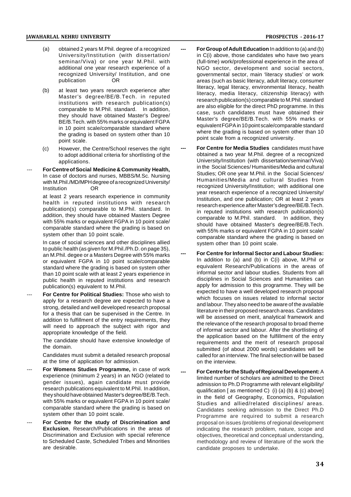- (a) obtained 2 years M.Phil. degree of a recognized University/Institution (with dissertation/ seminar/Viva) or one year M.Phil. with additional one year research experience of a recognized University/ Institution, and one publication OR
- (b) at least two years research experience after Master's degree/BE/B.Tech. in reputed institutions with research publication(s) comparable to M.Phil. standard. In addition, they should have obtained Master's Degree/ BE/B.Tech. with 55% marks or equivalent FGPA in 10 point scale/comparable standard where the grading is based on system other than 10 point scale.
- (c) However, the Centre/School reserves the right to adopt additional criteria for shortlisting of the applications.
- For Centre of Social Medicine & Community Health, In case of doctors and nurses, MBBS/M.Sc. Nursing with M.Phil./MD/MPH degree of a recognized University/ Institution OR

at least 2 years research experience in community health in reputed institutions with research publication(s) comparable to M.Phil. standard. In addition, they should have obtained Masters Degree with 55% marks or equivalent FGPA in 10 point scale/ comparable standard where the grading is based on system other than 10 point scale.

In case of social sciences and other disciplines allied to public health (as given for M.Phil./Ph.D. on page 35), an M.Phil. degee or a Masters Degree with 55% marks or equivalent FGPA in 10 point scale/comparable standard where the grading is based on system other than 10 point scale with at least 2 years experience in public health in reputed institutions and research publication(s) equivalent to M.Phil.

**For Centre for Political Studies: Those who wish to** apply for a research degree are expected to have a strong, detailed and well developed research proposal for a thesis that can be supervised in the Centre. In addition to fulfillment of the entry requirements, they will need to approach the subject with rigor and appropriate knowledge of the field.

> The candidate should have extensive knowledge of the domain.

> Candidates must submit a detailed research proposal at the time of application for admission.

- For Womens Studies Programme, in case of work experience (minimum 2 years) in an NGO (related to gender issues), again candidate must provide research publications equivalent to M.Phil. In addition, they should have obtained Master's degree/BE/B.Tech. with 55% marks or equivalent FGPA in 10 point scale/ comparable standard where the grading is based on system other than 10 point scale.
- For Centre for the study of Discrimination and **Exclusion**, Research/Publications in the areas of Discrimination and Exclusion with special reference to Scheduled Caste, Scheduled Tribes and Minorities are desirable.
- **For Group of Adult Education** In addition to (a) and (b) in C(i) above, those candidates who have two years (full-time) work/professional experience in the area of NGO sector, development and social sectors, governmental sector, main 'literacy studies' or work areas (such as basic literacy, adult literacy, consumer literacy, legal literacy, environmental literacy, health literacy, media literacy, citizenship literacy) with research publication(s) comparable to M.Phil. standard are also eligible for the direct PhD programme. In this case, such candidates must have obtained their Master's degree/BE/B.Tech. with 55% marks or equivalent FGPA in 10 point scale/comparable standard where the grading is based on system other than 10 point scale from a recognized university.
- **For Centre for Media Studies** candidates must have obtained a two year M.Phil. degree of a recognized University/Institution (with dissertation/seminar/Viva) in the Social Sciences/ Humanities/Media and cultural Studies; OR one year M.Phil. in the Social Sciences/ Humanities/Media and cultural Studies from recognized University/Institution; with additional one year research experience of a recognized University/ Institution, and one publication; OR at least 2 years research experience after Master's degree/BE/B.Tech. in reputed institutions with research publication(s) comparable to M.Phil. standard. In addition, they should have obtained Master's degree/BE/B.Tech. with 55% marks or equivalent FGPA in 10 point scale/ comparable standard where the grading is based on system other than 10 point scale.
- **For Centre for Informal Sector and Labour Studies:** In addition to (a) and (b) in C(i) above, M.Phil or equivalent Research/Publications in the areas of informal sector and labour studies. Students from all disciplines in Social Sciences and Humanities can apply for admission to this programme. They will be expected to have a well developed research proposal which focuses on issues related to informal sector and labour. They also need to be aware of the available literature in their proposed research areas. Candidates will be assessed on merit, analytical framework and the relevance of the research proposal to broad theme of informal sector and labour. After the shortlisting of the application based on the fulfillment of the entry requirements and the merit of research proposal submitted (of about 2000 words) candidates will be called for an interview. The final selection will be based on the interview.
- **For Centre for the Study of Regional Development:** A limited number of scholars are admitted to the Direct admission to Ph.D Programme with relevant eligibility/ qualification [ as mentioned C) (i) (a) (b) & (c) above] in the field of Geography, Economics, Population Studies and allied/related disciplines/ areas. Candidates seeking admission to the Direct Ph.D Programme are required to submit a research proposal on issues /problems of regional development indicating the research problem, nature, scope and objectives, theoretical and conceptual understanding, methodology and review of literature of the work the candidate proposes to undertake.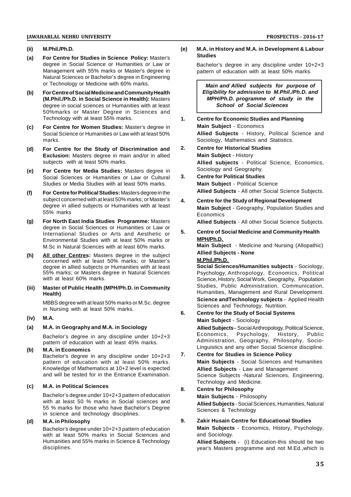#### **(ii) M.Phil./Ph.D.**

- **(a) For Centre for Studies in Science Policy:** Master's degree in Social Science or Humanities or Law or Management with 55% marks or Master's degree in Natural Sciences or Bachelor's degree in Engineering or Technology or Medicine with 60% marks.
- **(b) For Centre of Social Medicine and Community Health (M.Phil./Ph.D. in Social Science in Health):** Masters degree in social sciences or Humanities with at least 50%marks or Master Degree in Sciences and Technology with at least 55% marks.
- **(c) For Centre for Women Studies:** Master's degree in Social Science or Humanities or Law with at least 50% marks.
- **(d) For Centre for the Study of Discrimination and Exclusion:** Masters degree in main and/or in allied subjects with at least 50% marks.
- **(e) For Centre for Media Studies:** Masters degree in Social Sciences or Humanities or Law or Cultural Studies or Media Studies with at least 50% marks.
- **(f) For Centre for Political Studies:** Masters degree in the subject concerned with at least 50% marks; or Master's  $\overline{a}$ . degree in allied subjects or Humanities with at least 55% marks
- **(g) For North East India Studies Programme:** Masters degree in Social Sciences or Humanities or Law or<br>International Studies or Arts and Assisting or 5. International Studies or Arts and Aesthetic or Environmental Studies with at least 50% marks or M.Sc in Natural Sciences with at least 60% marks.
- **(h) All other Centres:** Masters degree in the subject concerned with at least 50% marks; or Master's degree in allied subjects or Humanities with at least 55% marks; or Masters degree in Natural Sciences with at least 60% marks.
- **(iii) Master of Public Health (MPH/Ph.D. in Community Health)**

MBBS degree with at least 50% marks or M.Sc. degree in Nursing with at least 50% marks.

- **(iv) M.A.**
- **(a) M.A. in Geography and M.A. in Sociology**

Bachelor's degree in any discipline under 10+2+3 pattern of education with at least 45% marks.

**(b) M.A. in Economics**  $B$ achelor's degree in any discipline under  $10+2+3$  7.

pattern of education with at least 50% marks. Knowledge of Mathematics at 10+2 level is expected and will be tested for in the Entrance Examination.

## **(c) M.A. in Political Sciences**

Bachelor's degree under 10+2+3 pattern of education with at least 50 % marks in Social sciences and 55 % marks for those who have Bachelor's Degree in science and technology disciplines.

## **(d) M.A. in Philosophy**

Bachelor's degree under 10+2+3 pattern of education with at least 50% marks in Social Sciences and Humanities and 55% marks in Science & Technology disciplines.

#### **(e) M.A. in History and M.A. in Development & Labour Studies**

Bachelor's degree in any discipline under 10+2+3 pattern of education with at least 50% marks.

*Main and Allied subjects for purpose of Eligibility for admission to M.Phil./Ph.D. and MPH/Ph.D. programme of study in the School of Social Sciences*

- **1. Centre for Economic Studies and Planning Main Subject** - Economics **Allied Subjects** - History, Political Science and Sociology, Mathematics and Statistics.
- **2. Centre for Historical Studies Main Subject** - History **Allied subjects** - Political Science, Economics, Sociology and Geography.
- **3. Centre for Political Studies Main Subject** - Political Science **Allied Subjects** - All other Social Science Subjects.
- **4. Centre for the Study of Regional Development Main Subject** - Geography, Population Studies and Economics

**Allied Subjects** - All other Social Science Subjects.

**5. Centre of Social Medicine and Community Health MPH/Ph.D.**

**Main Subject** - Medicine and Nursing (Allopathic) **Allied Subjects - None**

#### **M.Phil./Ph.D.**

**Social Sciences/Humanities subjects** - Sociology, Psychology, Anthropology, Economics, Political Science, History, Social Work, Geography, Population Studies, Public Administration, Communication, Humanities, Management and Rural Development. **Science andTechnology subjects** - Applied Health Sciences and Technology, Nutrition.

**6. Centre for the Study of Social Systems Main Subject** - Sociology

**Allied Subjects -** Social Anthropology, Political Science,<br>Economics. Psychology. History. Public Psychology, History, Administration, Geography, Philosophy, Socio-Linguistics and any other Social Science discipline.

- **7. Centre for Studies in Science Policy Main Subjects** - Social Sciences and Humanities **Allied Subjects** - Law and Management Science Subjects -Natural Sciences, Engineering, Technology and Medicine.
- **8. Centre for Philosophy Main Subjects** - Philosophy **Allied Subjects** - Social Sciences, Humanities, Natural Sciences & Technology

## **9. Zakir Husain Centre for Educational Studies**

**Main Subjects** - Economics, History, Psychology, and Sociology.

**Allied Subjects** - (i) Education-this should be two year's Masters programme and not M.Ed.,which is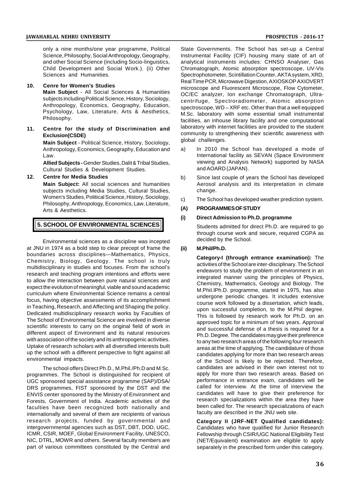only a nine months/one year programme, Political Science, Philosophy, Social Anthropology, Geography, and other Social Science (including Socio-linguistics, Child Development and Social Work.). (ii) Other Sciences and Humanities.

#### **10. Cenre for Women's Studies**

**Main Subject** - All Social Sciences & Humanities subjects including Political Science, History, Sociology, Anthropology, Economics, Geography, Education, Psychology, Law, Literature, Arts & Aesthetics, Philosophy.

**11. Centre for the study of Discrimination and Exclusion(CSDE)**

> **Main Subject** - Political Science, History, Sociology, Anthropology, Economics, Geography, Education and Law.

**Allied Subjects -**Gender Studies, Dalit & Tribal Studies, Cultural Studies & Development Studies.

#### **12. Centre for Media Studies**

**Main Subject:** All social sciences and humanities subjects including Media Studies, Cultural Studies, Women's Studies, Political Science, History, Sociology, Philosophy, Anthropology, Economics, Law, Literature, (A) Arts & Aesthetics.

## **5. SCHOOL OF ENVIRONMENTAL SCIENCES**

Environmental sciences as a discipline was incepted at JNU in 1974 as a bold step to clear precept of frame the boundaries across disciplines—Mathematics, Physics, Chemistry, Biology, Geology. The school is truly multidisciplinary in studies and focuses. From the school's research and teaching program intentions and efforts were to allow the interaction between pure natural sciences and expect the evolution of meaningful, viable and sound academic curriculum where Environmental Science remains a central focus, having objective assessments of its accomplishment in Teaching, Research, and Affecting and Shaping the policy. Dedicated multidisciplinary research works by Faculties of The School of Environmental Science are involved in diverse scientific interests to carry on the original field of work in different aspect of Environment and its natural resources with association of the society and its anthropogenic activities. Uptake of research scholars with all diversified interests built up the school with a different perspective to fight against all environmental impacts.

The school offers Direct Ph.D., M.Phil./Ph.D and M.Sc. programmes. The School is distinguished for recipient of UGC sponsored special assistance programme (SAP)/DSA/ DRS programmes, FIST sponsored by the DST and the ENVIS center sponsored by the Ministry of Environment and Forests, Government of India. Academic activities of the faculties have been recognized both nationally and internationally and several of them are recipients of various research projects, funded by governmental and intergovernmental agencies such as DST, DBT, DOD, UGC, ICMR, CSIR, MOEF, Global Environment Facility, UNESCO, NIC, DTRL, MOWR and others. Several faculty members are part of various committees constituted by the Central and

State Governments. The School has set-up a Central Instrumental Facility (CIF) housing many state of art of analytical instruments includes: CHNSO Analyser, Gas Chromatograph, Atomic absorption spectroscope, UV-Vis Spectrophotometer, Scintillation Counter, AKTA system, XRD, Real Time PCR, Microwave Digestion, AXIOSKOP AXIOVERT microscope and Fluorescent Microscope, Flow Cytometer, OC/EC analyzer, Ion exchange Chromatograph, Ultracentrifuge, Spectroradiometer, Atomic absorption spectroscope, WD – XRF etc. Other than that a well equipped M.Sc. laboratory with some essential small instrumental facilities, an inhouse library facility and one computational laboratory with internet facilities are provided to the student community to strengthening their scientific awareness with global challenges.

- In 2010 the School has developed a mode of International facility as SEVAN (Space Environment viewing and Analysis Network) supported by NASA and AOARD (JAPAN).
- b) Since last couple of years the School has developed Aerosol analysis and its interpretation in climate change.
- The School has developed weather prediction system.

#### **(A) PROGRAMMES OF STUDY**

#### **(i) Direct Admission to Ph.D. programme**

Students admitted for direct Ph.D. are required to go through course work and secure, required CGPA as decided by the School.

#### **(ii) M.PhiI/Ph.D.**

**Category-I (through entrance examination):** The activities of the School are inter-disciplinary. The School endeavors to study the problem of environment in an integrated manner using the principles of Physics, Chemistry, Mathematics, Geology and Biology. The M.PhiI.lPh.D. programme, started in 1975, has also undergone periodic changes. It includes extensive course work followed by a dissertation, which leads, upon successful completion, to the M.Phil degree. This is followed by research work for Ph.D. on an approved topic for a minimum of two years. Approval and successful defense of a thesis is required for a Ph.D. Degree. The candidates may give their preference to any two research areas of the following four research areas at the time of applying. The candidature of those candidates applying for more than two research areas of the School is likely to be rejected. Therefore, candidates are advised in their own interest not to apply for more than two research areas. Based on performance in entrance exam, candidates will be called for interview. At the time of interview the candidates will have to give their preference for research specializations within the area they have been called for. The research specializations of each faculty are described in the JNU web site.

**Category II (JRF-NET Qualified candidates):** Candidates who have qualified for Junior Research Fellowship through CSIR/UGC National Eligibility Test (NET/Equivalent) examination are eligible to apply separately in the prescribed form under this category.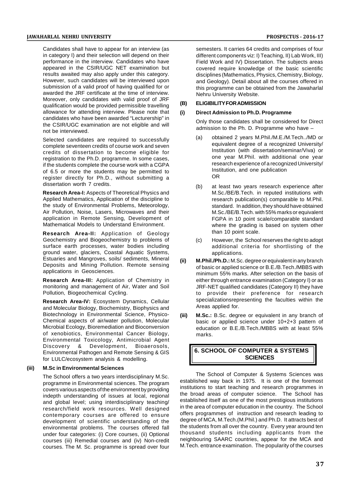Candidates shall have to appear for an interview (as in category I) and their selection will depend on their performance in the interview. Candidates who have appeared in the CSIR/UGC NET examination but results awaited may also apply under this category. However, such candidates will be interviewed upon submission of a valid proof of having qualified for or awarded the JRF certificate at the time of interview. Moreover, only candidates with valid proof of JRF<br>qualification would be provided permissible travelling (B) qualification would be provided permissible travelling allowance for attending interview. Please note that (i) candidates who have been awarded "Lecturership" in the CSIR/UGC examination are not eligible and will not be interviewed.

Selected candidates are required to successfully complete seventeen credits of course work and seven credits of dissertation to become eligible for registration to the Ph.D. programme. In some cases, if the students complete the course work with a CGPA of 6.5 or more the students may be permitted to register directly for Ph.D., without submitting a dissertation worth 7 credits.

**Research Area-I:** Aspects of Theoretical Physics and Applied Mathematics, Application of the discipline to the study of Environmental Problems, Meteorology, Air Pollution, Noise, Lasers, Microwaves and their application in Remote Sensing, Development of Mathematical Models to Understand Environment.

**Research Area-II:** Application of Geology Geochemistry and Biogeochemistry to problems of surface earth processes, water bodies including ground water, glaciers, Coastal Aquatic Systems, Estuaries and Mangroves, soils/ sediments, Mineral Estuaries and Mangroves, soils/ sediments, Mineral (ii)<br>Deposits and Mining Pollution. Remote sensing applications in Geosciences.

**Research Area-III:** Application of Chemistry in monitoring and management of Air, Water and Soil Pollution, Biogeochemical Cycling.

**Research Area-IV:** Ecosystem Dynamics, Cellular and Molecular Biology, Biochemistry, Biophysics and Biotechnology in Environmental Science, Physico-Chemical aspects of air/water pollution, Molecular Microbial Ecology, Bioremediation and Bioconversion of xenobiotics, Environmental Cancer Biology, Environmental Toxicology, Antimicrobial Agent Discovery & Development, Bioaerosols, Environmental Pathogen and Remote Sensing & GIS for LULC/ecosystem analysis & modelling.

#### **(iii) M.Sc in Environmental Sciences**

The School offers a two years interdisciplinary M.Sc. programme in Environmental sciences. The program covers various aspects of the environment by providing indepth understanding of issues at local, regional and global level; using interdisciplinary teaching/ research/field work resources. Well designed contemporary courses are offered to ensure development of scientific understanding of the environmental problems. The courses offered fall under four categories: (i) Core courses, (ii) Optional courses (iii) Remedial courses and (iv) Non-credit courses. The M. Sc. programme is spread over four

semesters. It carries 64 credits and comprises of four different components viz: I) Teaching, II) Lab Work, III) Field Work and IV) Dissertation. The subjects areas covered require knowledge of the basic scientific disciplines (Mathematics, Physics, Chemistry, Biology, and Geology). Detail about all the courses offered in this programme can be obtained from the Jawaharlal Nehru University Website.

#### **(B) ELIGIBILITY FOR ADMISSION**

#### **(i) Direct Admission to Ph.D. Programme**

Only those candidates shall be considered for Direct admission to the Ph. D. Programme who have –

- (a) obtained 2 years M.Phil./M.E./M.Tech../MD or equivalent degree of a recognized University/ Institution (with dissertation/seminar/Viva) or one year M.Phil. with additional one year research experience of a recognized University/ Institution, and one publication OR
- (b) at least two years research experience after M.Sc./BE/B.Tech. in reputed institutions with research publication(s) comparable to M.Phil. standard. In addition, they should have obtained M.Sc./BE/B.Tech. with 55% marks or equivalent FGPA in 10 point scale/comparable standard where the grading is based on system other than 10 point scale.
- (c) However, the School reserves the right to adopt additional criteria for shortlisting of the applications.
- **(ii) M.Phil./Ph.D.:** M.Sc. degree or equivalent in any branch of basic or applied science or B.E./B.Tech./MBBS with minimum 55% marks. After selection on the basis of either through entrance examination (Category I) or as JRF-NET qualified candidates (Category II) they have to provide their preference for research specializationsrepresenting the faculties within the Areas applied for.
- **(iii) M.Sc.:** B.Sc. degree or equivalent in any branch of basic or applied science under 10+2+3 pattern of education or B.E./B.Tech./MBBS with at least 55% marks.

# **6. SCHOOL OF COMPUTER & SYSTEMS SCIENCES**

The School of Computer & Systems Sciences was established way back in 1975. It is one of the foremost institutions to start teaching and research programmes in the broad areas of computer science. The School has established itself as one of the most prestigious institutions in the area of computer education in the country. The School offers programmes of instruction and research leading to degree of MCA, M.Tech.(M.Phil.) and Ph.D. It attracts best of the students from all over the country. Every year around ten thousand students including applicants from the neighbouring SAARC countries, appear for the MCA and M.Tech. entrance examination. The popularity of the courses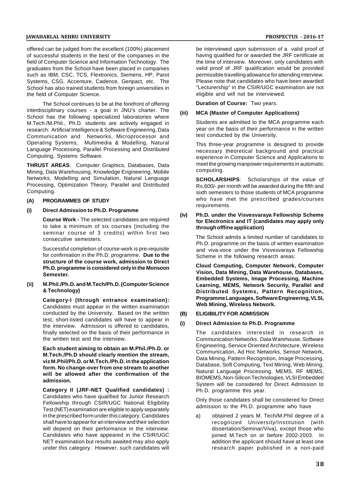offered can be judged from the excellent (100%) placement of successful students in the best of the companies in the field of Computer Science and Information Technology. The graduates from the School have been placed in companies such as IBM, CSC, TCS, Flextronics, Siemens, HP, Parot Systems, CSG, Accenture, Cadence, Genpact, etc. The School has also trained students from foreign universities in the field of Computer Science.

The School continues to be at the forefront of offering interdisciplinary courses - a goal in JNU's charter. The (iii) School has the following specialized laboratories where M.Tech./M.Phil., Ph.D. students are actively engaged in research: Artificial Intelligence & Software Engineering, Data Communication and Networks, Microprocessor and Operating Systems, Multimedia & Modelling, Natural Language Processing, Parallel Processing and Distributed Computing, Systems Software.

**THRUST AREAS**: Computer Graphics, Databases, Data Mining, Data Warehousing, Knowledge Engineering, Mobile Networks, Modelling and Simulation, Natural Language Processing, Optimization Theory, Parallel and Distributed Computing.

#### **(A) PROGRAMMES OF STUDY**

**(i) Direct Admission to Ph.D. Programme**

**Course Work -** The selected candidates are required to take a minimum of six courses (including the seminar course of 3 credits) within first two consecutive semesters.

Successful completion of course-work is pre-requisite for confirmation in the Ph.D. programme. **Due to the structure of the course work, admission to Direct Ph.D. programme is considered only in the Monsoon Semester.**

**(ii) M.Phil./Ph.D. and M.Tech/Ph.D. (Computer Science & Technology)**

> **Category-I (through entrance examination):** Candidates must appear in the written examination conducted by the University. Based on the written (B) test, short-listed candidates will have to appear in the intensies of decision is effected to condidate the interview. Admission is offered to candidates, finally selected on the basis of their performance in the written test and the interview.

**Each student aiming to obtain an M.Phil./Ph.D. or M.Tech./Ph.D should clearly mention the stream, viz M.Phil/Ph.D. or M.Tech./Ph.D. in the application form. No change-over from one stream to another will be allowed after the confirmation of the admission.**

**Category II (JRF-NET Qualified candidates) :** Candidates who have qualified for Junior Research Fellowship through CSIR/UGC National Eligibility Test (NET) examination are eligible to apply separately in the prescribed form under this category. Candidates shall have to appear for an interview and their selection will depend on their performance in the interview. Candidates who have appeared in the CSIR/UGC NET examination but results awaited may also apply under this category. However, such candidates will be interviewed upon submission of a valid proof of having qualified for or awarded the JRF certificate at the time of interview. Moreover, only candidates with valid proof of JRF qualification would be provided permissible travelling allowance for attending interview. Please note that candidates who have been awarded "Lecturership" in the CSIR/UGC examination are not eligible and will not be interviewed.

**Duration of Course:** Two years.

#### **(iii) MCA (Master of Computer Applications)**

Students are admitted to the MCA programme each year on the basis of their performance in the written test conducted by the University.

This three-year programme is designed to provide necessary theoretical background and practical experience in Computer Science and Applications to meet the growing manpower requirements in automatic computing.

**SCHOLARSHIPS**: Scholarships of the value of Rs.600/- per month will be awarded during the fifth and sixth semesters to those students of MCA programme who have met the prescribed grades/courses requirements.

#### **(iv) Ph.D. under the Visvesvaraya Fellowship Scheme for Electronics and IT (candidates may apply only through offline application)**

The School admits a limited number of candidates to Ph.D. programme on the basis of written examination and viva-voce under the Visvesvaraya Fellowship Scheme in the following research areas:

**Cloud Computing, Computer Network, Computer Vision, Data Mining, Data Warehouse, Databases, Embedded Systems, Image Processing, Machine Learning, MEMS, Network Security, Parallel and Distributed Systems, Pattern Recognition, Programme Languages, Software Engineering, VLSI, Web Mining, Wireless Network.**

## **(B) ELIGIBILITY FOR ADMISSION**

#### **(i) Direct Admission to Ph.D. Programme**

The candidates interested in research in Communication Networks. Data Warehouse, Software Engineering, Service Oriented Architecture, Wireless Communication, Ad Hoc Networks, Sensor Network, Data Mining, Pattern Recognition, Image Processing, Database, Soft Computing, Text Mining, Web Mining, Natural Language Processing, MEMS, RF MEMS, BIOMEMS, Non-Silicon Technologies, VLSI Embedded System will be considered for Direct Admission to Ph.D. programme this year.

Only those candidates shall be considered for Direct admission to the Ph.D. programme who have

a) obtained 2 years M. Tech/M.Phil degree of a recognized University/Institution (with dissertation/Seminar/Viva), except those who joined M.Tech on or before 2002-2003. In addition the applicant should have at least one research paper published in a non-paid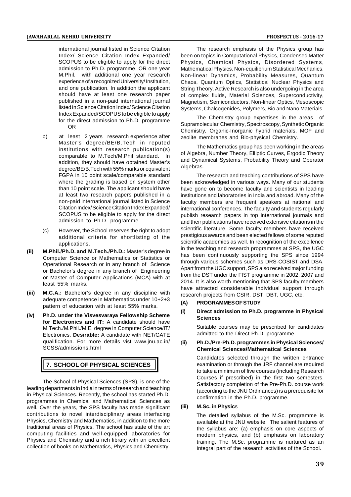international journal listed in Science Citation Index/ Science Citation Index Expanded/ SCOPUS to be eligible to apply for the direct admission to Ph.D. programme. OR one year M.Phil. with additional one year research experience of a recognized University/ Institution, and one publication. In addition the applicant should have at least one research paper published in a non-paid international journal listed in Science Citation Index/ Science Citation Index Expanded/SCOPUS to be eligible to apply for the direct admission to Ph.D. programme OR

- b) at least 2 years research experience after Master's degree/BE/B.Tech in reputed institutions with research publication(s) comparable to M.Tech/M.Phil standard. In addition, they should have obtained Master's degree/BE/B.Tech with 55% marks or equivalent FGPA in 10 point scale/comparable standard where the grading is based on system other than 10 point scale. The applicant should have at least two research papers published in a non-paid international journal listed in Science Citation Index/ Science Citation Index Expanded/ SCOPUS to be eligible to apply for the direct admission to Ph.D. programme.
- (c) However, the School reserves the right to adopt additional criteria for shortlisting of the applications.
- **(ii) M.Phil./Ph.D. and M.Tech./Ph.D.:** Master's degree in Computer Science or Mathematics or Statistics or Operational Research or in any branch of Science or Bachelor's degree in any branch of Engineering or Master of Computer Applications (MCA) with at least 55% marks.
- **(iii) M.C.A.:** Bachelor's degree in any discipline with adequate competence in Mathematics under 10+2+3 pattern of education with at least 55% marks.
- **(iv) Ph.D. under the Visvesvaraya Fellowship Scheme for Electronics and IT:** A candidate should have M.Tech./M.Phil./M.E. degree in Computer Science/IT/ Electronics. **Desirable:** A candidate with NET/GATE qualification. For more details vist www.jnu.ac.in/ (ii) SCSS/admissions.html

# **7. SCHOOL OF PHYSICAL SCIENCES**

The School of Physical Sciences (SPS), is one of the leading departments in India in terms of research and teaching in Physical Sciences. Recently, the school has started Ph.D. programmes in Chemical and Mathematical Sciences as<br>well Over the years the SPS faculty has made significant (iii) well. Over the years, the SPS faculty has made significant contributions to novel interdisciplinary areas interfacing Physics, Chemistry and Mathematics, in addition to the more traditional areas of Physics. The school has state of the art computing facilities and well-equipped laboratories for Physics and Chemistry and a rich library with an excellent collection of books on Mathematics, Physics and Chemistry.

The research emphasis of the Physics group has been on topics in Computational Physics, Condensed Matter Physics, Chemical Physics, Disordered Systems, Mathematical Physics, Non-equilibrium Statistical Mechanics, Non-linear Dynamics, Probability Measures, Quantum Chaos, Quantum Optics, Statistical Nuclear Physics and String Theory. Active Research is also undergoing in the area of complex fluids, Material Sciences, Superconductivity, Magnetism, Semiconductors, Non-linear Optics, Mesoscopic Systems, Chalcogenides, Polymers, Bio and Nano Materials.

The Chemistry group expertises in the areas of Supramolecular Chemistry, Spectroscopy, Synthetic Organic Chemistry, Organic-Inorganic hybrid materials, MOF and zeolite membranes and Bio-physical Chemistry.

The Mathematics group has been working in the areas of Algebra, Number Theory, Elliptic Curves, Ergodic Theory and Dynamical Systems, Probability Theory and Operator Algebras.

The research and teaching contributions of SPS have been acknowledged in various ways. Many of our students have gone on to become faculty and scientists in leading institutions and laboratories in India and abroad. Many of the faculty members are frequent speakers at national and international conferences. The faculty and students regularly publish research papers in top international journals and and their publications have received extensive citations in the scientific literature. Some faculty members have received prestigious awards and been elected fellows of some reputed scientific academies as well. In recognition of the excellence in the teaching and research programmes at SPS, the UGC has been continuously supporting the SPS since 1994 through various schemes such as DRS-COSIST and DSA. Apart from the UGC support, SPS also received major funding from the DST under the FIST programme in 2002, 2007 and 2014. It is also worth mentioning that SPS faculty members have attracted considerable individual support through research projects from CSIR, DST, DBT, UGC, etc.

## **(A) PROGRAMMES OF STUDY**

#### **(i) Direct admission to Ph.D. programme in Physical Sciences**

Suitable courses may be prescribed for candidates admitted to the Direct Ph.D. programme.

#### (**ii) Ph.D./Pre-Ph.D. programmes in Physical Sciences/ Chemical Sciences/Mathematical Sciences**

Candidates selected through the written entrance examination or through the JRF channel are required to take a minimum of five courses (including Research Courses if prescribed) in the first two semesters. Satisfactory completion of the Pre-Ph.D. course work (according to the JNU Ordinances) is a prerequisite for confirmation in the Ph.D. programme.

#### **(iii) M.Sc. in Physic**s

The detailed syllabus of the M.Sc. programme is available at the JNU website. The salient features of the syllabus are: (a) emphasis on core aspects of modern physics, and (b) emphasis on laboratory training. The M.Sc. programme is nurtured as an integral part of the research activities of the School.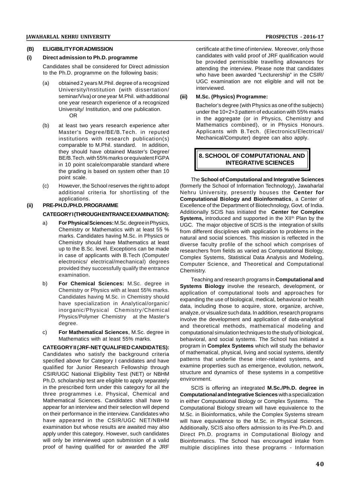#### **(B) ELIGIBILITY FOR ADMISSION**

## **(i) Direct admission to Ph.D. programme**

Candidates shall be considered for Direct admission to the Ph.D. programme on the following basis:

- (a) obtained 2 years M.Phil. degree of a recognized University/Institution (with dissertation/ seminar/Viva) or one year M.Phil. with additional one year research experience of a recognized University/ Institution, and one publication. OR
- (b) at least two years research experience after Master's Degree/BE/B.Tech. in reputed institutions with research publication(s) comparable to M.Phil. standard. In addition, they should have obtained Master's Degree/ BE/B.Tech. with 55% marks or equivalent FGPA in 10 point scale/comparable standard where the grading is based on system other than 10 point scale.
- (c) However, the School reserves the right to adopt additional criteria for shortlisting of the applications.

## **(ii) PRE-PH.D./PH.D. PROGRAMME**

## **CATEGORY I (THROUGH ENTRANCE EXAMINATION):**

- a) **For Physical Sciences:**M.Sc. degree in Physics, Chemistry or Mathematics with at least 55 % marks. Candidates having M.Sc. in Physics or Chemistry should have Mathematics at least up to the B.Sc. level. Exceptions can be made in case of applicants with B.Tech (Computer/ electronics/ electrical/mechanical) degrees provided they successfully qualify the entrance examination.
- b) **For Chemical Sciences:** M.Sc. degree in Chemistry or Physics with at least 55% marks. Candidates having M.Sc. in Chemistry should have specialization in Analytical/organic/ inorganic/Physical Chemistry/Chemical Physics/Polymer Chemistry at the Master's degree.
- c) **For Mathematical Sciences**, M.Sc. degree in Mathematics with at least 55% marks.

# **CATEGORY II (JRF-NET QUALIFIED CANDIDATES):**

Candidates who satisfy the background criteria specified above for Category I candidates and have qualified for Junior Research Fellowship through CSIR/UGC National Eligibility Test (NET) or NBHM Ph.D. scholarship test are eligible to apply separately in the prescribed form under this category for all the three programmes i.e. Physical, Chemical and Mathematical Sciences. Candidates shall have to appear for an interview and their selection will depend on their performance in the interview. Candidates who have appeared in the CSIR/UGC NET/NBHM examination but whose results are awaited may also apply under this category. However, such candidates will only be interviewed upon submission of a valid proof of having qualified for or awarded the JRF

certificate at the time of interview. Moreover, only those candidates with valid proof of JRF qualification would be provided permissible travelling allowances for attending the interview. Please note that candidates who have been awarded "Lecturership" in the CSIR/ UGC examination are not eligible and will not be interviewed.

#### **(iii) M.Sc. (Physics) Programme:**

Bachelor's degree (with Physics as one of the subjects) under the 10+2+3 pattern of education with 55% marks in the aggregate (or in Physics, Chemistry and Mathematics combined), or in Physics Honours. Applicants with B.Tech. (Electronics/Electrical/ Mechanical/Computer) degree can also apply.

# **8. SCHOOL OF COMPUTATIONAL AND INTEGRATIVE SCIENCES**

The **School of Computational and Integrative Sciences** (formerly the School of Information Technology), Jawaharlal Nehru University, presently houses the **Center for Computational Biology and Bioinformatics**, a Center of Excellence of the Department of Biotechnology, Govt. of India. Additionally SCIS has initiated the **Center for Complex Systems,** introduced and supported in the XII<sup>th</sup> Plan by the UGC. The major objective of SCIS is the integration of skills from different disciplines with application to problems in the natural and social sciences. This mission is reflected in the diverse faculty profile of the school which comprises of researchers from fields as varied as Computational Biology, Complex Systems, Statistical Data Analysis and Modeling, Computer Science, and Theoretical and Computational Chemistry.

Teaching and research programs in **Computational and Systems Biology** involve the research, development, or application of computational tools and approaches for expanding the use of biological, medical, behavioral or health data, including those to acquire, store, organize, archive, analyze, or visualize such data. In addition, research programs involve the development and application of data-analytical and theoretical methods, mathematical modeling and computational simulation techniques to the study of biological, behavioral, and social systems. The School has initiated a program in **Complex Systems** which will study the behavior of mathematical, physical, living and social systems, identify patterns that underlie these inter-related systems, and examine properties such as emergence, evolution, network, structure and dynamics of these systems in a competitive environment.

SCIS is offering an integrated **M.Sc./Ph.D. degree in Computational and Integrative Sciences** with a specialization in either Computational Biology or Complex Systems. The Computational Biology stream will have equivalence to the M.Sc. in Bioinformatics, while the Complex Systems stream will have equivalence to the M.Sc. in Physical Sciences. Additionally, SCIS also offers admission to its Pre-Ph.D. and Direct Ph.D. programs in Computational Biology and Bioinformatics. The School has encouraged intake from multiple disciplines into these programs - Information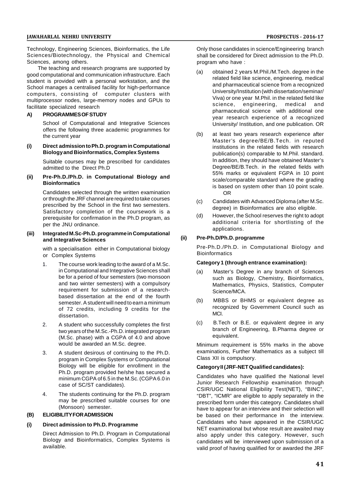Technology, Engineering Sciences, Bioinformatics, the Life Sciences/Biotechnology, the Physical and Chemical Sciences, among others.

The teaching and research programs are supported by good computational and communication infrastructure. Each student is provided with a personal workstation, and the School manages a centralised facility for high-performance computers, consisting of computer clusters with multiprocessor nodes, large-memory nodes and GPUs to facilitate specialized research

## **A) PROGRAMMES OF STUDY**

School of Computational and Integrative Sciences offers the following three academic programmes for the current year

#### **(i) Direct admission to Ph.D. program in Computational Biology and Bioinformatics, Complex Systems**

Suitable courses may be prescribed for candidates admitted to the Direct Ph.D

#### **(ii) Pre-Ph.D./Ph.D. in Computational Biology and Bioinformatics**

Candidates selected through the written examination or through the JRF channel are required to take courses prescribed by the School in the first two semesters. Satisfactory completion of the coursework is a prerequisite for confirmation in the Ph.D program, as per the JNU ordinance.

#### **(iii) Integrated M.Sc-Ph.D. programme in Computational and Integrative Sciences**

with a specialisation either in Computational biology or Complex Systems

- 1. The course work leading to the award of a M.Sc. in Computational and Integrative Sciences shall be for a period of four semesters (two monsoon and two winter semesters) with a compulsory requirement for submission of a researchbased dissertation at the end of the fourth semester. A student will need to earn a minimum (b) of 72 credits, including 9 credits for the dissertation.
- 2. A student who successfully completes the first two years of the M.Sc.-Ph.D. integrated program (M.Sc. phase) with a CGPA of 4.0 and above would be awarded an M.Sc. degree.
- 3. A student desirous of continuing to the Ph.D. program in Complex Systems or Computational Biology will be eligible for enrollment in the Ph.D. program provided he/she has secured a minimum CGPA of 6.5 in the M.Sc. (CGPA 6.0 in case of SC/ST candidates).
- 4. The students continuing for the Ph.D. program may be prescribed suitable courses for one (Monsoon) semester.

## **(B) ELIGIBILITY FOR ADMISSION**

#### **(i) Direct admission to Ph.D. Programme**

Direct Admission to Ph.D. Program in Computational Biology and Bioinformatics, Complex Systems is available.

Only those candidates in science/Engineering branch shall be considered for Direct admission to the Ph.D. program who have :

- (a) obtained 2 years M.Phil./M.Tech. degree in the related field like science, engineering, medical and pharmaceutical science from a recognized University/Institution (with dissertation/seminar/ Viva) or one year M.Phil. in the related field like science, engineering, medical and pharmaceutical science with additional one year research experience of a recognized University/ Institution, and one publication. OR
- (b) at least two years research experience after Master's degree/BE/B.Tech. in reputed institutions in the related fields with research publication(s) comparable to M.Phil. standard. In addition, they should have obtained Master's Degree/BE/B.Tech. in the related fields with 55% marks or equivalent FGPA in 10 point scale/comparable standard where the grading is based on system other than 10 point scale. OR
- (c) Candidates with Advanced Diploma (after M.Sc. degree) in Bioinformatics are also eligible.
- (d) However, the School reserves the right to adopt additional criteria for shortlisting of the applications.

#### **(ii) Pre-Ph.D/Ph.D. programme**

Pre-Ph.D./Ph.D. in Computational Biology and **Bioinformatics** 

#### **Category 1 (through entrance examination):**

- (a) Master's Degree in any branch of Sciences such as Biology, Chemistry, Bioinformatics, Mathematics, Physics, Statistics, Computer Science/MCA.
- MBBS or BHMS or equivalent degree as recognized by Government Council such as MCI.
- (c) B.Tech or B.E. or equivalent degree in any branch of Engineering, B.Pharma degree or equivalent.

Minimum requirement is 55% marks in the above examinations, Further Mathematics as a subject till Class XII is compulsory.

## **Category II (JRF-NET Qualified candidates):**

Candidates who have qualified the National level Junior Research Fellowship examination through CSIR/UGC National Eligibility Test(NET), "BINC", "DBT", "ICMR" are eligible to apply separately in the prescribed form under this category. Candidates shall have to appear for an interview and their selection will be based on their performance in the interview. Candidates who have appeared in the CSIR/UGC NET examinational but whose result are awaited may also apply under this category. However, such candidates will be interviewed upon submission of a valid proof of having qualified for or awarded the JRF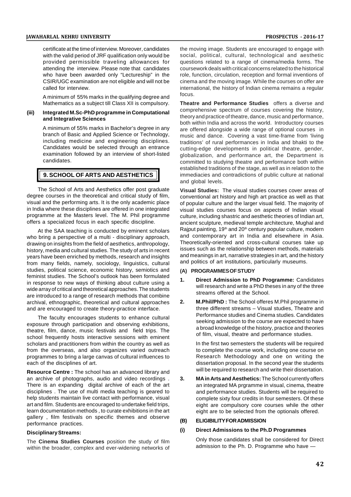certificate at the time of interview. Moreover, candidates with the valid period of JRF qualification only would be provided permissible traveling allowances for attending the interview. Please note that candidates who have been awarded only "Lectureship" in the CSIR/UGC examination are not eligible and will not be called for interview.

A minimum of 55% marks in the qualifying degree and Mathematics as a subject till Class XII is compulsory.

#### **(iii) Integrated M.Sc-PhD programme in Computational and Integrative Sciences**

A minimum of 55% marks in Bachelor's degree in any branch of Basic and Applied Science or Technology, including medicine and engineering disciplines. Candidates would be selected through an entrance examination followed by an interview of short-listed candidates.

## **9. SCHOOL OF ARTS AND AESTHETICS**

The School of Arts and Aesthetics offer post graduate degree courses in the theoretical and critical study of film, visual and the performing arts. It is the only academic place in India where these disciplines are offered in one integrated programme at the Masters level. The M. Phil programme offers a specialized focus in each specific discipline.

At the SAA teaching is conducted by eminent scholars who bring a perspective of a multi - disciplinary approach, drawing on insights from the field of aesthetics, anthropology, history, media and cultural studies. The study of arts in recent years have been enriched by methods, research and insights from many fields, namely, sociology, linguistics, cultural studies, political science, economic history, semiotics and feminist studies. The School's outlook has been formulated in response to new ways of thinking about culture using a wide array of critical and theoretical approaches. The students are introduced to a range of research methods that combine<br>archival ethnographic theoretical and cultural approaches 2. archival, ethnographic, theoretical and cultural approaches and are encouraged to create theory-practice interface.

The faculty encourages students to enhance cultural exposure through participation and observing exhibitions, theatre, film, dance, music festivals and field trips. The school frequently hosts interactive sessions with eminent scholars and practitioners from within the country as well as from the overseas, and also organizes varied outreach programmes to bring a large canvas of cultural influences to each of the disciplines of art.

**Resource Centre :** The school has an advanced library and an archive of photographs, audio and video recordings . 3. There is an expanding digital archive of each of the art disciplines . The use of multi media teaching is geared to help students maintain live contact with performance, visual art and film. Students are encouraged to undertake field trips, learn documentation methods , to curate exhibitions in the art gallery, film festivals on specific themes and observe (B) performance practices.

#### **Disciplinary Streams:**

The **Cinema Studies Courses** position the study of film within the broader, complex and ever-widening networks of the moving image. Students are encouraged to engage with social, political, cultural, technological and aesthetic questions related to a range of cinema/media forms. The coursework deals with critical concerns related to the historical role, function, circulation, reception and formal inventions of cinema and the moving image. While the courses on offer are international, the history of Indian cinema remains a regular focus.

**Theatre and Performance Studies** offers a diverse and comprehensive spectrum of courses covering the history, theory and practice of theatre, dance, music and performance, both within India and across the world. Introductory courses are offered alongside a wide range of optional courses in music and dance. Covering a vast time-frame from 'living traditions' of rural performances in India and bhakti to the cutting-edge developments in political theatre, gender, globalization, and performance art, the Department is committed to studying theatre and performance both within established traditions of the stage, as well as in relation to the immediacies and contradictions of public culture at national and global levels.

**Visual Studies:** The visual studies courses cover areas of conventional art history and high art practice as well as that of popular culture and the larger visual field. The majority of visual studies courses focus on aspects of Indian visual culture, including shastric and aesthetic theories of Indian art, ancient sculpture, medieval temple architecture, Mughal and Rajput painting, 19<sup>th</sup> and 20<sup>th</sup> century popular culture, modern and contemporary art in India and elsewhere in Asia. Theoretically-oriented and cross-cultural courses take up issues such as the relationship between methods, materials and meanings in art, narrative strategies in art, and the history and politics of art institutions, particularly museums.

## **(A) PROGRAMMES OF STUDY**

- **1. Direct Admission to PhD Programme:** Candidates will research and write a PhD theses in any of the three streams offered at the School.
- **2. M.Phil/PhD :** The School offeres M.Phil programme in three different streams – Visual studies, Theatre and Performance studies and Cinema studies. Candidates seeking admission to the course are expected to have a broad knowledge of the history, practice and theories of film, visual, theatre and performance studies.

In the first two semesters the students will be required to complete the course work, including one course on Research Methodology and one on writing the dissertation proposal. In the second year the students will be required to research and write their dissertation.

**3. MA in Arts and Aesthetics:** The School currently offers an integrated MA prgramme in visual, cinema, theatre and performance studies. Students will be required to complete sixty four credits in four semesters. Of these eight are compulsory core courses while the other eight are to be selected from the optionals offered.

#### **(B) ELIGIBILITY FOR ADMISSION**

#### **(i) Direct Admissions to the Ph.D Programmes**

Only those candidates shall be considered for Direct admission to the Ph. D. Programme who have —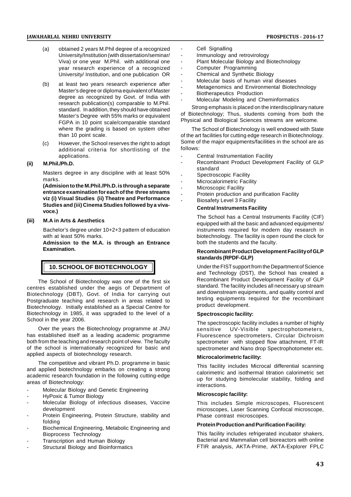- (a) obtained 2 years M.Phil degree of a recognized<br>Iniversity/Institution (with dissertation/seminar/ University/Institution (with dissertation/seminar/ Viva) or one year M.Phil. with additional one year research experience of a recognized University/ Institution, and one publication OR
- (b) at least two years research experience after Master's degree or diploma equivalent of Master degree as recognized by Govt. of India with research publication(s) comparable to M.Phil. standard. In addition, they should have obtained Master's Degree with 55% marks or equivalent FGPA in 10 point scale/comparable standard where the grading is based on system other than 10 point scale.
- (c) However, the School reserves the right to adopt additional criteria for shortlisting of the applications.

#### **(ii) M.Phil./Ph.D.**

Masters degree in any discipline with at least 50% marks.

**(Admision to the M.Phil./Ph.D. is through a separate entrance examination for each of the three streams viz (i) Visual Studies (ii) Theatre and Performance Studies and (iii) Cinema Studies followed by a vivavoce.)**

#### **(iii) M.A in Arts & Aesthetics**

Bachelor's degree under 10+2+3 pattern of education with at least 50% marks.

**Admission to the M.A. is through an Entrance Examination.**

# **10. SCHOOL OF BIOTECHNOLOGY**

The School of Biotechnology was one of the first six centres established under the aegis of Department of Biotechnology (DBT), Govt. of India for carrying out Postgraduate teaching and research in areas related to Biotechnology. Initially established as a Special Centre for Biotechnology in 1985, it was upgraded to the level of a School in the year 2006.

Over the years the Biotechnology programme at JNU has established itself as a leading academic programme both from the teaching and research point of view. The faculty of the school is internationally recognized for basic and applied aspects of biotechnology research.

The competitive and vibrant Ph.D. programme in basic and applied biotechnology embarks on creating a strong academic research foundation in the following cutting-edge areas of Biotechnology:

- Molecular Biology and Genetic Engineering
- HyPoxic & Tumor Biology
- Molecular Biology of infectious diseases, Vaccine development
- Protein Engineering, Protein Structure, stability and folding
- Biochemical Engineering, Metabolic Engineering and Bioprocess Technology
- Transcription and Human Biology
- Structural Biology and Bioinformatics
- Cell Signalling
- Immunology and retrovirology
- Plant Molecular Biology and Biotechnology
- Computer Programming
- Chemical and Synthetic Biology
- Molecular basis of human viral diseases
- Metagenomics and Environmental Biotechnology
- Biotherapeutics Production
- Molecular Modeling and Cheminformatics

Strong emphasis is placed on the interdisciplinary nature of Biotechnology; Thus, students coming from both the Physical and Biological Sciences streams are welcome.

The School of Biotechnology is well endowed with State of the art facilities for cutting edge research in Biotechnology. Some of the major equipments/facilities in the school are as follows:

- Central Instrumentation Facility
- Recombinant Product Development Facility of GLP standard
- Spectroscopic Facility
- Microcalorimetric Facility
- Microscopic Facility
- Protein production and purification Facility
- Biosafety Level 3 Facility

#### **Central Instruments Facility**

The School has a Central Instruments Facility (CIF) equipped with all the basic and advanced equipments/ instruments required for modern day research in biotechnology. The facility is open round the clock for both the students and the faculty.

#### **Recombinant Product Development Facility of GLP standards (RPDF-GLP)**

Under the FIST support from the Department of Science and Technology (DST), the School has created a Recombinant Product Development Facility of GLP standard. The facility includes all necessary up stream and downstream equipments, and quality control and testing equipments required for the recombinant product development.

#### **Spectroscopic facility:**

The spectroscopic facility includes a number of highly UV-Visible spectrophotometers, Fluorescence spectrometers, Circular Dichroism spectrometer with stopped flow attachment, FT-IR spectrometer and Nano drop Spectrophotometer etc.

#### **Microcalorimetric facility:**

This facility includes Microcal differential scanning calorimetric and isothermal titration calorimetric set up for studying bimolecular stability, folding and interactions.

#### **Microscopic facility:**

This includes Simple microscopes, Fluorescent microscopes, Laser Scanning Confocal microscope, Phase contrast microscopes.

### **Protein Production and Purification Facility:**

This facility includes refrigerated incubator shakers, Bacterial and Mammalian cell bioreactors with online FTIR analysis, AKTA-Prime, AKTA-Explorer FPLC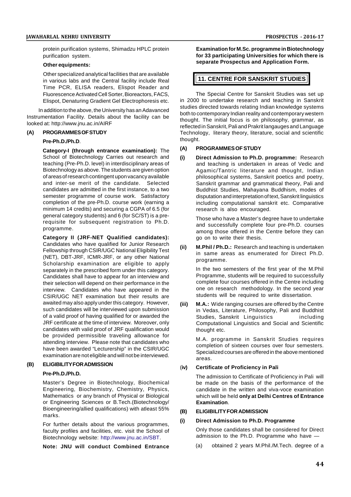protein purification systems, Shimadzu HPLC protein purification system.

#### **Other equipments:**

Other specialized analytical facilities that are available in various labs and the Central facility include Real Time PCR, ELISA readers, Elispot Reader and Fluorescence Activated Cell Sorter, Bioreactors, FACS, Elispot, Denaturing Gradient Gel Electrophoresis etc.

In addition to the above, the University has an Adavanced Instrumentation Facility. Details about the facility can be looked at: http://www.jnu.ac.in/AIRF

#### **(A) PROGRAMMES OF STUDY**

#### **Pre-Ph.D./Ph.D**.

**Category-I (through entrance examination):** The School of Biotechnology Carries out research and (i) teaching (Pre-Ph.D. level) in interdisciplinary areas of Biotechnology as above. The students are given option of areas of research contingent upon vacancy available and inter-se merit of the candidate. Selected candidates are admitted in the first instance, to a two semester programme of course work. Satisfactory completion of the pre-Ph.D. course work (earning a minimum 14 credits) and securing a CGPA of 6.5 (for general category students) and 6 (for SC/ST) is a prerequisite for subsequent registration to Ph.D. programme.

**Category II (JRF-NET Qualified candidates):** Candidates who have qualified for Junior Research (ii) Fellowship through CSIR/UGC National Eligibility Test (NET), DBT-JRF, ICMR-JRF, or any other National Scholarship examination are eligible to apply separately in the prescribed form under this category. Candidates shall have to appear for an interview and their selection will depend on their performance in the interview. Candidates who have appeared in the CSIR/UGC NET examination but their results are awaited may also apply under this category. However, *(iii)* such candidates will be interviewed upon submission of a valid proof of having qualified for or awarded the JRF certificate at the time of interview. Moreover, only candidates with valid proof of JRF qualification would be provided permissible traveling allowance for attending interview. Please note that candidates who have been awarded "Lecturership" in the CSIR/UGC examination are not eligible and will not be interviewed.

## **(B) ELIGIBILITY FOR ADMISSION**

#### **Pre-Ph.D./Ph.D.**

Master's Degree in Biotechnology, Biochemical Engineering, Biochemistry, Chemistry, Physics, Mathematics or any branch of Physical or Biological or Engineering Sciences or B.Tech.(Biotechnology/ Bioengineering/allied qualifications) with atleast 55% marks.

For further details about the various programmes, faculty profiles and facilities, etc. visit the School of Biotechnology website: http://www.jnu.ac.in/SBT.

**Note: JNU will conduct Combined Entrance**

**Examination for M.Sc. programme in Biotechnology for 33 participating Universities for which there is separate Prospectus and Application Form.**

#### **11. CENTRE FOR SANSKRIT STUDIES**

The Special Centre for Sanskrit Studies was set up in 2000 to undertake research and teaching in Sanskrit studies directed towards relating Indian knowledge systems both to contemporary Indian reality and contemporary western thought. The initial focus is on philosophy, grammar, as reflected in Sanskrit, Pali and Prakrit langauges and Language Technology, literary theory, literature, social and scientific thought.

#### **(A) PROGRAMMES OF STUDY**

**(i) Direct Admission to Ph.D. programme:** Research and teaching is undertaken in areas of Vedic and Agamic/Tantric literature and thought, Indian philosophical systems, Sanskrit poetics and poetry, Sanskrit grammar and grammatical theory, Pali and Buddhist Studies, Mahayana Buddhism, modes of disputation and interpretation of text, Sanskrit linguistics including computational sanskrit etc. Comparative research is also encouraged.

Those who have a Master's degree have to undertake and successfully complete four pre-Ph.D. courses among those offered in the Centre before they can go on to write their thesis.

**M.Phil / Ph.D.:** Research and teaching is undertaken in same areas as enumerated for Direct Ph.D. programme.

In the two semesters of the first year of the M.Phil Programme, students will be required to successfully complete four courses offered in the Centre including one on research methodology. In the second year students will be required to write dissertation.

**M.A.:** Wide ranging courses are offered by the Centre in Vedas, Literature, Philosophy, Pali and Buddhist Studies, Sanskrit Linguistics including Computational Linguistics and Social and Scientific thought etc.

> M.A. programme in Sanskrit Studies requires completion of sixteen courses over four semesters. Specialized courses are offered in the above mentioned areas.

#### (**iv) Certificate of Proficiency in Pali**

The admission to Certificate of Proficiency in Pali will be made on the basis of the performance of the candidate in the written and viva-voce examination which will be held **only at Delhi Centres of Entrance Examination**.

#### **(B) ELIGIBILITY FOR ADMISSION**

#### **(i) Direct Admission to Ph.D. Programme**

Only those candidates shall be considered for Direct admission to the Ph.D. Programme who have

(a) obtained 2 years M.Phil./M.Tech. degree of a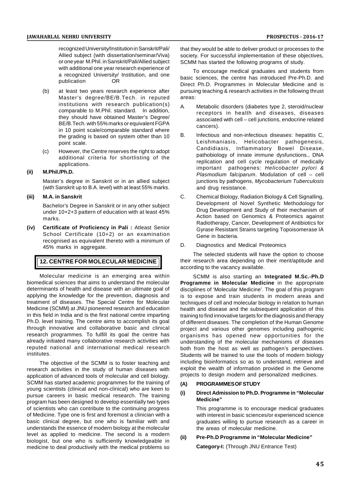recognized University/Institution in Sanskrit/Pali/ Allied subject (with dissertation/seminar/Viva) or one year M.Phil. in Sanskrit/Pali/Allied subject with additional one year research experience of a recognized University/ Institution, and one<br>publication OR publication

- (b) at least two years research experience after Master's degree/BE/B.Tech. in reputed institutions with research publication(s) A comparable to M.Phil. standard. In addition, they should have obtained Master's Degree/ BE/B.Tech. with 55% marks or equivalent FGPA in 10 point scale/comparable standard where<br>the grading is based on system other than  $10 - B$ . the grading is based on system other than 10 point scale.
- (c) However, the Centre reserves the right to adopt additional criteria for shortlisting of the applications.

#### **(ii) M.Phil./Ph.D.**

Master's degree in Sanskrit or in an allied subject (with Sanskrit up to B.A. level) with at least 55% marks.

#### **(iii) M.A. in Sanskrit**

Bachelor's Degree in Sanskrit or in any other subject under 10+2+3 pattern of education with at least 45% marks.

**(iv) Certificate of Proficiency in Pali :** Atleast Senior School Certificate (10+2) or an examination recognised as equivalent thereto with a minimum of<br>45% morte in eggregate 45% marks in aggregate.

# **12. CENTRE FOR MOLECULAR MEDICINE**

Molecular medicine is an emerging area within biomedical sciences that aims to understand the molecular determinants of health and disease with an ultimate goal of applying the knowledge for the prevention, diagnosis and treatment of diseases. The Special Centre for Molecular Medicine (SCMM) at JNU pioneered research and education in this field in India and is the first national centre imparting Ph.D. level training. The centre aims to accomplish its goal through innovative and collaborative basic and clinical research programmes. To fulfill its goal the centre has already initiated many collaborative research activities with reputed national and international medical research institutes.

The objective of the SCMM is to foster teaching and research activities in the study of human diseases with application of advanced tools of molecular and cell biology. SCMM has started academic programmes for the training of (A) young scientists (clinical and non-clinical) who are keen to pursue careers in basic medical research. The training program has been designed to develop essentially two types of scientists who can contribute to the continuing progress of Medicine. Type one is first and foremost a clinician with a basic clinical degree, but one who is familiar with and understands the essence of modern biology at the molecular level as applied to medicine. The second is a modern biologist, but one who is sufficiently knowledgeable in medicine to deal productively with the medical problems so

that they would be able to deliver product or processes to the society. For successful implementation of these objectives, SCMM has started the following programs of study.

To encourage medical graduates and students from basic sciences, the centre has introduced Pre-Ph.D. and Direct Ph.D. Programmes in Molecular Medicine and is pursuing teaching & research activities in the following thrust areas:

- Metabolic disorders (diabetes type 2, steroid/nuclear receptors in health and diseases, diseases associated with cell – cell junctions, endocrine related cancers).
- Infectious and non-infectious diseases: hepatitis C, Leishmaniasis, Helicobacter pathogenesis, Candidiasis, Inflammatory Bowel Disease, pathobiology of innate immune dysfunctions., DNA replication and cell cycle regulation of medically important pathogenes: *Helicobacter pylori & Plasmodium falciparum*. Modulation of cell – cell junctions by pathogens, *Mycobacterium Tuberculosis* and drug resistance.
- C. Chemical Biology, Radiation Biology & Cell Signalling, Development of Novel Synthetic Methodology for Drug Development and Study of their mechanism of Action based on Genomics & Proteomics against Radiotherapy, Cancer, Development of Antibiotics for Gyrase Resistant Strains targeting Topoisomerase IA Gene in bacteria.
- Diagnostics and Medical Proteomics

The selected students will have the option to choose their research area depending on their merit/aptitude and according to the vacancy available.

SCMM is also starting an **Integrated M.Sc.-Ph.D Programme in Molecular Medicine** in the appropriate disciplines of 'Molecular Medicine'. The goal of this program is to expose and train students in modern areas and techniques of cell and molecular biology in relation to human health and disease and the subsequent application of this training to find innovative targets for the diagnosis and therapy of different diseases. The completion of the Human Genome project and various other genomes including pathogenic organisms has opened new opportunities for the understanding of the molecular mechanisms of diseases both from the host as well as pathogen's perspectives. Students will be trained to use the tools of modern biology including bioinformatics so as to understand, retrieve and exploit the wealth of information provided in the Genome projects to design modern and personalized medicines.

#### **(A) PROGRAMMES OF STUDY**

#### **(i) Direct Admission to Ph.D. Programme in "Molecular Medicine"**

This programme is to encourage medical graduates with interest in basic sciences/or experienced science graduates willing to pursue research as a career in the areas of molecular medicine.

#### **(ii) Pre-Ph.D Programme in "Molecular Medicine"**

**Category-I:** (Through JNU Entrance Test)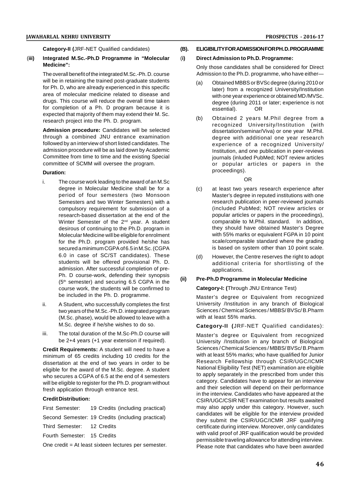**Category-II (**JRF-NET Qualified candidates)

#### (**iii) Integrated M.Sc.-Ph.D Programme in "Molecular Medicine":**

The overall benefit of the integrated M.Sc.-Ph. D. course will be in retaining the trained post-graduate students for Ph. D, who are already experienced in this specific area of molecular medicine related to disease and drugs. This course will reduce the overall time taken for completion of a Ph. D program because it is expected that majority of them may extend their M. Sc. research project into the Ph. D. program.

**Admission procedure:** Candidates will be selected through a combined JNU entrance examination followed by an interview of short listed candidates. The admission procedure will be as laid down by Academic Committee from time to time and the existing Special committee of SCMM will oversee the program.

#### **Duration:**

- i. The course work leading to the award of an M.Sc degree in Molecular Medicine shall be for a period of four semesters (two Monsoon Semesters and two Winter Semesters) with a compulsory requirement for submission of a research-based dissertation at the end of the Winter Semester of the 2<sup>nd</sup> year. A student desirous of continuing to the Ph.D. program in Molecular Medicine will be eligible for enrolment for the Ph.D. program provided he/she has secured a minimum CGPA of 6.5 in M.Sc. (CGPA 6.0 in case of SC/ST candidates). These students will be offered provisional Ph. D. admission. After successful completion of pre-Ph. D course-work, defending their synopsis  $(5^{th}$  compater) and acquiring  $6.5$  CCDA in the  $(11)$  $(5<sup>th</sup>$  semester) and securing 6.5 CGPA in the course work, the students will be confirmed to be included in the Ph. D. programme.
- ii. A Student, who successfully completes the first two years of the M.Sc.-Ph.D. integrated program (M.Sc. phase), would be allowed to leave with a M.Sc. degree if he/she wishes to do so.
- iii. The total duration of the M.Sc-Ph.D course will be 2+4 years (+1 year extension if required).

**Credit Requirements:** A student will need to have a minimum of 65 credits including 10 credits for the dissertation at the end of two years in order to be eligible for the award of the M.Sc. degree. A student who secures a CGPA of 6.5 at the end of 4 semesters will be eligible to register for the Ph.D. program without fresh application through entrance test.

## **Credit Distribution:**

First Semester: 19 Credits (including practical)

Second Semester: 19 Credits (including practical)

Third Semester: 12 Credits

Fourth Semester: 15 Credits

One credit = At least sixteen lectures per semester.

## **(B). ELIGIBILITY FOR ADMISSION FOR PH. D. PROGRAMME**

#### (**i) Direct Admission to Ph.D. Programme:**

Only those candidates shall be considered for Direct Admission to the Ph.D. programme, who have either—

- (a) Obtained MBBS or BVSc degree (during 2010 or later) from a recognized University/Institution with one year experience or obtained MD /MVSc. degree (during 2011 or later; experience is not essential). OR
- (b) Obtained 2 years M.Phil degree from a recognized University/Institution (with dissertation/seminar/Viva) or one year M.Phil. degree with additional one year research experience of a recognized University/ Institution, and one publication in peer-reviews journals (inluded PubMed; NOT review articles or popular articles or papers in the proceedings).

OR

- (c) at least two years research experience after Master's degree in reputed institutions with one research publication in peer-reviewed journals (included PubMed; NOT review articles or popular articles or papers in the proceedings), comparable to M.Phil. standard. In addition, they should have obtained Master's Degree with 55% marks or equivalent FGPA in 10 point scale/comparable standard where the grading is based on system other than 10 point scale.
- (d) However, the Centre reserves the right to adopt additional criteria for shortlisting of the applications.

## **(ii) Pre-Ph.D Programme in Molecular Medicine**

#### **Category-I: (**Through JNU Entrance Test)

Master's degree or Equivalent from recognized University /Institution in any branch of Biological Sciences / Chemical Sciences / MBBS/ BVSc/ B.Pharm with at least 55% marks.

**Category-II (**JRF-NET Qualified candidates):

Master's degree or Equivalent from recognized University /Institution in any branch of Biological Sciences / Chemical Sciences / MBBS/ BVSc/ B.Pharm with at least 55% marks; who have qualified for Junior Research Fellowship through CSIR/UGC/ICMR National Eligibility Test (NET) examination are eligible to apply separately in the prescribed from under this category. Candidates have to appear for an interview and their selection will depend on their performance in the interview. Candidates who have appeared at the CSIR/UGC/CSIR NET examination but results awaited may also apply under this category. However, such candidates will be eligible for the interview provided they submit the CSIR/UGC/ICMR JRF qualifying certificate during interview. Moreover, only candidates with valid proof of JRF qualification would be provided permissible traveling allowance for attending interview. Please note that candidates who have been awarded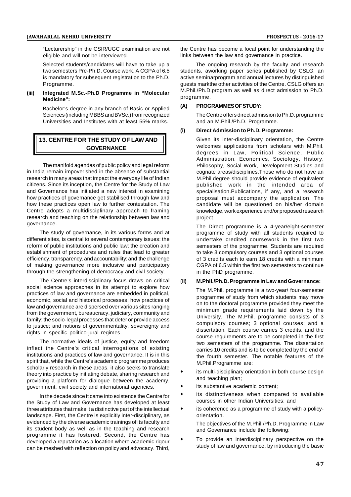"Lecturership" in the CSIR/UGC examination are not eligible and will not be interviewed.

Selected students/candidates will have to take up a two semesters Pre-Ph.D. Course work. A CGPA of 6.5 is mandatory for subsequent registration to the Ph.D. Programme.

#### **(iii) Integrated M.Sc.-Ph.D Programme in "Molecular Medicine":**

Bachelor's degree in any branch of Basic or Applied Sciences (including MBBS and BVSc.) from recognized Universities and Institutes with at least 55% marks.

# **13. CENTRE FOR THE STUDY OF LAW AND GOVERNANCE**

The manifold agendas of public policy and legal reform in India remain impoverished in the absence of substantial research in many areas that impact the everyday life of Indian citizens. Since its inception, the Centre for the Study of Law and Governance has initiated a new interest in examining how practices of governance get stabilised through law and how these practices open law to further contestation. The Centre adopts a multidisciplinary approach to framing research and teaching on the relationship between law and governance.

The study of governance, in its various forms and at different sites, is central to several contemporary issues: the reform of public institutions and public law; the creation and establishment of procedures and rules that lead to greater efficiency, transparency, and accountability; and the challenge of making governance more inclusive and participatory through the strengthening of democracy and civil society.

The Centre's interdisciplinary focus draws on critical social science approaches in its attempt to explore how practices of law and governance are embedded in political, economic, social and historical processes; how practices of law and governance are dispersed over various sites ranging from the government, bureaucracy, judiciary, community and family; the socio-legal processes that deter or provide access to justice; and notions of governmentality, sovereignty and rights in specific politico-jural regimes.

The normative ideals of justice, equity and freedom inflect the Centre's critical interrogations of existing institutions and practices of law and governance. It is in this spirit that, while the Centre's academic programme produces scholarly research in these areas, it also seeks to translate theory into practice by initiating debate, sharing research and providing a platform for dialogue between the academy, government, civil society and international agencies.

In the decade since it came into existence the Centre for the Study of Law and Governance has developed at least three attributes that make it a distinctive part of the intellectual landscape. First, the Centre is explicitly inter-disciplinary, as evidenced by the diverse academic trainings of its faculty and its student body as well as in the teaching and research programme it has fostered. Second, the Centre has developed a reputation as a location where academic rigour can be meshed with reflection on policy and advocacy. Third, the Centre has become a focal point for understanding the links between the law and governance in practice.

 The ongoing research by the faculty and research students, aworking paper series published by CSLG, an active seminarprogram and annual lectures by distinguished guests markthe other activities of the Centre. CSLG offers an M.Phil./Ph.D.program as well as direct admission to Ph.D. programme.

## **(A) PROGRAMMES OF STUDY:**

The Centre offers direct admission to Ph.D. programme and an M.Phil./Ph.D. Programme.

#### **(i) Direct Admission to Ph.D. Programme:**

Given its inter-disciplinary orientation, the Centre welcomes applications from scholars with M.Phil. degrees in Law, Political Science, Public Administration, Economics, Sociology, History, Philosophy, Social Work, Development Studies and cognate areas/disciplines.Those who do not have an M.Phil.degree should provide evidence of equivalent published work in the intended area of specialisation.Publications, if any, and a research proposal must accompany the application. The candidate will be questioned on his/her domain knowledge, work experience and/or proposed research project.

The Direct programme is a 4-year/eight-semester programme of study with all students required to undertake credited coursework in the first two semesters of the programme. Students are required to take 3 compulsory courses and 3 optional courses of 3 credits each to earn 18 credits with a minimum CGPA of 6.5 within the first two semesters to continue in the PhD programme.

#### (**ii) M.Phil./Ph.D. Programme in Law and Governance:**

The M.Phil. programme is a two-year/ four-semester programme of study from which students may move on to the doctoral programme provided they meet the minimum grade requirements laid down by the University. The M.Phil. programme consists of 3 compulsory courses; 3 optional courses; and a dissertation. Each course carries 3 credits, and the course requirements are to be completed in the first two semesters of the programme. The dissertation carries 10 credits and is to be completed by the end of the fourth semester. The notable features of the M.Phil.Programme are:

- its multi-disciplinary orientation in both course design and teaching plan;
- its substantive academic content;
- its distinctiveness when compared to available courses in other Indian Universities; and
- its coherence as a programme of study with a policyorientation. The objectives of the M.Phil./Ph.D. Programme in Law
	- and Governance include the following:
- To provide an interdisciplinary perspective on the study of law and governance, by introducing the basic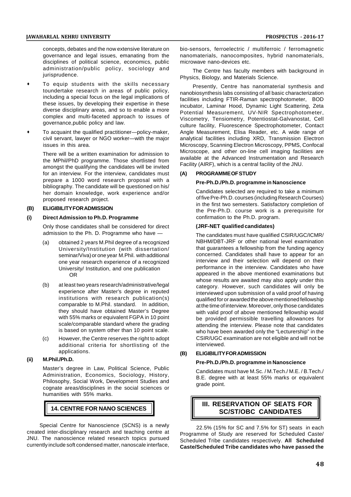concepts, debates and the now extensive literature on governance and legal issues, emanating from the disciplines of political science, economics, public administration/public policy, sociology and jurisprudence.

- To equip students with the skills necessary toundertake research in areas of public policy, including a special focus on the legal implications of these issues, by developing their expertise in these diverse disciplinary areas, and so to enable a more complex and multi-faceted approach to issues of governance,public policy and law.
- To acquaint the qualified practitioner—policy-maker, civil servant, lawyer or NGO worker—with the major issues in this area.

There will be a written examination for admission to the MPhil/PhD programme. Those shortlisted from amongst the qualifying the candidates will be invited for an interview. For the interview, candidates must prepare a 1000 word research proposal with a bibliography. The candidate will be questioned on his/ her domain knowledge, work experience and/or proposed research project.

#### **(B) ELIGIBILITY FOR ADMISSION**

#### **(i) Direct Admission to Ph.D. Programme**

Only those candidates shall be considered for direct admission to the Ph. D. Programme who have —

- (a) obtained 2 years M.Phil degree of a recognized University/Institution (with dissertation/ seminar/Viva) or one year M.Phil. with additional one year research experience of a recognized University/ Institution, and one publication OR
- (b) at least two years research/administrative/legal experience after Master's degree in reputed institutions with research publication(s) comparable to M.Phil. standard. In addition, they should have obtained Master's Degree with 55% marks or equivalent FGPA in 10 point scale/comparable standard where the grading is based on system other than 10 point scale.
- (c) However, the Centre reserves the right to adopt additional criteria for shortlisting of the applications.

#### **(ii) M.Phil./Ph.D.**

Master's degree in Law, Political Science, Public Administration, Economics, Sociology, History, Philosophy, Social Work, Development Studies and cognate areas/disciplines in the social sciences or humanities with 55% marks.

## **14. CENTRE FOR NANO SCIENCES**

Special Centre for Nanoscience (SCNS) is a newly created inter-disciplinary research and teaching centre at JNU. The nanoscience related research topics pursued currently include soft condensed matter, nanoscale interface,

bio-sensors, ferroelectric / multiferroic / ferromagnetic nanomaterials, nanocomposites, hybrid nanomaterials, microwave nano-devices etc.

The Centre has faculty members with background in Physics, Biology, and Materials Science.

Presently, Centre has nanomaterial synthesis and nanobiosynthesis labs consisting of all basic characterization facilities including FTIR-Raman spectrophotometer, BOD incubator, Laminar Hood, Dynamic Light Scattering, Zeta Potential Measurement, UV-NIR Spectrophotometer, Viscometry, Tensiometry, Potentiostat-Galvanostat, Cell culture facility, Fluorescence Spectrophotometer, Contact Angle Measurement, Elisa Reader, etc. A wide range of analytical facilities including XRD, Transmission Electron Microscopy, Scanning Electron Microscopy, PPMS, Confocal Microscope, and other on-line cell imaging facilities are available at the Advanced Instrumentation and Research Facility (AIRF), which is a central facility of the JNU.

#### **(A) PROGRAMME OF STUDY**

#### **Pre-Ph.D./Ph.D. programme in Nanoscience**

Candidates selected are required to take a minimum of five Pre-Ph.D. courses (including Research Courses) in the first two semesters. Satisfactory completion of the Pre-Ph.D. course work is a prerequisite for confirmation to the Ph.D. program.

#### **(JRF-NET qualified candidates)**

The candidates must have qualified CSIR/UGC/ICMR/ NBHM/DBT-JRF or other national level examination that guarantees a fellowship from the funding agency concerned. Candidates shall have to appear for an interview and their selection will depend on their performance in the interview. Candidates who have appeared in the above mentioned examinations but whose results are awaited may also apply under this category. However, such candidates will only be interviewed upon submission of a valid proof of having qualified for or awarded the above mentioned fellowship at the time of interview. Moreover, only those candidates with valid proof of above mentioned fellowship would be provided permissible travelling allowances for attending the interview. Please note that candidates who have been awarded only the "Lecturership" in the CSIR/UGC examination are not eligible and will not be interviewed.

#### **(B) ELIGIBILITY FOR ADMISSION**

#### **Pre-Ph.D./Ph.D. programme in Nanoscience**

Candidates must have M.Sc. / M.Tech./ M.E. / B.Tech./ B.E. degree with at least 55% marks or equivalent grade point.

# **III. RESERVATION OF SEATS FOR SC/ST/OBC CANDIDATES**

22.5% (15% for SC and 7.5% for ST) seats in each Programme of Study are reserved for Scheduled Caste/ Scheduled Tribe candidates respectively. **All Scheduled Caste/Scheduled Tribe candidates who have passed the**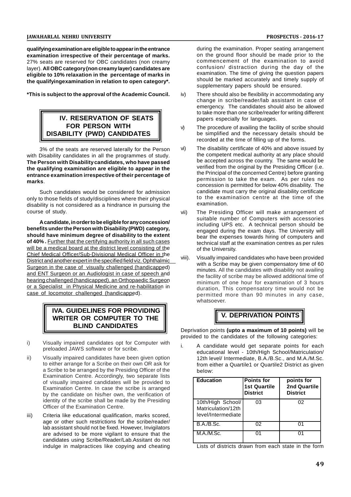**qualifying examination are eligible to appear in the entrance examination irrespective of their percentage of marks.** 27% seats are reserved for OBC candidates (non creamy layer). **All OBC category (non creamy layer) candidates are eligible to 10% relaxation in the percentage of marks in the qualifyingexamination in relation to open category\*.**

**\*This is subject to the approval of the Academic Council.**

# **IV. RESERVATION OF SEATS FOR PERSON WITH DISABILITY (PWD) CANDIDATES**

3% of the seats are reserved laterally for the Person with Disability candidates in all the programmes of study. **The Person with Disability candidates, who have passed the qualifying examination are eligible to appear in the entrance examination irrespective of their percentage of marks**.

Such candidates would be considered for admission only to those fields of study/disciplines where their physical disability is not considered as a hindrance in pursuing the course of study.

**A candidate, in order to be eligible for any concession/ benefits under the Person with Disability (PWD) category, should have minimum degree of disability to the extent of 40% .** Further that the certifying authority in all such cases will be a medical board at the district level consisting of the Chief Medical Officer/Sub-Divisional Medical Officer in the District and another expert in the specified field viz. Ophthalmic Surgeon in the case of visually challenged (handicapped) and ENT Surgeon or an Audiologist in case of speech and hearing challenged (handicapped), an Orthopaedic Surgeon or a Specialist in Physical Medicine and re-habilitation in case of locomotor challenged (handicapped).

# **IVA. GUIDELINES FOR PROVIDING WRITER OR COMPUTER TO THE BLIND CANDIDATES**

- i) Visually impaired candidates opt for Computer with i. preloaded JAWS software or for scribe.
- ii) Visually impaired candidates have been given option to either arrange for a Scribe on their own OR ask for a Scribe to be arranged by the Presiding Officer of the Examination Centre. Accordingly, two separate lists of visually impaired candidates will be provided to Examination Centre. In case the scribe is arranged by the candidate on his/her own, the verification of identity of the scribe shall be made by the Presiding Officer of the Examination Centre.
- iii) Criteria like educational qualification, marks scored, age or other such restrictions for the scribe/reader/ lab assistant should not be fixed. However, Invigilators are advised to be more vigilant to ensure that the candidates using Scribe/Reader/Lab.Assitant do not indulge in malpractices like copying and cheating

during the examination. Proper seating arrangement on the ground floor should be made prior to the commencement of the examination to avoid confusion/ distraction during the day of the examination. The time of giving the question papers should be marked accurately and timely supply of supplementary papers should be ensured.

- There should also be flexibility in accommodating any change in scribe/reader/lab assistant in case of emergency. The candidates should also be allowed to take more than one scribe/reader for writing different papers especially for languages.
- v) The procedure of availing the facility of scribe should be simplified and the necessary details should be recorded at the time of filling up of the forms.
- The disability certificate of 40% and above issued by the competent medical authority at any place should be accepted across the country. The same would be verified from the original by the Presiding Officer (i.e. the Principal of the concerned Centre) before granting permission to take the exam. As per rules no concession is permitted for below 40% disability. The candidate must carry the original disability certificate to the examination centre at the time of the examination.
- vii) The Presiding Officer will make arrangement of suitable number of Computers with accessories including UPS etc. A technical person should be engaged during the exam days. The University will bear the expenses towards hiring of computers and technical staff at the examination centres as per rules of the University.
- Visually impaired candidates who have been provided with a Scribe may be given compensatory time of 60 minutes. All the candidates with disability not availing the facility of scribe may be allowed additional time of minimum of one hour for examination of 3 hours duration, This compensatory time would not be permitted more than 90 minutes in any case, whatsoever.

# **V. DEPRIVATION POINTS**

Deprivation points **(upto a maximum of 10 points)** will be provided to the candidates of the following categories:

A candidate would get separate points for each educational level - 10th/High School/Matriculation/ 12th level/ Intermediate, B.A./B.Sc., and M.A./M.Sc. from either a Quartile1 or Quartile2 District as given below:

| <b>Education</b>                                              | <b>Points for</b><br><b>1st Quartile</b><br><b>District</b> | points for<br>2nd Quartile<br><b>District</b> |
|---------------------------------------------------------------|-------------------------------------------------------------|-----------------------------------------------|
| 10th/High School/<br>Matriculation/12th<br>level/Intermediate | 03                                                          | 02                                            |
| <b>B.A./B.Sc.</b>                                             | በ2                                                          |                                               |
| M.A./M.Sc.                                                    | በ1                                                          |                                               |

Lists of districts drawn from each state in the form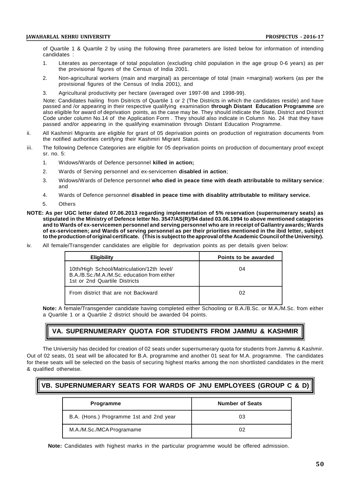of Quartile 1 & Quartile 2 by using the following three parameters are listed below for information of intending candidates :

- 1. Literates as percentage of total population (excluding child population in the age group 0-6 years) as per the provisional figures of the Census of India 2001.
- 2. Non-agricultural workers (main and marginal) as percentage of total (main +marginal) workers (as per the provisional figures of the Census of India 2001), and
- 3. Agricultural productivity per hectare (averaged over 1997-98 and 1998-99).

Note: Candidates hailing from Dsitricts of Quartile 1 or 2 (The Districts in which the candidates reside) and have passed and /or appearing in their respective qualifying examination **through Distant Education Programme** are also eligible for award of deprivation points, as the case may be. They should indicate the State, District and District Code under column No.14 of the Application Form . They should also indicate in Column No. 24 that they have passed and/or appearing in the qualifying examination through Distant Education Programme.

- ii. All Kashmiri Migrants are eligible for grant of 05 deprivation points on production of registration documents from the notified authorities certifying their Kashmiri Migrant Status.
- iii. The following Defence Categories are eligible for 05 deprivation points on production of documentary proof except sr. no. 5:
	- 1. Widows/Wards of Defence personnel **killed in action;**
	- 2. Wards of Serving personnel and ex-servicemen **disabled in action**;
	- 3. Widows/Wards of Defence personnel **who died in peace time with death attributable to military service**; and
	- 4. Wards of Defence personnel **disabled in peace time with disablity attributable to military service.**
	- 5. Others
- **NOTE: As per UGC letter dated 07.06.2013 regarding implementation of 5% reservation (supernumerary seats) as stipulated in the Ministry of Defence letter No. 3547/AS(R)/94 dated 03.06.1994 to above mentioned catagories and to Wards of ex-servicemen personnel and serving personnel who are in receipt of Gallantry awards; Wards of ex-servicemen; and Wards of serving personnel as per their priorities mentioned in the ibid letter, subject to the production of original certificate. (This is subject to the approval of the Academic Council of the University).**
- iv. All female/Transgender candidates are eligible for deprivation points as per details given below:

| <b>Eligibility</b>                                                                                                         | Points to be awarded |  |
|----------------------------------------------------------------------------------------------------------------------------|----------------------|--|
| 10th/High School/Matriculation/12th level/<br>B.A./B.Sc./M.A./M.Sc. education from either<br>1st or 2nd Quartile Districts | 04                   |  |
| From district that are not Backward                                                                                        | 02                   |  |

**Note:** A female/Transgender candidate having completed either Schooling or B.A./B.Sc. or M.A./M.Sc. from either a Quartile 1 or a Quartile 2 district should be awarded 04 points.

# **VA. SUPERNUMERARY QUOTA FOR STUDENTS FROM JAMMU & KASHMIR**

The University has decided for creation of 02 seats under supernumerary quota for students from Jammu & Kashmir. Out of 02 seats, 01 seat will be allocated for B.A. programme and another 01 seat for M.A. programme. The candidates for these seats will be selected on the basis of securing highest marks among the non shortlisted candidates in the merit & qualified otherwise.

# **VB. SUPERNUMERARY SEATS FOR WARDS OF JNU EMPLOYEES (GROUP C & D)**

| <b>Programme</b>                        | <b>Number of Seats</b> |
|-----------------------------------------|------------------------|
| B.A. (Hons.) Programme 1st and 2nd year | 03                     |
| M.A./M.Sc./MCA Programame               | 02                     |

**Note:** Candidates with highest marks in the particular programme would be offered admission.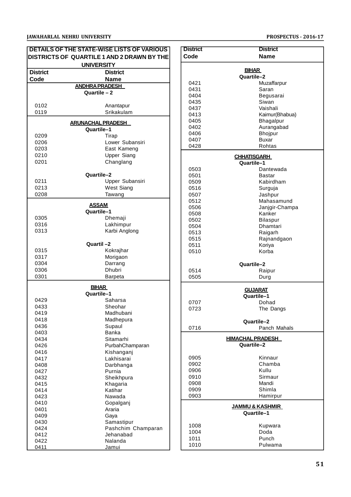|                 | DETAILS OF THE STATE-WISE LISTS OF VARIOUS<br>DISTRICTS OF QUARTILE 1 AND 2 DRAWN BY THE | <b>Distri</b><br>Code              |
|-----------------|------------------------------------------------------------------------------------------|------------------------------------|
|                 | <b>UNIVERSITY</b>                                                                        |                                    |
| <b>District</b> | <b>District</b>                                                                          |                                    |
| Code            | <b>Name</b>                                                                              | 042                                |
|                 | <b>ANDHRA PRADESH</b><br>Quartile - 2                                                    | 043                                |
|                 |                                                                                          | 04 <sub>C</sub>                    |
| 0102            | Anantapur                                                                                | 043                                |
| 0119            | Srikakulam                                                                               | 043<br>041                         |
|                 | <b>ARUNACHAL PRADESH</b>                                                                 | 04 <sub>C</sub><br>04 <sub>C</sub> |
|                 | Quartile-1                                                                               | 04 <sub>C</sub>                    |
| 0209            | Tirap                                                                                    | 040                                |
| 0206<br>0203    | Lower Subansiri<br>East Kameng                                                           | 042                                |
| 0210            | <b>Upper Siang</b>                                                                       |                                    |
| 0201            | Changlang                                                                                |                                    |
|                 |                                                                                          | 05C                                |
|                 | Quartile-2                                                                               | 050                                |
| 0211<br>0213    | Upper Subansiri<br>West Siang                                                            | 050<br>051                         |
| 0208            | Tawang                                                                                   | 05C                                |
|                 |                                                                                          | 051                                |
|                 | <b>ASSAM</b><br>Quartile-1                                                               | 050                                |
| 0305            | Dhemaji                                                                                  | 05C<br>05C                         |
| 0316            | Lakhimpur                                                                                | 05C                                |
| 0313            | Karbi Anglong                                                                            | 051                                |
|                 |                                                                                          | 051                                |
|                 | Quartil-2                                                                                | 051                                |
| 0315<br>0317    | Kokrajhar<br>Morigaon                                                                    | 051                                |
| 0304            | Darrang                                                                                  |                                    |
| 0306            | <b>Dhubri</b>                                                                            | 051                                |
| 0301            | Barpeta                                                                                  | 05C                                |
|                 | <b>BIHAR</b>                                                                             |                                    |
|                 | Quartile-1                                                                               |                                    |
| 0429            | Saharsa                                                                                  | 07 <sub>C</sub>                    |
| 0433            | Sheohar<br>Madhubani                                                                     | 072                                |
| 0419<br>0418    | Madhepura                                                                                |                                    |
| 0436            | Supaul                                                                                   |                                    |
| 0403            | <b>Banka</b>                                                                             | 071                                |
| 0434            | Sitamarhi                                                                                |                                    |
| 0426            | PurbahChamparan                                                                          |                                    |
| 0416            | Kishanganj                                                                               |                                    |
| 0417            | Lakhisarai                                                                               | 09C<br>09C                         |
| 0408<br>0427    | Darbhanga<br>Purnia                                                                      | 09 <sub>C</sub>                    |
| 0432            | Sheikhpura                                                                               | 091                                |
| 0415            | Khagaria                                                                                 | 09C                                |
| 0414            | Katihar                                                                                  | 09C                                |
| 0423            | Nawada                                                                                   | 09C                                |
| 0410<br>0401    | Gopalganj<br>Araria                                                                      |                                    |
| 0409            | Gaya                                                                                     |                                    |
| 0430            | Samastipur                                                                               |                                    |
| 0424            | Pashchim Champaran                                                                       | 10C                                |
| 0412            | Jehanabad                                                                                | 10 <sub>C</sub><br>101             |
| 0422            | Nalanda                                                                                  | 101                                |
| 0411            | Jamui                                                                                    |                                    |

| <b>District</b><br>Code | <b>District</b><br><b>Name</b>           |  |  |  |
|-------------------------|------------------------------------------|--|--|--|
|                         |                                          |  |  |  |
| <b>BIHAR</b>            |                                          |  |  |  |
| Quartile–2<br>0421      |                                          |  |  |  |
| 0431                    | Muzaffarpur<br>Saran                     |  |  |  |
| 0404                    | Begusarai                                |  |  |  |
| 0435                    | Siwan                                    |  |  |  |
| 0437                    | Vaishali                                 |  |  |  |
| 0413                    | Kaimur(Bhabua)                           |  |  |  |
| 0405                    | Bhagalpur                                |  |  |  |
| 0402                    | Aurangabad                               |  |  |  |
| 0406                    | <b>Bhojpur</b>                           |  |  |  |
| 0407<br>0428            | Buxar<br>Rohtas                          |  |  |  |
|                         |                                          |  |  |  |
|                         | <b>CHHATISGARH</b><br>Quartile-1         |  |  |  |
| 0503                    | Dantewada                                |  |  |  |
| 0501                    | Bastar                                   |  |  |  |
| 0509                    | Kabirdham                                |  |  |  |
| 0516                    | Surguja                                  |  |  |  |
| 0507                    | Jashpur                                  |  |  |  |
| 0512                    | Mahasamund                               |  |  |  |
| 0506                    | Janjgir-Champa                           |  |  |  |
| 0508<br>0502            | Kanker<br><b>Bilaspur</b>                |  |  |  |
| 0504                    | Dhamtari                                 |  |  |  |
| 0513                    | Raigarh                                  |  |  |  |
| 0515                    | Rajnandgaon                              |  |  |  |
| 0511                    | Koriya                                   |  |  |  |
| 0510                    | Korba                                    |  |  |  |
|                         | Quartile-2                               |  |  |  |
| 0514                    | Raipur                                   |  |  |  |
| 0505                    | Durg                                     |  |  |  |
| <b>GUJARAT</b>          |                                          |  |  |  |
|                         | Quartile-1                               |  |  |  |
| 0707                    | Dohad                                    |  |  |  |
| 0723                    | The Dangs                                |  |  |  |
|                         | Quartile-2                               |  |  |  |
| 0716                    | Panch Mahals                             |  |  |  |
|                         | <u>HIMACHAL PRADESH</u>                  |  |  |  |
|                         | Quartile-2                               |  |  |  |
| 0905                    | Kinnaur                                  |  |  |  |
| 0902                    | Chamba                                   |  |  |  |
| 0906                    | Kullu                                    |  |  |  |
| 0910                    | Sirmaur                                  |  |  |  |
| 0908                    | Mandi                                    |  |  |  |
| 0909                    | Shimla                                   |  |  |  |
| 0903                    | Hamirpur                                 |  |  |  |
|                         | <u>JAMMU &amp; KASHMIR</u><br>Quartile-1 |  |  |  |
| 1008                    | Kupwara                                  |  |  |  |
| 1004                    | Doda                                     |  |  |  |
| 1011                    | Punch                                    |  |  |  |
| 1010                    | Pulwama                                  |  |  |  |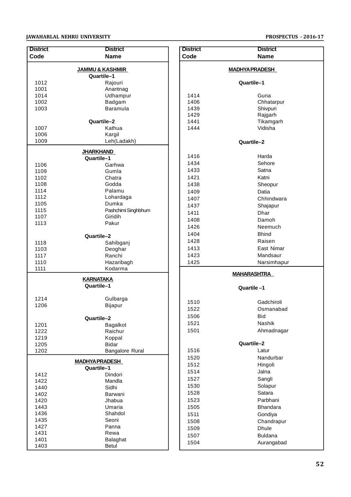| <b>District</b> | <b>District</b>                    |  |  |  |  |
|-----------------|------------------------------------|--|--|--|--|
| Code            | <b>Name</b>                        |  |  |  |  |
|                 | <b>JAMMU &amp; KASHMIR</b>         |  |  |  |  |
|                 | Quartile-1                         |  |  |  |  |
| 1012            | Rajouri                            |  |  |  |  |
| 1001<br>1014    | Anantnag<br>Udhampur               |  |  |  |  |
| 1002            | Badgam                             |  |  |  |  |
| 1003            | Baramula                           |  |  |  |  |
|                 |                                    |  |  |  |  |
|                 | Quartile-2                         |  |  |  |  |
| 1007            | Kathua                             |  |  |  |  |
| 1006            | Kargil                             |  |  |  |  |
| 1009            | Leh(Ladakh)                        |  |  |  |  |
|                 | <b>JHARKHAND</b>                   |  |  |  |  |
|                 | Quartile-1                         |  |  |  |  |
| 1106<br>1109    | Garhwa<br>Gumla                    |  |  |  |  |
| 1102            | Chatra                             |  |  |  |  |
| 1108            | Godda                              |  |  |  |  |
| 1114            | Palamu                             |  |  |  |  |
| 1112            | Lohardaga                          |  |  |  |  |
| 1105            | Dumka                              |  |  |  |  |
| 1115            | Pashchimi Singhbhum                |  |  |  |  |
| 1107            | Giridih                            |  |  |  |  |
| 1113            | Pakur                              |  |  |  |  |
|                 | Quartile-2                         |  |  |  |  |
| 1118            | Sahibganj                          |  |  |  |  |
| 1103            | Deoghar                            |  |  |  |  |
| 1117            | Ranchi                             |  |  |  |  |
| 1110            | Hazaribagh                         |  |  |  |  |
| 1111            | Kodarma                            |  |  |  |  |
|                 | <b>KARNATAKA</b><br>Quartile-1     |  |  |  |  |
| 1214            | Gulbarga                           |  |  |  |  |
| 1206            | Bijapur                            |  |  |  |  |
|                 |                                    |  |  |  |  |
|                 | Quartile-2                         |  |  |  |  |
| 1201            | Bagalkot                           |  |  |  |  |
| 1222            | Raichur                            |  |  |  |  |
| 1219<br>1205    | Koppal<br><b>Bidar</b>             |  |  |  |  |
| 1202            | <b>Bangalore Rural</b>             |  |  |  |  |
|                 |                                    |  |  |  |  |
|                 | <b>MADHYAPRADESH</b><br>Quartile-1 |  |  |  |  |
| 1412            | Dindori                            |  |  |  |  |
| 1422            | Mandla                             |  |  |  |  |
| 1440            | Sidhi                              |  |  |  |  |
| 1402<br>1420    | Barwani<br>Jhabua                  |  |  |  |  |
| 1443            | Umaria                             |  |  |  |  |
| 1436            | Shahdol                            |  |  |  |  |
| 1435            | Seoni                              |  |  |  |  |
| 1427            | Panna                              |  |  |  |  |
| 1431            | Rewa                               |  |  |  |  |
| 1401            | Balaghat                           |  |  |  |  |
| 1403            | Betul                              |  |  |  |  |

| <b>District</b> | <b>District</b>        |  |  |  |  |
|-----------------|------------------------|--|--|--|--|
| Code            | <b>Name</b>            |  |  |  |  |
|                 |                        |  |  |  |  |
|                 | <u>MADHYA PRADESH_</u> |  |  |  |  |
|                 | Quartile–1             |  |  |  |  |
|                 |                        |  |  |  |  |
| 1414            | Guna                   |  |  |  |  |
| 1406            | Chhatarpur             |  |  |  |  |
| 1439            | Shivpuri               |  |  |  |  |
| 1429            | Rajgarh                |  |  |  |  |
| 1441            | Tikamgarh              |  |  |  |  |
| 1444            | Vidisha                |  |  |  |  |
|                 |                        |  |  |  |  |
|                 | Quartile-2             |  |  |  |  |
|                 |                        |  |  |  |  |
| 1416            | Harda                  |  |  |  |  |
| 1434            | Sehore                 |  |  |  |  |
| 1433            | Satna                  |  |  |  |  |
| 1421            | Katni                  |  |  |  |  |
| 1438            | Sheopur                |  |  |  |  |
| 1409            | Datia                  |  |  |  |  |
| 1407            | Chhindwara             |  |  |  |  |
| 1437            | Shajapur               |  |  |  |  |
| 1411            | Dhar                   |  |  |  |  |
| 1408            | Damoh                  |  |  |  |  |
| 1426            | Neemuch                |  |  |  |  |
| 1404            | <b>Bhind</b>           |  |  |  |  |
| 1428            | Raisen                 |  |  |  |  |
| 1413            | East Nimar             |  |  |  |  |
| 1423            | Mandsaur               |  |  |  |  |
| 1425            | Narsimhapur            |  |  |  |  |
|                 |                        |  |  |  |  |
|                 | <u>MAHARASHTRA</u>     |  |  |  |  |
|                 | Quartile-1             |  |  |  |  |
|                 |                        |  |  |  |  |
| 1510            | Gadchiroli             |  |  |  |  |
| 1522            | Osmanabad              |  |  |  |  |
| 1506            | Bid                    |  |  |  |  |
| 1521            | Nashik                 |  |  |  |  |
| 1501            | Ahmadnagar             |  |  |  |  |
|                 |                        |  |  |  |  |
|                 | Quartile-2             |  |  |  |  |
| 1516            | Latur                  |  |  |  |  |
| 1520            | Nandurbar              |  |  |  |  |
| 1512            | Hingoli                |  |  |  |  |
| 1514            | Jalna                  |  |  |  |  |
| 1527            | Sangli                 |  |  |  |  |
| 1530            | Solapur                |  |  |  |  |
| 1528            | Satara                 |  |  |  |  |
| 1523            | Parbhani               |  |  |  |  |
| 1505            | <b>Bhandara</b>        |  |  |  |  |
| 1511            | Gondiya                |  |  |  |  |
| 1508            | Chandrapur             |  |  |  |  |
|                 |                        |  |  |  |  |
| 1509            | <b>Dhule</b>           |  |  |  |  |
| 1507            | <b>Buldana</b>         |  |  |  |  |
| 1504            | Aurangabad             |  |  |  |  |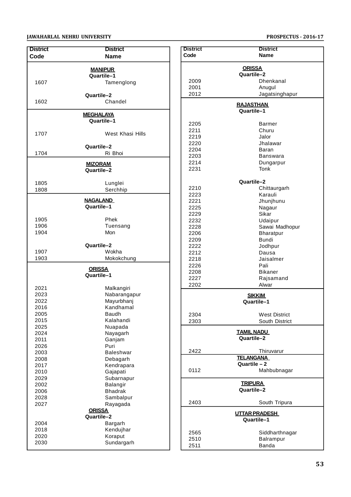| <b>District</b>                                                                                                                                      | <b>District</b>                                                                                                                                                                                                                                                                           |
|------------------------------------------------------------------------------------------------------------------------------------------------------|-------------------------------------------------------------------------------------------------------------------------------------------------------------------------------------------------------------------------------------------------------------------------------------------|
| Code                                                                                                                                                 | <b>Name</b>                                                                                                                                                                                                                                                                               |
| 1607                                                                                                                                                 | <b>MANIPUR</b><br>Quartile-1<br>Tamenglong                                                                                                                                                                                                                                                |
| 1602                                                                                                                                                 | Quartile-2<br>Chandel                                                                                                                                                                                                                                                                     |
|                                                                                                                                                      | <u>MEGHALAYA</u><br>Quartile-1                                                                                                                                                                                                                                                            |
| 1707                                                                                                                                                 | West Khasi Hills                                                                                                                                                                                                                                                                          |
| 1704                                                                                                                                                 | Quartile-2<br>Ri Bhoi                                                                                                                                                                                                                                                                     |
|                                                                                                                                                      | <u>MIZORAM</u><br>Quartile-2                                                                                                                                                                                                                                                              |
| 1805<br>1808                                                                                                                                         | Lunglei<br>Serchhip                                                                                                                                                                                                                                                                       |
|                                                                                                                                                      | <b>NAGALAND</b><br>Quartile-1                                                                                                                                                                                                                                                             |
| 1905<br>1906<br>1904                                                                                                                                 | Phek<br>Tuensang<br>Mon                                                                                                                                                                                                                                                                   |
| 1907<br>1903                                                                                                                                         | Quartile-2<br>Wokha<br>Mokokchung                                                                                                                                                                                                                                                         |
|                                                                                                                                                      | <b>ORISSA</b><br>Quartile-1                                                                                                                                                                                                                                                               |
| 2021<br>2023<br>2022<br>2016<br>2005<br>2015<br>2025<br>2024<br>2011<br>2026<br>2003<br>2008<br>2017<br>2010<br>2029<br>2002<br>2006<br>2028<br>2027 | Malkangiri<br>Nabarangapur<br>Mayurbhanj<br>Kandhamal<br><b>Baudh</b><br>Kalahandi<br>Nuapada<br>Nayagarh<br>Ganjam<br>Puri<br><b>Baleshwar</b><br>Debagarh<br>Kendrapara<br>Gajapati<br>Subarnapur<br>Balangir<br><b>Bhadrak</b><br>Sambalpur<br>Rayagada<br><b>ORISSA</b><br>Quartile-2 |
| 2004<br>2018<br>2020                                                                                                                                 | Bargarh<br>Kendujhar<br>Koraput                                                                                                                                                                                                                                                           |
| 2030                                                                                                                                                 | Sundargarh                                                                                                                                                                                                                                                                                |

| <b>District</b> | <b>District</b>                    |  |  |
|-----------------|------------------------------------|--|--|
| Code            | <b>Name</b>                        |  |  |
| <b>ORISSA</b>   |                                    |  |  |
|                 | Quartile-2                         |  |  |
| 2009            | Dhenkanal                          |  |  |
| 2001<br>2012    | Anugul<br>Jagatsinghapur           |  |  |
|                 |                                    |  |  |
|                 | <u>RAJASTHAN</u><br>Quartile-1     |  |  |
| 2205            | <b>Barmer</b>                      |  |  |
| 2211            | Churu                              |  |  |
| 2219            | Jalor                              |  |  |
| 2220            | Jhalawar                           |  |  |
| 2204            | Baran                              |  |  |
| 2203            | Banswara                           |  |  |
| 2214            | Dungarpur                          |  |  |
| 2231            | Tonk                               |  |  |
|                 | Quartile-2                         |  |  |
| 2210            | Chittaurgarh                       |  |  |
| 2223            | Karauli                            |  |  |
| 2221            | Jhunjhunu                          |  |  |
| 2225            | Nagaur                             |  |  |
| 2229            | Sikar                              |  |  |
| 2232            | Udaipur                            |  |  |
| 2228            | Sawai Madhopur                     |  |  |
| 2206            | <b>Bharatpur</b>                   |  |  |
| 2209            | Bundi                              |  |  |
| 2222            | Jodhpur                            |  |  |
| 2212<br>2218    | Dausa<br>Jaisalmer                 |  |  |
| 2226            | Pali                               |  |  |
| 2208            | <b>Bikaner</b>                     |  |  |
| 2227            | Rajsamand                          |  |  |
| 2202            | Alwar                              |  |  |
| <b>SIKKIM</b>   |                                    |  |  |
|                 | Quartile–1                         |  |  |
| 2304            | <b>West District</b>               |  |  |
| 2303            | South District                     |  |  |
|                 | <b>TAMIL NADU</b>                  |  |  |
|                 | Quartile-2                         |  |  |
| 2422            | Thiruvarur                         |  |  |
|                 | <b>TELANGANA</b>                   |  |  |
| 0112            | Quartile - 2<br>Mahbubnagar        |  |  |
|                 |                                    |  |  |
| <u>TRIPURA</u>  |                                    |  |  |
| Quartile-2      |                                    |  |  |
| 2403            | South Tripura                      |  |  |
|                 | <b>UTTAR PRADESH</b><br>Quartile-1 |  |  |
| 2565            | Siddharthnagar                     |  |  |
| 2510            | Balrampur                          |  |  |
| 2511            | <b>Banda</b>                       |  |  |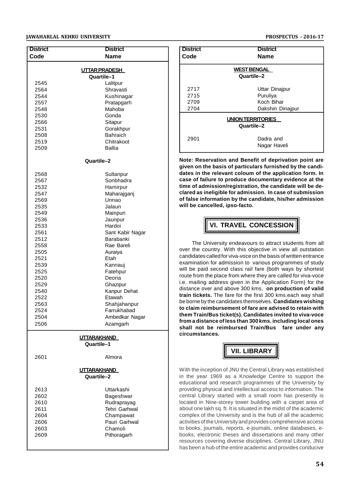| <b>District</b>                             | <b>District</b>      |  |  |
|---------------------------------------------|----------------------|--|--|
| Code                                        | <b>Name</b>          |  |  |
|                                             | <b>UTTAR PRADESH</b> |  |  |
| Quartile-1                                  |                      |  |  |
| 2545                                        | Lalitpur             |  |  |
| 2564                                        | Shravasti            |  |  |
| 2544                                        | Kushinagar           |  |  |
| 2557                                        | Pratapgarh           |  |  |
| 2548                                        | Mahoba               |  |  |
| 2530                                        | Gonda                |  |  |
| 2566<br>2531                                | Sitapur<br>Gorakhpur |  |  |
| 2508                                        | <b>Bahraich</b>      |  |  |
| 2519                                        | Chitrakoot           |  |  |
| 2509                                        | Ballia               |  |  |
|                                             |                      |  |  |
|                                             | Quartile-2           |  |  |
| 2568                                        | Sultanpur            |  |  |
| 2567                                        | Sonbhadra            |  |  |
| 2532                                        | Hamirpur             |  |  |
| 2547                                        | Maharajganj          |  |  |
| 2569                                        | Unnao                |  |  |
| 2535                                        | Jalaun               |  |  |
| 2549                                        | Mainpuri             |  |  |
| 2536                                        | Jaunpur              |  |  |
| 2533                                        | Hardoi               |  |  |
| 2561                                        | Sant Kabir Nagar     |  |  |
| 2512                                        | Barabanki            |  |  |
|                                             | 2558<br>Rae Bareli   |  |  |
| 2505                                        | Auraiya              |  |  |
| 2521                                        | Etah                 |  |  |
| Kannauj<br>2539                             |                      |  |  |
| 2525<br>Fatehpur<br>Deoria                  |                      |  |  |
| 2520                                        |                      |  |  |
| 2529<br>Ghazipur                            |                      |  |  |
| Kanpur Dehat<br>2540<br>Etawah              |                      |  |  |
| 2522                                        |                      |  |  |
| 2563<br>Shahjahanpur<br>2524<br>Farrukhabad |                      |  |  |
| 2504                                        | Ambedkar Nagar       |  |  |
| 2506                                        | Azamgarh             |  |  |
|                                             | <u>UTTARAKHAND</u>   |  |  |
|                                             | Quartile-1           |  |  |
| 2601                                        | Almora               |  |  |
| <b>UTTARAKHAND</b>                          |                      |  |  |
|                                             | Quartile-2           |  |  |
| 2613                                        | Uttarkashi           |  |  |
| 2602                                        | Bageshwar            |  |  |
| 2610                                        | Rudraprayag          |  |  |
| 2611                                        | Tehri Garhwal        |  |  |
| 2604                                        | Champawat            |  |  |
| 2606                                        | Pauri Garhwal        |  |  |

Pauri Garhwal

Pithoragarh

2603 Chamoli

| <b>District</b><br>Code  | <b>District</b><br><b>Name</b> |  |
|--------------------------|--------------------------------|--|
|                          |                                |  |
|                          | <b>WEST BENGAL</b>             |  |
|                          | Quartile-2                     |  |
| 2717                     | Uttar Dinajpur                 |  |
| 2715                     | Puruliya                       |  |
| 2709                     | Koch Bihar                     |  |
| 2704                     | Dakshin Dinajpur               |  |
| <b>UNION TERRITORIES</b> |                                |  |
|                          | Quartile-2                     |  |
| 2901                     | Dadra and                      |  |
|                          | Nagar Haveli                   |  |

**Note: Reservation and Benefit of deprivation point are given on the basis of particulars furnished by the candidates in the relevant coloum of the application form. In case of failure to produce documentary evidence at the time of admission/registration, the candidate will be declared as ineligible for admission. In case of submission of false information by the candidate, his/her admission will be cancelled, ipso-facto.**

# **VI. TRAVEL CONCESSION**

The University endeavours to attract students from all over the country. With this objective in view all outstation candidates called for viva-voce on the basis of written entrance examination for admission to various programmes of study will be paid second class rail fare (both ways by shortest route from the place from where they are called for viva-voce i.e. mailing address given in the Application Form) for the distance over and above 300 kms, **on production of valid train tickets.** The fare for the first 300 kms.each way shall be borne by the candidates themselves. **Candidates wishing to claim reimbursement of fare are advised to retain with them Train/Bus ticket(s). Candidates invited to viva-voce from a distance of less than 300 kms. including local ones shall not be reimbursed Train/Bus fare under any circumstances.**



With the inception of JNU the Central Library was established in the year 1969 as a Knowledge Centre to support the educational and research programmes of the University by providing physical and intellectual access to information. The central Library started with a small room has presently is located in Nine-storey tower building with a carpet area of about one lakh sq. ft. It is situated in the midst of the academic complex of the University and is the hub of all the academic activities of the University and provides comprehensive access to books, journals, reports, e-journals, online databases, ebooks, electronic theses and dissertations and many other resources covering diverse disciplines. Central Library, JNU has been a hub of the entire academic and provides conducive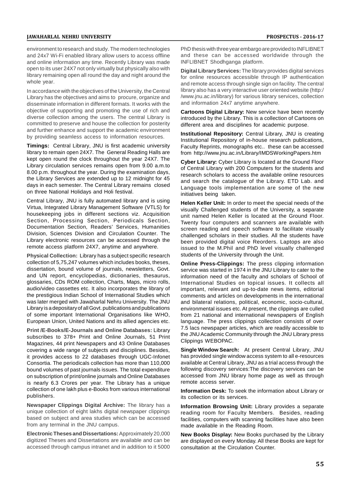environment to research and study. The modern technologies and 24x7 Wi-Fi enabled library allow users to access offline and online information any time. Recently Library was made open to its user 24X7 not only virtually but physically also with library remaining open all round the day and night around the whole year.

In accordance with the objectives of the University, the Central Library has the objectives and aims to procure, organize and disseminate information in different formats. It works with the objective of supporting and promoting the use of rich and diverse collection among the users. The central Library is committed to preserve and house the collection for posterity and further enhance and support the academic environment by providing seamless access to information resources.

**Timings:** Central Library, JNU is first academic university library to remain open 24X7. The General Reading Halls are kept open round the clock throughout the year 24X7. The Library circulation services remains open from 9.00 a.m.to 8.00 p.m. throughout the year. During the examination days, the Library Services are extended up to 12 midnight for 45 days in each semester. The Central Library remains closed on three National Holidays and Holi festival.

Central Library, JNU is fully automated library and is using Virtua, Integrated Library Management Software (VTLS) for housekeeping jobs in different sections viz. Acquisition Section, Processing Section, Periodicals Section, Documentation Section, Readers' Services, Humanities Division, Sciences Division and Circulation Counter. The Library electronic resources can be accessed through the remote access platform 24X7, anytime and anywhere.

**Physical Collection:** Library has a subject specific research collection of 5,75,247 volumes which includes books, theses, dissertation, bound volume of journals, newsletters, Govt. and UN report, encyclopedias, dictionaries, thesaurus, glossaries, CDs ROM collection, Charts, Maps, micro rolls, audio/video cassettes etc. It also incorporates the library of the prestigious Indian School of International Studies which was later merged with Jawaharlal Nehru University. The JNU Library is a depositary of all Govt. publications and publications of some important International Organisations like WHO, European Union, United Nations and its allied agencies etc.

**Print /E-Books/E-Journals and Online Databases:** Library subscribes to 378+ Print and Online Journals, 51 Print Magazines, 44 print Newspapers and 43 Online Databases covering a wide range of subjects and disciplines. Besides, it provides access to 22 databases through UGC-Infonet Consortia. The periodicals collection has more than 110,000 bound volumes of past journals issues. The total expenditure on subscription of print/online journals and Online Databases is nearly 6.3 Crores per year. The Library has a unique collection of one lakh plus e-Books from various international publishers.

**Newspaper Clippings Digital Archive:** The library has a unique collection of eight lakhs digital newspaper clippings based on subject and area studies which can be accessed from any terminal in the JNU campus.

**Electronic Theses and Dissertations:** Approximately 20,000 digitized Theses and Dissertations are available and can be accessed through campus intranet and in addition to it 5000

PhD thesis with three year embargo are provided to INFLIBNET and these can be accessed worldwide through the INFLIBNET Shodhganga platform.

**Digital Library Services:** The library provides digital services for online resources accessible through IP authentication and remote access through single sign on facility. The central library also has a very interactive user oriented website (http:/ /www.jnu.ac.in/library) for various library services, collection and information 24x7 anytime anywhere.

**Cartoons Digital Library:** New service have been recently introduced by the Library. This is a collection of Cartoons on different area and disciplines for academic purpose.

**Institutional Repository:** Central Library, JNU is creating Institutional Repository of in-house research publications, Faculty Reprints, monographs etc.. these can be accessed from http://www.jnu.ac.in/Library/IMDSWorkingPapers.htm

**Cyber Library:** Cyber Library is located at the Ground Floor of Central Library with 200 Computers for the students and research scholars to access the available online resources and search the catalogue of the Library. ETD Lab. and Language tools implementation are some of the new initiatives being taken.

**Helen Keller Unit:** In order to meet the special needs of the visually Challenged students of the University, a separate unit named Helen Keller is located at the Ground Floor. Twenty four computers and scanners are available with screen reading and speech software to facilitate visually challenged scholars in their studies. All the students have been provided digital voice Reorders. Laptops are also issued to the M.Phil and PhD level visually challenged students of the University through the Unit.

**Online Press-Clippings:** The press clipping information service was started in 1974 in the JNU Library to cater to the information need of the faculty and scholars of School of International Studies on topical issues. It collects all important, relevant and up-to-date news items, editorial comments and articles on developments in the international and bilateral relations, political, economic, socio-cultural, environmental issues etc. At present, the clippings are culled from 21 national and international newspapers of English language. The press clippings collection consists of over 7.5 lacs newspaper articles, which are readily accessible to the JNU Academic Community through the JNU Library press Clippings WEBOPAC.

**Single Window Search:** At present Central Library, JNU has provided single window access system to all e-resources available at Central Library, JNU as a trial access through the following discovery services:The discovery services can be accessed from JNU library home page as well as through remote access server.

**Information Desk:** To seek the information about Library or its collection or its services.

**Information Browsing Unit:** Library provides a separate reading room for Faculty Members. Besides, reading facilities, computers with scanning facilities have also been made available in the Reading Room.

**New Books Display:** New Books purchased by the Library are displayed on every Monday. All these Books are kept for consultation at the Circulation Counter.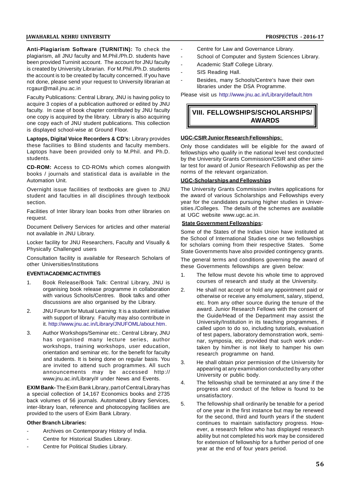**Anti-Plagiarism Software (TURNITIN):** To check the plagiarism, all JNU faculty and M.Phil./Ph.D. students have been provided Turninit account. The account for JNU faculty is created by University Librarian. For M.Phil./Ph.D. students the account is to be created by faculty concerned. If you have not done, please send your request to University librarian at rcgaur@mail.jnu.ac.in

Faculty Publications: Central Library, JNU is having policy to acquire 3 copies of a publication authored or edited by JNU faculty. In case of book chapter contributed by JNU faculty one copy is acquired by the library. Library is also acquiring one copy each of JNU student publications. This collection is displayed school-wise at Ground Floor.

**Laptops, Digital Voice Recorders & CD's:** Library provides these facilities to Blind students and faculty members. Laptops have been provided only to M.Phil. and Ph.D. students.

**CD-ROM:** Access to CD-ROMs which comes alongwith books / journals and statistical data is available in the Automation Unit.

Overnight issue facilities of textbooks are given to JNU student and faculties in all disciplines through textbook section.

Facilities of Inter library loan books from other libraries on request.

Document Delivery Services for articles and other material not available in JNU Library.

Locker facility for JNU Researchers, Faculty and Visually & Physically Challenged users

Consultation facility is available for Research Scholars of other Universities/Institutions

#### **EVENT/ACADEMIC ACTIVITIES**

- 1. Book Release/Book Talk: Central Library, JNU is organising book release programme in collaboration with various Schools/Centres. Book talks and other discussions are also organised by the Library.
- 2. JNU Forum for Mutual Learning: It is a student initiative with support of library. Faculty may also contribute in it. http://www.jnu.ac.in/Library/JNUFOML/about.htm.
- 3. Author Workshops/Seminar etc.: Central Library, JNU has organised many lecture series, author workshops, training workshops, user education, orientation and seminar etc. for the benefit for faculty and students. It is being done on regular basis. You are invited to attend such programmes. All such announcements may be accessed http:// www.jnu.ac.in/Library/# under News and Events.

**EXIM Bank-** The Exim Bank Library, part of Central Library has a special collection of 14,167 Economics books and 2735 back volumes of 56 journals. Automated Library Services, inter-library loan, reference and photocopying facilities are provided to the users of Exim Bank Library.

#### **Other Branch Libraries:**

- Archives on Contemporary History of India.
- Centre for Historical Studies Library.
- Centre for Political Studies Library.
- Centre for Law and Governance Library.
- School of Computer and System Sciences Library.
- Academic Staff College Library.
- SIS Reading Hall.
- Besides, many Schools/Centre's have their own libraries under the DSA Programme.

Please visit us http://www.jnu.ac.in/Library/default.htm

# **VIII. FELLOWSHIPS/SCHOLARSHIPS/ AWARDS**

## **UGC-CSIR Junior Research Fellowships:**

Only those candidates will be eligible for the award of fellowships who qualify in the national level test conducted by the University Grants Commission/CSIR and other similar test for award of Junior Research Fellowship as per the norms of the relevant organization.

## **UGC-Scholarships and Fellowships**

The University Grants Commission invites applications for the award of various Scholarships and Fellowships every year for the candidates pursuing higher studies in Universities./Colleges. The details of the schemes are available at UGC website www.ugc.ac.in.

## **State Government Fellowships:**

Some of the States of the Indian Union have instituted at the School of International Studies one or two fellowships for scholars coming from their respective States. Some State Governments have also provided contingency grants.

The general terms and conditions governing the award of these Governments fellowships are given below:

- 1. The fellow must devote his whole time to approved courses of research and study at the University.
- He shall not accept or hold any appointment paid or otherwise or receive any emolument, salary, stipend, etc. from any other source during the tenure of the award. Junior Research Fellows with the consent of the Guide/Head of the Department may assist the University/Institution in its teaching programmes, if called upon to do so, including tutorials, evaluation of test papers, laboratory demonstration work, seminar, symposia, etc. provided that such work undertaken by him/her is not likely to hamper his own research programme on hand.
- He shall obtain prior permission of the University for appearing at any examination conducted by any other University or public body.
- 4. The fellowship shall be terminated at any time if the progress and conduct of the fellow is found to be unsatisfactory.
- The fellowship shall ordinarily be tenable for a period of one year in the first instance but may be renewed for the second, third and fourth years if the student continues to maintain satisfactory progress. However, a research fellow who has displayed research ability but not completed his work may be considered for extension of fellowship for a further period of one year at the end of four years period.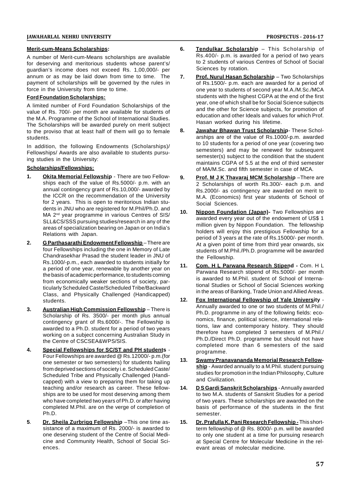## **Merit-cum-Means Scholarships:**

A number of Merit-cum-Means scholarships are available for deserving and meritorious students whose parent's/ guardian's income does not exceed Rs. 1,00,000/- per annum or as may be laid down from time to time. The 7. payment of scholarships will be governed by the rules in force in the University from time to time.

## **Ford Foundation Scholarships:**

A limited number of Ford Foundation Scholarships of the value of Rs. 700/- per month are available for students of the M.A. Programme of the School of International Studies. The Scholarships will be awarded purely on merit subject<br>to the proviso that at least half of them will go to female  $\overline{8}$ . to the proviso that at least half of them will go to female students.

In addition, the following Endowments (Scholarships)/ Fellowships/ Awards are also available to students pursuing studies in the University:

## **Scholarships/Fellowships:**

- **1. Okita Memorial Fellowship** There are two Fellowships each of the value of Rs.5000/- p.m. with an annual contingency grant of Rs.10,000/- awarded by the ICCR on the recommendation of the University for 2 years. This is open to meritorious Indian students in JNU who are registered for M.Phil/Ph.D. and<br>10. MA 2<sup>nd</sup> year programme in various Centres of SIS/ SLL&CS/SSS pursuing studies/research in any of the areas of specialization bearing on Japan or on India's Relations with Japan.
- **2. G Parthasarathi Endowment Fellowship** There are four Fellowships including the one in Memory of Late Chandrasekhar Prasad the student leader in JNU of Rs.1000/-p.m., each awarded to students initially for a period of one year, renewable by another year on the basis of academic performance, to students coming from economically weaker sections of society, particularly Scheduled Caste/Scheduled Tribe/Backward Class, and Physically Challenged (Handicapped) students.
- **3. Australian High Commission Fellowship** There is Scholarship of Rs. 3500/- per month plus annual contingency grant of Rs.6000/-. The Fellowship is awarded to a Ph.D. student for a period of two years working on a subject concerning Australian Study in the Centre of CSCSEA&WPS/SIS.
- **4. Special Fellowships for SC/ST and PH students** Four Fellowships are awarded @ Rs.12000/- p.m.(for one semester or two semesters) for students hailing from deprived sections of society i.e. Scheduled Caste/ Scheduled Tribe and Physically Challenged (Handicapped) with a view to preparing them for taking up teaching and/or research as career. These fellowships are to be used for most deserving among them who have completed two years of Ph.D. or after having completed M.Phil. are on the verge of completion of Ph.D.
- **5**. **Dr. Sheila Zurbrigg Fellowship** –This one time assistance of a maximum of Rs. 2000/- is awarded to one deserving student of the Centre of Social Medicine and Community Health, School of Social Sciences.
- **6. Tendulkar Scholarship** This Scholarship of Rs.400/- p.m. is awarded for a period of two years to 2 students of various Centres of School of Social Sciences by rotation.
- **Prof. Nurul Hasan Scholarship** Two Scholarships of Rs.1500/- p.m. each are awarded for a period of one year to students of second year M.A./M.Sc./MCA students with the highest CGPA at the end of the first year, one of which shall be for Social Science subjects and the other for Science subjects, for promotion of education and other Ideals and values for which Prof. Hasan worked during his lifetime.
- **8. Jawahar Bhawan Trust Scholarship** These Scholarships are of the value of Rs.1000/-p.m. awarded to 10 students for a period of one year (covering two semesters) and may be renewed for subsequent semester(s) subject to the condition that the student maintains CGPA of 5.5 at the end of third semester of MA/M.Sc. and fifth semester in case of MCA.
- **9. Prof. M J K Thavaraj MCM Scholarship** –There are 2 Scholarships of worth Rs.300/- each p.m. and Rs.2000/- as contingency are awarded on merit to M.A. (Economics) first year students of School of Social Sciences.
- **10. Nippon Foundation (Japan)-** Two Fellowships are awarded every year out of the endowment of US\$ 1 million given by Nippon Foundation. The fellowship holders will enjoy this prestigious Fellowship for a period of 3 years at the rate of Rs.15000/- per month. At a given point of time from third year onwards, six students of M.Phil./Ph.D. programme will be awarded the Fellowship.
- **11. Com. H L Parwana Research Stipend -** Com. H L Parwana Research stipend of Rs.5000/- per month is awarded to M.Phil. student of School of International Studies or School of Social Sciences working in the areas of Banking, Trade Union and Allied Areas.
- **12. Fox International Fellowship of Yale University** Annually awarded to one or two students of M.Phil./ Ph.D. programme in any of the following fields: economics, finance, political science, international relations, law and contemporary history. They should therefore have completed 3 semesters of M.Phil./ Ph.D./Direct Ph.D. programme but should not have completed more than 6 semesters of the said programme.
- **13. Swamy Pranavananda Memorial Research Fellowship** - Awarded annually to a M.Phil. student pursuing studies for promotion in the Indian Philosophy, Culture and Civilization.
- **14. D S Gardi Sanskrit Scholarships** Annually awarded to two M.A. students of Sanskrit Studies for a period of two years. These scholarships are awarded on the basis of performance of the students in the first semester.
- **15. Dr. Prafulla K. Pani Research Fellowship -** This shortterm fellowship of @ Rs. 8000/- p.m. will be awarded to only one student at a time for pursuing research at Special Centre for Molecular Medicine in the relevant areas of molecular medicine.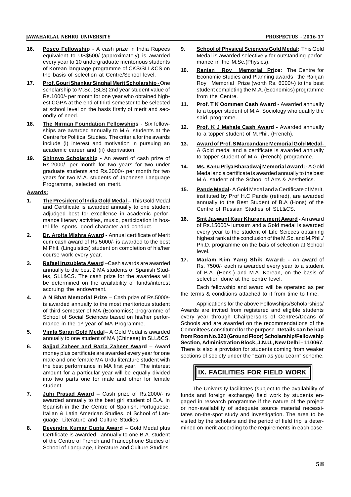- **16. Posco Fellowship** A cash prize in India Rupees equivalent to US\$500/-(approximately) is awarded every year to 10 undergraduate meritorious students of Korean language programme of CKS/SLL&CS on 10 the basis of selection at Centre/School level.
- **17. Prof. Gouri Shankar Singhal Merit Scholarship** One scholarship to M.Sc. (SLS) 2nd year student value of Rs.1000/- per month for one year who obtained highest CGPA at the end of third semester to be selected 11. at school level on the basis firstly of merit and secondly of need.
- **18. The Nirman Foundation Fellowships** Six fellow-**The Nimital Poundation Fellowships** Polytellow-<br>ships are awarded annually to M.A. students at the 12. Centre for Political Studies. The criteria for the awards include (i) interest and motivation in pursuing an 13. academic career and (ii) deprivation.
- **19. Shinnyo Scholarship -** An award of cash prize of Rs.2000/- per month for two years for two under 14. graduate students and Rs.3000/- per month for two years for two M.A. students of Japanese Language Programme, selected on merit.

## **Awards:**

- **1. The President of India Gold Medal** This Gold Medal and Certificate is awarded annually to one student adjudged best for excellence in academic performance literary activities, music, participation in hostel life, sports, good character and conduct.
- **2. Dr. Arpita Mishra Award -** Annual certificate of Merit cum cash award of Rs.5000/- is awarded to the best M.Phil. (Linguistics) student on completion of his/her course work every year.
- **3. Rafael Iruzubieta Award** –Cash awards are awarded annually to the best 2 MA students of Spanish Studies, SLL&CS. The cash prize for the awardees will be determined on the availability of funds/interest accruing the endowment.
- **4. A N Bhat Memorial Prize** Cash prize of Rs.5000/ is awarded annually to the most meritorious student of third semester of MA (Economics) programme of School of Social Sciences based on his/her performance in the 1<sup>st</sup> year of MA Programme.
- **5. Vimla Saran Gold Medal** A Gold Medal is awarded annually to one student of MA (Chinese) in SLL&CS.
- **6. Sajjad Zaheer and Razia Zaheer Award** Award money plus certificate are awarded every year for one male and one female MA Urdu literature student with the best performance in MA first year. The interest amount for a particular year will be equally divided into two parts one for male and other for female student.
- **7. Juhi Prasad Award** Cash prize of Rs.2000/- is awarded annually to the best girl student of B.A. in Spanish in the the Centre of Spanish, Portuguese, Italian & Latin American Studies, of School of Language, Literature and Culture Studies.
- **8. Devendra Kumar Gupta Award** Gold Medal plus Certificate is awarded annually to one B.A. student of the Centre of French and Francophone Studies of School of Language, Literature and Culture Studies.
- **9. School of Physical Sciences Gold Medal:** This Gold Medal is awarded selectively for outstanding performance in the M.Sc.(Physics).
- **10. Ranjan Roy Memorial Prize:** The Centre for Economic Studies and Planning awards the Ranjan Roy Memorial Prize (worth Rs. 6000/-) to the best student completing the M.A. (Economics) programme from the Centre.
- **Prof. T K Oommen Cash Award Awarded annually** to a topper student of M.A. Sociology who qualify the said progrmme.
- **12. Prof. K J Mahale Cash Award -** Awarded annually to a topper student of M.Phil. (French).
- **13. Award of Prof. S Marcandane Memorial Gold Medal** A Gold medal and a certificate is awarded annually to topper student of M.A. (French) programme.
- **14. Ms. Kanu Priya Bharadwaj Memorial Award: -**A Gold Medal and a certificate is awarded annually to the best M.A. student of the School of Arts & Aesthetics.
- **15. Pande Medal-** A Gold Medal and a Certificate of Merit, instituted by Prof H.C Pande (retired), are awarded annually to the Best Student of B.A (Hons) of the Centre of Russian Studies of SLL&CS.
- **16. Smt Jaswant Kaur Khurana merit Award -** An award of Rs.15000/- lumsum and a Gold medal is awarded every year to the student of Life Scieces obtaining highest rank at the conclusion of the M.Sc. and M.Phil./ Ph.D. programme on the bais of selection at School level.
- **17. Madam Kim Yang Shik Award: -** An award of Rs. 7500/- each is awarded every year to a student of B.A. (Hons.) and M.A. Korean, on the basis of selection done at the centre level.

Each fellowship and award will be operated as per the terms & conditions attached to it from time to time.

Applications for the above Fellowships/Scholarships/ Awards are invited from registered and eligible students every year through Chairpersons of Centres/Deans of Schools and are awarded on the recommendations of the Committees constituted for the purpose. **Details can be had from Room No.020 (Ground Floor) Scholarship/Fellowship Section, Administration Block, J.N.U., New Delhi – 110067.** There is also a provision for students coming from weaker sections of society under the "Earn as you Learn" scheme.

# **IX. FACILITIES FOR FIELD WORK**

The University facilitates (subject to the availability of funds and foreign exchange) field work by students engaged in research programme if the nature of the project or non-availability of adequate source material necessitates on-the-spot study and investigation. The area to be visited by the scholars and the period of field trip is determined on merit according to the requirements in each case.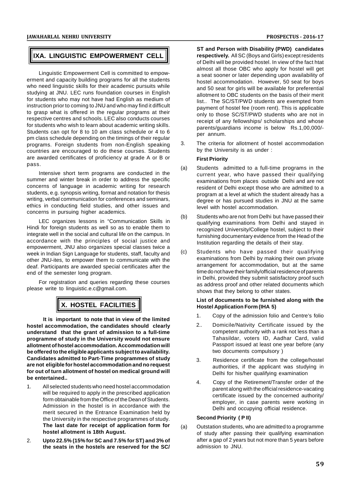# **IXA. LINGUISTIC EMPOWERMENT CELL**

Linguistic Empowerment Cell is committed to empowerment and capacity building programs for all the students who need linguistic skills for their academic pursuits while studying at JNU. LEC runs foundation courses in English for students who may not have had English as medium of instruction prior to coming to JNU and who may find it difficult to grasp what is offered in the regular programs at their respective centres and schools. LEC also conducts courses for students who wish to learn about academic writing skills. Students can opt for 8 to 10 am class schedule or 4 to 6 pm class schedule depending on the timings of their regular<br>programs. Essaign students from non-English apopling. 3 programs. Foreign students from non-English speaking countries are encouraged to do these courses. Students are awarded certificates of proficiency at grade A or B or pass.

Intensive short term programs are conducted in the summer and winter break in order to address the specific concerns of language in academic writing for research students, e.g. synopsis writing, format and notation for thesis writing, verbal communication for conferences and seminars, ethics in conducting field studies, and other issues and concerns in pursuing higher academics.

LEC organizes lessons in "Communication Skills in Hindi for foreign students as well so as to enable them to integrate well in the social and cultural life on the campus. In accordance with the principles of social justice and empowerment, JNU also organizes special classes twice a<br>week in Indian Sign Language for students, staff, faculty and (c) week in Indian Sign Language for students, staff, faculty and other JNU-ites, to empower them to communicate with the deaf. Participants are awarded special certificates after the end of the semester long program.

For registration and queries regarding these courses please write to linguistic.e.c@gmail.com.

# **X. HOSTEL FACILITIES**

**It is important to note that in view of the limited hostel accommodation, the candidates should clearly understand that the grant of admission to a full-time programme of study in the University would not ensure allotment of hostel accommodation. Accommodation will be offered to the eligible applicants subject to availability. Candidates admitted to Part-Time programmes of study are not eligible for hostel accommodation and no request for out of turn allotment of hostel on medical ground will be entertained..**

- 1. All selected students who need hostel accommodation will be required to apply in the prescribed application form obtainable from the Office of the Dean of Students. Admission in the hostel is in accordance with the merit secured in the Entrance Examination held by the University in the respective programmes of study. **The last date for receipt of application form for hostel allotment is 18th August.**
- 2. **Upto 22.5% (15% for SC and 7.5% for ST) and 3% of the seats in the hostels are reserved for the SC/**

**ST and Person with Disability (PWD) candidates respectively.** All SC (Boys and Girls) except residents of Delhi will be provided hostel. In view of the fact htat almost all those OBC who apply for hostel will get a seat sooner or later depending upon availability of hostel accommodation. However, 50 seat for boys and 50 seat for girls will be available for preferential allotment to OBC students on the basis of their merit list.. The SC/ST/PWD students are exempted from payment of hostel fee (room rent). This is applicable only to those SC/ST/PWD students who are not in receipt of any fellowships/ scholarships and whose parents/guardians income is below Rs.1,00,000/ per annum.

The criteria for allotment of hostel accommodation by the University is as under :

## **First Priority**

- (a) Students admitted to a full-time programs in the current year, who have passed their qualifying examinations from places outside Delhi and are not resident of Delhi except those who are admitted to a program at a level at which the student already has a degree or has pursued studies in JNU at the same level with hostel accommodation.
- Students who are not from Delhi but have passed their qualifying examinations from Delhi and stayed in recognized University/College hostel, subject to their furnishing documentary evidence from the Head of the Institution regarding the details of their stay.
- Students who have passed their qualifying examinations from Delhi by making their own private arrangement for accommodation, but at the same time do not have their family/official residence of parents in Delhi, provided they submit satisfactory proof such as address proof and other related documents which shows that they belong to other states.

#### **List of documents to be furnished along with the Hostel Application Form (IHA 5)**

- 1. Copy of the admission folio and Centre's folio
- 2.. Domicile/Nativity Certificate issued by the competent authority with a rank not less than a Tahasildar, voters ID, Aadhar Card, valid Passport issued at least one year before (any two documents compulsory )
- 3. Residence certificate from the college/hostel authorities, if the applicant was studying in Delhi for his/her qualifying examination
- 4. Copy of the Retirement/Transfer order of the parent along with the official residence-vacating certificate issued by the concerned authority/ employer, in case parents were working in Delhi and occupying official residence.

## **Second Priority ( P II)**

Outstation students, who are admitted to a programme of study after passing their qualifying examination after a gap of 2 years but not more than 5 years before admission to JNU.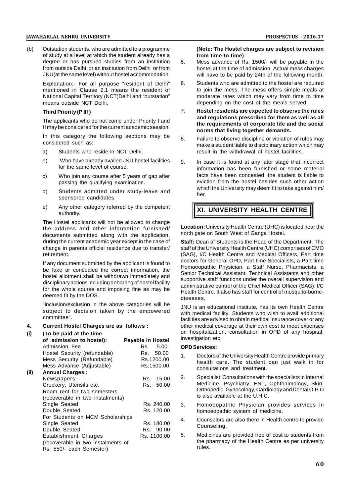(b) Outstation students, who are admitted to a programme of study at a level at which the student already has a degree or has pursued studies from an institution 5. degree or has pursued studies from an institution from outside Delhi or an institution from Delhi or from JNU(at the same level) without hostel accommodation.

Explanation:- For all purpose "resident of Delhi" 6. mentioned in Clause 2.1 means the resident of National Capital Territory (NCT)Delhi and "outstation" means outside NCT Delhi.

#### **Third Priority (P III )**

The applicants who do not come under Priority I and II may be considered for the current academic session.

In this category the following sections may be  $8$ . considered such as:

- a) Students who reside in NCT Delhi.
- b) Who have already availed JNU hostel facilities g. for the same level of course.
- c) Who join any course after 5 years of gap after passing the qualifying examination.
- d) Students admitted under study-leave and sponsored candidates.
- e) Any other category referred by the competent authority.

The Hostel applicants will not be allowed to change the address and other information furnished/ documents submitted along with the application, during the current academic year except in the case of change in parents official residence due to transfer/ retirement.

If any document submitted by the applicant is found to be fake or concealed the correct information, the hostel allotment shall be withdrawn immediately and disciplinary actions including debarring of hostel facility for the whole course and imposing fine as may be deemed fit by the DOS.

"inclusion/exclusion in the above categories will be subject to decision taken by the empowered committee".

#### **4. Current Hostel Charges are as follows :**

| (i)  | (To be paid at the time            |                          | OUT        |
|------|------------------------------------|--------------------------|------------|
|      | of admission to hostel):           | <b>Payable in Hostel</b> | inve:      |
|      | Admission Fee                      | 5.00<br>Rs.              | <b>OPD</b> |
|      | Hostel Security (refundable)       | 50.00<br>Rs.             | 1.         |
|      | Mess Security (Refundable)         | Rs.1200.00               |            |
|      | Mess Advance (Adjustable)          | Rs.1500.00               |            |
| (ii) | <b>Annual Charges:</b>             |                          |            |
|      | Newspapers                         | 15.00<br>Rs.             | 2.         |
|      | Crockery, Utensils etc.            | 50.00<br>Rs.             |            |
|      | Room rent for two semesters        |                          |            |
|      | (recoverable in two instalments)   |                          |            |
|      | Single Seated                      | Rs. 240.00               | 3.         |
|      | Double Seated                      | Rs. 120.00               |            |
|      | For Students on MCM Scholarships   |                          | 4.         |
|      | Single Seated                      | Rs. 180.00               |            |
|      | Double Seated                      | Rs. 90.00                |            |
|      | Establishment Charges              | Rs. 1100.00              | 5.         |
|      | (recoverable in two instalments of |                          |            |
|      | Rs. 550/- each Semester)           |                          |            |

#### **(Note: The Hostel charges are subject to revision from time to time)**

- Mess advance of Rs. 1500/- will be payable in the hostel at the time of admission. Actual mess charges will have to be paid by 24th of the following month.
- Students who are admitted to the hostel are required to join the mess. The mess offers simple meals at moderate rates which may vary from time to time depending on the cost of the meals served.
- 7. **Hostel residents are expected to observe the rules and regulations prescribed for them as well as all the requirements of corporate life and the social norms that living together demands.**
- Failure to observe discipline or violation of rules may make a student liable to disciplinary action which may result in the withdrawal of hostel facilities.
- In case it is found at any later stage that incorrect information has been furnished or some material facts have been concealed, the student is liable to eviction from the hostel besides such other action which the University may deem fit to take against him/ her.

# **XI. UNIVERSITY HEALTH CENTRE**

**Location:** University Health Centre (UHC) is located near the north gate on South West of Ganga Hostel.

**Staff:** Dean of Students is the Head of the Department. The staff of the University Health Centre (UHC) comprises of CMO (SAG), I/C Health Centre and Medical Officers, Part time doctors for General OPD, Part time Specialists, a Part time Homoeopathic Physician, a Staff Nurse, Pharmacists, a Senior Technical Assistant, Technical Assistants and other supportive staff functions under the overall supervision and administrative control of the Chief Medical Officer (SAG), I/C Health Centre. It also has staff for control of mosquito-bornediseases.

JNU is an educational institute, has its own Health Centre with medical facility. Students who wish to avail additional facilities are advised to obtain medical insurance cover or any other medical coverage at their own cost to meet expenses on hospitalization, consultation in OPD of any hospital, investigation etc.

#### **OPD Services:**

- 1. Doctors of the University Health Centre provide primary health care. The student can just walk in for consultations and treatment.
- 2. Specialist: Consultations with the specialists in Internal Medicine, Psychiatry, ENT, Ophthalmology, Skin, Orthopedic, Gynecology, Cardiology and Dental O.P.D is also available at the U.H.C.
- 3. Homoeopathic Physician provides services in homoeopathic system of medicine.
- 4. Counselors are also there in Health centre to provide Counseling.
- 5. Medicines are provided free of cost to students from the pharmacy of the Health Centre as per university rules.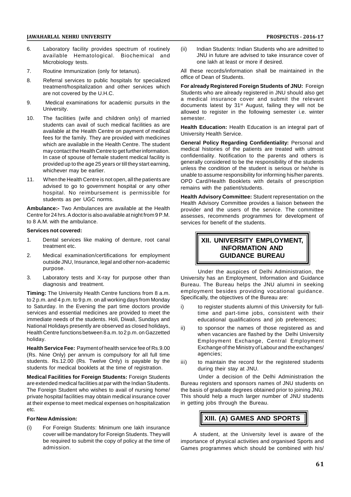- 6. Laboratory facility provides spectrum of routinely available Hematological. Biochemical and Microbiology tests.
- 7. Routine Immunization (only for tetanus).
- 8. Referral services to public hospitals for specialized treatment/hospitalization and other services which are not covered by the U.H.C.
- 9. Medical examinations for academic pursuits in the University.
- 10. The facilities (wife and children only) of married students can avail of such medical facilities as are available at the Health Centre on payment of medical fees for the family. They are provided with medicines which are available in the Health Centre. The student may contact the Health Centre to get further information. In case of spouse of female student medical facility is provided up to the age 25 years or till they start earning, whichever may be earlier.
- 11. When the Health Centre is not open, all the patients are advised to go to government hospital or any other hospital. No reimbursement is permissible for students as per UGC norms.

**Ambulance:-** Two Ambulances are available at the Health Centre for 24 hrs. A doctor is also available at night from 9 P.M. to 8 A.M. with the ambulance.

#### **Services not covered:**

- 1. Dental services like making of denture, root canal treatment etc.
- 2. Medical examination/certifications for employment outside JNU, Insurance, legal and other non-academic purpose.
- 3. Laboratory tests and X-ray for purpose other than diagnosis and treatment.

**Timing:** The University Health Centre functions from 8 a.m. to 2 p.m. and 4 p.m. to 9 p.m. on all working days from Monday to Saturday. In the Evening the part time doctors provide services and essential medicines are provided to meet the immediate needs of the students. Holi, Diwali, Sundays and National Holidays presently are observed as closed holidays, ii) Health Centre functions between 8 a.m. to 2 p.m. on Gazzetted holiday.

**Health Service Fee:** Payment of health service fee of Rs.9.00 (Rs. Nine Only) per annum is compulsory for all full time students. Rs.12.00 (Rs. Twelve Only) is payable by the iii) students for medical booklets at the time of registration.

**Medical Facilities for Foreign Students:** Foreign Students are extended medical facilities at par with the Indian Students. The Foreign Student who wishes to avail of nursing home/ private hospital facilities may obtain medical insurance cover at their expense to meet medical expenses on hospitalization etc.

#### **For New Admission:**

For Foreign Students: Minimum one lakh insurance cover will be mandatory for Foreign Students. They will be required to submit the copy of policy at the time of admission.

Indian Students: Indian Students who are admitted to JNU in future are advised to take insurance cover of one lakh at least or more if desired.

All these records/information shall be maintained in the office of Dean of Students.

**For already Registered Foreign Students of JNU:** Foreign Students who are already registered in JNU should also get a medical insurance cover and submit the relevant documents latest by 31<sup>st</sup> August, failing they will not be allowed to register in the following semester i.e. winter semester.

**Health Education:** Health Education is an integral part of University Health Service.

**General Policy Regarding Confidentiality:** Personal and medical histories of the patients are treated with utmost confidentiality. Notification to the parents and others is generally considered to be the responsibility of the students unless the condition of the student is serious or he/she is unable to assume responsibility for informing his/her parents. OPD Card/Health Booklets with details of prescription remains with the patient/students.

**Health Advisory Committee:** Student representation on the Health Advisory Committee provides a liaison between the provider and the users of the service. The committee assesses, recommends programmes for development of services for benefit of the students.

# **XII. UNIVERSITY EMPLOYMENT, INFORMATION AND GUIDANCE BUREAU**

Under the auspices of Delhi Administration, the University has an Employment, Information and Guidance Bureau. The Bureau helps the JNU alumni in seeking employment besides providing vocational guidance. Specifically, the objectives of the Bureau are:

- to register students alumni of this University for fulltime and part-time jobs, consistent with their educational qualifications and job preferences;
- to sponsor the names of those registered as and when vacancies are flashed by the Delhi University Employment Exchange, Central Employment Exchange of the Ministry of Labour and the exchanges/ agencies;
- to maintain the record for the registered students during their stay at JNU.

Under a decision of the Delhi Administration the Bureau registers and sponsors names of JNU students on the basis of graduate degrees obtained prior to joining JNU. This should help a much larger number of JNU students in getting jobs through the Bureau.

# **XIII. (A) GAMES AND SPORTS**

A student, at the University level is aware of the importance of physical activities and organised Sports and Games programmes which should be combined with his/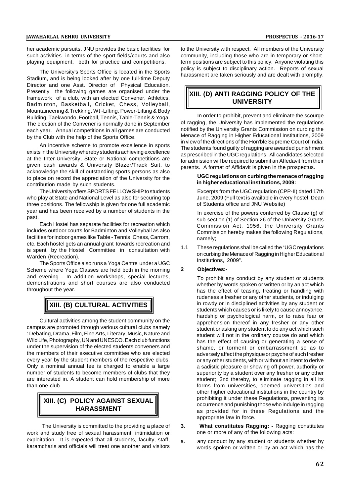her academic pursuits. JNU provides the basic facilities for such activities in terms of the sport fields/courts and also playing equipment, both for practice and competitions.

The University's Sports Office is located in the Sports Stadium, and is being looked after by one full-time Deputy Director and one Asst. Director of Physical Education. Presently the following games are organised under the framework of a club, with an elected Convener. Athletics, Badminton, Basketball, Cricket, Chess, Volleyball, Mountaineering & Trekking, Wt -Lifting, Power-Lifting & Body Building, Taekwondo, Football, Tennis, Table-Tennis & Yoga. The election of the Convener is normally done in September each year. Annual competitions in all games are conducted by the Club with the help of the Sports Office.

An incentive scheme to promote excellence in sports exists in the University whereby students achieving excellence at the Inter-University, State or National competitions are given cash awards & University Blazer/Track Suit, to acknowledge the skill of outstanding sports persons as also to place on record the appreciation of the University for the contribution made by such students.

The University offers SPORTS FELLOWSHIP to students who play at State and National Level as also for securing top three positions. The fellowship is given for one full academic year and has been received by a number of students in the past.

Each Hostel has separate facilities for recreation which includes outdoor courts for Badminton and Volleyball as also facilities for indoor games like Table - Tennis, Chess, Carrom, etc. Each hostel gets an annual grant towards recreation and<br>is apart, by the Hastel, Cammittee, in approximation with 1.1 is spent by the Hostel Committee in consultation with Warden (Recreation).

The Sports Office also runs a Yoga Centre under a UGC<br>me where Yoga Classes are held both in the morning 2 Scheme where Yoga Classes are held both in the morning and evening . In addition workshops, special lectures, demonstrations and short courses are also conducted throughout the year.

# **XIII. (B) CULTURAL ACTIVITIES**

Cultural activities among the student community on the campus are promoted through various cultural clubs namely : Debating, Drama, Film, Fine Arts, Literary, Music, Nature and Wild Life, Photography, UN and UNESCO. Each club functions under the supervision of the elected students conveners and the members of their executive committee who are elected every year by the student members of the respective clubs. Only a nominal annual fee is charged to enable a large number of students to become members of clubs that they are interested in. A student can hold membership of more than one club.

# **XIII. (C) POLICY AGAINST SEXUAL HARASSMENT**

The University is committed to the providing a place of 3. work and study free of sexual harassment, intimidation or exploitation. It is expected that all students, faculty, staff, karamcharis and officials will treat one another and visitors

to the University with respect. All members of the University community, including those who are in temporary or shortterm positions are subject to this policy. Anyone violating this policy is subject to disciplinary action. Reports of sexual harassment are taken seriously and are dealt with promptly.

# **XIII. (D) ANTI RAGGING POLICY OF THE UNIVERSITY**

In order to prohibit, prevent and eliminate the scourge of ragging, the University has implemented the regulations notified by the University Grants Commission on curbing the Menace of Ragging in Higher Educational Institutions, 2009 in view of the directions of the Hon'ble Supreme Court of India. The students found guilty of ragging are awarded punishment as prescribed in the UGC regulations. All candidates selected for admission will be required to submit an Affedavit from their parents. A format of Affidavit is given in the prospectus.

#### **UGC regulations on curbing the menace of ragging in higher educational institutions, 2009:**

Excerpts from the UGC regulation (CPP-II) dated 17th June, 2009 (Full text is available in every hostel, Dean of Students office and JNU Website)

In exercise of the powers conferred by Clause (g) of sub-section (1) of Section 26 of the University Grants Commission Act, 1956, the University Grants Commission hereby makes the following Regulations, namely;

These regulations shall be called the "UGC regulations on curbing the Menace of Ragging in Higher Educational Institutions, 2009".

## **2 Objectives:-**

To prohibit any conduct by any student or students whether by words spoken or written or by an act which has the effect of teasing, treating or handling with rudeness a fresher or any other students, or indulging in rowdy or in disciplined activities by any student or students which causes or is likely to cause annoyance, hardship or psychological harm, or to raise fear or apprehension thereof in any fresher or any other student or asking any student to do any act which such student will not in the ordinary course do and which has the effect of causing or generating a sense of shame, or torment or embarrassment so as to adversely affect the physique or psyche of such fresher or any other students, with or without an intent to derive a sadistic pleasure or showing off power, authority or superiority by a student over any fresher or any other student: '3nd thereby, to eliminate ragging in all its forms from universities, deemed universities and other higher educational institutions in the country by prohibiting it under these Regulations, preventing its occurrence and punishing those who indulge in ragging as provided for in these Regulations and the appropriate law in force.

- **3. What constitutes Ragging: -** Ragging constitutes one or more of any of the following acts:
- any conduct by any student or students whether by words spoken or written or by an act which has the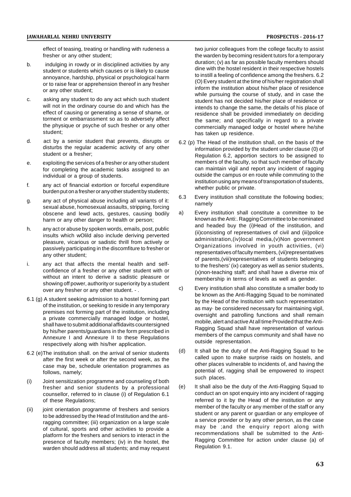effect of teasing, treating or handling with rudeness a fresher or any other student;

- b. indulging in rowdy or in disciplined activities by any student or students which causes or is likely to cause annoyance, hardship, physical or psychological harm or to raise fear or apprehension thereof in any fresher or any other student;
- c. asking any student to do any act which such student will not in the ordinary course do and which has the effect of causing or generating a sense of shame, or torment or embarrassment so as to adversely affect the physique or psyche of such fresher or any other student;
- d. act by a senior student that prevents, disrupts or disturbs the regular academic activity of any other student or a fresher;
- e. exploiting the services of a fresher or any other student for completing the academic tasks assigned to an individual or a group of students.
- f. any act of financial extortion or forceful expenditure burden put on a fresher or any other student by students;<br>6.3
- g. any act of physical abuse including all variants of it: sexual abuse, homosexual assaults, stripping, forcing<br>obscene and lewd acts, gestures, causing bodily a) obscene and lewd acts, gestures, causing bodily harm or any other danger to health or person;
- h. any act or abuse by spoken words, emails, post, public insults which wOlild also include deriving perverted pleasure, vicarious or sadistic thrill from actively or passively participating in the discomfiture to fresher or any other student;
- i. any act that affects the mental health and selfconfidence of a fresher or any other student with or without an intent to derive a sadistic pleasure or showing off power, authority or superiority by a student<br>over any freeher or any other student c) over any fresher or any other student. - .
- 6.1 (g) A student seeking admission to a hostel forming part of the institution, or seeking to reside in any temporary premises not forming part of the institution, including a private commercially managed lodge or hostel, shall have to submit additional affidavits countersigned by his/her parents/guardians in the form prescribed in Annexure I and Annexure II to these Regulations respectively along with his/her application.
- 6.2 (e)The institution shall. on the arrival of senior students after the first week or after the second week, as the case may be, schedule orientation programmes as follows, namely;
- (i) Joint sensitization programme and counseling of both<br>fresher and senior students by a professional (e) fresher and senior students by a professional counsellor, referred to in clause (i) of Regulation 6.1 of these Regulations;
- (ii) joint orientation programme of freshers and seniors to be addressed by the Head of Institution and the antiragging committee; (iii) organization on a large scale of cultural, sports and other activities to provide a platform for the freshers and seniors to interact in the presence of faculty members; (iv) in the hostel, the warden should address all students; and may request

two junior colleagues from the college faculty to assist the warden by becoming resident tutors for a temporary duration; (v) as far as possible faculty members should dine with the hostel resident in their respective hostels to instill a feeling of confidence among the freshers. 6.2 (O) Every student at the time of his/her registration shall inform the institution about his/her place of residence while pursuing the course of study, and in case the student has not decided his/her place of residence or intends to change the same, the details of his place of residence shall be provided immediately on deciding the same; and specifically in regard to a private commercially managed lodge or hostel where he/she has taken up residence.

- 6.2 (p) The Head of the institution shall, on the basis of the information provided by the student under clause (0) of Regulation 6.2, apportion sectors to be assigned to members of the faculty, so that such member of faculty can maintain vigil and report any incident of ragging outside the campus or en route while commuting to the institution using any means of transportation of students, whether public or private.
- Every institution shall constitute the following bodies; namely
- Every institution shall constitute a committee to be known as the Anti:. Ragging Committee to be nominated and headed buy the (i)Head of the institution, and (ii)consisting of representatives of civil and (iii)police administration,(iv)local media,(v)Non government Organizations involved in youth activities, (vi) representatives of faculty members, (vii)representatives of parents,(viii)representatives of students belonging to the freshers' (ix) category as well as senior students, (x)non-teaching staff; and shall have a diverse mix of membership in terms of levels as well as gender.
- Every institution shall also constitute a smaller body to be known as the Anti-Ragging Squad to be nominated by the Head of the Institution with such representation as may· be considered necessary for maintaining vigil, oversight and patrolling functions and shall remain mobile, alert and active At all time Provided that the Anti-Ragging Squad shall have representation of various members of the campus community and shall have no outside representation.
- It shall be the duty of the Anti-Ragging Squad to be called upon to make surprise raids on hostels, and other places vulnerable to incidents of, and having the potential of, ragging shall be empowered to inspect such places.
- It shall also be the duty of the Anti-Ragging Squad to conduct an on spot enquiry into any incident of ragging referred to it by the Head of the institution or any member of the faculty or any member of the staff or any student or any parent or guardian or any employee of a service provider or by any other person, as the case may be ;and the enquiry report along with recommendations shall be submitted to the Anti-Ragging Committee for action under clause (a) of Regulation 9.1.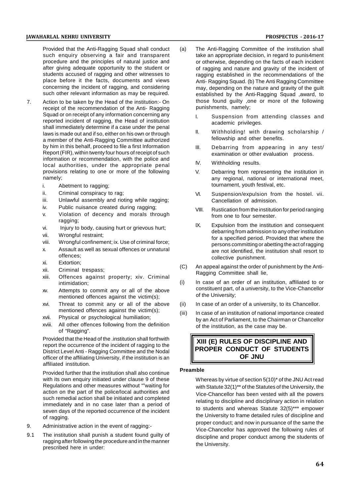Provided that the Anti-Ragging Squad shall conduct such enquiry observing a fair and transparent procedure and the principles of natural justice and after giving adequate opportunity to the student or students accused of ragging and other witnesses to place before it the facts, documents and views concerning the incident of ragging, and considering such other relevant information as may be required.

- 7. Action to be taken by the Head of the institution:- On receipt of the recommendation of the Anti- Ragging Squad or on receipt of any information concerning any reported incident of ragging, the Head of institution shall immediately determine if a case under the penal laws is made out and if so, either on his own or through a member of the Anti-Ragging Committee authorized by him in this behalf, proceed to file a first Information Report (FIR), within twenty four hours of receipt of such information or recommendation, with the police and local authorities, under the appropriate penal provisions relating to one or more of the following namely;
	- i. Abetment to ragging:
	- ii. Criminal conspiracy to rag;
	- iii. Unlawful assembly and rioting while ragging:
	- iv. Public nuisance created during ragging;
	- v. Violation of decency and morals through ragging;
	- vi. Injury to body, causing hurt or grievous hurt;
	- vii. Wrongful restraint;
	- viii. Wrongful confinement; ix. Use of criminal force;
	- x. Assault as well as sexual offences or unnatural offences;
	- xi. Extortion;
	- xii. Criminal trespass;
	- xiii. Offences against property; xiv. Criminal intimidation;
	- xv. Attempts to commit any or all of the above mentioned offences against the victim(s);
	- xvi. Threat to commit any or all of the above mentioned offences against the victim(s);
	- xvii. Physical or psychological humiliation;
	- xviii. All other offences following from the definition of "Ragging".

Provided that the Head of the .institution shall forthwith report the occurrence of the incident of ragging to the District Level Anti - Ragging Committee and the Nodal officer of the affiliating University, if the institution is an affiliated institution.

Provided further that the institution shall also continue with its own enquiry initiated under clause 9 of these Regulations and other measures without ""waiting for action on the part of the police/local authorities and such remedial action shall be initiated and completed immediately and in no case later than a period of seven days of the reported occurrence of the incident of ragging.

- 9. Administrative action in the event of ragging:-
- 9.1 The institution shall punish a student found guilty of ragging after following the procedure and in the manner prescribed here in under:
- The Anti-Ragging Committee of the institution shall take an appropriate decision, in regard to punis4ment or otherwise, depending on the facts of each incident of ragging and nature and gravity of the incident of ragging established in the recommendations of the Anti- Ragging Squad. (b) The Anti Ragging Committee may, depending on the nature and gravity of the guilt established by the Anti-Ragging Squad ,award, to those found guilty ,one or more of the following punishments, namely;
	- I. Suspension from attending classes and academic privileges.
	- II. Withholding! with drawing scholarship / fellowship and other benefits.
	- III. Debarring from appearing in any test/ examination or other evaluation process.
	- IV. Withholding results.
	- V. Debarring from representing the institution in any regional, national or international meet, tournament, youth festival, etc.
	- VI. Suspension/expulsion from the hostel. vii. Cancellation of admission.
	- VIII. Rustication from the institution for period ranging from one to four semester.
	- IX. Expulsion from the institution and consequent debarring from admission to any other institution for a specified period. Provided that where the persons committing or abetting the act of ragging are not identified, the institution shall resort to collective punishment.
- (C) An appeal against the order of punishment by the Anti-Ragging Committee shall lie,
- (i) In case of an order of an institution, affiliated to or constituent part, of a university, to the Vice-Chancellor of the University;
- In case of an order of a university, to its Chancellor.
- (iii) In case of an institution of national importance created by an Act of Parliament, to the Chairman or Chancellor of the institution, as the case may be.

**XIII (E) RULES OF DISCIPLINE AND PROPER CONDUCT OF STUDENTS OF JNU**

## **Preamble**

Whereas by virtue of section 5(10)\* of the JNU Act read with Statute 32(1)\*\* of the Statutes of the University, the Vice-Chancellor has been vested with all the powers relating to discipline and disciplinary action in relation to students and whereas Statute 32(5)\*\*\* empower the University to frame detailed rules of discipline and proper conduct; and now in pursuance of the same the Vice-Chancellor has approved the following rules of discipline and proper conduct among the students of the University.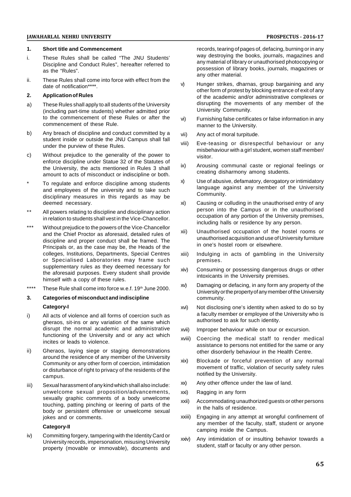#### **1. Short title and Commencement**

- i. These Rules shall be called "The JNU Students' Discipline and Conduct Rules", hereafter referred to as the "Rules".
- ii. These Rules shall come into force with effect from the  $\vee$ date of notification\*\*\*\*.

#### **2. Application of Rules**

- a) These Rules shall apply to all students of the University (including part-time students) whether admitted prior to the commencement of these Rules or after the  $vi)$ commencement of these Rule.
- b) Any breach of discipline and conduct committed by a vii) student inside or outside the JNU Campus shall fall under the purview of these Rules.
- c) Without prejudice to the generality of the power to enforce discipline under Statue 32 of the Statutes of<br>the University, the estate mentioned in Pulse 3 shall (X) the University, the acts mentioned in Rules 3 shall amount to acts of misconduct or indiscipline or both.
- To regulate and enforce discipline among students  $x$ ) and employees of the university and to take such disciplinary measures in this regards as may be deemed necessary.
- \*\* All powers relating to discipline and disciplinary action in relation to students shall vest in the Vice-Chancellor.
- \*\*\* Without prejudice to the powers of the Vice-Chancellor and the Chief Proctor as aforesaid, detailed rules of discipline and proper conduct shall be framed. The Principals or, as the case may be, the Heads of the colleges, Institutions, Departments, Special Centres or Specialised Laboratories may frame such supplementary rules as they deemed necessary for xiv) the aforesaid purposes. Every student shall provide himself with a copy of these rules.
- \*\*\*\* These Rule shall come into force w.e.f. 19<sup>th</sup> June 2000.  $\qquad \times$   $\qquad \times$

## **3. Categories of misconduct and indiscipline Category-I**

- i) All acts of violence and all forms of coercion such as gheraos, sit-ins or any variation of the same which disrupt the normal academic and administrative xvii) functioning of the University and or any act which xviii) incites or leads to violence.
- ii) Gheraos, laying siege or staging demonstrations around the residence of any member of the University Community or any other form of coercion, intimidation or disturbance of right to privacy of the residents of the campus.
- iii) Sexual harassment of any kind which shall also include:  $^{XX)}$ unwelcome sexual proposition/advancements, sexually graphic comments of a body unwelcome touching, patting pinching or leering of parts of the body or persistent offensive or unwelcome sexual jokes and or comments.

#### **Category-II**

iv) Committing forgery, tampering with the Identity Card or University records, impersonation, misusing University property (movable or immovable), documents and

records, tearing of pages of, defacing, burning or in any way destroying the books, journals, magazines and any material of library or unauthorised photocopying or possession of library books, journals, magazines or any other material.

- Hunger strikes, dharnas, group bargaining and any other form of protest by blocking entrance of exit of any of the academic and/or administrative complexes or disrupting the movements of any member of the University Community.
- Furnishing false certificates or false information in any manner to the University.
- Any act of moral turpitude.
- viii) Eve-teasing or disrespectful behaviour or any misbehaviour with a girl student, women staff member/ visitor.
- Arousing communal caste or regional feelings or creating disharmony among students.
- Use of abusive, defamatory, derogatory or intimidatory language against any member of the University Community.
- xi) Causing or colluding in the unauthorised entry of any person into the Campus or in the unauthorised occupation of any portion of the University premises, including halls or residence by any person.
- Unauthorised occupation of the hostel rooms or unauthorised acquisition and use of University furniture in one's hostel room or elsewhere.
- Indulging in acts of gambling in the University premises.
- Consuming or possessing dangerous drugs or other intoxicants in the University premises.
- Damaging or defacing, in any form any property of the University or the property of any member of the University community.
- xvi) Not disclosing one's identity when asked to do so by a faculty member or employee of the University who is authorised to ask for such identity.
- Improper behaviour while on tour or excursion.
- Coercing the medical staff to render medical assistance to persons not entitled for the same or any other disorderly behaviour in the Health Centre.
- Blockade or forceful prevention of any normal movement of traffic, violation of security safety rules notified by the University.
- Any other offence under the law of land.
- Ragging in any form
- Accommodating unauthorized guests or other persons in the halls of residence.
- xxiii) Engaging in any attempt at wrongful confinement of any member of the faculty, staff, student or anyone camping inside the Campus.
- Any intimidation of or insulting behavior towards a student, staff or faculty or any other person.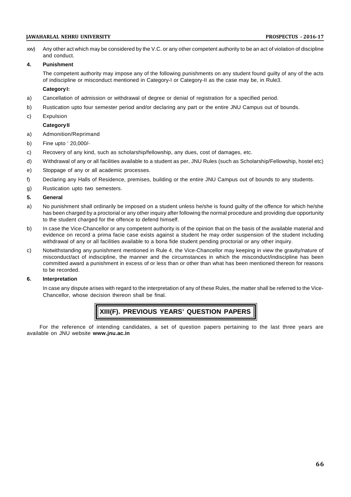xxv) Any other act which may be considered by the V.C. or any other competent authority to be an act of violation of discipline and conduct.

#### **4. Punishment**

The competent authority may impose any of the following punishments on any student found guilty of any of the acts of indiscipline or misconduct mentioned in Category-I or Category-II as the case may be, in Rule3.

## **Category I:**

- a) Cancellation of admission or withdrawal of degree or denial of registration for a specified period.
- b) Rustication upto four semester period and/or declaring any part or the entire JNU Campus out of bounds.
- c) Expulsion

### **Category II**

- a) Admonition/Reprimand
- b) Fine upto ' 20,000/-
- c) Recovery of any kind, such as scholarship/fellowship, any dues, cost of damages, etc.
- d) Withdrawal of any or all facilities available to a student as per, JNU Rules (such as Scholarship/Fellowship, hostel etc)
- e) Stoppage of any or all academic processes.
- f) Declaring any Halls of Residence, premises, building or the entire JNU Campus out of bounds to any students.
- g) Rustication upto two semesters.

### **5. General**

- a) No punishment shall ordinarily be imposed on a student unless he/she is found guilty of the offence for which he/she has been charged by a proctorial or any other inquiry after following the normal procedure and providing due opportunity to the student charged for the offence to defend himself.
- b) In case the Vice-Chancellor or any competent authority is of the opinion that on the basis of the available material and evidence on record a prima facie case exists against a student he may order suspension of the student including withdrawal of any or all facilities available to a bona fide student pending proctorial or any other inquiry.
- c) Notwithstanding any punishment mentioned in Rule 4, the Vice-Chancellor may keeping in view the gravity/nature of misconduct/act of indiscipline, the manner and the circumstances in which the misconduct/indiscipline has been committed award a punishment in excess of or less than or other than what has been mentioned thereon for reasons to be recorded.

#### **6. Interpretation**

In case any dispute arises with regard to the interpretation of any of these Rules, the matter shall be referred to the Vice-Chancellor, whose decision thereon shall be final.

# **XIII(F). PREVIOUS YEARS' QUESTION PAPERS**

For the reference of intending candidates, a set of question papers pertaining to the last three years are available on JNU website **www.jnu.ac.in**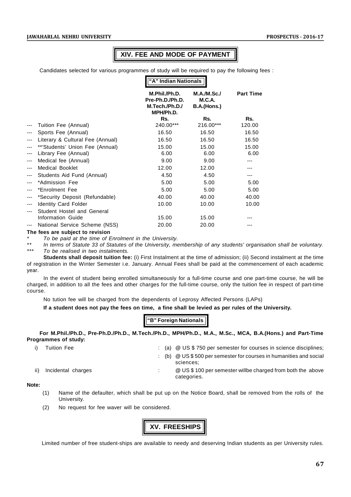# **XIV. FEE AND MODE OF PAYMENT**

Candidates selected for various programmes of study will be required to pay the following fees :

|       |                                  | "A" Indian Nationals                                            |                                                    |                  |  |
|-------|----------------------------------|-----------------------------------------------------------------|----------------------------------------------------|------------------|--|
|       |                                  | M.Phil./Ph.D.<br>Pre-Ph.D./Ph.D.<br>M.Tech./Ph.D./<br>MPH/Ph.D. | <b>M.A./M.Sc./</b><br><b>M.C.A.</b><br>B.A.(Hons.) | <b>Part Time</b> |  |
|       |                                  | Rs.                                                             | Rs.                                                | Rs.              |  |
| ---   | Tuition Fee (Annual)             | 240.00***                                                       | 216.00***                                          | 120.00           |  |
|       | Sports Fee (Annual)              | 16.50                                                           | 16.50                                              | 16.50            |  |
| $---$ | Literary & Cultural Fee (Annual) | 16.50                                                           | 16.50                                              | 16.50            |  |
|       | **'Students' Union Fee (Annual)  | 15.00                                                           | 15.00                                              | 15.00            |  |
| ---   | Library Fee (Annual)             | 6.00                                                            | 6.00                                               | 6.00             |  |
| ---   | Medical fee (Annual)             | 9.00                                                            | 9.00                                               |                  |  |
| ---   | <b>Medical Booklet</b>           | 12.00                                                           | 12.00                                              |                  |  |
| ---   | Students Aid Fund (Annual)       | 4.50                                                            | 4.50                                               | ---              |  |
|       | *Admission Fee                   | 5.00                                                            | 5.00                                               | 5.00             |  |
| ---   | *Enrolment Fee                   | 5.00                                                            | 5.00                                               | 5.00             |  |
| ---   | *Security Deposit (Refundable)   | 40.00                                                           | 40.00                                              | 40.00            |  |
| ---   | <b>Identity Card Folder</b>      | 10.00                                                           | 10.00                                              | 10.00            |  |
| ---   | Student Hostel and General       |                                                                 |                                                    |                  |  |
|       | Information Guide                | 15.00                                                           | 15.00                                              |                  |  |
|       | National Service Scheme (NSS)    | 20.00                                                           | 20.00                                              |                  |  |

#### **The fees are subject to revision**

*\* To be paid at the time of Enrolment in the University.*

*\*\* In terms of Statute 33 of Statutes of the University, membership of any students' organisation shall be voluntary. \*\*\* To be realised in two instalments.*

**Students shall deposit tuition fee:** (i) First Instalment at the time of admission; (ii) Second instalment at the time of registration in the Winter Semester i.e. January. Annual Fees shall be paid at the commencement of each academic year.

In the event of student being enrolled simultaneously for a full-time course and one part-time course, he will be charged, in addition to all the fees and other charges for the full-time course, only the tuition fee in respect of part-time course.

No tution fee will be charged from the dependents of Leprosy Affected Persons (LAPs)

**If a student does not pay the fees on time, a fine shall be levied as per rules of the University.**

## **"B" Foreign Nationals**

**For M.Phil./Ph.D., Pre-Ph.D./Ph.D., M.Tech./Ph.D., MPH/Ph.D., M.A., M.Sc., MCA, B.A.(Hons.) and Part-Time Programmes of study:**

- 
- i) Tuition Fee : (a) @ US \$ 750 per semester for courses in science disciplines;

: (b) @ US \$ 500 per semester for courses in humanities and social sciences;

- 
- ii) Incidental charges  $\therefore$  @ US\$100 per semester willbe charged from both the above categories.

#### **Note:**

- (1) Name of the defaulter, which shall be put up on the Notice Board, shall be removed from the rolls of the University.
- (2) No request for fee waver will be considered.

**XV. FREESHIPS**

Limited number of free student-ships are available to needy and deserving Indian students as per University rules.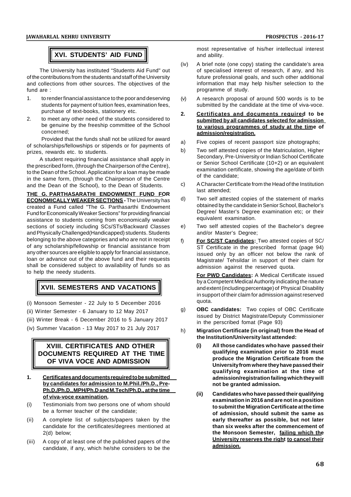# **XVI. STUDENTS' AID FUND**

The University has instituted "Students Aid Fund" out of the contributions from the students and staff of the University and collections from other sources. The objectives of the fund are :

- 1. to render financial assistance to the poor and deserving students for payment of tuition fees, examination fees, purchase of text-books, stationery etc.
- 2. to meet any other need of the students considered to be genuine by the freeship committee of the School concerned;

Provided that the funds shall not be utilized for award of scholarships/fellowships or stipends or for payments of  $\frac{a}{b}$ prizes, rewards etc. to students.

A student requiring financial assistance shall apply in the prescribed form, (through the Chairperson of the Centre), to the Dean of the School. Application for a loan may be made in the same form, (through the Chairperson of the Centre<br>and the Dean of the School), to the Dean of Students and the Dean of the School), to the Dean of Students.

**THE G. PARTHASARATHI ENDOWMENT FUND FOR ECONOMICALLY WEAKER SECTIONS -** The University has created a Fund called "The G. Parthasarthi Endowment Fund for Economically Weaker Sections" for providing financial assistance to students coming from economically weaker sections of society including SCs/STs/Backward Classes e) and Physically Challenged(Handicapped) students. Students belonging to the above categories and who are not in receipt  $f_1$ of any scholarship/fellowship or financial assistance from any other sources are eligible to apply for financial assistance, loan or advance out of the above fund and their requests shall be considered subject to availability of funds so as to help the needy students.

# **XVII. SEMESTERS AND VACATIONS**

- (i) Monsoon Semester 22 July to 5 December 2016
- (ii) Winter Semester 6 January to 12 May 2017
- (iii) Winter Break 6 December 2016 to 5 January 2017
- (iv) Summer Vacation 13 May 2017 to 21 July 2017  $\mathsf{h}$ )

# **XVIII. CERTIFICATES AND OTHER DOCUMENTS REQUIRED AT THE TIME OF VIVA VOCE AND ADMISSION**

- **1. Certificates and documents required to be submitted by candidates for admission to M.Phil./Ph.D., Pre-Ph.D./Ph.D., MPH/Ph.D and M.Tech/Ph.D., at the time of viva-voce examination.**
- (i) Testimonials from two persons one of whom should be a former teacher of the candidate;
- (ii) A complete list of subjects/papers taken by the candidate for the certificates/degrees mentioned at 2(d) below;
- (iii) A copy of at least one of the published papers of the candidate, if any, which he/she considers to be the

most representative of his/her intellectual interest and ability.

- (iv) A brief note (one copy) stating the candidate's area of specialised interest of research, if any, and his future professional goals, and such other additional information that may help his/her selection to the programme of study.
- A research proposal of around 500 words is to be submitted by the candidate at the time of viva-voce.
- **2. Certificates and documents required to be submitted by all candidates selected for admission to various programmes of study at the time of admission/registration.**
- Five copies of recent passport size photographs;
- Two self attested copies of the Matriculation, Higher Secondary, Pre-University or Indian School Certificate or Senior School Certificate (10+2) or an equivalent examination certificate, showing the age/date of birth of the candidate;
- c) A Character Certificate from the Head of the Institution last attended;
- Two self attested copies of the statement of marks obtained by the candidate in Senior School, Bachelor's Degree/ Master's Degree examination etc; or their equivalent examination.
- Two self attested copies of the Bachelor's degree and/or Master's Degree;
- For SC/ST Candidates: Two attested copies of SC/ ST Certificate in the prescribed format (page 94) issued only by an officer not below the rank of Magistrate/ Tehsildar in support of their claim for admission against the reserved quota.

**For PWD Candidates:** A Medical Certificate issued by a Competent Medical Authority indicating the nature and extent (including percentage) of Physical Disability in support of their claim for admission against reserved quota.

- g) **OBC candidates:** Two copies of OBC Certificate issued by District Magistrate/Deputy Commissioner in the perscribed fomat (Page 93)
- h) **Migration Certificate (in original) from the Head of the Institution/University last attended:**
	- **(i) All those candidates who have passed their qualifying examination prior to 2016 must produce the Migration Certificate from the University from where they have passed their qualifying examination at the time of admission/registration failing which they will not be granted admission.**
	- **(ii) Candidates who have passed their qualifying examination in 2016 and are not in a position to submit the Migration Certificate at the time of admission, should submit the same as early thereafter as possible, but not later than six weeks after the commencement of the Monsoon Semester, failing which the University reserves the right to cancel their admission.**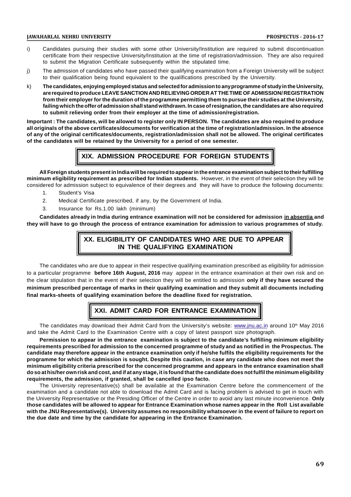- i) Candidates pursuing their studies with some other University/Institution are required to submit discontinuation certificate from their respective University/Institution at the time of registration/admission. They are also required to submit the Migration Certificate subsequently within the stipulated time.
- j) The admission of candidates who have passed their qualifying examination from a Foreign University will be subject to their qualification being found equivalent to the qualifications prescribed by the University.
- k) **The candidates, enjoying employed status and selected for admission to any programme of study in the University, are required to produce LEAVE SANCTION AND RELIEVING ORDER AT THE TIME OF ADMISSION/ REGISTRATION from their employer for the duration of the programme permitting them to pursue their studies at the University, failing which the offer of admission shall stand withdrawn. In case of resignation, the candidates are also required to submit relieving order from their employer at the time of admission/registration.**

**Important : The candidates, will be allowed to register only IN PERSON. The candidates are also required to produce all originals of the above certificates/documents for verification at the time of registration/admission. In the absence of any of the original certificates/documents, registration/admission shall not be allowed. The original certificates of the candidates will be retained by the University for a period of one semester.**

# **XIX. ADMISSION PROCEDURE FOR FOREIGN STUDENTS**

**All Foreign students present in India will be required to appear in the entrance examination subject to their fulfilling minimum eligibility requirement as prescribed for Indian students.** However, in the event of their selection they will be considered for admission subject to equivalence of their degrees and they will have to produce the following documents:

- 1. Student's Visa
- 2. Medical Certificate prescribed, if any, by the Government of India.
- 3. Insurance for Rs.1.00 lakh (minimum)

**Candidates already in India during entrance examination will not be considered for admission in absentia and they will have to go through the process of entrance examination for admission to various programmes of study.**

# **XX. ELIGIBILITY OF CANDIDATES WHO ARE DUE TO APPEAR IN THE QUALIFYING EXAMINATION**

The candidates who are due to appear in their respective qualifying examination prescribed as eligibility for admission to a particular programme **before 16th August, 2016** may appear in the entrance examination at their own risk and on the clear stipulation that in the event of their selection they will be entitled to admission **only if they have secured the minimum prescribed percentage of marks in their qualifying examination and they submit all documents including final marks-sheets of qualifying examination before the deadline fixed for registration.**

# **XXI. ADMIT CARD FOR ENTRANCE EXAMINATION**

The candidates may download their Admit Card from the University's website: www.jnu.ac.in around 10<sup>th</sup> May 2016 and take the Admit Card to the Examination Centre with a copy of latest passport size photograph.

**Permission to appear in the entrance examination is subject to the candidate's fulfilling minimum eligibility requirements prescribed for admission to the concerned programme of study and as notified in the Prospectus. The candidate may therefore appear in the entrance examination only if he/she fulfils the eligibility requirements for the programme for which the admission is sought. Despite this caution, in case any candidate who does not meet the minimum eligibility criteria prescribed for the concerned programme and appears in the entrance examination shall do so at his/her own risk and cost, and if at any stage, it is found that the candidate does not fulfil the minimum eligibility requirements, the admission, if granted, shall be cancelled ipso facto.**

The University representative(s) shall be available at the Examination Centre before the commencement of the examination and a candidate not able to download the Admit Card and is facing problem is advised to get in touch with the University Representative or the Presiding Officer of the Centre in order to avoid any last minute inconvenience. **Only those candidates will be allowed to appear for Entrance Examination whose names appear in the Roll List available with the JNU Representative(s). University assumes no responsibility whatsoever in the event of failure to report on the due date and time by the candidate for appearing in the Entrance Examination.**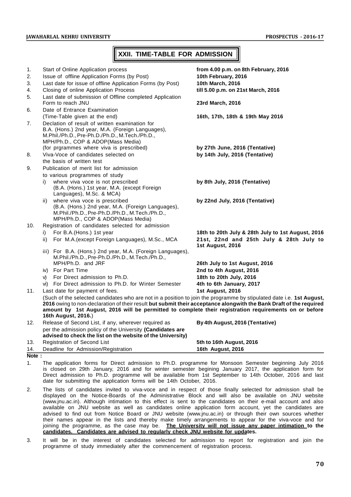# **XXII. TIME-TABLE FOR ADMISSION**

| 1.    | Start of Online Application process                                                                                                                                                                                                                                                                                                                                        | from 4.00 p.m. on 8th February, 2016                        |
|-------|----------------------------------------------------------------------------------------------------------------------------------------------------------------------------------------------------------------------------------------------------------------------------------------------------------------------------------------------------------------------------|-------------------------------------------------------------|
| 2.    | Issue of offline Application Forms (by Post)                                                                                                                                                                                                                                                                                                                               | 10th February, 2016                                         |
| 3.    | Last date for issue of offline Application Forms (by Post)                                                                                                                                                                                                                                                                                                                 | 10th March, 2016                                            |
| 4.    | Closing of online Application Process                                                                                                                                                                                                                                                                                                                                      | till 5.00 p.m. on 21st March, 2016                          |
| 5.    | Last date of submission of Offline completed Application<br>Form to reach JNU                                                                                                                                                                                                                                                                                              | 23rd March, 2016                                            |
| 6.    | Date of Entrance Examination                                                                                                                                                                                                                                                                                                                                               |                                                             |
|       | (Time-Table given at the end)                                                                                                                                                                                                                                                                                                                                              | 16th, 17th, 18th & 19th May 2016                            |
| 7.    | Declation of result of written examination for<br>B.A. (Hons.) 2nd year, M.A. (Foreign Languages),<br>M.Phil./Ph.D., Pre-Ph.D./Ph.D., M.Tech./Ph.D.,<br>MPH/Ph.D., COP & ADOP(Mass Media)                                                                                                                                                                                  |                                                             |
|       | (for prgrammes where viva is prescribed)                                                                                                                                                                                                                                                                                                                                   | by 27th June, 2016 (Tentative)                              |
| 8.    | Viva-Voce of candidates selected on                                                                                                                                                                                                                                                                                                                                        | by 14th July, 2016 (Tentative)                              |
|       | the basis of written test                                                                                                                                                                                                                                                                                                                                                  |                                                             |
| 9.    | Publication of merit list for admission                                                                                                                                                                                                                                                                                                                                    |                                                             |
|       | to various programmes of study                                                                                                                                                                                                                                                                                                                                             |                                                             |
|       | where viva voce is not prescribed<br>i)<br>(B.A. (Hons.) 1st year, M.A. (except Foreign<br>Languages), M.Sc. & MCA)                                                                                                                                                                                                                                                        | by 8th July, 2016 (Tentative)                               |
|       | where viva voce is prescribed<br>ii)<br>(B.A. (Hons.) 2nd year, M.A. (Foreign Languages),<br>M.Phil./Ph.D., Pre-Ph.D./Ph.D., M.Tech./Ph.D.,<br>MPH/Ph.D., COP & ADOP(Mass Media)                                                                                                                                                                                           | by 22nd July, 2016 (Tentative)                              |
| 10.   | Registration of candidates selected for admission                                                                                                                                                                                                                                                                                                                          |                                                             |
|       | For B.A.(Hons.) 1st year<br>i)                                                                                                                                                                                                                                                                                                                                             | 18th to 20th July & 28th July to 1st August, 2016           |
|       | For M.A. (except Foreign Languages), M.Sc., MCA<br>ii)                                                                                                                                                                                                                                                                                                                     | 21st, 22nd and 25th July & 28th July to<br>1st August, 2016 |
|       | iii) For B.A. (Hons.) 2nd year, M.A. (Foreign Languages),<br>M.Phil./Ph.D., Pre-Ph.D./Ph.D., M.Tech./Ph.D.,                                                                                                                                                                                                                                                                |                                                             |
|       | MPH/Ph.D. and JRF                                                                                                                                                                                                                                                                                                                                                          | 26th July to 1st August, 2016                               |
|       | iv) For Part Time                                                                                                                                                                                                                                                                                                                                                          | 2nd to 4th August, 2016                                     |
|       | For Direct admission to Ph.D.<br>V)                                                                                                                                                                                                                                                                                                                                        | 18th to 20th July, 2016                                     |
|       | vi) For Direct admission to Ph.D. for Winter Semester                                                                                                                                                                                                                                                                                                                      | 4th to 6th January, 2017                                    |
| 11.   | Last date for payment of fees.                                                                                                                                                                                                                                                                                                                                             | 1st August, 2016                                            |
|       | (Such of the selected candidates who are not in a position to join the programme by stipulated date i.e. 1st August,<br>2016 owing to non-declaration of their result but submit their acceptance alongwith the Bank Draft of the required<br>amount by 1st August, 2016 will be permitted to complete their registration requirements on or before<br>16th August, 2016.) |                                                             |
| 12.   | Release of Second List, if any, wherever required as                                                                                                                                                                                                                                                                                                                       | By 4th August, 2016 (Tentative)                             |
|       | per the admission policy of the University (Candidates are<br>advised to check the list on the website of the University)                                                                                                                                                                                                                                                  |                                                             |
| 13.   | Registration of Second List                                                                                                                                                                                                                                                                                                                                                | 5th to 16th August, 2016                                    |
| 14.   | Deadline for Admission/Registration                                                                                                                                                                                                                                                                                                                                        | 16th August, 2016                                           |
| Note: |                                                                                                                                                                                                                                                                                                                                                                            |                                                             |

- 1. The application forms for Direct admission to Ph.D. programme for Monsoon Semester beginning July 2016 is closed on 29th January, 2016 and for winter semester begining January 2017, the application form for Direct admission to Ph.D. programme will be available from 1st September to 14th October, 2016 and last date for submitting the application forms will be 14th October, 2016.
- 2. The lists of candidates invited to viva-voce and in respect of those finally selected for admission shall be displayed on the Notice-Boards of the Administrative Block and will also be available on JNU website (www.jnu.ac.in). Although intimation to this effect is sent to the candidates on their e-mail account and also available on JNU website as well as candidates online application form account, yet the candidates are advised to find out from Notice Board or JNU website (www.jnu.ac.in) or through their own sources whether their names appear in the lists and thereby make timely arrangements to appear for the viva-voce and for joining the programme, as the case may be. **The University will not issue any paper intimation to the candidates. Candidates are advised to regularly check JNU website for updates.**
- 3. It will be in the interest of candidates selected for admission to report for registration and join the programme of study immediately after the commencement of registration process.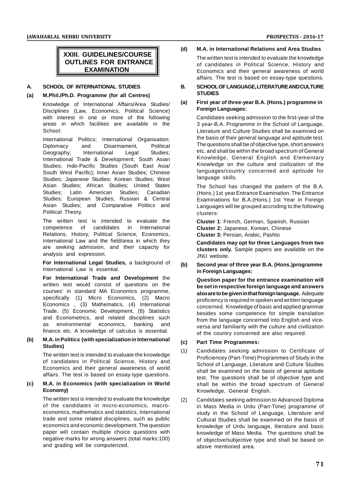# **XXIII. GUIDELINES/COURSE OUTLINES FOR ENTRANCE EXAMINATION**

# **A. SCHOOL OF INTERNATIONAL STUDIES**

# **(a) M.Phil./Ph.D. Programme (for all Centres)**

Knowledge of International Affairs/Area Studies/ Disciplines (Law, Economics, Political Science) with interest in one or more of the following areas in which facilities are available in the School:

International Politics; International Organisation;<br>
Diplomacy and Disarmament. Political Diplomacy and Disarmament, Geography; International Legal Studies; International Trade & Development; South Asian Studies; Indo-Pacific Studies (South East Asia/ South West Pacific); Inner Asian Studies; Chinese Studies; Japanese Studies; Korean Studies; West Asian Studies; African Studies; United States Studies; Latin American Studies; Canadian Studies; European Studies; Russian & Central Asian Studies; and Comparative Politics and Political Theory.

The written test is intended to evaluate the competence of candidates in International Relations, History, Political Science, Economics, International Law and the field/area in which they are seeking admission, and their capacity for analysis and expression.

For International Legal Studies, a background of (b) International Law is essential.

**For International Trade and Development** the written test would consist of questions on the courses' in standard MA Economics programme, specifically (1) Micro Economics, (2) Macro Economics , (3) Mathematics, (4) International Trade, (5) Economic Development, (6) Statistics and Econometrics, and related disciplines such as environmental economics, banking and finance etc. A knowledge of calculus is essential.

# **(b) M.A. in Politics (with specialization in International Studies)**

The written test is intended to evaluate the knowledge of candidates in Political Science, History and Economics and their general awareness of world affairs. The test is based on essay-type questions.

# **(c) M.A. in Economics (with specialization in World Economy)**

The written test is intended to evaluate the knowledge of the candidates in micro-economics, macroeconomics, mathematics and statistics, International trade and some related disciplines, such as public economics and economic development. The question paper will contain multiple choice questions with negative marks for wrong answers (total marks:100) and grading will be computerized.

**(d) M.A. in International Relations and Area Studies** The written test is intended to evaluate the knowledge

of candidates in Political Science, History and Economics and their general awareness of world affairs. The test is based on essay-type questions.

# **B. SCHOOL OF LANGUAGE, LITERATURE AND CULTURE STUDIES**

# **(a) First year of three-year B.A. (Hons.) programme in Foreign Languages:**

Candidates seeking admission to the first-year of the 3 year-B.A. Programme in the School of Language, Literature and Culture Studies shall be examined on the basis of their general language and aptitude test. The questions shall be of objective type, short answers etc. and shall be within the broad spectrum of General Knowledge, General English and Elementary Knowledge on the culture and civilization of the languages/country concerned and aptitude for language skills.

The School has changed the pattern of the B.A. (Hons.) 1st year Entrance Examination. The Entrance Examinations for B.A.(Hons.) 1st Year in Foreign Languages will be grouped accroding to the following clusters:

**Cluster 1**: French, German, Spanish, Russian **Cluster 2:** Japanese, Korean, Chinese **Cluster 3:** Persian, Arabic, Pashto

**Candidates may opt for three Languages from two clusters only.** Sample papers are available on the JNU website.

**(b) Second year of three year B.A. (Hons.)programme in Foreign Languages:**

**Question paper for the entrance examination will be set in respective foreign language and answers also are to be given in that foreign language.** Adequate proficiency is required in spoken and written language concerned. Knowledge of basic and applied grammar besides some competence for simple translation from the language concerned into English and viceversa and familiarity with the culture and civilization of the country concerned are also required.

# **(c) Part Time Programmes:**

Candidates seeking admission to Certificate of Proficiencey (Part-Time) Programmes of Study in the School of Language, Literature and Culture Studies shall be examined on the basis of general aptitude test. The questions shall be of objective type and shall be within the broad spectrum of General Knowledge, General English.

Candidates seeking admission to Advanced Diploma in Mass Media in Urdu (Part-Time) programme of study in the School of Language, Literature and Cultural Studies shall be examined on the basis of knowledge of Urdu language, literature and basic knowledge of Mass Media. The questions shall be of objective/subjective type and shall be based on above mentioned area.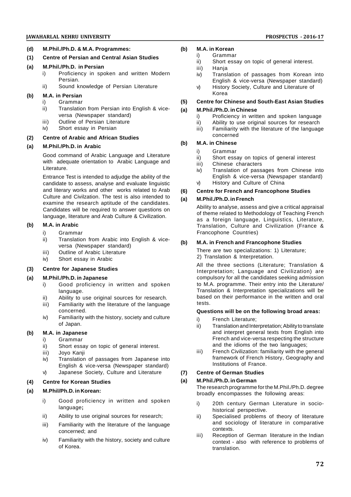# **JAWAHARLAL NEHRU UNIVERSITY PROSPECTUS - 2016-17**

- **(d) M.Phil./Ph.D. & M.A. Programmes:**
- **(1) Centre of Persian and Central Asian Studies**

# **(a) M.Phil./Ph.D. in Persian**

- i) Proficiency in spoken and written Modern Persian.
- ii) Sound knowledge of Persian Literature

# **(b) M.A. in Persian**

- i) Grammar
- ii) Translation from Persian into English & viceversa (Newspaper standard)
- iii) Outline of Persian Literature
- iv) Short essay in Persian

# **(2) Centre of Arabic and African Studies**

# **(a) M.Phil./Ph.D. in Arabic**

Good command of Arabic Language and Literature with adequate orientation to Arabic Language and Literature.

Entrance Test is intended to adjudge the ability of the candidate to assess, analyse and evaluate linguistic and literary works and other works related to Arab (6) Culture and Civilzation. The test is also intended to  $\overrightarrow{a}$ examine the research aptitude of the candidates. Candidates will be required to answer questions on language, literature and Arab Culture & Civilization.

# **(b) M.A. in Arabic**

- i) Grammar
- ii) Translation from Arabic into English & viceversa (Newspaper standard)
- iii) Outline of Arabic Literature
- iv) Short essay in Arabic

# **(3) Centre for Japanese Studies**

# **(a) M.Phil./Ph.D. in Japanese**

- i) Good proficiency in written and spoken language.
- ii) Ability to use original sources for research.
- iii) Familiarity with the literature of the language concerned.
- iv) Familiarity with the history, society and culture of Japan.

# **(b) M.A. in Japanese**

# i) Grammar

- ii) Short essay on topic of general interest.
- iii) Joyo Kanji
- iv) Translation of passages from Japanese into English & vice-versa (Newspaper standard)
- v) Japanese Society, Culture and Literature (7)

# **(4) Centre for Korean Studies**

# **(a) M.Phil/Ph.D. in Korean:**

- i) Good proficiency in written and spoken language**;**
- ii) Ability to use original sources for research;
- iii) Familiarity with the literature of the language concerned; and
- iv) Familiarity with the history, society and culture of Korea.

# **(b) M.A. in Korean**

- i) Grammar<br>ii) Short essa
	- Short essay on topic of general interest.
	- iii) Hanja
	- iv) Translation of passages from Korean into English & vice-versa (Newspaper standard)
	- v) History Society, Culture and Literature of Korea

# **(5) Centre for Chinese and South-East Asian Studies**

# **(a) M.Phil./Ph.D. in Chinese**

- i) Proficiency in written and spoken language
- ii) Ability to use original sources for research
- iii) Familiarity with the literature of the language concerned

# **(b) M.A. in Chinese**

- i) Grammar
- ii) Short essay on topics of general interest
- iii) Chinese characters
- iv) Translation of passages from Chinese into English & vice-versa (Newspaper standard)
- v) History and Culture of China

# **(6) Centre for French and Francophone Studies**

# **(a) M.Phil./Ph.D. in French**

Ability to analyse, assess and give a critical appraisal of theme related to Methodology of Teaching French as a foreign language, Linguistics, Literature, Translation, Culture and Civilization (France & Francophone Countries)

# **(b) M.A. in French and Francophone Studies**

There are two specializations: 1) Literature; 2) Translation & Interpretation.

All the three sections (Literature; Translation & Interpretation; Language and Civilization) are compulsory for all the candidates seeking admission to M.A. programme. Their entry into the Literature/ Translation & Interpretation specializations will be based on their performance in the written and oral tests.

# **Questions will be on the following broad areas:**

- i) French Literature;
- ii) Translation and Interpretation; Ability to translate and interpret general texts from English into French and vice-versa respecting the structure and the idioms of the two languages;
- iii) French Civilization: familiarity with the general framework of French History, Geography and Institutions of France.

# **(7) Centre of German Studies**

# **(a) M.Phil./Ph.D. in German**

The research programme for the M.Phil./Ph.D. degree broadly encompasses the following areas:

- i) 20th century German Literature in sociohistorical perspective.
- ii) Specialised problems of theory of literature and sociology of literature in comparative contexts.
- iii) Reception of German literature in the Indian context - also with reference to problems of translation.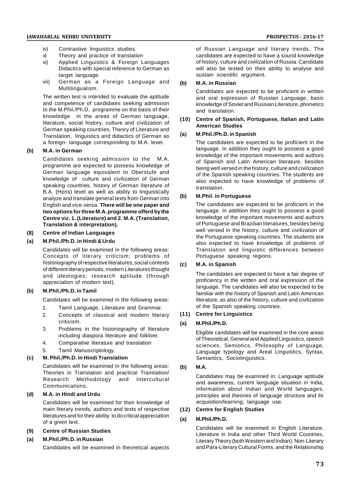- iv) Contrastive linguistics studies
- v) Theory and practice of translation
- vi) Applied Linguistics & Foreign Languages Didactics with special reference to German as target language.
- vii) German as a Foreign Language and (b) Multilingualism.

The written test is intended to evaluate the aptitude and competence of candidates seeking admission to the M.Phil./Ph.D. programme on the basis of their knowledge in the areas of German language, literature, social history, culture and civilization of German speaking countries, Theory of Literature and<br>Translation Linguistics and didectics of German as (a) Translation, linguistics and didactics of German as a foreign- language corresponding to M.A. level.

# **(b) M.A. in German**

Candidates seeking admission to the M.A. programme are expected to possess knowledge of German language equivalent to Oberstufe and knowledge of culture and civilization of German speaking countries, history of German literature of B.A. (Hons) level as well as ability to linguistically<br>concluse and translate general to the fram Cormon into analyze and translate general texts from German into English and vice-versa. **There will be one paper and two options for three M.A. programme offerd by the Centre viz. 1. (Literature) and 2. M.A. (Translation, Translation & interpretation).**

# **(8) Centre of Indian Languages**

# **(a) M.Phil./Ph.D. in Hindi & Urdu**

Candidates will be examined in the following areas: Concepts of literary criticism; problems of historiography of respective literatures; social contexts (c) of different literary periods; modern Literatures thought and ideologies; research aptitude (through appreciation of modern text).

# **(b) M.Phil./Ph.D. in Tamil**

Candidates will be examined in the following areas:

- 1. Tamil Language, Literature and Grammar.
- 2. Concepts of classical and modern literary criticism.
- 3. Problems in the historiography of literature including diaspora literature and folklore.
- 4. Comparative literature and translation
- 5. Tamil Manuscriptology.

# **(c) M. Phil./Ph.D. in Hindi Translation**

Candidates will be examined in the following areas: (b) Theories in Translation and practical Translation/ Research Methodology and Intercultural Communications.

# **(d) M.A. in Hindi and Urdu**

Candidates will be examined for their knowledge of main literary trends, authors and texts of respective literatures and for their ability to do critical appreciation (a) of a given text.

## **(9) Centre of Russian Studies**

# **(a) M.Phil./Ph.D. in Russian**

Candidates will be examined in theoretical aspects

of Russian Language and literary trends. The candidates are expected to have a sound knowledge of history, culture and civilization of Russia. Candidate will also be tested on their ability to analyse and sustain scientific argument.

## **(b) M.A. in Russian**

Candidates are expected to be proficient in written and oral expression of Russian Language, basic knowledge of Soviet and Russian Literature, phonetics and translation.

# **(10) Centre of Spanish, Portuguese, Italian and Latin American Studies**

# **(a) M.Phil./Ph.D. in Spanish**

The candidates are expected to be proficient in the language. In addition they ought to possess a good knowledge of the important movements and authors of Spanish and Latin American literature, besides being well versed in the history, culture and civilization of the Spanish speaking countries. The students are also expected to have knowledge of problems of translation.

# **(b) M.Phil. in Portuguese**

The candidates are expected to be proficient in the language. In addition they ought to possess a good knowledge of the important movements and authors of Portuguese and Brazilian literatures, besides being well versed in the history, culture and civilization of the Portuguese speaking countries. The students are also expected to have knowledge of problems of Translation and linguistic differences between Portuguese speaking regions.

## **(c) M.A. in Spanish**

The candidates are expected to have a fair degree of proficiency in the written and oral expression of the language. The candidates will also be expected to be familiar with the history of Spanish and Latin American literature, as also of the history, culture and civilization of the Spanish speaking countries.

# **(11) Centre for Linguistics**

### **(a) M.Phil./Ph.D.**

Eligible candidates will be examined in the core areas of Theoretical, General and Applied Linguistics, speech sciences, Semiotics, Philosophy of Language, Language typology and Areal Linguistics, Syntax, Semantics, Sociolinguistics.

# **(b) M.A.**

Candidates may be examined in: Language aptitude and awareness, current language situation in India, information about Indian and World languages, principles and theories of language structure and its acquisition/learning; language use.

# **(12) Centre for English Studies**

### **(a) M.Phil./Ph.D.**

Candidates will be examined in English Literature, Literature in India and other Third World Countries, Literary Theory (both Western and Indian), Non-Literary and Para-Literary Cultural Forms, and the Relationship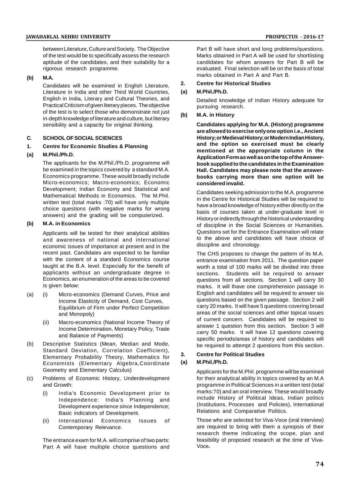between Literature, Culture and Society. The Objective of the test would be to specifically assess the research aptitude of the candidates, and their suitability for a rigorous research programme.

# **(b) M.A.**

Candidates will be examined in English Literature, 2. Literature in India and other Third World Countries, (a) English in India, Literary and Cultural Theories, and Practical Criticism of given literary pieces. The objective of the test is to select those who demonstrate not just in-depth knowledge of literature and culture, but literary sensibility and a capacity for original thinking.

# **C. SCHOOL OF SOCIAL SCIENCES**

# **1. Centre for Economic Studies & Planning**

# **(a) M.Phil./Ph.D.**

The applicants for the M.Phil./Ph.D. programme will be examined in the topics covered by a standard M.A. Economics programme. These would broadly include Micro-economics; Macro-economics; Economic Development; Indian Economy and Statistical and Mathematical Methods in Economics. The M.Phil. written test (total marks :70) will have only multiple choice questions (with negative marks for wrong answers) and the grading will be computerized.

# **(b) M.A. in Economics**

Applicants will be tested for their analytical abilities and awareness of national and international economic issues of importance at present and in the recent past. Candidates are expected to be familiar with the content of a standard Economics course taught at the B.A. level. Especially for the benefit of applicants without an undergraduate degree in Economics, an enumeration of the areas to be covered is given below:

- (a) (i) Micro-economics (Demand Curves, Price and Income Elasticity of Demand, Cost Curves, Equilibrium of Firm under Perfect Competition and Monopoly)
	- (ii) Macro-economics (National Income Theory of Income Determination, Monetary Policy, Trade and Balance of Payments)
- (b) Descriptive Statistics (Mean, Median and Mode, Standard Deviation, Correlation Coefficient),<br>
Elements: Desk bility Theory, Mathematics for 3. Elementary Probability Theory, Mathematics for  $\frac{3}{5}$ <br>Economists (Elementary Algebra Coordinate (a) Economists (Elementary Algebra,Coordinate Geometry and Elementary Calculus)
- (c) Problems of Economic History, Underdevelopment and Growth:
	- (i) India's Economic Development prior to Independence: India's Planning and Development experience since Independence; Basic indicators of Development.
	- (ii) International Economics Issues of Contemporary Relevance.

The entrance exam for M.A. will comprise of two parts: Part A will have multiple choice questions and

Part B will have short and long problems/questions. Marks obtained in Part A will be used for shortlisting candidates for whom answers for Part B will be evaluated. Final selection will be on the basis of total marks obtained in Part A and Part B.

# **2. Centre for Historical Studies**

# **(a) M.Phil./Ph.D.**

Detailed knowledge of Indian History adequate for pursuing research.

# **(b) M.A. in History**

**Candidates applying for M.A. (History) programme are allowed to exercise only one option i.e., Ancient History; or Medieval History; or Modern Indian History, and the option so exercised must be clearly mentioned at the appropriate column in the Application Form as well as on the top of the Answerbook supplied to the candidates in the Examination Hall. Candidates may please note that the answerbooks carrying more than one option will be considered invalid.**

Candidates seeking admission to the M.A. programme in the Centre for Historical Studies will be required to have a broad knowledge of history either directly on the basis of courses taken at under-graduate level in History or indirectly through the historical understanding of discipline in the Social Sciences or Humanities. Questions set for the Entrance Examination will relate to the above and candidates will have choice of discipline and chronology.

The CHS proposes to change the pattern of its M.A. entrance examination from 2011. The question paper worth a total of 100 marks will be divided into three sections. Students will be required to answer questions from all sections. Section 1 will carry 30 marks. It will lhave one comprehension passage in English and candidates will be required to answer six questions based on the given passage. Section 2 will carry 20 marks. It will have 5 questions covering broad areas of the social sciences and other topical issues of current concern. Candidates will be required to answer 1 question from this section. Section 3 will carry 50 marks. It will have 12 questions covering specific periods/areas of history and candidates will be required to attempt 2 questions from this section.

# **3. Centre for Political Studies**

### **(a) M.Phil./Ph.D.**

Applicants for the M.Phil. programme will be examined for their analytical ability in topics covered by an M.A programme in Political Sciences in a written test (total marks:70) and an oral interview. These would broadly include History of Political Ideas, Indian politics (Institutions, Processes and Policies), International Relations and Comparative Politics.

Those who are selected for Viva-Voce (oral interview) are required to bring with them a synopsis of their research theme indicating the scope, plan and feasibility of proposed research at the time of Viva-Voce**.**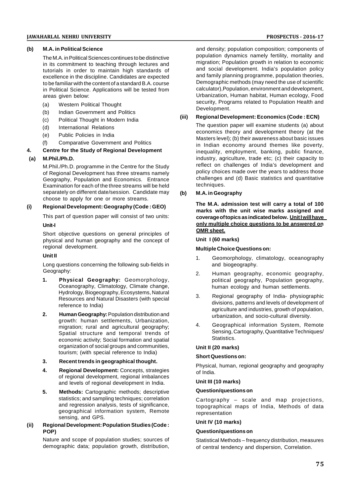# **(b) M.A. in Political Science**

The M.A. in Political Sciences continues to be distinctive in its commitment to teaching through lectures and tutorials in order to maintain high standards of excellence in the discipline. Candidates are expected to be familiar with the content of a standard B.A. course in Political Science. Applications will be tested from areas given below:

- (a) Western Political Thought
- (b) Indian Government and Politics
- (c) Political Thought in Modern India
- (d) International Relations
- (e) Public Policies in India
- (f) Comparative Government and Politics

# **4. Centre for the Study of Regional Development**

# **(a) M.Phil./Ph.D.**

M.Phil./Ph.D. programme in the Centre for the Study of Regional Development has three streams namely Geography, Population and Economics. Entrance Examination for each of the three streams will be held separately on different date/session. Candidate may (b) choose to apply for one or more streams.

## **(i) Regional Development: Geography (Code : GEO)**

This part of question paper will consist of two units: **Unit-I**

Short objective questions on general principles of physical and human geography and the concept of regional development.

# **Unit II**

Long questions concerning the following sub-fields in Geography:

- **1. Physical Geography:** Geomorphology, Oceanography, Climatology, Climate change, Hydrology, Biogeography, Ecosystems, Natural Resources and Natural Disasters (with special reference to India)
- **2. Human Geography:** Population distribution and growth: human settlements, Urbanization, migration; rural and agricultural geography; Spatial structure and temporal trends of economic activity; Social formation and spatial organization of social groups and communities, tourism; (with special reference to India)
- **3. Recent trends in geographical thought.**
- **4. Regional Development:** Concepts, strategies of regional development, regional imbalances and levels of regional development in India.
- **5. Methods:** Cartographic methods; descriptive statistics; and sampling techniques; correlation and regression analysis, tests of significance, geographical information system, Remote sensing, and GPS.

# **(ii) Regional Development: Population Studies (Code : POP)**

Nature and scope of population studies; sources of demographic data; population growth, distribution,

and density; population composition; components of population dynamics namely fertility, mortality and migration; Population growth in relation to economic and social development. India's population policy and family planning programme, population theories, Demographic methods (may need the use of scientific calculator),Population, environment and development, Urbanization, Human habitat, Human ecology, Food security, Programs related to Population Health and Development.

# **(iii) Regional Development: Economics (Code : ECN)**

The question paper will examine students (a) about economics theory and development theory (at the Masters level); (b) their awareness about basic issues in Indian economy around themes like poverty, inequality, employment, banking, public finance, industry, agriculture, trade etc; (c) their capacity to reflect on challenges of India's development and policy choices made over the years to address those challenges and (d) Basic statistics and quantitative techniques.

# **(b) M.A. in Geography**

**The M.A. admission test will carry a total of 100 marks with the unit wise marks assigned and coverage of topics as indicated below. Unit I will have only multiple choice questions to be answered on OMR sheet.**

# **Unit I (60 marks)**

# **Multiple Choice Questions on:**

- 1. Geomorphology, climatology, oceanography and biogeography.
- 2. Human geography, economic geography, political geography, Population geography, human ecology and human settlements.
- 3. Regional geography of India- physiographic divisions, patterns and levels of development of agriculture and industries, growth of population, urbanization, and socio-cultural diversity.
- 4. Geographical information System, Remote Sensing, Cartography, Quantitative Techniques/ Statistics.

# **Unit II (20 marks)**

### **Short Questions on:**

Physical, human, regional geography and geography of India.

### **Unit III (10 marks)**

## **Question/questions on**

Cartography – scale and map projections, topographical maps of India, Methods of data representation

### **Unit IV (10 marks)**

### **Question/questions on**

Statistical Methods – frequency distribution, measures of central tendency and dispersion, Correlation.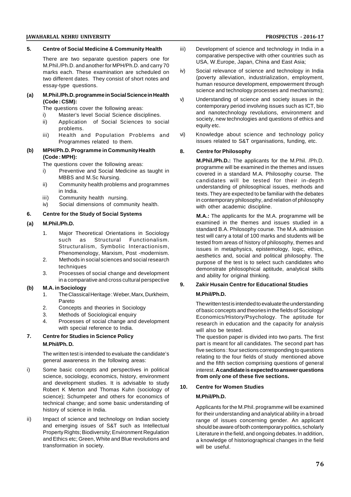# **JAWAHARLAL NEHRU UNIVERSITY PROSPECTUS - 2016-17**

# **5. Centre of Social Medicine & Community Health**

There are two separate question papers one for M.Phil./Ph.D. and another for MPH/Ph.D. and carry 70 marks each. These examination are scheduled on two different dates. They consist of short notes and essay-type questions.

# **(a) M.Phil./Ph.D. programme in Social Science in Health (Code : CSM):**

The questions cover the following areas:

- i) Master's level Social Science disciplines.<br>ii) Application of Social Sciences to soc
- Application of Social Sciences to social problems.
- iii) Health and Population Problems and vi) Programmes related to them.

# **(b) MPH/Ph.D. Programme in Community Health (Code : MPH):**

The questions cover the following areas:

- i) Preventive and Social Medicine as taught in MBBS and M.Sc Nursing.
- ii) Community health problems and programmes in India.
- iii) Community health nursing.
- iv) Social dimensions of community health.

# **6. Centre for the Study of Social Systems**

# **(a) M.Phil./Ph.D.**

- 1. Major Theoretical Orientations in Sociology such as Structural Functionalism. Structuralism, Symbolic Interactionism, Phenomenology, Marxism, Post -modernism.
- 2. Methods in social sciences and social research techniques
- 3. Processes of social change and development in a comparative and cross cultural perspective

# **(b) M.A. in Sociology**

- 1. The Classical Heritage : Weber, Marx, Durkheim, Pareto
- 2. Concepts and theories in Sociology
- 3. Methods of Sociological enquiry
- 4. Processes of social change and development with special reference to India.

# **7. Centre for Studies in Science Policy M.Phil/Ph. D.**

The written test is intended to evaluate the candidate's general awareness in the following areas:

- i) Some basic concepts and perspectives in political science, sociology, economics, history, environment and development studies. It is advisable to study 10 Robert K Merton and Thomas Kuhn (sociology of science); Schumpeter and others for economics of technical change; and some basic understanding of history of science in India.
- ii) Impact of science and technology on Indian society and emerging issues of S&T such as Intellectual Property Rights; Biodiversity; Environment Regulation and Ethics etc; Green, White and Blue revolutions and transformation in society.
- Development of science and technology in India in a comparative perspective with other countries such as USA, W.Europe, Japan, China and East Asia;
- Social relevance of science and technology in India (poverty alleviation, industrialization, employment, human resource development, empowerment through science and technology processes and mechanisms);
- Understanding of science and society issues in the contemporary period involving issues such as ICT, bio and nanotechnology revolutions, environment and society, new technologies and questions of ethics and equity etc.
- Knowledge about science and technology policy issues related to S&T organisations, funding, etc.

# **8. Centre for Philosophy**

**M.Phil./Ph.D.:** The applicants for the M.Phil. /Ph.D. programme will be examined in the themes and issues covered in a standard M.A. Philosophy course. The candidates will be tested for their in-depth understanding of philosophical issues, methods and texts. They are expected to be familiar with the debates in contemporary philosophy, and relation of philosophy with other academic discipline.

**M.A.:** The applicants for the M.A. programme will be examined in the themes and issues studied in a standard B.A. Philosophy course. The M.A. admission test will carry a total of 100 marks and students will be tested from areas of history of philosophy, themes and issues in metaphysics, epistemology, logic, ethics, aesthetics and, social and political philosophy. The purpose of the test is to select such candidates who demonstrate philosophical aptitude, analytical skills and ability for original thinking.

# **9. Zakir Husain Centre for Educational Studies**

# **M.Phil/Ph.D.**

The written test is intended to evaluate the understanding of basic concepts and theories in the fields of Sociology/ Economics/History/Psychology. The aptitude for research in education and the capacity for analysis will also be tested.

The question paper is divided into two parts. The first part is meant for all candidates. The second part has five sections : four sections corresponding to questions relating to the four fields of study mentioned above and the fifth section comprising questions of general interest.**A candidate is expected to answer questions from only one of these five sections.**

# **10. Centre for Women Studies**

# **M.Phil/Ph.D.**

Applicants for the M.Phil. programme will be examined for their understanding and analytical ability in a broad range of issues concerning gender. An applicant should be aware of both contemporary politics, scholarly Literature in the field, and ongoing debates. In addition, a knowledge of historiographical changes in the field will be useful.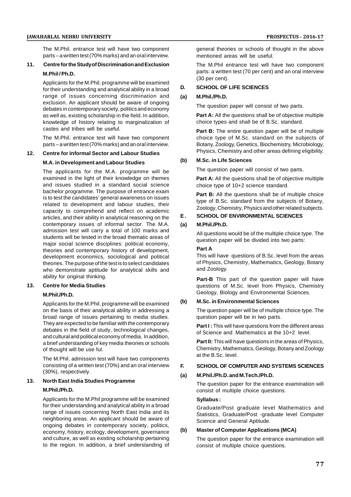The M.Phil. entrance test will have two component parts – a written test (70% marks) and an oral interview.

# **11. Centre for the Study of Discrimination and Exclusion M.Phil / Ph.D.**

Applicants for the M.Phil. programme will be examined<br>for their understanding and applytical ability in a broad for their understanding and analytical ability in a broad range of issues concerning discrimination and (a) exclusion. An applicant should be aware of ongoing debates in contemporary society, politics and economy as well as, existing scholarship in the field. In addition, knowledge of history relating to marginalization of castes and tribes will be useful.

The M.Phil. entrance test will have two component parts – a written test (70% marks) and an oral interview.

# **12. Centre for Informal Sector and Labour Studies**

# **M.A. in Development and Labour Studies**

The applicants for the M.A. programme will be examined in the light of their knowledge on themes and issues studied in a standard social science bachelor programme. The purpose of entrance exam is to test the candidates' general awareness on issues related to development and labour studies, their capacity to comprehend and reflect on academic<br>orticles and their philip in analytical reasoning on the **E**. articles, and their ability in analytical reasoning on the contemporary issues of informal sector. The M.A. (a) admission test will carry a total of 100 marks and students will be tested in the broad thematic areas of major social science disciplines: political economy, theories and contemporary history of development, development economics, sociological and political theories. The purpose of the test is to select candidates who demonstrate aptitude for analytical skills and ability for original thinking.

# **13. Centre for Media Studies**

### **M.Phil./Ph.D.**

Applicants for the M.Phil. programme will be examined (b) on the basis of their analytical ability in addressing a broad range of issues pertaining to media studies. They are expected to be familiar with the contemporary debates in the field of study, technological changes, and cultural and political economy of media. In addition, a brief understanding of key media theories or schools of thought will be use ful.

The M.Phil. admission test will have two components consisting of a written test (70%) and an oral interview **F.** (30%), respectively.

# **13. North East India Studies Programme M.Phil./Ph.D.**

Applicants for the M.Phil programme will be examined for their understanding and analytical ability in a broad range of issues concerning North East India and its neighboring areas. An applicant should be aware of ongoing debates in contemporary society, politics,<br>economy bistory ecology development governance (b) economy, history, ecology, development, governance and culture, as well as existing scholarship pertaining to the region. In addition, a brief understanding of

general theories or schools of thought in the above mentioned areas will be useful.

The M.Phil entrance test will have two component parts: a written test (70 per cent) and an oral interview (30 per cent).

# **SCHOOL OF LIFE SCIENCES**

# **(a) M.Phil./Ph.D.**

The question paper will consist of two parts.

**Part A:** All the questions shall be of objective multiple choice types and shall be of B.Sc. standard.

**Part B:** The entire question paper will be of multiple choice type of M.Sc. standard on the subjects of Botany, Zoology, Genetics, Biochemistry, Microbiology, Physics, Chemistry and other areas defining eligibility.

# **(b) M.Sc. in Life Sciences**

The question paper will consist of two parts.

**Part A:** All the questions shall be of objective multiple choice type of 10+2 science standard.

Part B: All the questions shall be of multiple choice type of B.Sc. standard from the subjects of Botany, Zoology, Chemistry, Physics and other related subjects.

# **E . SCHOOL OF ENVIRONMENTAL SCIENCES**

# **(a) M.Phil./Ph.D.**

All questions would be of the multiple choice type. The question paper will be divided into two parts:

# **Part A**

This will have questions of B.Sc. level from the areas of Physics, Chemistry, Mathematics, Geology, Botany and Zoology.

**Part-B** This part of the question paper will have questions of M.Sc. level from Physics, Chemistry Geology, Biology and Environmental Sciences.

### **(b) M.Sc. in Environmental Sciences**

The question paper will be of multiple choice type. The question paper will be in two parts.

**Part I :** This will have questions from the different areas of Science and Mathematics at the 10+2 level.

**Part II:** This will have questions in the areas of Physics, Chemistry, Mathematics, Geology, Botany and Zoology at the B.Sc. level.

## **F. SCHOOL OF COMPUTER AND SYSTEMS SCIENCES**

### **(a) M.Phil./Ph.D. and M.Tech./Ph.D.**

The question paper for the entrance examination will consist of multiple choice questions.

# **Syllabus :**

Graduate/Post graduate level Mathematics and Statistics, Graduate/Post -graduate level Computer Science and General Aptitude.

# **(b) Master of Computer Applications (MCA)**

The question paper for the entrance examination will consist of multiple choice questions.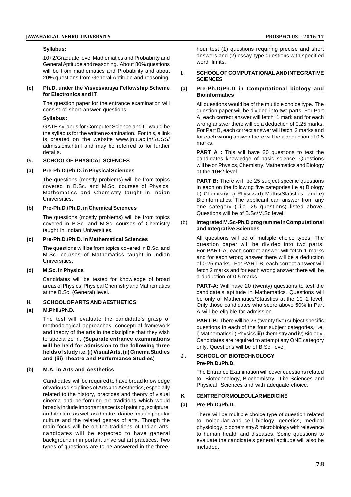# **Syllabus:**

10+2/Graduate level Mathematics and Probability and General Aptitude and reasoning. About 80% questions will be from mathematics and Probability and about 20% questions from General Aptitude and reasoning.

# **(c) Ph.D. under the Visvesvaraya Fellowship Scheme for Electronics and IT**

The question paper for the entrance examination will consist of short answer questions.

# **Syllabus :**

GATE syllabus for Computer Science and IT would be the syllabus for the written examination. For this, a link is created on the website www.jnu.ac.in/SCSS/ admissions.html and may be referred to for further details.

# **G . SCHOOL OF PHYSICAL SCIENCES**

# **(a) Pre-Ph.D./Ph.D. in Physical Sciences**

The questions (mostly problems) will be from topics covered in B.Sc. and M.Sc. courses of Physics, Mathematics and Chemistry taught in Indian Universities.

# **(b) Pre-Ph.D./Ph.D. in Chemical Sciences**

The questions (mostly problems) will be from topics<br>covered in  $B$  Sc, and  $M$  Sc, courses of Chemistry. (b) covered in B.Sc. and M.Sc. courses of Chemistry taught in Indian Universities.

# **(c) Pre-Ph.D./Ph.D. in Mathematical Sciences**

The questions will be from topics covered in B.Sc. and M.Sc. courses of Mathematics taught in Indian Universities.

## **(d) M.Sc. in Physics**

Candidates will be tested for knowledge of broad areas of Physics, Physical Chemistry and Mathematics at the B.Sc. (General) level.

# **H. SCHOOL OF ARTS AND AESTHETICS**

# **(a) M.Phil./Ph.D.**

The test will evaluate the candidate's grasp of methodological approaches, conceptual framework and theory of the arts in the discipline that they wish to specialize in. **(Separate entrance examinations will be held for admission to the following three fields of study i.e. (i) Visual Arts, (ii) Cinema Studies and (iii) Theatre and Performance Studies)**

# **(b) M.A. in Arts and Aesthetics**

Candidates will be required to have broad knowledge of various disciplines of Arts and Aesthetics, especially related to the history, practices and theory of visual cinema and performing art traditions which would broadly include important aspects of painting, sculpture, architecture as well as theatre, dance, music popular culture and the related genres of arts. Though the main focus will be on the traditions of Indian arts, candidates will be expected to have general background in important universal art practices. Two types of questions are to be answered in the threehour test (1) questions requiring precise and short answers and (2) essay-type questions with specified word limits.

### SCHOOL OF COMPUTATIONAL AND INTEGRATIVE **SCIENCES**

## **(a) Pre-Ph.D/Ph.D in Computational biology and Bioinformatics**

All questions would be of the multiple choice type. The question paper will be divided into two parts. For Part A, each correct answer will fetch 1 mark and for each wrong answer there will be a deduction of 0.25 marks. For Part B, each correct answer will fetch 2 marks and for each wrong answer there will be a deduction of 0.5 marks.

**PART A** : This will have 20 questions to test the candidates knowledge of basic science. Questions will be on Physics, Chemistry, Mathematics and Biology at the 10+2 level.

**PART B:** There will be 25 subject specific questions in each on the following five categories i.e a) Biology b) Chemistry c) Physics d) Maths/Statistics and e) Bioinformatics. The applicant can answer from any one category ( i.e. 25 questions) listed above. Questions will be of B.Sc/M.Sc level.

# (b) **Integrated M.Sc-Ph.D programme in Computational and Integrative Sciences**

All questions will be of multiple choice types. The question paper will be divided into two parts. For PART-A, each correct answer will fetch 1 marks and for each wrong answer there will be a deduction of 0.25 marks. For PART-B, each correct answer will fetch 2 marks and for each wrong answer there will be a duduction of 0.5 marks.

**PART-A:** Will have 20 (twenty) questions to test the candidate's aptitude in Mathematics. Questions will be only of Mathematics/Statistics at the 10+2 level. Only those candidates who score above 50% in Part A will be eligible for admission.

**PART-B:** There will be 25 (twenty five) subject specific questions in each of the four subject categories, i.e. i) Mathematics ii) Physics iii) Chemistry and iv) Biology. Candidates are required to attempt any ONE category only. Questions will be of B.Sc. level.

# **J . SCHOOL OF BIOTECHNOLOGY Pre-Ph.D./Ph.D.**

The Entrance Examination will cover questions related to Biotechnology, Biochemistry, Life Sciences and Physical Sciences and with adequate choice.

# **K. CENTRE FOR MOLECULAR MEDICINE**

# **(a) Pre-Ph.D./Ph.D.**

There will be multiple choice type of question related to molecular and cell biology, genetics, medical physiology, biochemistry & microbiology with relevence to human health and diseases. Some questions to evaluate the candidate's general aptitude will also be included.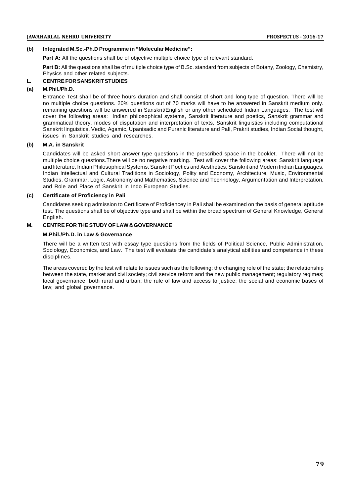# **(b) Integrated M.Sc.-Ph.D Programme in "Molecular Medicine":**

**Part A:** All the questions shall be of objective multiple choice type of relevant standard.

**Part B:** All the questions shall be of multiple choice type of B.Sc. standard from subjects of Botany, Zoology, Chemistry, Physics and other related subjects.

# **L. CENTRE FOR SANSKRIT STUDIES**

## **(a) M.Phil./Ph.D.**

Entrance Test shall be of three hours duration and shall consist of short and long type of question. There will be no multiple choice questions. 20% questions out of 70 marks will have to be answered in Sanskrit medium only. remaining questions will be answered in Sanskrit/English or any other scheduled Indian Languages. The test will cover the following areas: Indian philosophical systems, Sanskrit literature and poetics, Sanskrit grammar and grammatical theory, modes of disputation and interpretation of texts, Sanskrit linguistics including computational Sanskrit linguistics, Vedic, Agamic, Upanisadic and Puranic literature and Pali, Prakrit studies, Indian Social thought, issues in Sanskrit studies and researches.

# **(b) M.A. in Sanskrit**

Candidates will be asked short answer type questions in the prescribed space in the booklet. There will not be multiple choice questions.There will be no negative marking. Test will cover the following areas: Sanskrit language and literature, Indian Philosophical Systems, Sanskrit Poetics and Aesthetics, Sanskrit and Modern Indian Languages, Indian Intellectual and Cultural Traditions in Sociology, Polity and Economy, Architecture, Music, Environmental Studies, Grammar, Logic, Astronomy and Mathematics, Science and Technology, Argumentation and Interpretation, and Role and Place of Sanskrit in Indo European Studies.

## **(c) Certificate of Proficiency in Pali**

Candidates seeking admission to Certificate of Proficiencey in Pali shall be examined on the basis of general aptitude test. The questions shall be of objective type and shall be within the broad spectrum of General Knowledge, General English.

# **M. CENTRE FOR THE STUDY OF LAW & GOVERNANCE**

### **M.Phil./Ph.D. in Law & Governance**

There will be a written test with essay type questions from the fields of Political Science, Public Administration, Sociology, Economics, and Law. The test will evaluate the candidate's analytical abilities and competence in these disciplines.

The areas covered by the test will relate to issues such as the following: the changing role of the state; the relationship between the state, market and civil society; civil service reform and the new public management; regulatory regimes; local governance, both rural and urban; the rule of law and access to justice; the social and economic bases of law; and global governance.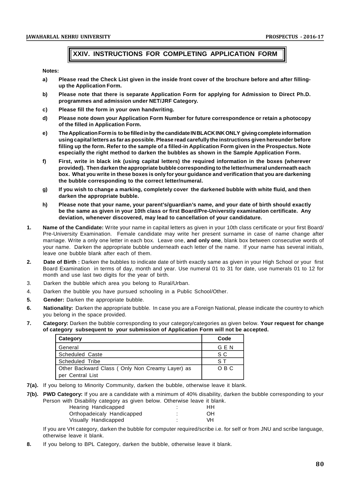# **XXIV. INSTRUCTIONS FOR COMPLETING APPLICATION FORM**

**Notes:**

- **a) Please read the Check List given in the inside front cover of the brochure before and after fillingup the Application Form.**
- **b) Please note that there is separate Application Form for applying for Admission to Direct Ph.D. programmes and admission under NET/JRF Category.**
- **c) Please fill the form in your own handwriting.**
- **d) Please note down your Application Form Number for future correspondence or retain a photocopy of the filled in Application Form.**
- **e) The Application Form is to be filled in by the candidate IN BLACK INK ONLY giving complete information using capital letters as far as possible. Please read carefully the instructions given hereunder before filling up the form. Refer to the sample of a filled-in Application Form given in the Prospectus. Note especially the right method to darken the bubbles as shown in the Sample Application Form.**
- **f) First, write in black ink (using capital letters) the required information in the boxes (wherever provided). Then darken the appropriate bubble corresponding to the letter/numeral underneath each box. What you write in these boxes is only for your guidance and verification that you are darkening the bubble corresponding to the correct letter/numeral.**
- **g) If you wish to change a marking, completely cover the darkened bubble with white fluid, and then darken the appropriate bubble.**
- **h) Please note that your name, your parent's/guardian's name, and your date of birth should exactly be the same as given in your 10th class or first Board/Pre-Universtiy examination certificate. Any deviation, whenever discovered, may lead to cancellation of your candidature.**
- **1. Name of the Candidate:** Write your name in capital letters as given in your 10th class certificate or your first Board/ Pre-University Examination. Female candidate may write her present surname in case of name change after marriage. Write a only one letter in each box. Leave one, **and only one**, blank box between consecutive words of your name. Darken the appropriate bubble underneath each letter of the name. If your name has several initials, leave one bubble blank after each of them.
- **2. Date of Birth :** Darken the bubbles to indicate date of birth exactly same as given in your High School or your first Board Examination in terms of day, month and year. Use numeral 01 to 31 for date, use numerals 01 to 12 for month and use last two digits for the year of birth.
- 3. Darken the bubble which area you belong to Rural/Urban.
- 4. Darken the bubble you have pursued schooling in a Public School/Other.
- **5. Gender:** Darken the appropriate bubble.
- **6. Nationality:** Darken the appropriate bubble. In case you are a Foreign National, please indicate the country to which you belong in the space provided.
- **7. Category:** Darken the bubble corresponding to your category/categories as given below. **Your request for change of category subsequent to your submission of Application Form will not be accepted.**

| Category                                                            | Code  |  |
|---------------------------------------------------------------------|-------|--|
| General                                                             | G E N |  |
| <b>Scheduled Caste</b>                                              | S C   |  |
| Scheduled Tribe                                                     | S T   |  |
| Other Backward Class (Only Non Creamy Layer) as<br>per Central List | O B C |  |

- **7(a).** If you belong to Minority Community, darken the bubble, otherwise leave it blank.
- **7(b). PWD Category:** If you are a candidate with a minimum of 40% disability, darken the bubble corresponding to your Person with Disability category as given below. Otherwise leave it blank.

| Hearing Handicapped        |   | нн |  |
|----------------------------|---|----|--|
| Orthopadeicaly Handicapped |   | OΗ |  |
| Visually Handicapped       | ٠ | VН |  |

If you are VH category, darken the bubble for computer required/scribe i.e. for self or from JNU and scribe language, otherwise leave it blank.

**8.** If you belong to BPL Category, darken the bubble, otherwise leave it blank.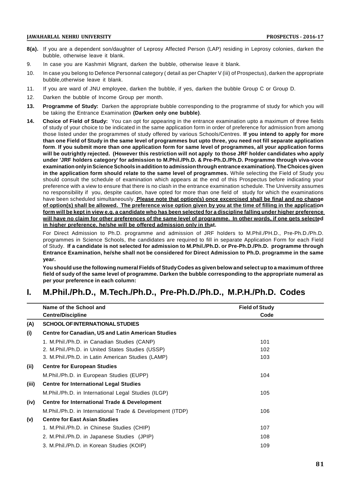- **8(a).** If you are a dependent son/daughter of Leprosy Affected Person (LAP) residing in Leprosy colonies, darken the bubble, otherwise leave it blank.
- 9. In case you are Kashmiri Migrant, darken the bubble, otherwise leave it blank.
- 10. In case you belong to Defence Personnal category ( detail as per Chapter V (iii) of Prospectus), darken the appropriate bubble,otherwise leave it blank.
- 11. If you are ward of JNU employee, darken the bubble, if yes, darken the bubble Group C or Group D.
- 12. Darken the bubble of Income Group per month.
- **13. Programme of Study:** Darken the appropriate bubble corresponding to the programme of study for which you will be taking the Entrance Examination **(Darken only one bubble)**.
- **14. Choice of Field of Study:** You can opt for appearing in the entrance examination upto a maximum of three fields of study of your choice to be indicated in the same application form in order of preference for admission from among those listed under the programmes of study offered by various Schools/Centres. **If you intend to apply for more than one Field of Study in the same level of programmes but upto three, you need not fill separate application form**. **If you submit more than one application form for same level of programmes, all your application forms will be outrightly rejected. (However this restriction will not apply to those JRF holder candidates who apply under 'JRF holders category' for admission to M.Phil./Ph.D. & Pre-Ph.D./Ph.D. Programme through viva-voce examination only in Science Schools in addition to admission through entrance examination). The Choices given in the application form should relate to the same level of programmes.** While selecting the Field of Study you should consult the schedule of examination which appears at the end of this Prospectus before indicating your preference with a view to ensure that there is no clash in the entrance examination schedule. The University assumes no responsibility if you, despite caution, have opted for more than one field of study for which the examinations have been scheduled simultaneously. **Please note that option(s) once excercised shall be final and no change of option(s) shall be allowed. The preference wise option given by you at the time of filling in the application form will be kept in view e.g. a candidate who has been selected for a discipline falling under higher preference will have no claim for other preferences of the same level of programme. In other words, if one gets selected in higher preference, he/she will be offered admission only in that.**

For Direct Admission to Ph.D. programme and admission of JRF holders to M.Phil./PH.D., Pre-Ph.D./Ph.D. programmes in Science Schools, the candidates are required to fill in separate Application Form for each Field of Study. **If a candidate is not selected for admission to M.Phil./Ph.D. or Pre-Ph.D./Ph.D. programme through Entrance Examination, he/she shall not be considered for Direct Admission to Ph.D. programme in the same year.**

**You should use the following numeral Fields of Study Codes as given below and select up to a maximum of three field of sudy of the same level of programme. Darken the bubble corresponding to the appropriate numeral as per your preference in each column:**

# **I. M.Phil./Ph.D., M.Tech./Ph.D., Pre-Ph.D./Ph.D., M.P.H./Ph.D. Codes**

|       | Name of the School and                                    | <b>Field of Study</b> |
|-------|-----------------------------------------------------------|-----------------------|
|       | <b>Centre/Discipline</b>                                  | Code                  |
| (A)   | <b>SCHOOL OF INTERNATIONAL STUDIES</b>                    |                       |
| (i)   | <b>Centre for Canadian, US and Latin American Studies</b> |                       |
|       | 1. M.Phil./Ph.D. in Canadian Studies (CANP)               | 101                   |
|       | 2. M.Phil./Ph.D. in United States Studies (USSP)          | 102                   |
|       | 3. M.Phil./Ph.D. in Latin American Studies (LAMP)         | 103                   |
| (ii)  | <b>Centre for European Studies</b>                        |                       |
|       | M.Phil./Ph.D. in European Studies (EUPP)                  | 104                   |
| (iii) | <b>Centre for International Legal Studies</b>             |                       |
|       | M.Phil./Ph.D. in International Legal Studies (ILGP)       | 105                   |
| (iv)  | <b>Centre for International Trade &amp; Development</b>   |                       |
|       | M.Phil./Ph.D. in International Trade & Development (ITDP) | 106                   |
| (v)   | <b>Centre for East Asian Studies</b>                      |                       |
|       | 1. M.Phil./Ph.D. in Chinese Studies (CHIP)                | 107                   |
|       | 2. M.Phil./Ph.D. in Japanese Studies (JPIP)               | 108                   |
|       | 3. M.Phil./Ph.D. in Korean Studies (KOIP)                 | 109                   |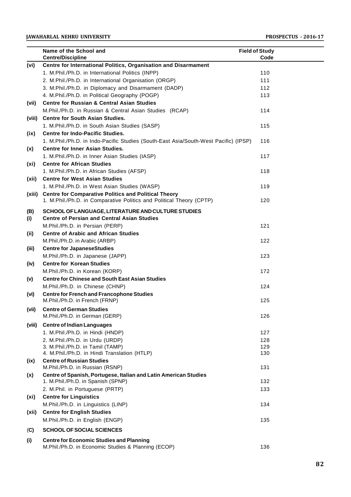|                   | Name of the School and                                                               | <b>Field of Study</b> |  |
|-------------------|--------------------------------------------------------------------------------------|-----------------------|--|
|                   | <b>Centre/Discipline</b>                                                             | Code                  |  |
| (vi)              | Centre for International Politics, Organisation and Disarmament                      |                       |  |
|                   | 1. M.Phil./Ph.D. in International Politics (INPP)                                    | 110                   |  |
|                   | 2. M.Phil./Ph.D. in International Organisation (ORGP)                                | 111                   |  |
|                   | 3. M.Phil./Ph.D. in Diplomacy and Disarmament (DADP)                                 | 112                   |  |
|                   | 4. M.Phil./Ph.D. in Political Geography (POGP)                                       | 113                   |  |
| (vii)             | <b>Centre for Russian &amp; Central Asian Studies</b>                                |                       |  |
|                   | M.Phil./Ph.D. in Russian & Central Asian Studies (RCAP)                              | 114                   |  |
| (viii)            | <b>Centre for South Asian Studies.</b>                                               |                       |  |
|                   | 1. M.Phil./Ph.D. in South Asian Studies (SASP)                                       | 115                   |  |
| (ix)              | <b>Centre for Indo-Pacific Studies.</b>                                              |                       |  |
|                   | 1. M.Phil./Ph.D. in Indo-Pacific Studies (South-East Asia/South-West Pacific) (IPSP) | 116                   |  |
| (x)               | <b>Centre for Inner Asian Studies.</b>                                               |                       |  |
|                   | 1. M.Phil./Ph.D. in Inner Asian Studies (IASP)                                       | 117                   |  |
| (x <sub>i</sub> ) | <b>Centre for African Studies</b>                                                    |                       |  |
|                   | 1. M.Phil./Ph.D. in African Studies (AFSP)                                           | 118                   |  |
| (xii)             | <b>Centre for West Asian Studies</b>                                                 |                       |  |
|                   | 1. M.Phil./Ph.D. in West Asian Studies (WASP)                                        | 119                   |  |
| (xiii)            | <b>Centre for Comparative Politics and Political Theory</b>                          |                       |  |
|                   | 1. M.Phil./Ph.D. in Comparative Politics and Political Theory (CPTP)                 | 120                   |  |
| (B)               | SCHOOL OF LANGUAGE. LITERATURE AND CULTURE STUDIES                                   |                       |  |
| (i)               | <b>Centre of Persian and Central Asian Studies</b>                                   |                       |  |
|                   | M.Phil./Ph.D. in Persian (PERP)                                                      | 121                   |  |
| (ii)              | <b>Centre of Arabic and African Studies</b>                                          |                       |  |
|                   | M.Phil./Ph.D. in Arabic (ARBP)                                                       | 122                   |  |
| (iii)             | <b>Centre for JapaneseStudies</b>                                                    |                       |  |
|                   | M.Phil./Ph.D. in Japanese (JAPP)                                                     | 123                   |  |
| (iv)              | <b>Centre for Korean Studies</b>                                                     |                       |  |
|                   | M.Phil./Ph.D. in Korean (KORP)                                                       | 172                   |  |
| (v)               | <b>Centre for Chinese and South East Asian Studies</b>                               |                       |  |
|                   | M.Phil./Ph.D. in Chinese (CHNP)                                                      | 124                   |  |
| (vi)              | <b>Centre for French and Francophone Studies</b>                                     |                       |  |
|                   | M.Phil./Ph.D. in French (FRNP)                                                       | 125                   |  |
| (vii)             | <b>Centre of German Studies</b>                                                      |                       |  |
|                   | M.Phil./Ph.D. in German (GERP)                                                       | 126                   |  |
| (viii)            | <b>Centre of Indian Languages</b>                                                    |                       |  |
|                   | 1. M.Phil./Ph.D. in Hindi (HNDP)                                                     | 127                   |  |
|                   | 2. M.Phil./Ph.D. in Urdu (URDP)                                                      | 128                   |  |
|                   | 3. M.Phil./Ph.D. in Tamil (TAMP)                                                     | 129                   |  |
|                   | 4. M.Phil./Ph.D. in Hindi Translation (HTLP)                                         | 130                   |  |
| (ix)              | <b>Centre of Russian Studies</b>                                                     |                       |  |
|                   | M.Phil./Ph.D. in Russian (RSNP)                                                      | 131                   |  |
| (x)               | Centre of Spanish, Portugese, Italian and Latin American Studies                     |                       |  |
|                   | 1. M.Phil./Ph.D. in Spanish (SPNP)                                                   | 132                   |  |
|                   | 2. M.Phil. in Portuguese (PRTP)                                                      | 133                   |  |
| (xi)              | <b>Centre for Linguistics</b>                                                        |                       |  |
|                   | M.Phil./Ph.D. in Linguistics (LINP)                                                  | 134                   |  |
| (xii)             | <b>Centre for English Studies</b>                                                    |                       |  |
|                   | M.Phil./Ph.D. in English (ENGP)                                                      | 135                   |  |
|                   | <b>SCHOOL OF SOCIAL SCIENCES</b>                                                     |                       |  |
| (C)               |                                                                                      |                       |  |
| (i)               | <b>Centre for Economic Studies and Planning</b>                                      |                       |  |
|                   | M.Phil./Ph.D. in Economic Studies & Planning (ECOP)                                  | 136                   |  |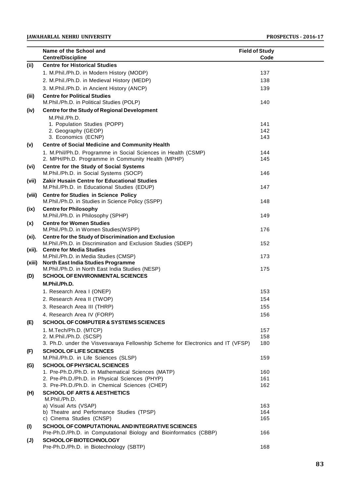|           | Name of the School and                                                                                     | <b>Field of Study</b> |  |
|-----------|------------------------------------------------------------------------------------------------------------|-----------------------|--|
|           | <b>Centre/Discipline</b>                                                                                   | Code                  |  |
| (ii)      | <b>Centre for Historical Studies</b>                                                                       |                       |  |
|           | 1. M.Phil./Ph.D. in Modern History (MODP)                                                                  | 137                   |  |
|           | 2. M.Phil./Ph.D. in Medieval History (MEDP)                                                                | 138                   |  |
|           | 3. M.Phil./Ph.D. in Ancient History (ANCP)                                                                 | 139                   |  |
| (iii)     | <b>Centre for Political Studies</b>                                                                        |                       |  |
|           | M.Phil./Ph.D. in Political Studies (POLP)                                                                  | 140                   |  |
| (iv)      | <b>Centre for the Study of Regional Development</b>                                                        |                       |  |
|           | M.Phil./Ph.D.                                                                                              |                       |  |
|           | 1. Population Studies (POPP)                                                                               | 141                   |  |
|           | 2. Geography (GEOP)                                                                                        | 142                   |  |
|           | 3. Economics (ECNP)                                                                                        | 143                   |  |
| (v)       | <b>Centre of Social Medicine and Community Health</b>                                                      |                       |  |
|           | 1. M.Phil/Ph.D. Programme in Social Sciences in Health (CSMP)                                              | 144                   |  |
|           | 2. MPH/Ph.D. Programme in Community Health (MPHP)                                                          | 145                   |  |
| (vi)      | Centre for the Study of Social Systems                                                                     |                       |  |
|           | M.Phil./Ph.D. in Social Systems (SOCP)                                                                     | 146                   |  |
| (vii)     | Zakir Husain Centre for Educational Studies                                                                |                       |  |
|           | M.Phil./Ph.D. in Educational Studies (EDUP)                                                                | 147                   |  |
| (viii)    | <b>Centre for Studies in Science Policy</b>                                                                | 148                   |  |
|           | M.Phil./Ph.D. in Studies in Science Policy (SSPP)                                                          |                       |  |
| (ix)      | <b>Centre for Philosophy</b><br>M.Phil./Ph.D. in Philosophy (SPHP)                                         | 149                   |  |
|           | <b>Centre for Women Studies</b>                                                                            |                       |  |
| (x)       | M.Phil./Ph.D. in Women Studies(WSPP)                                                                       | 176                   |  |
| (xi).     | Centre for the Study of Discrimination and Exclusion                                                       |                       |  |
|           | M.Phil./Ph.D. in Discrimination and Exclusion Studies (SDEP)                                               | 152                   |  |
| $(xii)$ . | <b>Centre for Media Studies</b>                                                                            |                       |  |
|           | M.Phil./Ph.D. in Media Studies (CMSP)                                                                      | 173                   |  |
| (xiii)    | North East India Studies Programme                                                                         |                       |  |
|           | M.Phil./Ph.D. in North East India Studies (NESP)                                                           | 175                   |  |
| (D)       | <b>SCHOOL OF ENVIRONMENTAL SCIENCES</b>                                                                    |                       |  |
|           | M.Phil./Ph.D.                                                                                              |                       |  |
|           | 1. Research Area I (ONEP)                                                                                  | 153                   |  |
|           | 2. Research Area II (TWOP)                                                                                 | 154                   |  |
|           | 3. Research Area III (THRP)                                                                                | 155                   |  |
|           | 4. Research Area IV (FORP)                                                                                 | 156                   |  |
| (E)       | <b>SCHOOL OF COMPUTER &amp; SYSTEMS SCIENCES</b>                                                           |                       |  |
|           | 1. M.Tech/Ph.D. (MTCP)                                                                                     | 157                   |  |
|           | 2. M.Phil./Ph.D. (SCSP)<br>3. Ph.D. under the Visvesvaraya Fellowship Scheme for Electronics and IT (VFSP) | 158<br>180            |  |
|           |                                                                                                            |                       |  |
| (F)       | <b>SCHOOL OF LIFE SCIENCES</b><br>M.Phil./Ph.D. in Life Sciences (SLSP)                                    | 159                   |  |
|           | <b>SCHOOL OF PHYSICAL SCIENCES</b>                                                                         |                       |  |
| (G)       | 1. Pre-Ph.D./Ph.D. in Mathematical Sciences (MATP)                                                         | 160                   |  |
|           | 2. Pre-Ph.D./Ph.D. in Physical Sciences (PHYP)                                                             | 161                   |  |
|           | 3. Pre-Ph.D./Ph.D. in Chemical Sciences (CHEP)                                                             | 162                   |  |
| (H)       | <b>SCHOOL OF ARTS &amp; AESTHETICS</b>                                                                     |                       |  |
|           | M.Phil./Ph.D.                                                                                              |                       |  |
|           | a) Visual Arts (VSAP)                                                                                      | 163                   |  |
|           | b) Theatre and Performance Studies (TPSP)                                                                  | 164                   |  |
|           | c) Cinema Studies (CNSP)                                                                                   | 165                   |  |
| (1)       | SCHOOL OF COMPUTATIONAL AND INTEGRATIVE SCIENCES                                                           |                       |  |
|           | Pre-Ph.D./Ph.D. in Computational Biology and Bioinformatics (CBBP)                                         | 166                   |  |
| (J)       | <b>SCHOOL OF BIOTECHNOLOGY</b>                                                                             |                       |  |
|           | Pre-Ph.D./Ph.D. in Biotechnology (SBTP)                                                                    | 168                   |  |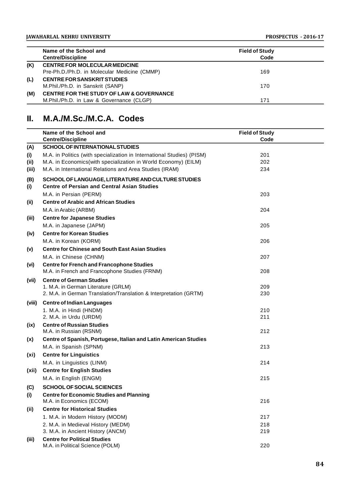|     | Name of the School and                              | <b>Field of Study</b> |  |
|-----|-----------------------------------------------------|-----------------------|--|
|     | <b>Centre/Discipline</b>                            | Code                  |  |
| (K) | <b>CENTRE FOR MOLECULAR MEDICINE</b>                |                       |  |
|     | Pre-Ph.D./Ph.D. in Molecular Medicine (CMMP)        | 169                   |  |
| (L) | <b>CENTRE FOR SANSKRIT STUDIES</b>                  |                       |  |
|     | M.Phil./Ph.D. in Sanskrit (SANP)                    | 170                   |  |
| (M) | <b>CENTRE FOR THE STUDY OF LAW &amp; GOVERNANCE</b> |                       |  |
|     | M.Phil./Ph.D. in Law & Governance (CLGP)            | 171                   |  |

# **II. M.A./M.Sc./M.C.A. Codes**

|                   | Name of the School and                                                  | <b>Field of Study</b> |  |
|-------------------|-------------------------------------------------------------------------|-----------------------|--|
|                   | <b>Centre/Discipline</b>                                                | Code                  |  |
| (A)               | <b>SCHOOL OF INTERNATIONAL STUDIES</b>                                  |                       |  |
| (i)               | M.A. in Politics (with specialization in International Studies) (PISM)  | 201                   |  |
| (ii)              | M.A. in Economics(with specialization in World Economy) (EILM)          | 202                   |  |
| (iii)             | M.A. in International Relations and Area Studies (IRAM)                 | 234                   |  |
| (B)               | SCHOOL OF LANGUAGE, LITERATURE AND CULTURE STUDIES                      |                       |  |
| (i)               | <b>Centre of Persian and Central Asian Studies</b>                      |                       |  |
|                   | M.A. in Persian (PERM)                                                  | 203                   |  |
| (ii)              | <b>Centre of Arabic and African Studies</b>                             |                       |  |
|                   | M.A. in Arabic (ARBM)                                                   | 204                   |  |
| (iii)             | <b>Centre for Japanese Studies</b>                                      |                       |  |
|                   | M.A. in Japanese (JAPM)                                                 | 205                   |  |
| (iv)              | <b>Centre for Korean Studies</b>                                        |                       |  |
|                   | M.A. in Korean (KORM)                                                   | 206                   |  |
| (v)               | <b>Centre for Chinese and South East Asian Studies</b>                  |                       |  |
|                   | M.A. in Chinese (CHNM)                                                  | 207                   |  |
| (vi)              | <b>Centre for French and Francophone Studies</b>                        |                       |  |
|                   | M.A. in French and Francophone Studies (FRNM)                           | 208                   |  |
| (vii)             | <b>Centre of German Studies</b>                                         |                       |  |
|                   | 1. M.A. in German Literature (GRLM)                                     | 209                   |  |
|                   | 2. M.A. in German Translation/Translation & Interpretation (GRTM)       | 230                   |  |
| (viii)            | <b>Centre of Indian Languages</b>                                       |                       |  |
|                   | 1. M.A. in Hindi (HNDM)                                                 | 210                   |  |
|                   | 2. M.A. in Urdu (URDM)                                                  | 211                   |  |
| (ix)              | <b>Centre of Russian Studies</b>                                        |                       |  |
|                   | M.A. in Russian (RSNM)                                                  | 212                   |  |
| (x)               | Centre of Spanish, Portugese, Italian and Latin American Studies        |                       |  |
|                   | M.A. in Spanish (SPNM)                                                  | 213                   |  |
| (x <sub>i</sub> ) | <b>Centre for Linguistics</b>                                           |                       |  |
|                   | M.A. in Linguistics (LINM)                                              | 214                   |  |
| (xii)             | <b>Centre for English Studies</b>                                       |                       |  |
|                   | M.A. in English (ENGM)                                                  | 215                   |  |
| (C)               | <b>SCHOOL OF SOCIAL SCIENCES</b>                                        |                       |  |
| (i)               | <b>Centre for Economic Studies and Planning</b>                         |                       |  |
|                   | M.A. in Economics (ECOM)                                                | 216                   |  |
| (ii)              | <b>Centre for Historical Studies</b>                                    |                       |  |
|                   | 1. M.A. in Modern History (MODM)                                        | 217                   |  |
|                   | 2. M.A. in Medieval History (MEDM)                                      | 218                   |  |
|                   | 3. M.A. in Ancient History (ANCM)                                       | 219                   |  |
| (iii)             | <b>Centre for Political Studies</b><br>M.A. in Political Science (POLM) | 220                   |  |
|                   |                                                                         |                       |  |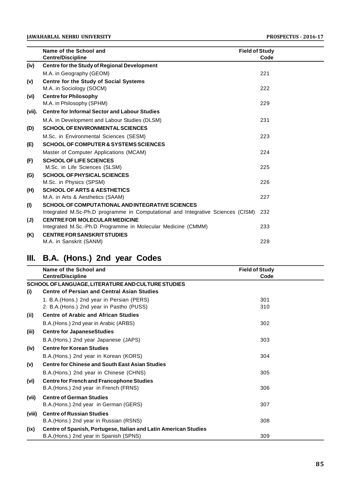|                | Name of the School and                                                          | <b>Field of Study</b> |
|----------------|---------------------------------------------------------------------------------|-----------------------|
|                | <b>Centre/Discipline</b>                                                        | Code                  |
| (iv)           | <b>Centre for the Study of Regional Development</b>                             |                       |
|                | M.A. in Geography (GEOM)                                                        | 221                   |
| (v)            | <b>Centre for the Study of Social Systems</b>                                   |                       |
|                | M.A. in Sociology (SOCM)                                                        | 222                   |
| (vi)           | <b>Centre for Philosophy</b>                                                    |                       |
|                | M.A. in Philosophy (SPHM)                                                       | 229                   |
| (vii).         | <b>Centre for Informal Sector and Labour Studies</b>                            |                       |
|                | M.A. in Development and Labour Studies (DLSM)                                   | 231                   |
| (D)            | <b>SCHOOL OF ENVIRONMENTAL SCIENCES</b>                                         |                       |
|                | M.Sc. in Environmental Sciences (SESM)                                          | 223                   |
| (E)            | <b>SCHOOL OF COMPUTER &amp; SYSTEMS SCIENCES</b>                                |                       |
|                | Master of Computer Applications (MCAM)                                          | 224                   |
| (F)            | <b>SCHOOL OF LIFE SCIENCES</b>                                                  |                       |
|                | M.Sc. in Life Sciences (SLSM)                                                   | 225                   |
| (G)            | <b>SCHOOL OF PHYSICAL SCIENCES</b>                                              |                       |
|                | M.Sc. in Physics (SPSM)                                                         | 226                   |
| (H)            | <b>SCHOOL OF ARTS &amp; AESTHETICS</b>                                          |                       |
|                | M.A. in Arts & Aesthetics (SAAM)                                                | 227                   |
| (1)            | SCHOOL OF COMPUTATIONAL AND INTEGRATIVE SCIENCES                                |                       |
|                | Integrated M.Sc-Ph.D programme in Computational and Integrative Sciences (CISM) | 232                   |
| $(\mathsf{U})$ | <b>CENTRE FOR MOLECULAR MEDICINE</b>                                            |                       |
|                | Integrated M.Sc.-Ph.D Programme in Molecular Medicine (CMMM)                    | 233                   |
| (K)            | <b>CENTRE FOR SANSKRIT STUDIES</b>                                              |                       |
|                | M.A. in Sanskrit (SANM)                                                         | 228                   |

# **III. B.A. (Hons.) 2nd year Codes**

|        | Name of the School and                                           | <b>Field of Study</b> |
|--------|------------------------------------------------------------------|-----------------------|
|        | <b>Centre/Discipline</b>                                         | Code                  |
|        | SCHOOL OF LANGUAGE, LITERATURE AND CULTURE STUDIES               |                       |
| (i)    | <b>Centre of Persian and Central Asian Studies</b>               |                       |
|        | 1. B.A. (Hons.) 2nd year in Persian (PERS)                       | 301                   |
|        | 2. B.A. (Hons.) 2nd year in Pastho (PUSS)                        | 310                   |
| (ii)   | <b>Centre of Arabic and African Studies</b>                      |                       |
|        | B.A. (Hons.) 2nd year in Arabic (ARBS)                           | 302                   |
| (iii)  | <b>Centre for JapaneseStudies</b>                                |                       |
|        | B.A. (Hons.) 2nd year Japanese (JAPS)                            | 303                   |
| (iv)   | <b>Centre for Korean Studies</b>                                 |                       |
|        | B.A. (Hons.) 2nd year in Korean (KORS)                           | 304                   |
| (v)    | <b>Centre for Chinese and South East Asian Studies</b>           |                       |
|        | B.A.(Hons.) 2nd year in Chinese (CHNS)                           | 305                   |
| (vi)   | <b>Centre for French and Francophone Studies</b>                 |                       |
|        | B.A. (Hons.) 2nd year in French (FRNS)                           | 306                   |
| (vii)  | <b>Centre of German Studies</b>                                  |                       |
|        | B.A. (Hons.) 2nd year in German (GERS)                           | 307                   |
| (viii) | <b>Centre of Russian Studies</b>                                 |                       |
|        | B.A. (Hons.) 2nd year in Russian (RSNS)                          | 308                   |
| (ix)   | Centre of Spanish, Portugese, Italian and Latin American Studies |                       |
|        | B.A. (Hons.) 2nd year in Spanish (SPNS)                          | 309                   |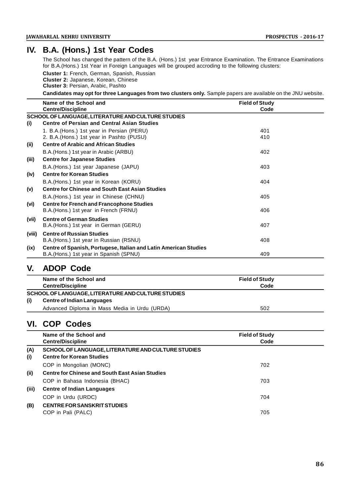# **IV. B.A. (Hons.) 1st Year Codes**

The School has changed the pattern of the B.A. (Hons.) 1st year Entrance Examination. The Entrance Examinations for B.A.(Hons.) 1st Year in Foreign Languages will be grouped accroding to the following clusters:

**Cluster 1:** French, German, Spanish, Russian **Cluster 2:** Japanese, Korean, Chinese **Cluster 3:** Persian, Arabic, Pashto

**Candidates may opt for three Languages from two clusters only.** Sample papers are available on the JNU website.

|        | Name of the School and                                           | <b>Field of Study</b> |  |
|--------|------------------------------------------------------------------|-----------------------|--|
|        | <b>Centre/Discipline</b>                                         | Code                  |  |
|        | SCHOOL OF LANGUAGE, LITERATURE AND CULTURE STUDIES               |                       |  |
| (i)    | <b>Centre of Persian and Central Asian Studies</b>               |                       |  |
|        | 1. B.A. (Hons.) 1st year in Persian (PERU)                       | 401                   |  |
|        | 2. B.A. (Hons.) 1st year in Pashto (PUSU)                        | 410                   |  |
| (ii)   | <b>Centre of Arabic and African Studies</b>                      |                       |  |
|        | B.A. (Hons.) 1st year in Arabic (ARBU)                           | 402                   |  |
| (iii)  | <b>Centre for Japanese Studies</b>                               |                       |  |
|        | B.A. (Hons.) 1st year Japanese (JAPU)                            | 403                   |  |
| (iv)   | <b>Centre for Korean Studies</b>                                 |                       |  |
|        | B.A. (Hons.) 1st year in Korean (KORU)                           | 404                   |  |
| (v)    | <b>Centre for Chinese and South East Asian Studies</b>           |                       |  |
|        | B.A.(Hons.) 1st year in Chinese (CHNU)                           | 405                   |  |
| (vi)   | <b>Centre for French and Francophone Studies</b>                 |                       |  |
|        | B.A. (Hons.) 1st year in French (FRNU)                           | 406                   |  |
| (vii)  | <b>Centre of German Studies</b>                                  |                       |  |
|        | B.A. (Hons.) 1st year in German (GERU)                           | 407                   |  |
| (viii) | <b>Centre of Russian Studies</b>                                 |                       |  |
|        | B.A.(Hons.) 1st year in Russian (RSNU)                           | 408                   |  |
| (ix)   | Centre of Spanish, Portugese, Italian and Latin American Studies |                       |  |
|        | B.A. (Hons.) 1st year in Spanish (SPNU)                          | 409                   |  |

# **V. ADOP Code**

| Name of the School and<br><b>Centre/Discipline</b>                                             | <b>Field of Study</b><br>Code |
|------------------------------------------------------------------------------------------------|-------------------------------|
| SCHOOL OF LANGUAGE, LITERATURE AND CULTURE STUDIES<br>(i)<br><b>Centre of Indian Languages</b> |                               |
| Advanced Diploma in Mass Media in Urdu (URDA)                                                  | 502                           |

# **VI. COP Codes**

|            | Name of the School and<br><b>Centre/Discipline</b>                                     | <b>Field of Study</b><br>Code |  |
|------------|----------------------------------------------------------------------------------------|-------------------------------|--|
| (A)<br>(i) | SCHOOL OF LANGUAGE, LITERATURE AND CULTURE STUDIES<br><b>Centre for Korean Studies</b> |                               |  |
|            | COP in Mongolian (MONC)                                                                | 702                           |  |
| (ii)       | <b>Centre for Chinese and South East Asian Studies</b>                                 |                               |  |
|            | COP in Bahasa Indonesia (BHAC)                                                         | 703                           |  |
| (iii)      | <b>Centre of Indian Languages</b>                                                      |                               |  |
|            | COP in Urdu (URDC)                                                                     | 704                           |  |
| (B)        | <b>CENTRE FOR SANSKRIT STUDIES</b><br>COP in Pali (PALC)                               | 705                           |  |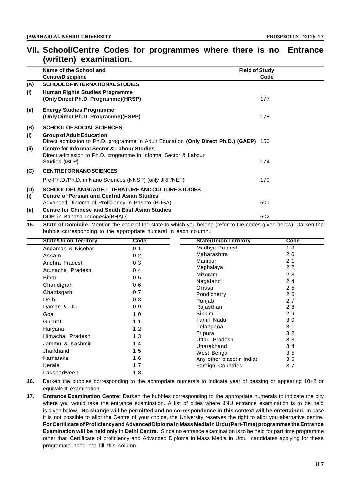|            | Name of the School and                                                                                                                      | <b>Field of Study</b> |  |
|------------|---------------------------------------------------------------------------------------------------------------------------------------------|-----------------------|--|
|            | <b>Centre/Discipline</b>                                                                                                                    | Code                  |  |
| (A)        | <b>SCHOOL OF INTERNATIONAL STUDIES</b>                                                                                                      |                       |  |
| (i)        | <b>Human Rights Studies Programme</b><br>(Only Direct Ph.D. Programme)(HRSP)                                                                | 177                   |  |
| (ii)       | <b>Energy Studies Programme</b><br>(Only Direct Ph.D. Programme)(ESPP)                                                                      | 178                   |  |
| (B)        | <b>SCHOOL OF SOCIAL SCIENCES</b>                                                                                                            |                       |  |
| (i)        | <b>Group of Adult Education</b><br>Direct admission to Ph.D. programme in Adult Education (Only Direct Ph.D.) (GAEP) 150                    |                       |  |
| (ii)       | <b>Centre for Informal Sector &amp; Labour Studies</b><br>Direct admission to Ph.D. programme in Informal Sector & Labour<br>Studies (ISLP) | 174                   |  |
|            |                                                                                                                                             |                       |  |
| (C)        | <b>CENTRE FOR NANO SCIENCES</b>                                                                                                             |                       |  |
|            | Pre-Ph.D./Ph.D. in Nano Sciences (NNSP) (only JRF/NET)                                                                                      | 179                   |  |
| (D)<br>(i) | SCHOOL OF LANGUAGE, LITERATURE AND CULTURE STUDIES<br><b>Centre of Persian and Central Asian Studies</b>                                    |                       |  |
|            | Advanced Diploma of Proficiency in Pashto (PUSA)                                                                                            | 501                   |  |
| (ii)       | <b>Centre for Chinese and South East Asian Studies</b>                                                                                      |                       |  |
|            | <b>DOP</b> in Bahasa Indonesia(BHAD)                                                                                                        | 602                   |  |

# **VII. School/Centre Codes for programmes where there is no Entrance (written) examination.**

**15. State of Domicile:** Mention the code of the state to which you belong (refer to the codes given below). Darken the bubble corresponding to the appropriate numeral in each column.:

| <b>State/Union Territory</b> | Code           | <b>State/Union Territory</b> | Code           |  |
|------------------------------|----------------|------------------------------|----------------|--|
| Andaman & Nicobar            | 0 <sub>1</sub> | Madhya Pradesh               | 19             |  |
| Assam                        | 0 <sub>2</sub> | Maharashtra                  | 20             |  |
| Andhra Pradesh               | 0 <sub>3</sub> | Manipur                      | 2 <sub>1</sub> |  |
| Arunachal Pradesh            | 0 <sub>4</sub> | Meghalaya                    | 22             |  |
| <b>Bihar</b>                 | 0 <sub>5</sub> | Mizoram                      | 23             |  |
| Chandigrah                   | 06             | Nagaland                     | 24             |  |
| Chattisgarh                  | 07             | Orissa                       | 25             |  |
| Delhi                        |                | Pondicherry                  | 26             |  |
|                              | 08             | Punjab                       | 27             |  |
| Daman & Diu                  | 09             | Rajasthan                    | 28             |  |
| Goa                          | 10             | Sikkim                       | 29             |  |
| Gujarat                      | 1 <sub>1</sub> | Tamil Nadu                   | 30             |  |
| Haryana                      | 12             | Telangana                    | 3 <sub>1</sub> |  |
| Himachal Pradesh             | 13             | Tripura                      | 32             |  |
| Jammu & Kashmir              | 14             | Uttar Pradesh<br>Uttarakhand | 33<br>34       |  |
| Jharkhand                    | 15             | West Bengal                  | 35             |  |
| Karnataka                    | 16             | Any other place(in India)    | 36             |  |
| Kerala                       | 17             | <b>Foreign Countries</b>     | 37             |  |
| Lakshadweep                  | 18             |                              |                |  |

- **16.** Darken the bubbles corresponding to the appropriate numerals to indicate year of passing or appearing 10+2 or equivalent examination.
- **17. Entrance Examination Centre:** Darken the bubbles corresponding to the appropriate numerals to indicate the city where you would take the entrance examination. A list of cities where JNU entrance examination is to be held is given below. **No change will be permitted and no correspondence in this context will be entertained.** In case it is not possible to allot the Centre of your choice, the University reserves the right to allot you alternative centre. **For Certificate of Proficiency and Advanced Diploma in Mass Media in Urdu (Part-Time) programmes the Entrance Examination will be held only in Delhi Centre.** Since no entrance examination is to be held for part time programme other than Certificate of proficiency and Advanced Diploma in Mass Media in Urdu candidates applying for these programme need not fill this column.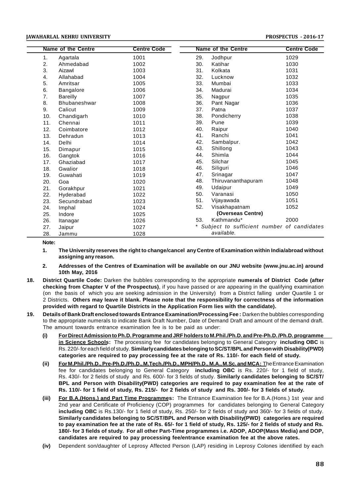# **JAWAHARLAL NEHRU UNIVERSITY PROSPECTUS - 2016-17**

|     | <b>Name of the Centre</b> | <b>Centre Code</b> | <b>Name of the Centre</b> | <b>Centre Code</b>                         |
|-----|---------------------------|--------------------|---------------------------|--------------------------------------------|
| 1.  | Agartala                  | 1001               | 29.<br>Jodhpur            | 1029                                       |
| 2.  | Ahmedabad                 | 1002               | 30.<br>Katihar            | 1030                                       |
| 3.  | Aizawl                    | 1003               | 31.<br>Kolkata            | 1031                                       |
| 4.  | Allahabad                 | 1004               | 32.<br>Lucknow            | 1032                                       |
| 5.  | Amritsar                  | 1005               | 33.<br>Mumbai             | 1033                                       |
| 6.  | <b>Bangalore</b>          | 1006               | 34.<br>Madurai            | 1034                                       |
| 7.  | <b>Bareilly</b>           | 1007               | 35.<br>Nagpur             | 1035                                       |
| 8.  | <b>Bhubaneshwar</b>       | 1008               | 36.<br>Pant Nagar         | 1036                                       |
| 9.  | Calicut                   | 1009               | 37.<br>Patna              | 1037                                       |
| 10. | Chandigarh                | 1010               | 38.<br>Pondicherry        | 1038                                       |
| 11. | Chennai                   | 1011               | 39.<br>Pune               | 1039                                       |
| 12. | Coimbatore                | 1012               | 40.<br>Raipur             | 1040                                       |
| 13. | Dehradun                  | 1013               | Ranchi<br>41.             | 1041                                       |
| 14. | Delhi                     | 1014               | 42.<br>Sambalpur.         | 1042                                       |
| 15. | Dimapur                   | 1015               | 43.<br>Shillong           | 1043                                       |
| 16. | Gangtok                   | 1016               | Shimla<br>44.             | 1044                                       |
| 17. | Ghaziabad                 | 1017               | 45.<br>Silchar            | 1045                                       |
| 18. | Gwalior                   | 1018               | 46.<br>Siliguri           | 1046                                       |
| 19. | Guwahati                  | 1019               | 47.<br>Srinagar           | 1047                                       |
| 20. | Goa                       | 1020               | 48.<br>Thiruvananthapuram | 1048                                       |
| 21. | Gorakhpur                 | 1021               | 49.<br>Udaipur            | 1049                                       |
| 22. | Hyderabad                 | 1022               | 50.<br>Varanasi           | 1050                                       |
| 23. | Secundrabad               | 1023               | 51.<br>Vijayawada         | 1051                                       |
| 24. | Imphal                    | 1024               | 52.<br>Visakhapatnam      | 1052                                       |
| 25. | Indore                    | 1025               | (Overseas Centre)         |                                            |
| 26. | Itanagar                  | 1026               | Kathmandu*<br>53.         | 2000                                       |
| 27. | Jaipur                    | 1027               |                           | Subject to sufficient number of candidates |
| 28. | Jammu                     | 1028               | available.                |                                            |

# **Note:**

- **1. The University reserves the right to change/cancel any Centre of Examination within India/abroad without assigning any reason.**
- **2. Addresses of the Centres of Examination will be available on our JNU website (www.jnu.ac.in) around 10th May, 2016**
- **18. District Quartile Code:** Darken the bubbles corresponding to the appropriate **numerals of District Code (after checking from Chapter V of the Prospectus)**, if you have passed or are appearing in the qualifying examination (on the basis of which you are seeking admission in the University) from a District falling under Quartile 1 or 2 Districts. **Others may leave it blank. Please note that the responsibility for correctness of the information provided with regard to Quartile Districts in the Application Form lies with the candidate).**
- **19. Details of Bank Draft enclosed towards Entrance Examination/Processing Fee :** Darken the bubbles corresponding to the appropriate numerals to indicate Bank Draft Number, Date of Demand Draft and amount of the demand draft. The amount towards entrance examination fee is to be paid as under:
	- **(i) For Direct Admission to Ph.D. Programme and JRF holders to M.Phil./Ph.D. and Pre-Ph.D. /Ph.D. programme in Science Schools:** The processing fee for candidates belonging to General Category **including OBC** is Rs. 220/- for each field of study. **Similarly candidates belonging to SC/ST/BPL and Person with Disability(PWD) categories are required to pay processing fee at the rate of Rs. 110/- for each field of study.**
	- **(ii) For M.Phil./Ph.D., Pre-Ph.D./Ph.D., M.Tech./Ph.D., MPH/Ph.D., M.A., M.Sc. and MCA:** The Entrance Examination fee for candidates belonging to General Category **including OBC** is Rs. 220/- for 1 field of study, Rs. 430/- for 2 fields of study and Rs. 600/- for 3 fields of study. **Similarly candidates belonging to SC/ST/ BPL and Person with Disability(PWD) categories are required to pay examination fee at the rate of Rs. 110/- for 1 field of study, Rs. 215/- for 2 fields of study and Rs. 300/- for 3 fields of study.**
	- **(iii) For B.A.(Hons.) and Part Time Programmes:** The Entrance Examination fee for B.A.(Hons.) 1st year and 2nd year and Certificate of Proficiency (COP) programmes for candidates belonging to General Category **including OBC** is Rs.130/- for 1 field of study, Rs. 250/- for 2 fields of study and 360/- for 3 fields of study. **Similarly candidates belonging to SC/ST/BPL and Person with Disability(PWD) categories are required to pay examination fee at the rate of Rs. 65/- for 1 field of study, Rs. 125/- for 2 fields of study and Rs. 180/- for 3 fields of study. For all other Part-Time programmes i.e. ADOP, ADOP(Mass Media) and DOP, candidates are required to pay processing fee/entrance examination fee at the above rates.**
	- **(iv)** Dependent son/daughter of Leprosy Affected Person (LAP) residing in Leprosy Colones identified by each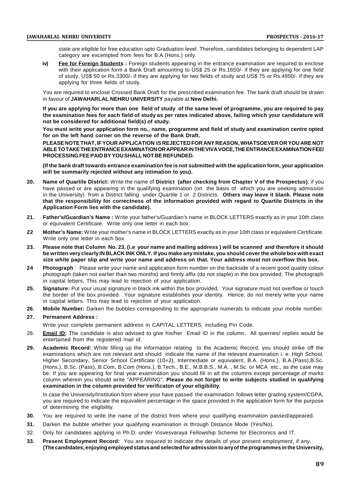state are eligible for free education upto Graduation level. Therefore, candidates belonging to dependent LAP category are excempted from fees for B.A.(Hons.) only.

**iv) Fee for Foreign Students :** Foreign students appearing in the entrance examination are required to enclose with their application form a Bank Draft amounting to US\$ 25 or Rs.1650/- if they are applying for one field of study, US\$ 50 or Rs.3300/- if they are applying for two fields of study and US\$ 75 or Rs.4950/- if they are applying for three fields of study.

You are required to enclose Crossed Bank Draft for the prescribed examination fee. The bank draft should be drawn in favour of **JAWAHARLAL NEHRU UNIVERSITY** payable at **New Delhi.**

**If you are applying for more than one field of study of the same level of programme, you are required to pay the examination fees for each field of study as per rates indicated above, failing which your candidature will not be considered for additional field(s) of study.**

**You must write your application form no., name, programme and field of study and examination centre opted for on the left hand corner on the reverse of the Bank Draft.**

**PLEASE NOTE THAT, IF YOUR APPLICATION IS REJECTED FOR ANY REASON, WHATSOEVER OR YOU ARE NOT ABLE TO TAKE THE ENTRANCE EXAMINATION OR APPEAR IN THE VIVA VOCE, THE ENTRANCE EXAMINATION FEE/ PROCESSING FEE PAID BY YOU SHALL NOT BE REFUNDED.**

**(If the bank draft towards entrance examination fee is not submitted with the application form, your application will be summarily rejected without any intimation to you).**

- **20. Name of Quartile District:** Write the name of **District (after checking from Chapter V of the Prospectus)**, if you have passed or are appearing in the qualifying examination (on the basis of which you are seeking admission in the University) from a District falling under Quartile 1 or 2 Districts. **Others may leave it blank. Please note that the responsibility for correctness of the information provided with regard to Quartile Districts in the Application Form lies with the candidate).**
- **21. Father's/Guardian's Name :** Write your father's/Guardian's name in BLOCK LETTERS exactly as in your 10th class or equivalent Certificate. Write only one letter in each box.
- **22 Mother's Name:** Write your mother's name in BLOCK LETTERS exactly as in your 10th class or equivalent Certificate. Write only one letter in each box.
- **23. Please note that Column No. 23. (i.e your name and mailing address ) will be scanned and therefore it should be written very clearly IN BLACK INK ONLY. If you make any mistake, you should cover the whole box with exact size white paper slip and write your name and address on that. Your address must not overflow this box.**
- **24 Photograph** : Please write your name and application form number on the backside of a recent good quality colour photograph (taken not earlier than two months) and firmly affix (do not staple) in the box provided. The photograph in capital letters. This may lead to rejection of your application.
- **25. Signature:** Put your usual signature in black ink within the box provided. Your signature must not overflow or touch the border of the box provided. Your signature establishes your identity. Hence, do not merely write your name in capital letters. This may lead to rejection of your application.
- **26. Mobile Number:** Darken the bubbles corresponding to the appropriate numerals to indicate your mobile number. **27. Permanent Address :**

Write your complete permanent address in CAPITAL LETTERS, including Pin Code.

- 28. **Email ID:** The candidate is also advised to give his/her Email ID in the column. All querries/ replies would be entertained from the registered mail id.
- **29. Academic Record:** While filling up the information relating to the Academic Record, you should strike off the examinations which are not relevant and should indicate the name of the relevant examination i. e. High School, Higher Secondary, Senior School Certificate (10+2), Intermediate or equivalent, B.A. (Hons.), B.A.(Pass),B.Sc. (Hons.), B.Sc. (Pass), B.Com, B.Com (Hons.), B.Tech., B.E., M.B.B.S., M.A. , M.Sc. or MCA etc., as the case may be. If you are appearing for final year examination you should fill in all the columns except percentage of marks column wherein you should write "APPEARING". **Please do not forget to write subjects studied in qualifying examination in the column provided for verificaton of your eligibility.**

In case the University/Institution from where your have passed the examination follows letter grading system/CGPA, you are required to indicate the equivalent percentage in the space provided in the application form for the purpose of determining the eligibility.

- **30.** You are required to write the name of the district from where your qualifying examination passed/appeared.
- **31.** Darken the bubble whether your qualifying examination is through Distance Mode (Yes/No).
- 32. Only for candidates applying in Ph.D. under Visvesvaraya Fellowship Scheme for Electronics and IT.
- **33. Present Employment Record:** You are required to indicate the details of your present employment, if any. **(The candidates, enjoying employed status and selected for admission to any of the programmes in the University,**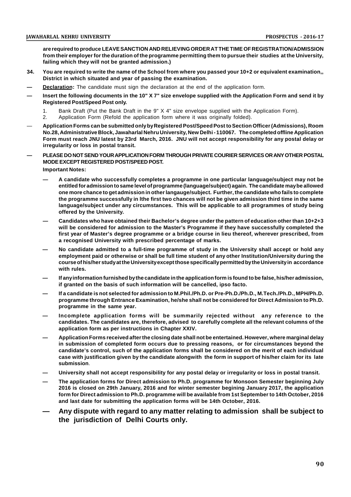**are required to produce LEAVE SANCTION AND RELIEVING ORDER AT THE TIME OF REGISTRATION/ADMISSION from their employer for the duration of the programme permitting them to pursue their studies at the University, failing which they will not be granted admission.)**

- **34. You are required to write the name of the School from where you passed your 10+2 or equivalent examination,, District in which situated and year of passing the examination.**
- **Declaration:** The candidate must sign the declaration at the end of the application form.
- **— Insert the following documents in the 10" X 7" size envelope supplied with the Application Form and send it by Registered Post/Speed Post only.**
	- 1. Bank Draft (Put the Bank Draft in the 9" X 4" size envelope supplied with the Application Form).
	- 2. Application Form (Refold the application form where it was originally folded).
- **Application Forms can be submitted only by Registered Post/Speed Post to Section Officer (Admissions), Room No.28, Administrative Block, Jawaharlal Nehru University, New Delhi - 110067. The completed offline Application Form must reach JNU latest by 23rd March, 2016. JNU will not accept responsibility for any postal delay or irregularity or loss in postal transit.**
- **— PLEASE DO NOT SENDYOURAPPLICATION FORM THROUGH PRIVATE COURIER SERVICES ORANY OTHER POSTAL MODE EXCEPT REGISTERED POST/SPEED POST.**

**Important Notes:**

- **— A candidate who successfully completes a programme in one particular language/subject may not be entitled for admission to same level of programme (language/subject) again. The candidate may be allowed one more chance to get admission in other langauge/subject. Further, the candidate who fails to complete the programme successfully in lthe first two chances will not be given admission third time in the same language/subject under any circumstances. This will be applicable to all programmes of study being offered by the University.**
- **— Candidates who have obtained their Bachelor's degree under the pattern of education other than 10+2+3 will be considered for admission to the Master's Programme if they have successfully completed the first year of Master's degree programme or a bridge course in lieu thereof, wherever prescribed, from a recognised University with prescribed percentage of marks.**
- **— No candidate admitted to a full-time programme of study in the University shall accept or hold any employment paid or otherwise or shall be full time student of any other Institution/University during the course of his/her study at the University except those specifically permitted by the University in accordance with rules.**
- **— If any information furnished by the candidate in the application form is found to be false, his/her admission, if granted on the basis of such information will be cancelled, ipso facto.**
- **— If a candidate is not selected for admission to M.Phil./Ph.D. or Pre-Ph.D./Ph.D., M.Tech./Ph.D., MPH/Ph.D. programme through Entrance Examination, he/she shall not be considered for Direct Admission to Ph.D. programme in the same year.**
- **— Incomplete application forms will be summarily rejected without any reference to the candidates. The candidates are, therefore, advised to carefully complete all the relevant columns of the application form as per instructions in Chapter XXIV.**
- **— Application Forms received after the closing date shall not be entertained. However, where marginal delay in submission of completed form occurs due to pressing reasons, or for circumstances beyond the candidate's control, such of the application forms shall be considered on the merit of each individual case with justification given by the candidate alongwith the form in support of his/her claim for its late submission**.
- **— University shall not accept responsibility for any postal delay or irregularity or loss in postal transit.**
- **— The application forms for Direct admission to Ph.D. programme for Monsoon Semester beginning July 2016 is closed on 29th January, 2016 and for winter semester begining January 2017, the application form for Direct admission to Ph.D. programme will be available from 1st September to 14th October, 2016 and last date for submitting the application forms will be 14th October, 2016.**
- **— Any dispute with regard to any matter relating to admission shall be subject to the jurisdiction of Delhi Courts only.**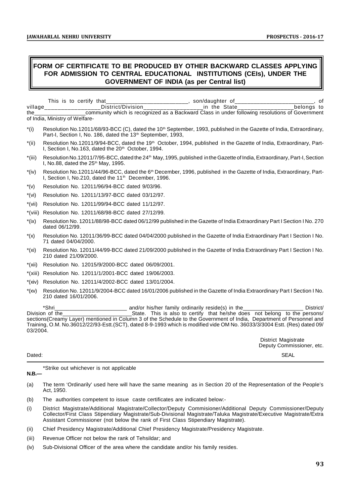# **FORM OF CERTIFICATE TO BE PRODUCED BY OTHER BACKWARD CLASSES APPLYING FOR ADMISSION TO CENTRAL EDUCATIONAL INSTITUTIONS (CEIs), UNDER THE GOVERNMENT OF INDIA (as per Central list)**

|         | This is to certify that                                                                        | son/daughter of |            |
|---------|------------------------------------------------------------------------------------------------|-----------------|------------|
| village | District/Division                                                                              | in the State    | belonas to |
| the     | community which is recognized as a Backward Class in under following resolutions of Government |                 |            |
|         | of India, Ministry of Welfare-                                                                 |                 |            |

- $*(i)$  Resolution No.12011/68/93-BCC (C), dated the 10<sup>th</sup> September, 1993, published in the Gazette of India, Extraordinary, Part-I, Section I, No. 186, dated the 13<sup>th</sup> September, 1993,
- \*(ii) Resolution No.12011/9/94-BCC, dated the 19th October, 1994, published in the Gazette of India, Extraordinary, Part-I, Section I, No.163, dated the 20<sup>th</sup> October, 1994.
- \*(iii) Resolution No.12011/7/95-BCC, dated the 24th May, 1995, published in the Gazette of India, Extraordinary, Part-I, Section I, No.88, dated the  $25<sup>th</sup>$  May, 1995.
- $*(iv)$  Resolution No.12011/44/96-BCC, dated the 6<sup>th</sup> December, 1996, published in the Gazette of India, Extraordinary, Part-I, Section I, No.210, dated the 11<sup>th</sup> December, 1996.
- \*(v) Resolution No. 12011/96/94-BCC dated 9/03/96.
- \*(vi) Resolution No. 12011/13/97-BCC dated 03/12/97.
- \*(vii) Resolution No. 12011/99/94-BCC dated 11/12/97.
- \*(viii) Resolution No. 12011/68/98-BCC dated 27/12/99.
- \*(ix) Resolution No. 12011/88/98-BCC dated 06/12/99 published in the Gazette of India Extraordinary Part I Section I No. 270 dated 06/12/99.
- \*(x) Resolution No. 12011/36/99-BCC dated 04/04/2000 published in the Gazette of India Extraordinary Part I Section I No. 71 dated 04/04/2000.
- \*(xi) Resolution No. 12011/44/99-BCC dated 21/09/2000 published in the Gazette of India Extraordinary Part I Section I No. 210 dated 21/09/2000.
- \*(xii) Resolution No. 12015/9/2000-BCC dated 06/09/2001.
- \*(xiii) Resolution No. 12011/1/2001-BCC dated 19/06/2003.
- \*(xiv) Resolution No. 12011/4/2002-BCC dated 13/01/2004.
- \*(xv) Resolution No. 12011/9/2004-BCC dated 16/01/2006 published in the Gazette of India Extraordinary Part I Section I No. 210 dated 16/01/2006.

\*Shri\_\_\_\_\_\_\_\_\_\_\_\_\_\_\_\_\_\_\_\_\_\_\_\_ and/or his/her family ordinarily reside(s) in the\_\_\_\_\_\_\_\_\_\_\_\_\_\_\_\_\_\_\_\_ District/ State. This is also to certify that he/she does not belong to the persons/ sections(Creamy Layer) mentioned in Column 3 of the Schedule to the Government of India, Department of Personnel and Training, O.M. No.36012/22/93-Estt.(SCT), dated 8-9-1993 which is modified vide OM No. 36033/3/3004 Estt. (Res) dated 09/ 03/2004.

> District Magistrate Deputy Commissioner, etc.

Dated: SEAL

\*Strike out whichever is not applicable

#### **N.B.—**

- (a) The term 'Ordinarily' used here will have the same meaning as in Section 20 of the Representation of the People's Act, 1950.
- (b) The authorities competent to issue caste certificates are indicated below:-
- (i) District Magistrate/Additional Magistrate/Collector/Deputy Commisioner/Additional Deputy Commissioner/Deputy Collector/First Class Stipendiary Magistrate/Sub-Divisional Magistrate/Taluka Magistrate/Executive Magistrate/Extra Assistant Commissioner (not below the rank of First Class Stipendiary Magistrate).
- (ii) Chief Presidency Magistrate/Additional Chief Presidency Magistrate/Presidency Magistrate.
- (iii) Revenue Officer not below the rank of Tehsildar; and
- (iv) Sub-Divisional Officer of the area where the candidate and/or his family resides.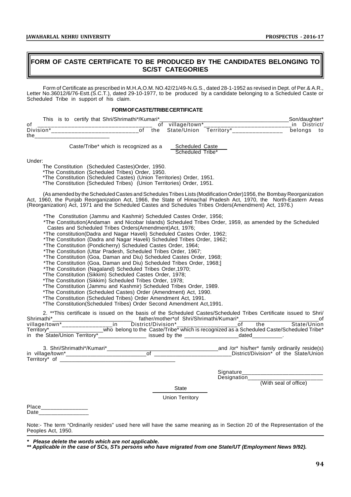# **FORM OF CASTE CERTIFICATE TO BE PRODUCED BY THE CANDIDATES BELONGING TO SC/ST CATEGORIES**

Form of Certificate as prescribed in M.H.A,O.M. NO.42/21/49-N.G.S., dated 28-1-1952 as revised in Dept. of Per.& A.R., Letter No.36012/6/76-Estt.(S.C.T.), dated 29-10-1977, to be produced by a candidate belonging to a Scheduled Caste or Scheduled Tribe in support of his claim.

#### **FORM OF CASTE/TRIBE CERTIFICATE**

| This      | is to | certify that Shri/Shrimathi*/Kumari* |            | Son/daughter* |
|-----------|-------|--------------------------------------|------------|---------------|
| 01        |       | .<br>village/town*<br>οt             |            | $i$ etriet    |
| Division* |       | State/Union<br>the                   | Territorv* | belongs<br>to |
| the       |       |                                      |            |               |

Caste/Tribe\* which is recognized as a Scheduled Caste

Scheduled Tribe

Under:

The Constitution (Scheduled Castes)Order, 1950.

\*The Constitution (Scheduled Tribes) Order, 1950.

\*The Constitution (Scheduled Castes) (Union Territories) Order, 1951.

\*The Constitution (Scheduled Tribes) (Union Territories) Order, 1951.

(As amended by the Scheduled Castes and Schedules Tribes Lists (Modification Order)1956, the Bombay Reorganization Act, 1960, the Punjab Reorganization Act, 1966, the State of Himachal Pradesh Act, 1970, the North-Eastern Areas (Reorganization) Act, 1971 and the Scheduled Castes and Schedules Tribes Orders(Amendment) Act, 1976.)

\*The Constitution (Jammu and Kashmir) Scheduled Castes Order, 1956;

\*The Constitution(Andaman and Nicobar Islands) Scheduled Tribes Order, 1959, as amended by the Scheduled Castes and Scheduled Tribes Orders(Amendment)Act, 1976;

\*The constitution(Dadra and Nagar Haveli) Scheduled Castes Order, 1962;

\*The Constitution (Dadra and Nagar Haveli) Scheduled Tribes Order, 1962;

\*The Constitution (Pondicherry) Scheduled Castes Order, 1964;

\*The Constitution (Uttar Pradesh, Scheduled Tribes Order, 1967;

\*The Constitution (Goa, Daman and Diu) Scheduled Castes Order, 1968;

\*The Constitution (Goa, Daman and Diu) Scheduled Tribes Order, 1968;]

\*The Constitution (Nagaland) Scheduled Tribes Order,1970;

\*The Constitution (Sikkim) Scheduled Castes Order, 1978;

\*The Constitution (Sikkim) Scheduled Tribes Order, 1978;

\*The Constitution (Jammu and Kashmir) Scheduled Tribes Order, 1989.

\*The Constitution (Scheduled Castes) Order (Amendment) Act, 1990.

\*The Constitution (Scheduled Tribes) Order Amendment Act, 1991.

\*The Constitution(Scheduled Tribes) Order Second Amendment Act,1991.

2. \*\*This certificate is issued on the basis of the Scheduled Castes/Scheduled Tribes Certificate issued to Shri/ Shrimathi\* tather/mother\*of Shri/Shrimathi/Kumari\* [19]<br>village/town\* in District/Division\* (1991) village/town\*\_\_\_\_\_\_\_\_\_\_\_\_\_\_\_in District/Division\*\_\_\_\_\_\_\_\_\_\_\_\_\_\_\_\_\_\_of the State/Union Territory\*\_\_\_\_\_\_\_\_\_\_\_\_\_\_\_\_\_\_who belong to the Caste/Tribe\* which is recognized as a Scheduled Caste/Scheduled Tribe\* in the State/Union Territory\*\_\_\_\_\_\_\_\_\_\_\_\_\_\_\_\_ issued by the \_\_\_\_\_\_\_\_\_\_\_\_\_\_\_\_\_\_dated\_\_\_\_\_\_\_\_\_\_.

3. Shri/Shrimathi\*/Kumari\*\_\_\_\_\_\_\_\_\_\_\_\_\_\_\_\_\_\_\_\_\_\_\_\_\_\_\_\_\_\_\_\_\_\_\_\_\_and /or\* his/her\* family ordinarily reside(s) in village/town\*\_\_\_\_\_\_\_\_\_\_\_\_\_\_\_\_\_\_\_\_\_\_\_\_\_\_of \_\_\_\_\_\_\_\_\_\_\_\_\_\_\_\_\_\_\_\_\_\_\_\_\_District/Division\* of the State/Union Territory $*$  of

Signature\_\_\_\_\_\_\_\_\_\_\_\_\_\_\_\_\_\_\_\_\_\_\_\_\_\_

Designation\_

(With seal of office)

**State** 

Union Territory

Place\_\_\_\_\_\_\_\_\_\_\_\_\_\_\_\_\_\_ Date

Note:- The term "Ordinarily resides" used here will have the same meaning as in Section 20 of the Representation of the Peoples Act, 1950.

*\* Please delete the words which are not applicable.*

*\*\* Applicable in the case of SCs, STs persons who have migrated from one State/UT (Employment News 9/92).*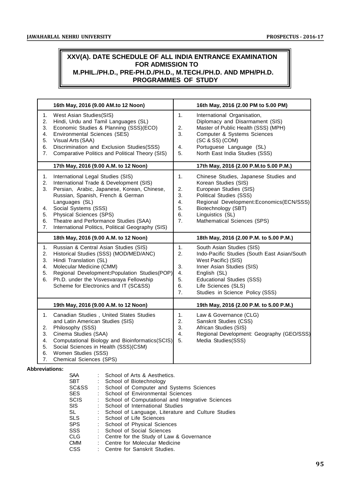# **XXV(A). DATE SCHEDULE OF ALL INDIA ENTRANCE EXAMINATION FOR ADMISSION TO M.PHIL./PH.D., PRE-PH.D./PH.D., M.TECH./PH.D. AND MPH/PH.D. PROGRAMMES OF STUDY**

|                                        | 16th May, 2016 (9.00 AM.to 12 Noon)                                                                                                                                                                                                                                                                                                 | 16th May, 2016 (2.00 PM to 5.00 PM)                                                                                                                                                                                                                                                                    |
|----------------------------------------|-------------------------------------------------------------------------------------------------------------------------------------------------------------------------------------------------------------------------------------------------------------------------------------------------------------------------------------|--------------------------------------------------------------------------------------------------------------------------------------------------------------------------------------------------------------------------------------------------------------------------------------------------------|
| 1.<br>2.<br>3.<br>4.<br>5.<br>6.<br>7. | West Asian Studies(SIS)<br>Hindi, Urdu and Tamil Languages (SL)<br>Economic Studies & Planning (SSS)(ECO)<br>Environmental Sciences (SES)<br>Visual Arts (SAA)<br>Discrimination and Exclusion Studies(SSS)<br>Comparative Politics and Political Theory (SIS)                                                                      | 1.<br>International Organisation,<br>Diplomacy and Disarmament (SIS)<br>Master of Public Health (SSS) (MPH)<br>2.<br>3.<br>Computer & Systems Sciences<br>(SC & SS) (COM)<br>Portuguese Language (SL)<br>4.<br>North East India Studies (SSS)<br>5.                                                    |
|                                        | 17th May, 2016 (9.00 A.M. to 12 Noon)                                                                                                                                                                                                                                                                                               | 17th May, 2016 (2.00 P.M.to 5.00 P.M.)                                                                                                                                                                                                                                                                 |
| 1.<br>2.<br>3.<br>4.<br>5.<br>6.<br>7. | International Legal Studies (SIS)<br>International Trade & Development (SIS)<br>Persian, Arabic, Japanese, Korean, Chinese,<br>Russian, Spanish, French & German<br>Languages (SL)<br>Social Systems (SSS)<br>Physical Sciences (SPS)<br>Theatre and Performance Studies (SAA)<br>International Politics, Political Geography (SIS) | Chinese Studies, Japanese Studies and<br>1.<br>Korean Studies (SIS)<br>2.<br>European Studies (SIS)<br>3.<br><b>Political Studies (SSS)</b><br>4.<br>Regional Development: Economics (ECN/SSS)<br>5.<br>Biotechnology (SBT)<br>Linguistics (SL)<br>6.<br>7 <sub>1</sub><br>Mathematical Sciences (SPS) |
|                                        | 18th May, 2016 (9.00 A.M. to 12 Noon)                                                                                                                                                                                                                                                                                               | 18th May, 2016 (2.00 P.M. to 5.00 P.M.)                                                                                                                                                                                                                                                                |
| 1.<br>2.<br>3.<br>4.<br>5.<br>6.       | Russian & Central Asian Studies (SIS)<br>Historical Studies (SSS) (MOD/MED/ANC)<br>Hindi Translation (SL)<br>Molecular Medicine (CMM)<br>Regional Development: Population Studies (POP)<br>Ph.D. under the Visvesvaraya Fellowship<br>Scheme for Electronics and IT (SC&SS)                                                         | 1.<br>South Asian Studies (SIS)<br>2.<br>Indo-Pacific Studies (South East Asian/South<br>West Pacific) (SIS)<br>3.<br>Inner Asian Studies (SIS)<br>4.<br>English (SL)<br>5.<br><b>Educational Studies (SSS)</b><br>Life Sciences (SLS)<br>6.<br>Studies in Science Policy (SSS)<br>7.                  |
|                                        | 19th May, 2016 (9.00 A.M. to 12 Noon)                                                                                                                                                                                                                                                                                               | 19th May, 2016 (2.00 P.M. to 5.00 P.M.)                                                                                                                                                                                                                                                                |
| 1.<br>2.<br>3.                         | Canadian Studies, United States Studies<br>and Latin American Studies (SIS)<br>Philosophy (SSS)<br>Cinema Studies (SAA)                                                                                                                                                                                                             | Law & Governance (CLG)<br>1 <sub>1</sub><br>2.<br>Sanskrit Studies (CSS)<br>3.<br>African Studies (SIS)<br>Regional Development: Geography (GEO/SSS)<br>4.                                                                                                                                             |

**Abbreviations:**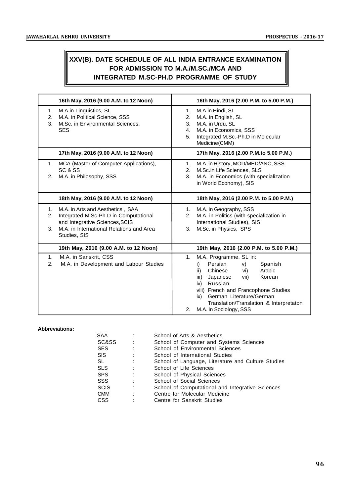# **XXV(B). DATE SCHEDULE OF ALL INDIA ENTRANCE EXAMINATION FOR ADMISSION TO M.A./M.SC./MCA AND INTEGRATED M.SC-PH.D PROGRAMME OF STUDY**

|                            | 16th May, 2016 (9.00 A.M. to 12 Noon)                                                                                                                                   | 16th May, 2016 (2.00 P.M. to 5.00 P.M.)                                                                                                                                                                                                                                                                               |
|----------------------------|-------------------------------------------------------------------------------------------------------------------------------------------------------------------------|-----------------------------------------------------------------------------------------------------------------------------------------------------------------------------------------------------------------------------------------------------------------------------------------------------------------------|
| 1.<br>2.<br>3 <sub>1</sub> | M.A.in Linguistics, SL<br>M.A. in Political Science, SSS<br>M.Sc. in Environmental Sciences,<br><b>SES</b>                                                              | M.A.in Hindi, SL<br>1.<br>2.<br>M.A. in English, SL<br>M.A. in Urdu, SL<br>3.<br>M.A. in Economics, SSS<br>4.<br>Integrated M.Sc.-Ph.D in Molecular<br>5.<br>Medicine(CMM)                                                                                                                                            |
|                            | 17th May, 2016 (9.00 A.M. to 12 Noon)                                                                                                                                   | 17th May, 2016 (2.00 P.M.to 5.00 P.M.)                                                                                                                                                                                                                                                                                |
| 1.<br>2.                   | MCA (Master of Computer Applications),<br>SC & SS<br>M.A. in Philosophy, SSS                                                                                            | M.A. in History, MOD/MED/ANC, SSS<br>1.<br>M.Sc.in Life Sciences, SLS<br>2.<br>M.A. in Economics (with specialization<br>3.<br>in World Economy), SIS                                                                                                                                                                 |
|                            | 18th May, 2016 (9.00 A.M. to 12 Noon)                                                                                                                                   | 18th May, 2016 (2.00 P.M. to 5.00 P.M.)                                                                                                                                                                                                                                                                               |
| 1.<br>2.<br>3.             | M.A. in Arts and Aesthetics, SAA<br>Integrated M.Sc-Ph.D in Computational<br>and Integrative Sciences, SCIS<br>M.A. in International Relations and Area<br>Studies, SIS | 1. M.A. in Geography, SSS<br>M.A. in Politics (with specialization in<br>2.<br>International Studies), SIS<br>M.Sc. in Physics, SPS<br>3.                                                                                                                                                                             |
|                            | 19th May, 2016 (9.00 A.M. to 12 Noon)                                                                                                                                   | 19th May, 2016 (2.00 P.M. to 5.00 P.M.)                                                                                                                                                                                                                                                                               |
| 1 <sub>1</sub><br>2.       | M.A. in Sanskrit, CSS<br>M.A. in Development and Labour Studies                                                                                                         | M.A. Programme, SL in:<br>1 <sub>1</sub><br>Persian<br>Spanish<br>i)<br>V)<br>Chinese<br>vi)<br>Arabic<br>ii)<br>iii) Japanese<br>Korean<br>vii)<br>iv) Russian<br>viii) French and Francophone Studies<br>German Literature/German<br>ix)<br>Translation/Translation & Interpretaton<br>2.<br>M.A. in Sociology, SSS |

# **Abbreviations:**

| <b>SAA</b>  |   | School of Arts & Aesthetics.                       |
|-------------|---|----------------------------------------------------|
| SC&SS       | ÷ | School of Computer and Systems Sciences            |
| <b>SES</b>  |   | School of Environmental Sciences                   |
| <b>SIS</b>  | ÷ | School of International Studies                    |
| SL          |   | School of Language, Literature and Culture Studies |
| <b>SLS</b>  | ٠ | School of Life Sciences                            |
| <b>SPS</b>  |   | School of Physical Sciences                        |
| <b>SSS</b>  |   | School of Social Sciences                          |
| <b>SCIS</b> | ٠ | School of Computational and Integrative Sciences   |
| <b>CMM</b>  | ٠ | Centre for Molecular Medicine                      |
| <b>CSS</b>  |   | Centre for Sanskrit Studies                        |
|             |   |                                                    |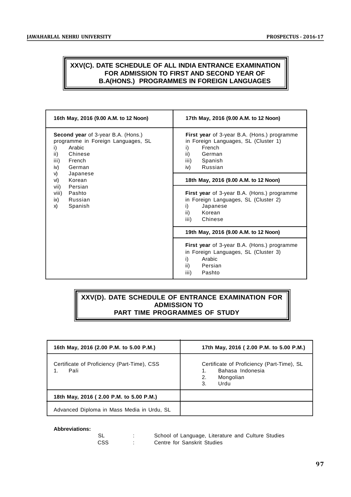# **XXV(C). DATE SCHEDULE OF ALL INDIA ENTRANCE EXAMINATION FOR ADMISSION TO FIRST AND SECOND YEAR OF B.A(HONS.) PROGRAMMES IN FOREIGN LANGUAGES**

| 16th May, 2016 (9.00 A.M. to 12 Noon)                                                                                                                                                                                                                     | 17th May, 2016 (9.00 A.M. to 12 Noon)                                                                                                                                                                                                                                                                                                                                                                                                                                                                                                      |
|-----------------------------------------------------------------------------------------------------------------------------------------------------------------------------------------------------------------------------------------------------------|--------------------------------------------------------------------------------------------------------------------------------------------------------------------------------------------------------------------------------------------------------------------------------------------------------------------------------------------------------------------------------------------------------------------------------------------------------------------------------------------------------------------------------------------|
| Second year of 3-year B.A. (Hons.)<br>programme in Foreign Languages, SL<br>Arabic<br>i)<br>Chinese<br>ii)<br>French<br>iii)<br>iv)<br>German<br>V)<br>Japanese<br>Korean<br>vi)<br>Persian<br>vii)<br>viii)<br>Pashto<br>ix)<br>Russian<br>Spanish<br>X) | First year of 3-year B.A. (Hons.) programme<br>in Foreign Languages, SL (Cluster 1)<br>French<br>i)<br>ii)<br>German<br>iii)<br>Spanish<br>Russian<br>iv)<br>18th May, 2016 (9.00 A.M. to 12 Noon)<br>First year of 3-year B.A. (Hons.) programme<br>in Foreign Languages, SL (Cluster 2)<br>i)<br>Japanese<br>ii)<br>Korean<br>Chinese<br>iii)<br>19th May, 2016 (9.00 A.M. to 12 Noon)<br><b>First year</b> of 3-year B.A. (Hons.) programme<br>in Foreign Languages, SL (Cluster 3)<br>i)<br>Arabic<br>ii)<br>Persian<br>iii)<br>Pashto |

# **XXV(D). DATE SCHEDULE OF ENTRANCE EXAMINATION FOR ADMISSION TO PART TIME PROGRAMMES OF STUDY**

| 16th May, 2016 (2.00 P.M. to 5.00 P.M.)             | 17th May, 2016 (2.00 P.M. to 5.00 P.M.)                                                               |
|-----------------------------------------------------|-------------------------------------------------------------------------------------------------------|
| Certificate of Proficiency (Part-Time), CSS<br>Pali | Certificate of Proficiency (Part-Time), SL<br>Bahasa Indonesia<br>1.<br>2.<br>Mongolian<br>3.<br>Urdu |
| 18th May, 2016 (2.00 P.M. to 5.00 P.M.)             |                                                                                                       |
| Advanced Diploma in Mass Media in Urdu, SL          |                                                                                                       |

#### **Abbreviations:**

| - SL | School of Language, Literature and Culture Studies |
|------|----------------------------------------------------|
| CSS. | Centre for Sanskrit Studies                        |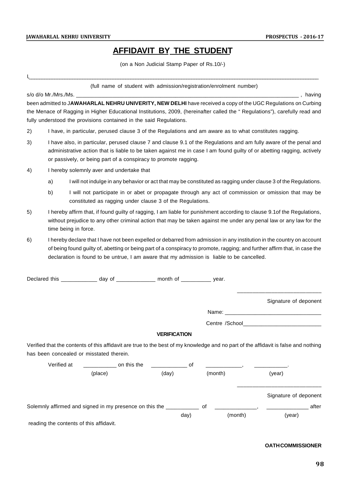# **AFFIDAVIT BY THE STUDENT**

(on a Non Judicial Stamp Paper of Rs.10/-)

I,\_\_\_\_\_\_\_\_\_\_\_\_\_\_\_\_\_\_\_\_\_\_\_\_\_\_\_\_\_\_\_\_\_\_\_\_\_\_\_\_\_\_\_\_\_\_\_\_\_\_\_\_\_\_\_\_\_\_\_\_\_\_\_\_\_\_\_\_\_\_\_\_\_\_\_\_\_\_\_\_\_\_\_\_\_\_\_\_\_\_\_\_\_\_\_\_\_\_\_\_\_\_\_\_\_\_\_\_\_\_\_\_\_\_

(full name of student with admission/registration/enrolment number)

s/o d/o Mr./Mrs./Ms. \_\_\_\_\_\_\_\_\_\_\_\_\_\_\_\_\_\_\_\_\_\_\_\_\_\_\_\_\_\_\_\_\_\_\_\_\_\_\_\_\_\_\_\_\_\_\_\_\_\_\_\_\_\_\_\_\_\_\_\_\_\_\_\_\_\_\_\_\_\_\_\_\_\_ , having

been admitted to J**AWAHARLAL NEHRU UNIVERITY, NEW DELHI** have received a copy of the UGC Regulations on Curbing the Menace of Ragging in Higher Educational Institutions, 2009, (hereinafter called the " Regulations"), carefully read and fully understood the provisions contained in the said Regulations.

- 2) I have, in particular, perused clause 3 of the Regulations and am aware as to what constitutes ragging.
- 3) I have also, in particular, perused clause 7 and clause 9.1 of the Regulations and am fully aware of the penal and administrative action that is liable to be taken against me in case I am found guilty of or abetting ragging, actively or passively, or being part of a conspiracy to promote ragging.
- 4) I hereby solemnly aver and undertake that
	- a) I will not indulge in any behavior or act that may be constituted as ragging under clause 3 of the Regulations.
	- b) I will not participate in or abet or propagate through any act of commission or omission that may be constituted as ragging under clause 3 of the Regulations.
- 5) I hereby affirm that, if found guilty of ragging, I am liable for punishment according to clause 9.1of the Regulations, without prejudice to any other criminal action that may be taken against me under any penal law or any law for the time being in force.
- 6) I hereby declare that I have not been expelled or debarred from admission in any institution in the country on account of being found guilty of, abetting or being part of a conspiracy to promote, ragging; and further affirm that, in case the declaration is found to be untrue, I am aware that my admission is liable to be cancelled.

Declared this \_\_\_\_\_\_\_\_\_\_\_\_\_ day of \_\_\_\_\_\_\_\_\_\_\_\_\_ month of \_\_\_\_\_\_\_\_\_\_ year.

Signature of deponent

\_\_\_\_\_\_\_\_\_\_\_\_\_\_\_\_\_\_\_\_\_\_\_\_\_\_\_

Name: \_\_\_\_\_\_\_\_\_\_\_\_\_\_\_\_\_\_\_\_\_\_\_\_\_\_\_\_\_\_\_\_

Centre /School

## **VERIFICATION**

Verified that the contents of this affidavit are true to the best of my knowledge and no part of the affidavit is false and nothing has been concealed or misstated therein.

| Verified at                             | on this the                                             |       |         |                       |       |
|-----------------------------------------|---------------------------------------------------------|-------|---------|-----------------------|-------|
|                                         | (place)                                                 | (day) | (month) | (year)                |       |
|                                         |                                                         |       |         | Signature of deponent |       |
|                                         | Solemnly affirmed and signed in my presence on this the |       | 0f      |                       | after |
|                                         |                                                         | day)  |         | (year)<br>(month)     |       |
| reading the contents of this affidavit. |                                                         |       |         |                       |       |

### **OATH COMMISSIONER**